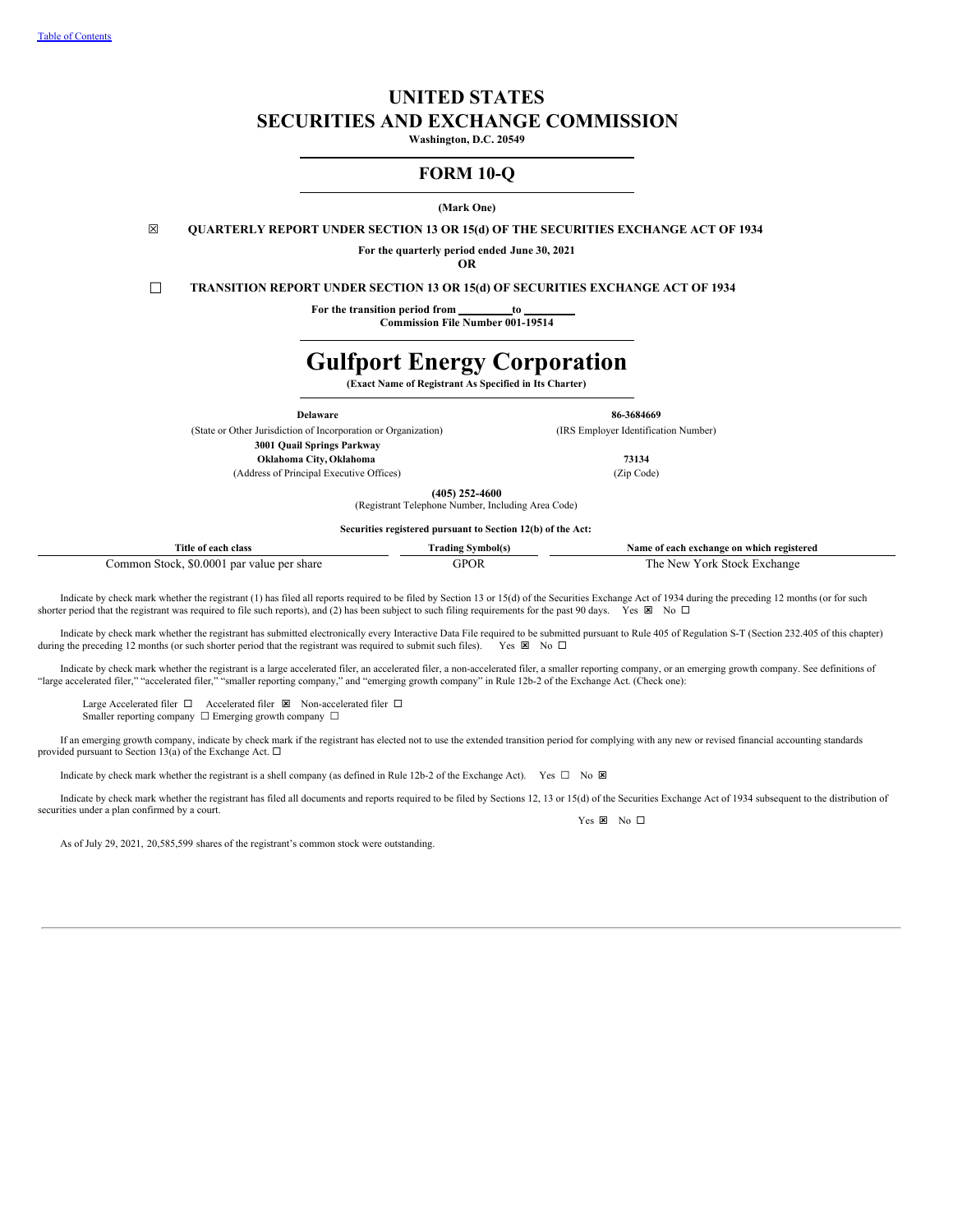# **UNITED STATES SECURITIES AND EXCHANGE COMMISSION**

**Washington, D.C. 20549**

## **FORM 10-Q**

### **(Mark One)**

☒ **QUARTERLY REPORT UNDER SECTION 13 OR 15(d) OF THE SECURITIES EXCHANGE ACT OF 1934**

**For the quarterly period ended June 30, 2021**

**OR**

☐ **TRANSITION REPORT UNDER SECTION 13 OR 15(d) OF SECURITIES EXCHANGE ACT OF 1934**

**For the transition period from to**

**Commission File Number 001-19514**

# **Gulfport Energy Corporation**

**(Exact Name of Registrant As Specified in Its Charter)**

**Delaware 86-3684669**

(State or Other Jurisdiction of Incorporation or Organization) (IRS Employer Identification Number) **3001 Quail Springs Parkway Oklahoma City, Oklahoma 73134**

(Address of Principal Executive Offices) (Zip Code)

**(405) 252-4600**

(Registrant Telephone Number, Including Area Code)

**Securities registered pursuant to Section 12(b) of the Act:**

| $\sim$<br>нu<br>:Iass                              | radıng<br>. | sterec<br>0n<br>0t<br>ano         |
|----------------------------------------------------|-------------|-----------------------------------|
| stoc'<br>omm<br>shar<br>nar<br>value<br>ıon<br>۰ш. | ____        | he<br>∩rl<br>$f \wedge g$<br>N AW |

Indicate by check mark whether the registrant (1) has filed all reports required to be filed by Section 13 or 15(d) of the Securities Exchange Act of 1934 during the preceding 12 months (or for such shorter period that the registrant was required to file such reports), and (2) has been subject to such filing requirements for the past 90 days. Yes  $\boxtimes$  No  $\Box$ 

Indicate by check mark whether the registrant has submitted electronically every Interactive Data File required to be submitted pursuant to Rule 405 of Regulation S-T (Section 232.405 of this chapter) g the preceding 12 m during the preceding 12 months (or such shorter period that the registrant was required to submit such files).

Indicate by check mark whether the registrant is a large accelerated filer, an accelerated filer, a ma-accelerated filer, a smaller reporting company, or an emerging growth company. See definitions of "large accelerated filer," "accelerated filer," "smaller reporting company," and "emerging growth company" in Rule 12b-2 of the Exchange Act. (Check one):

Large Accelerated filer  $\quad \Box$  <br>Accelerated filer  $\quad \Box$ Smaller reporting company  $\ \Box$  Emerging growth company  $\ \Box$ 

If an emerging growth company, indicate by check mark if the registrant has elected not to use the extended transition period for complying with any new or revised financial accounting standards provided pursuant to Section 13(a) of the Exchange Act.  $\Box$ 

Indicate by check mark whether the registrant is a shell company (as defined in Rule 12b-2 of the Exchange Act). Yes  $\Box$  No  $\boxtimes$ 

Indicate by check mark whether the registrant has filed all documents and reports required to be filed by Sections 12, 13 or 15(d) of the Securities Exchange Act of 1934 subsequent to the distribution of securities under a plan confirmed by a court.

<span id="page-0-0"></span>As of July 29, 2021, 20,585,599 shares of the registrant's common stock were outstanding.

Yes  $\boxtimes$  No  $\square$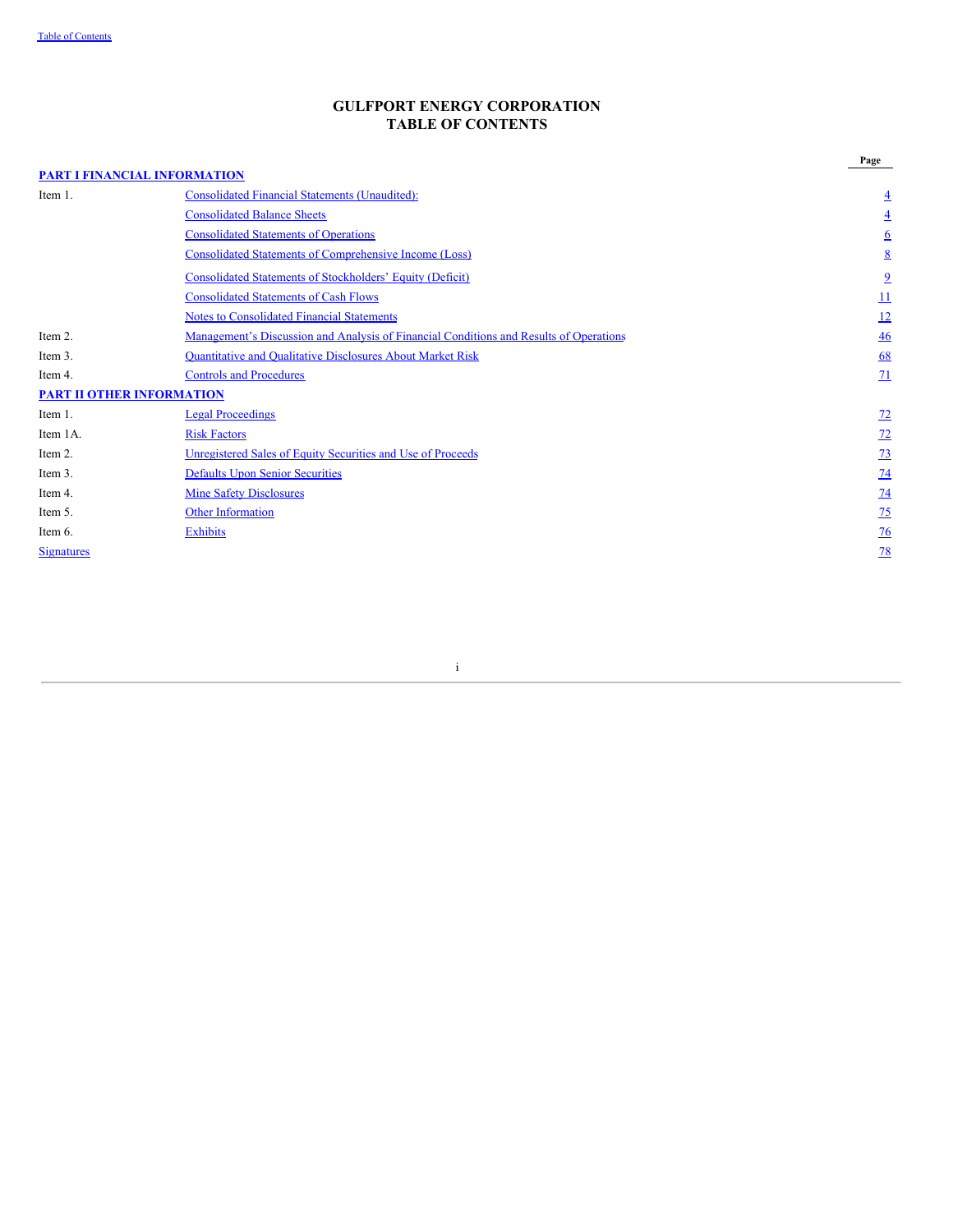## **GULFPORT ENERGY CORPORATION TABLE OF CONTENTS**

|                                     |                                                                                        | Page            |
|-------------------------------------|----------------------------------------------------------------------------------------|-----------------|
| <b>PART I FINANCIAL INFORMATION</b> |                                                                                        |                 |
| Item 1.                             | <b>Consolidated Financial Statements (Unaudited):</b>                                  | 4               |
|                                     | <b>Consolidated Balance Sheets</b>                                                     | $\overline{4}$  |
|                                     | <b>Consolidated Statements of Operations</b>                                           | <u>6</u>        |
|                                     | Consolidated Statements of Comprehensive Income (Loss)                                 | 8               |
|                                     | <b>Consolidated Statements of Stockholders' Equity (Deficit)</b>                       | $\overline{9}$  |
|                                     | <b>Consolidated Statements of Cash Flows</b>                                           | $\overline{11}$ |
|                                     | <b>Notes to Consolidated Financial Statements</b>                                      | 12              |
| Item 2.                             | Management's Discussion and Analysis of Financial Conditions and Results of Operations | $\frac{46}{5}$  |
| Item 3.                             | <b>Quantitative and Qualitative Disclosures About Market Risk</b>                      | 68              |
| Item 4.                             | <b>Controls and Procedures</b>                                                         | $\frac{71}{2}$  |
| <b>PART II OTHER INFORMATION</b>    |                                                                                        |                 |
| Item 1.                             | <b>Legal Proceedings</b>                                                               | $\frac{72}{2}$  |
| Item 1A.                            | <b>Risk Factors</b>                                                                    | 72              |
| Item 2.                             | Unregistered Sales of Equity Securities and Use of Proceeds                            | $\frac{73}{2}$  |
| Item 3.                             | <b>Defaults Upon Senior Securities</b>                                                 | $\frac{74}{1}$  |
| Item 4.                             | <b>Mine Safety Disclosures</b>                                                         | $\frac{74}{1}$  |
| Item 5.                             | <b>Other Information</b>                                                               | $\frac{75}{2}$  |
| Item 6.                             | <b>Exhibits</b>                                                                        | $\frac{76}{2}$  |
| <b>Signatures</b>                   |                                                                                        | <u>78</u>       |

i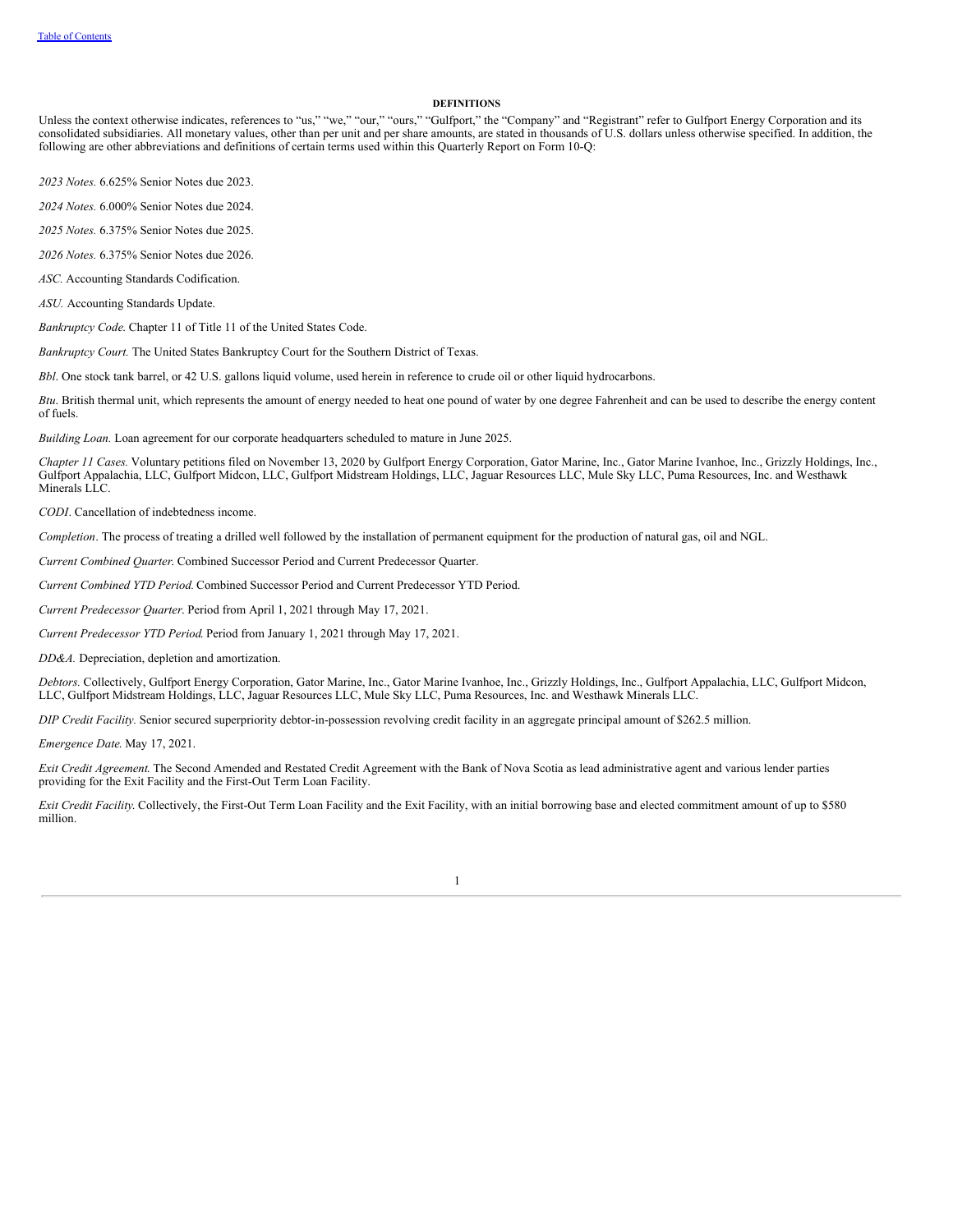#### **DEFINITIONS**

Unless the context otherwise indicates, references to "us," "we," "our," "ours," "Gulfport," the "Company" and "Registrant" refer to Gulfport Energy Corporation and its consolidated subsidiaries. All monetary values, other than per unit and per share amounts, are stated in thousands of U.S. dollars unless otherwise specified. In addition, the following are other abbreviations and definitions of certain terms used within this Quarterly Report on Form 10-Q:

*2023 Notes.* 6.625% Senior Notes due 2023.

*2024 Notes.* 6.000% Senior Notes due 2024.

*2025 Notes.* 6.375% Senior Notes due 2025.

*2026 Notes.* 6.375% Senior Notes due 2026.

*ASC.* Accounting Standards Codification.

*ASU.* Accounting Standards Update.

*Bankruptcy Code*. Chapter 11 of Title 11 of the United States Code.

*Bankruptcy Court.* The United States Bankruptcy Court for the Southern District of Texas.

*Bbl*. One stock tank barrel, or 42 U.S. gallons liquid volume, used herein in reference to crude oil or other liquid hydrocarbons.

*Btu*. British thermal unit, which represents the amount of energy needed to heat one pound of water by one degree Fahrenheit and can be used to describe the energy content of fuels.

*Building Loan.* Loan agreement for our corporate headquarters scheduled to mature in June 2025.

*Chapter 11 Cases.* Voluntary petitions filed on November 13, 2020 by Gulfport Energy Corporation, Gator Marine, Inc., Gator Marine Ivanhoe, Inc., Grizzly Holdings, Inc., Gulfport Appalachia, LLC, Gulfport Midcon, LLC, Gulfport Midstream Holdings, LLC, Jaguar Resources LLC, Mule Sky LLC, Puma Resources, Inc. and Westhawk Minerals LLC.

*CODI*. Cancellation of indebtedness income.

*Completion*. The process of treating a drilled well followed by the installation of permanent equipment for the production of natural gas, oil and NGL.

*Current Combined Quarter*. Combined Successor Period and Current Predecessor Quarter.

*Current Combined YTD Period.* Combined Successor Period and Current Predecessor YTD Period.

*Current Predecessor Quarter*. Period from April 1, 2021 through May 17, 2021.

*Current Predecessor YTD Period*. Period from January 1, 2021 through May 17, 2021.

*DD&A.* Depreciation, depletion and amortization.

*Debtors.* Collectively, Gulfport Energy Corporation, Gator Marine, Inc., Gator Marine Ivanhoe, Inc., Grizzly Holdings, Inc., Gulfport Appalachia, LLC, Gulfport Midcon, LLC, Gulfport Midstream Holdings, LLC, Jaguar Resources LLC, Mule Sky LLC, Puma Resources, Inc. and Westhawk Minerals LLC.

*DIP Credit Facility.* Senior secured superpriority debtor-in-possession revolving credit facility in an aggregate principal amount of \$262.5 million.

*Emergence Date*. May 17, 2021.

*Exit Credit Agreement*. The Second Amended and Restated Credit Agreement with the Bank of Nova Scotia as lead administrative agent and various lender parties providing for the Exit Facility and the First-Out Term Loan Facility.

*Exit Credit Facility*. Collectively, the First-Out Term Loan Facility and the Exit Facility, with an initial borrowing base and elected commitment amount of up to \$580 million.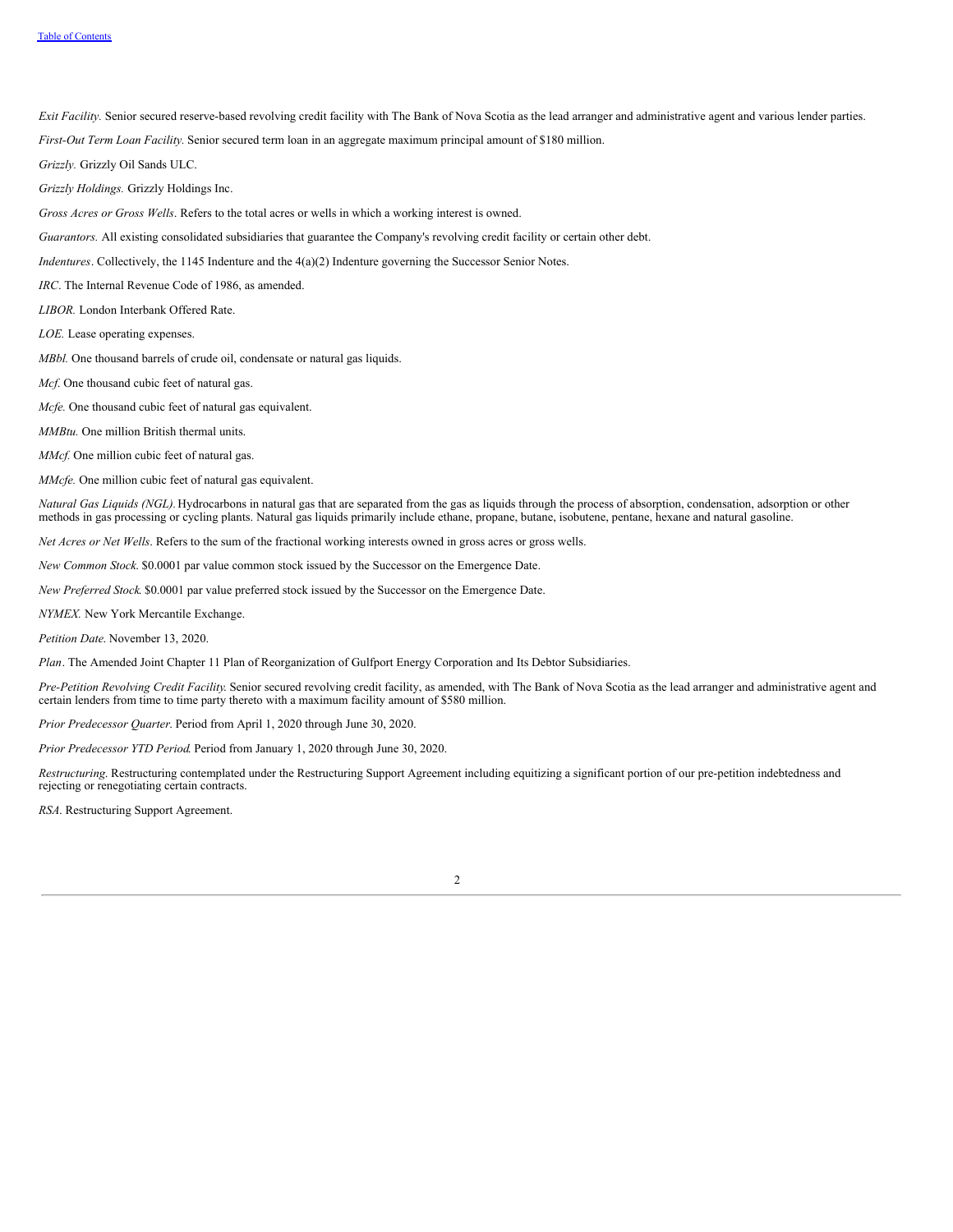*Exit Facility.* Senior secured reserve-based revolving credit facility with The Bank of Nova Scotia as the lead arranger and administrative agent and various lender parties.

*First-Out Term Loan Facility.* Senior secured term loan in an aggregate maximum principal amount of \$180 million.

*Grizzly.* Grizzly Oil Sands ULC.

*Grizzly Holdings.* Grizzly Holdings Inc.

*Gross Acres or Gross Wells*. Refers to the total acres or wells in which a working interest is owned.

*Guarantors.* All existing consolidated subsidiaries that guarantee the Company's revolving credit facility or certain other debt.

*Indentures*. Collectively, the 1145 Indenture and the 4(a)(2) Indenture governing the Successor Senior Notes.

*IRC*. The Internal Revenue Code of 1986, as amended.

*LIBOR.* London Interbank Offered Rate.

*LOE.* Lease operating expenses.

*MBbl.* One thousand barrels of crude oil, condensate or natural gas liquids.

*Mcf*. One thousand cubic feet of natural gas.

*Mcfe.* One thousand cubic feet of natural gas equivalent.

*MMBtu.* One million British thermal units.

*MMcf.* One million cubic feet of natural gas.

*MMcfe.* One million cubic feet of natural gas equivalent.

*Natural Gas Liquids (NGL).*Hydrocarbons in natural gas that are separated from the gas as liquids through the process of absorption, condensation, adsorption or other methods in gas processing or cycling plants. Natural gas liquids primarily include ethane, propane, butane, isobutene, pentane, hexane and natural gasoline.

*Net Acres or Net Wells*. Refers to the sum of the fractional working interests owned in gross acres or gross wells.

*New Common Stock*. \$0.0001 par value common stock issued by the Successor on the Emergence Date.

*New Preferred Stock*. \$0.0001 par value preferred stock issued by the Successor on the Emergence Date.

*NYMEX.* New York Mercantile Exchange.

*Petition Date*. November 13, 2020.

*Plan*. The Amended Joint Chapter 11 Plan of Reorganization of Gulfport Energy Corporation and Its Debtor Subsidiaries.

*Pre-Petition Revolving Credit Facility*. Senior secured revolving credit facility, as amended, with The Bank of Nova Scotia as the lead arranger and administrative agent and certain lenders from time to time party thereto with a maximum facility amount of \$580 million.

*Prior Predecessor Quarter*. Period from April 1, 2020 through June 30, 2020.

*Prior Predecessor YTD Period*. Period from January 1, 2020 through June 30, 2020.

*Restructuring*. Restructuring contemplated under the Restructuring Support Agreement including equitizing a significant portion of our pre-petition indebtedness and rejecting or renegotiating certain contracts.

*RSA*. Restructuring Support Agreement.

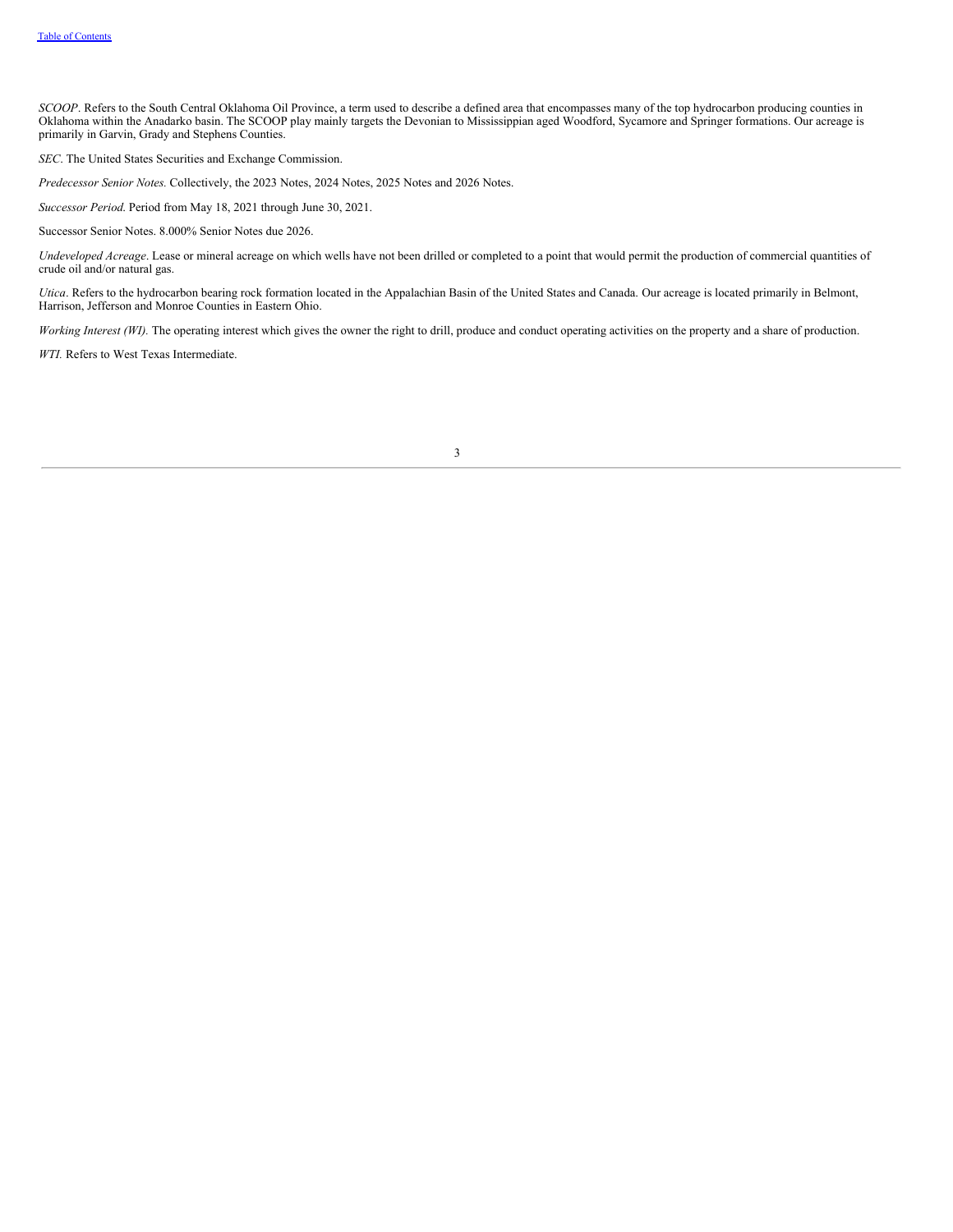*SCOOP*. Refers to the South Central Oklahoma Oil Province, a term used to describe a defined area that encompasses many of the top hydrocarbon producing counties in Oklahoma within the Anadarko basin. The SCOOP play mainly targets the Devonian to Mississippian aged Woodford, Sycamore and Springer formations. Our acreage is primarily in Garvin, Grady and Stephens Counties.

*SEC*. The United States Securities and Exchange Commission.

*Predecessor Senior Notes.* Collectively, the 2023 Notes, 2024 Notes, 2025 Notes and 2026 Notes.

*Successor Period*. Period from May 18, 2021 through June 30, 2021.

Successor Senior Notes. 8.000% Senior Notes due 2026.

*Undeveloped Acreage*. Lease or mineral acreage on which wells have not been drilled or completed to a point that would permit the production of commercial quantities of crude oil and/or natural gas.

*Utica*. Refers to the hydrocarbon bearing rock formation located in the Appalachian Basin of the United States and Canada. Our acreage is located primarily in Belmont, Harrison, Jefferson and Monroe Counties in Eastern Ohio.

*Working Interest (WI).* The operating interest which gives the owner the right to drill, produce and conduct operating activities on the property and a share of production.

<span id="page-4-2"></span><span id="page-4-1"></span><span id="page-4-0"></span>*WTI.* Refers to West Texas Intermediate.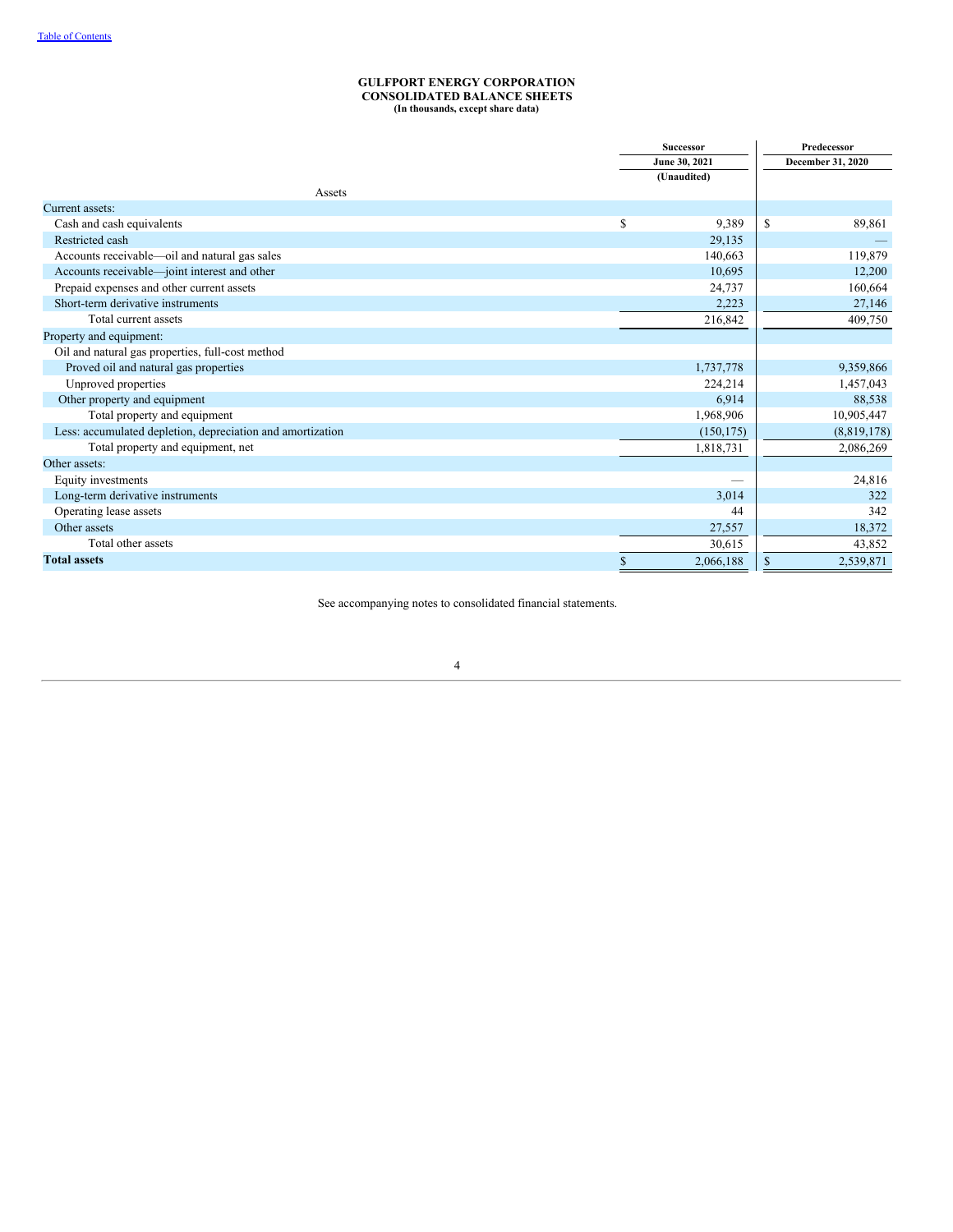# **GULFPORT ENERGY CORPORATION CONSOLIDATED BALANCE SHEETS (In thousands, except share data)**

|                                                            | <b>Successor</b><br>June 30, 2021 |              | Predecessor<br>December 31, 2020 |
|------------------------------------------------------------|-----------------------------------|--------------|----------------------------------|
| Assets                                                     | (Unaudited)                       |              |                                  |
| Current assets:                                            |                                   |              |                                  |
| Cash and cash equivalents                                  | \$<br>9,389                       | <sup>S</sup> | 89,861                           |
| Restricted cash                                            | 29.135                            |              |                                  |
| Accounts receivable—oil and natural gas sales              | 140,663                           |              | 119,879                          |
| Accounts receivable—joint interest and other               | 10,695                            |              | 12,200                           |
| Prepaid expenses and other current assets                  | 24,737                            |              | 160,664                          |
| Short-term derivative instruments                          | 2,223                             |              | 27,146                           |
| Total current assets                                       | 216,842                           |              | 409,750                          |
| Property and equipment:                                    |                                   |              |                                  |
| Oil and natural gas properties, full-cost method           |                                   |              |                                  |
| Proved oil and natural gas properties                      | 1,737,778                         |              | 9,359,866                        |
| Unproved properties                                        | 224,214                           |              | 1,457,043                        |
| Other property and equipment                               | 6,914                             |              | 88,538                           |
| Total property and equipment                               | 1,968,906                         |              | 10,905,447                       |
| Less: accumulated depletion, depreciation and amortization | (150, 175)                        |              | (8,819,178)                      |
| Total property and equipment, net                          | 1,818,731                         |              | 2,086,269                        |
| Other assets:                                              |                                   |              |                                  |
| Equity investments                                         |                                   |              | 24,816                           |
| Long-term derivative instruments                           | 3,014                             |              | 322                              |
| Operating lease assets                                     | 44                                |              | 342                              |
| Other assets                                               | 27,557                            |              | 18,372                           |
| Total other assets                                         | 30,615                            |              | 43,852                           |
| <b>Total assets</b>                                        | \$<br>2,066,188                   | \$           | 2,539,871                        |

See accompanying notes to consolidated financial statements.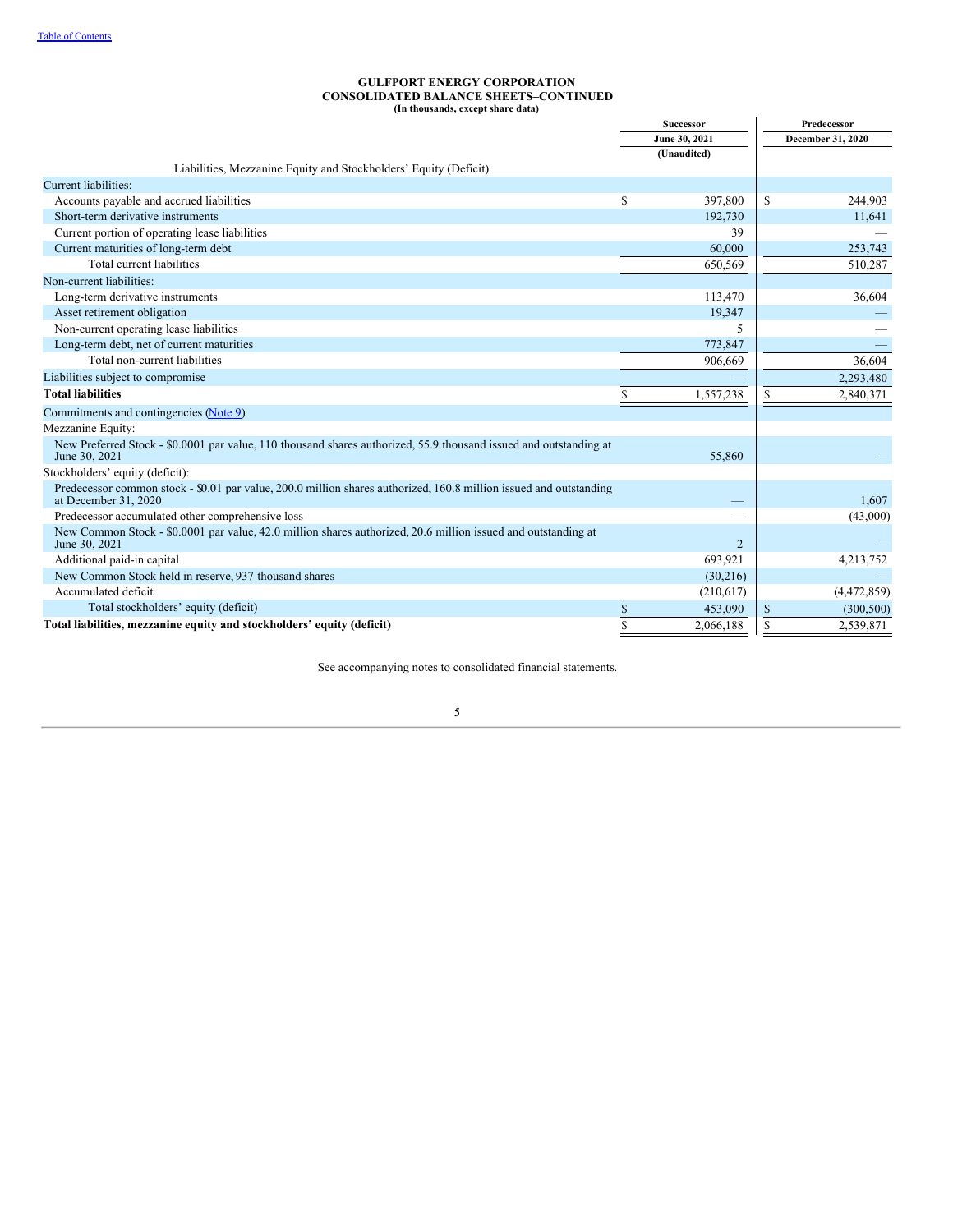# **GULFPORT ENERGY CORPORATION CONSOLIDATED BALANCE SHEETS–CONTINUED (In thousands, except share data)**

|                                                                                                                                            | <b>Successor</b> | Predecessor       |
|--------------------------------------------------------------------------------------------------------------------------------------------|------------------|-------------------|
|                                                                                                                                            | June 30, 2021    | December 31, 2020 |
|                                                                                                                                            | (Unaudited)      |                   |
| Liabilities, Mezzanine Equity and Stockholders' Equity (Deficit)                                                                           |                  |                   |
| <b>Current liabilities:</b>                                                                                                                |                  |                   |
| Accounts payable and accrued liabilities                                                                                                   | \$<br>397,800    | S<br>244,903      |
| Short-term derivative instruments                                                                                                          | 192,730          | 11,641            |
| Current portion of operating lease liabilities                                                                                             | 39               |                   |
| Current maturities of long-term debt                                                                                                       | 60,000           | 253,743           |
| Total current liabilities                                                                                                                  | 650,569          | 510,287           |
| Non-current liabilities:                                                                                                                   |                  |                   |
| Long-term derivative instruments                                                                                                           | 113,470          | 36,604            |
| Asset retirement obligation                                                                                                                | 19,347           |                   |
| Non-current operating lease liabilities                                                                                                    | 5                |                   |
| Long-term debt, net of current maturities                                                                                                  | 773,847          |                   |
| Total non-current liabilities                                                                                                              | 906,669          | 36.604            |
| Liabilities subject to compromise                                                                                                          |                  | 2,293,480         |
| <b>Total liabilities</b>                                                                                                                   | 1,557,238        | 2,840,371         |
| Commitments and contingencies (Note 9)                                                                                                     |                  |                   |
| Mezzanine Equity:                                                                                                                          |                  |                   |
| New Preferred Stock - \$0.0001 par value, 110 thousand shares authorized, 55.9 thousand issued and outstanding at<br>June 30, 2021         | 55,860           |                   |
| Stockholders' equity (deficit):                                                                                                            |                  |                   |
| Predecessor common stock - \$0.01 par value, 200.0 million shares authorized, 160.8 million issued and outstanding<br>at December 31, 2020 |                  | 1,607             |
| Predecessor accumulated other comprehensive loss                                                                                           |                  | (43,000)          |
| New Common Stock - \$0,0001 par value, 42.0 million shares authorized, 20.6 million issued and outstanding at<br>June 30, 2021             | $\overline{2}$   |                   |
| Additional paid-in capital                                                                                                                 | 693,921          | 4,213,752         |
| New Common Stock held in reserve, 937 thousand shares                                                                                      | (30, 216)        |                   |
| Accumulated deficit                                                                                                                        | (210,617)        | (4,472,859)       |
| Total stockholders' equity (deficit)                                                                                                       | \$<br>453,090    | \$<br>(300, 500)  |
| Total liabilities, mezzanine equity and stockholders' equity (deficit)                                                                     | \$<br>2,066,188  | S<br>2,539,871    |

<span id="page-6-0"></span>See accompanying notes to consolidated financial statements.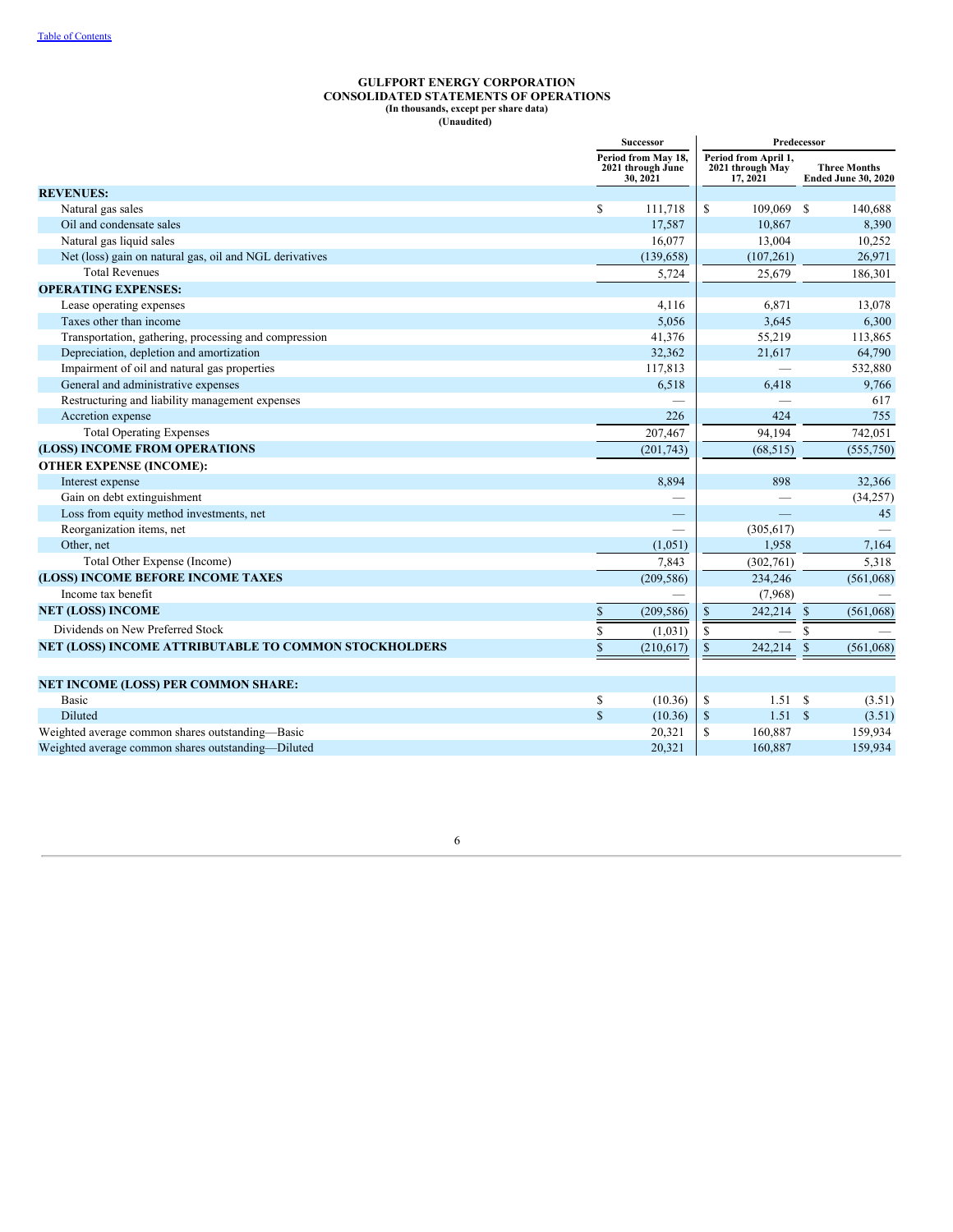## **GULFPORT ENERGY CORPORATION CONSOLIDATED STATEMENTS OF OPERATIONS (In thousands, except per share data) (Unaudited)**

|                                                         |              | <b>Successor</b>                                     |                                                      | Predecessor                                       |  |  |
|---------------------------------------------------------|--------------|------------------------------------------------------|------------------------------------------------------|---------------------------------------------------|--|--|
|                                                         |              | Period from May 18,<br>2021 through June<br>30, 2021 | Period from April 1,<br>2021 through May<br>17, 2021 | <b>Three Months</b><br><b>Ended June 30, 2020</b> |  |  |
| <b>REVENUES:</b>                                        |              |                                                      |                                                      |                                                   |  |  |
| Natural gas sales                                       | \$           | 111,718                                              | \$<br>109,069 \$                                     | 140,688                                           |  |  |
| Oil and condensate sales                                |              | 17.587                                               | 10.867                                               | 8,390                                             |  |  |
| Natural gas liquid sales                                |              | 16.077                                               | 13,004                                               | 10,252                                            |  |  |
| Net (loss) gain on natural gas, oil and NGL derivatives |              | (139, 658)                                           | (107, 261)                                           | 26,971                                            |  |  |
| <b>Total Revenues</b>                                   |              | 5,724                                                | 25,679                                               | 186,301                                           |  |  |
| <b>OPERATING EXPENSES:</b>                              |              |                                                      |                                                      |                                                   |  |  |
| Lease operating expenses                                |              | 4,116                                                | 6,871                                                | 13,078                                            |  |  |
| Taxes other than income                                 |              | 5,056                                                | 3,645                                                | 6,300                                             |  |  |
| Transportation, gathering, processing and compression   |              | 41,376                                               | 55,219                                               | 113,865                                           |  |  |
| Depreciation, depletion and amortization                |              | 32,362                                               | 21,617                                               | 64,790                                            |  |  |
| Impairment of oil and natural gas properties            |              | 117,813                                              | $\overline{\phantom{0}}$                             | 532,880                                           |  |  |
| General and administrative expenses                     |              | 6,518                                                | 6,418                                                | 9,766                                             |  |  |
| Restructuring and liability management expenses         |              |                                                      |                                                      | 617                                               |  |  |
| Accretion expense                                       |              | 226                                                  | 424                                                  | 755                                               |  |  |
| <b>Total Operating Expenses</b>                         |              | 207,467                                              | 94,194                                               | 742,051                                           |  |  |
| (LOSS) INCOME FROM OPERATIONS                           |              | (201,743)                                            | (68, 515)                                            | (555,750)                                         |  |  |
| <b>OTHER EXPENSE (INCOME):</b>                          |              |                                                      |                                                      |                                                   |  |  |
| Interest expense                                        |              | 8,894                                                | 898                                                  | 32,366                                            |  |  |
| Gain on debt extinguishment                             |              |                                                      |                                                      | (34, 257)                                         |  |  |
| Loss from equity method investments, net                |              |                                                      |                                                      | 45                                                |  |  |
| Reorganization items, net                               |              |                                                      | (305, 617)                                           |                                                   |  |  |
| Other, net                                              |              | (1,051)                                              | 1,958                                                | 7,164                                             |  |  |
| Total Other Expense (Income)                            |              | 7,843                                                | (302,761)                                            | 5,318                                             |  |  |
| (LOSS) INCOME BEFORE INCOME TAXES                       |              | (209, 586)                                           | 234,246                                              | (561,068)                                         |  |  |
| Income tax benefit                                      |              |                                                      | (7,968)                                              |                                                   |  |  |
| <b>NET (LOSS) INCOME</b>                                | $\mathbb{S}$ | (209, 586)                                           | 242,214 \$<br>$\mathbb{S}$                           | (561,068)                                         |  |  |
| Dividends on New Preferred Stock                        | \$           | (1,031)                                              | \$                                                   | \$                                                |  |  |
| NET (LOSS) INCOME ATTRIBUTABLE TO COMMON STOCKHOLDERS   | $\mathbb{S}$ | (210,617)                                            | \$<br>242,214                                        | $\mathbf{\hat{s}}$<br>(561,068)                   |  |  |
|                                                         |              |                                                      |                                                      |                                                   |  |  |
| <b>NET INCOME (LOSS) PER COMMON SHARE:</b>              |              |                                                      |                                                      |                                                   |  |  |
| Basic                                                   | \$           | (10.36)                                              | \$<br>1.51S                                          | (3.51)                                            |  |  |
| <b>Diluted</b>                                          | $\mathbf S$  | (10.36)                                              | 1.51 S<br>\$                                         | (3.51)                                            |  |  |
| Weighted average common shares outstanding—Basic        |              | 20,321                                               | \$<br>160,887                                        | 159,934                                           |  |  |
| Weighted average common shares outstanding—Diluted      |              | 20,321                                               | 160,887                                              | 159,934                                           |  |  |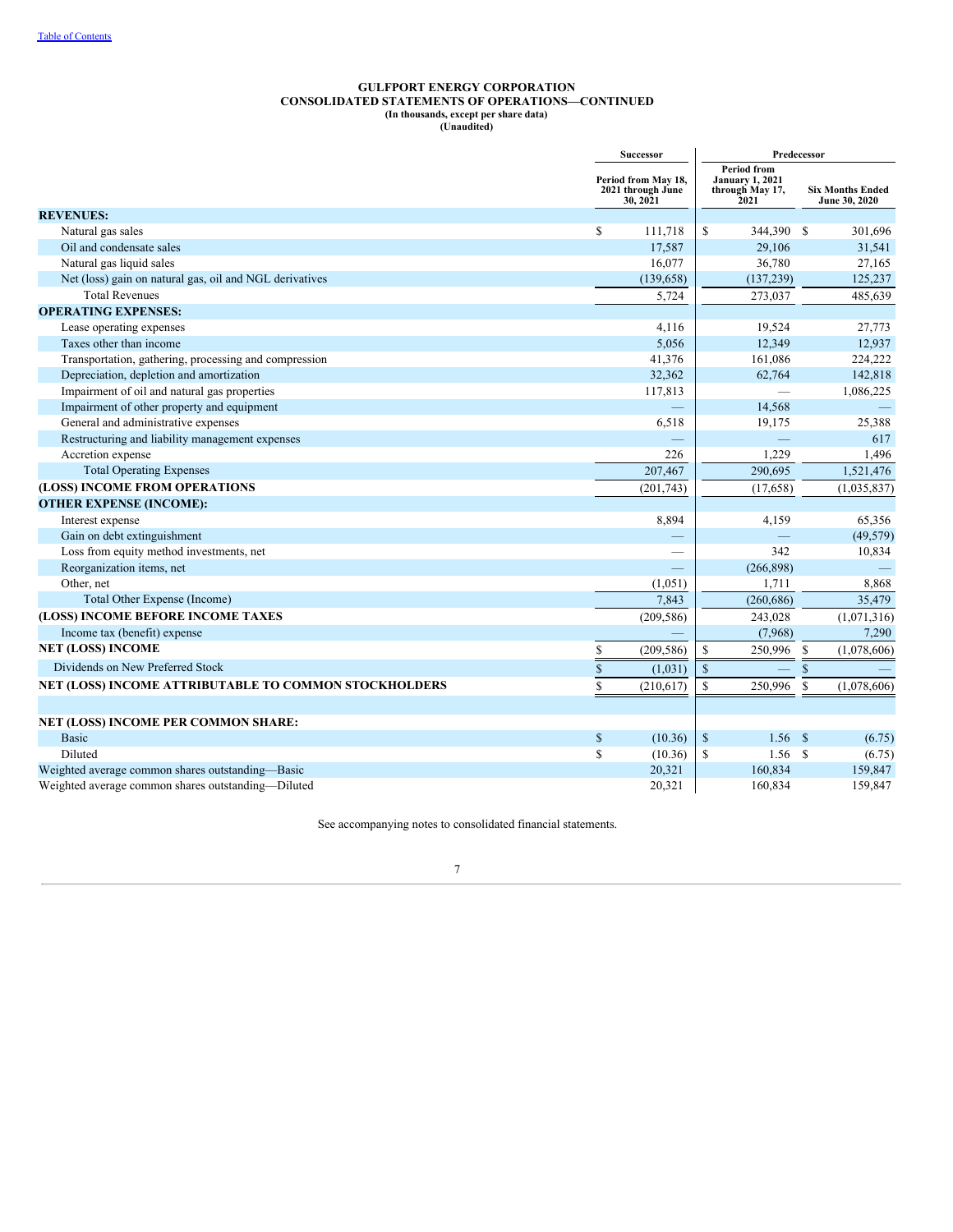# **GULFPORT ENERGY CORPORATION CONSOLIDATED STATEMENTS OF OPERATIONS—CONTINUED (In thousands, except per share data) (Unaudited)**

|                                                         |             | <b>Successor</b>                                     |              |                                                                         | Predecessor  |                                          |  |
|---------------------------------------------------------|-------------|------------------------------------------------------|--------------|-------------------------------------------------------------------------|--------------|------------------------------------------|--|
|                                                         |             | Period from May 18,<br>2021 through June<br>30, 2021 |              | <b>Period from</b><br><b>January 1, 2021</b><br>through May 17,<br>2021 |              | <b>Six Months Ended</b><br>June 30, 2020 |  |
| <b>REVENUES:</b>                                        |             |                                                      |              |                                                                         |              |                                          |  |
| Natural gas sales                                       | $\mathbf S$ | 111,718                                              | S            | 344,390 \$                                                              |              | 301,696                                  |  |
| Oil and condensate sales                                |             | 17,587                                               |              | 29,106                                                                  |              | 31,541                                   |  |
| Natural gas liquid sales                                |             | 16,077                                               |              | 36,780                                                                  |              | 27,165                                   |  |
| Net (loss) gain on natural gas, oil and NGL derivatives |             | (139, 658)                                           |              | (137, 239)                                                              |              | 125,237                                  |  |
| <b>Total Revenues</b>                                   |             | 5,724                                                |              | 273,037                                                                 |              | 485,639                                  |  |
| <b>OPERATING EXPENSES:</b>                              |             |                                                      |              |                                                                         |              |                                          |  |
| Lease operating expenses                                |             | 4,116                                                |              | 19,524                                                                  |              | 27,773                                   |  |
| Taxes other than income                                 |             | 5,056                                                |              | 12,349                                                                  |              | 12,937                                   |  |
| Transportation, gathering, processing and compression   |             | 41,376                                               |              | 161,086                                                                 |              | 224,222                                  |  |
| Depreciation, depletion and amortization                |             | 32,362                                               |              | 62,764                                                                  |              | 142,818                                  |  |
| Impairment of oil and natural gas properties            |             | 117,813                                              |              | $\overline{\phantom{0}}$                                                |              | 1,086,225                                |  |
| Impairment of other property and equipment              |             |                                                      |              | 14,568                                                                  |              |                                          |  |
| General and administrative expenses                     |             | 6,518                                                |              | 19,175                                                                  |              | 25,388                                   |  |
| Restructuring and liability management expenses         |             |                                                      |              |                                                                         |              | 617                                      |  |
| Accretion expense                                       |             | 226                                                  |              | 1,229                                                                   |              | 1,496                                    |  |
| <b>Total Operating Expenses</b>                         |             | 207,467                                              |              | 290.695                                                                 |              | 1,521,476                                |  |
| (LOSS) INCOME FROM OPERATIONS                           |             | (201,743)                                            |              | (17,658)                                                                |              | (1,035,837)                              |  |
| <b>OTHER EXPENSE (INCOME):</b>                          |             |                                                      |              |                                                                         |              |                                          |  |
| Interest expense                                        |             | 8,894                                                |              | 4,159                                                                   |              | 65,356                                   |  |
| Gain on debt extinguishment                             |             |                                                      |              |                                                                         |              | (49, 579)                                |  |
| Loss from equity method investments, net                |             |                                                      |              | 342                                                                     |              | 10,834                                   |  |
| Reorganization items, net                               |             |                                                      |              | (266, 898)                                                              |              |                                          |  |
| Other, net                                              |             | (1,051)                                              |              | 1,711                                                                   |              | 8,868                                    |  |
| Total Other Expense (Income)                            |             | 7,843                                                |              | (260, 686)                                                              |              | 35,479                                   |  |
| (LOSS) INCOME BEFORE INCOME TAXES                       |             | (209, 586)                                           |              | 243,028                                                                 |              | (1,071,316)                              |  |
| Income tax (benefit) expense                            |             |                                                      |              | (7,968)                                                                 |              | 7,290                                    |  |
| <b>NET (LOSS) INCOME</b>                                | \$          | (209, 586)                                           | \$           | 250,996                                                                 | \$           | (1,078,606)                              |  |
| Dividends on New Preferred Stock                        | \$          | (1,031)                                              | $\mathbb{S}$ |                                                                         | $\mathbb{S}$ |                                          |  |
| NET (LOSS) INCOME ATTRIBUTABLE TO COMMON STOCKHOLDERS   | $\mathbf S$ | (210,617)                                            | \$           | 250,996                                                                 | $\mathbb S$  | (1,078,606)                              |  |
|                                                         |             |                                                      |              |                                                                         |              |                                          |  |
| <b>NET (LOSS) INCOME PER COMMON SHARE:</b>              |             |                                                      |              |                                                                         |              |                                          |  |
| <b>Basic</b>                                            | \$          | (10.36)                                              | \$           | $1.56$ \$                                                               |              | (6.75)                                   |  |
| Diluted                                                 | \$          | (10.36)                                              | \$           | $1.56$ \$                                                               |              | (6.75)                                   |  |
| Weighted average common shares outstanding-Basic        |             | 20,321                                               |              | 160,834                                                                 |              | 159,847                                  |  |
| Weighted average common shares outstanding—Diluted      |             | 20,321                                               |              | 160,834                                                                 |              | 159,847                                  |  |

<span id="page-8-0"></span>See accompanying notes to consolidated financial statements.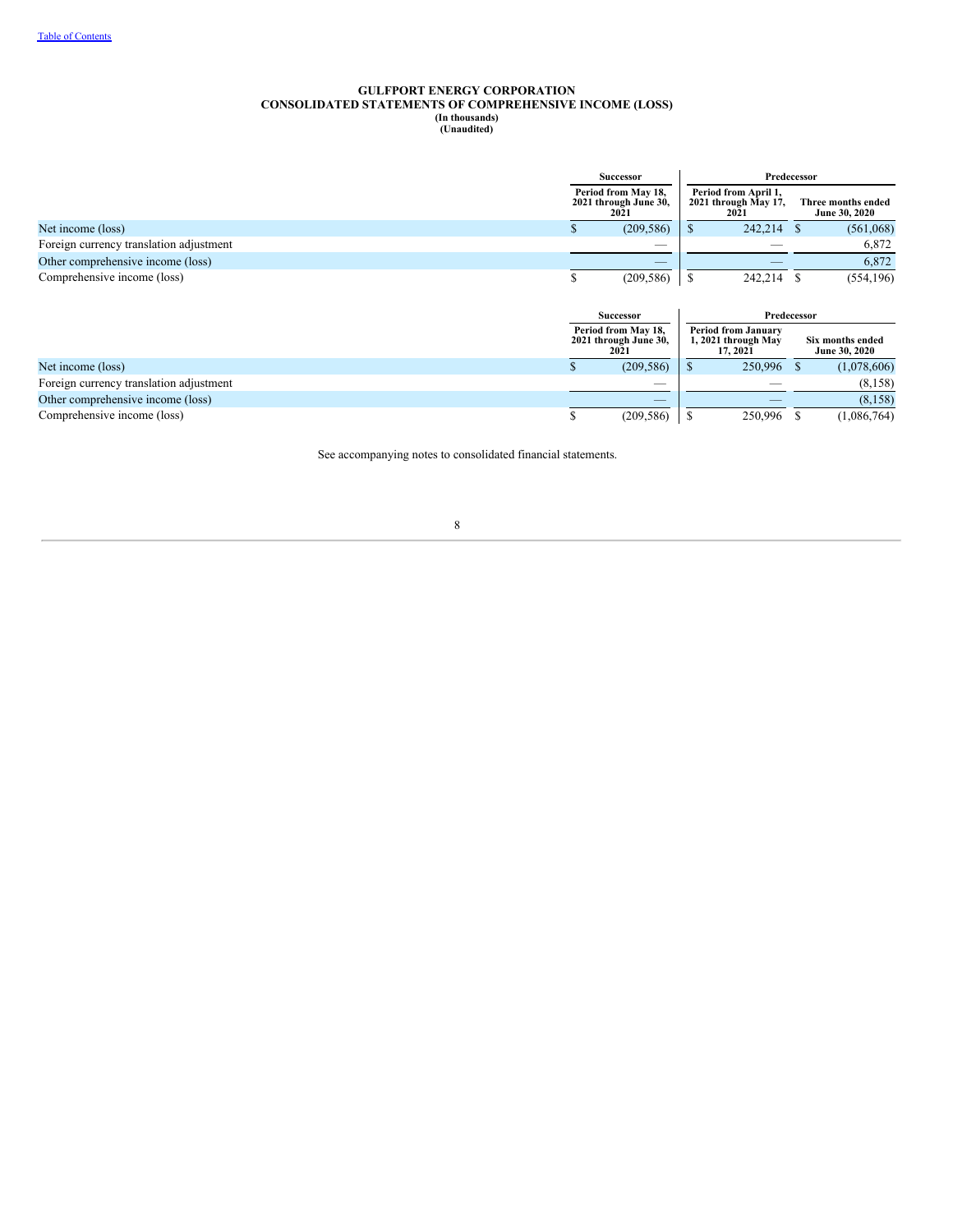# **GULFPORT ENERGY CORPORATION CONSOLIDATED STATEMENTS OF COMPREHENSIVE INCOME (LOSS) (In thousands) (Unaudited)**

|                                         |                                                                                                              | <b>Successor</b>         |         | Predecessor                                |            |  |
|-----------------------------------------|--------------------------------------------------------------------------------------------------------------|--------------------------|---------|--------------------------------------------|------------|--|
|                                         | Period from May 18,<br>Period from April 1,<br>2021 through June 30,<br>2021 through May 17,<br>2021<br>2021 |                          |         | Three months ended<br><b>June 30, 2020</b> |            |  |
| Net income (loss)                       |                                                                                                              | (209, 586)               | 242,214 |                                            | (561,068)  |  |
| Foreign currency translation adjustment |                                                                                                              | $\overline{\phantom{a}}$ | $-$     |                                            | 6.872      |  |
| Other comprehensive income (loss)       |                                                                                                              | _                        |         |                                            | 6,872      |  |
| Comprehensive income (loss)             |                                                                                                              | (209, 586)               | 242,214 |                                            | (554, 196) |  |

<span id="page-9-0"></span>

|                                         | <b>Successor</b>                                     |                                                              |                          |  | Predecessor                              |  |  |
|-----------------------------------------|------------------------------------------------------|--------------------------------------------------------------|--------------------------|--|------------------------------------------|--|--|
|                                         | Period from May 18,<br>2021 through June 30,<br>2021 | <b>Period from January</b><br>1, 2021 through May<br>17.2021 |                          |  | Six months ended<br><b>June 30, 2020</b> |  |  |
| Net income (loss)                       | (209, 586)                                           |                                                              | 250,996                  |  | (1,078,606)                              |  |  |
| Foreign currency translation adjustment | $\overline{\phantom{a}}$                             |                                                              | $\overline{\phantom{a}}$ |  | (8, 158)                                 |  |  |
| Other comprehensive income (loss)       | _                                                    |                                                              |                          |  | (8, 158)                                 |  |  |
| Comprehensive income (loss)             | (209, 586)                                           |                                                              | 250,996                  |  | (1,086,764)                              |  |  |

See accompanying notes to consolidated financial statements.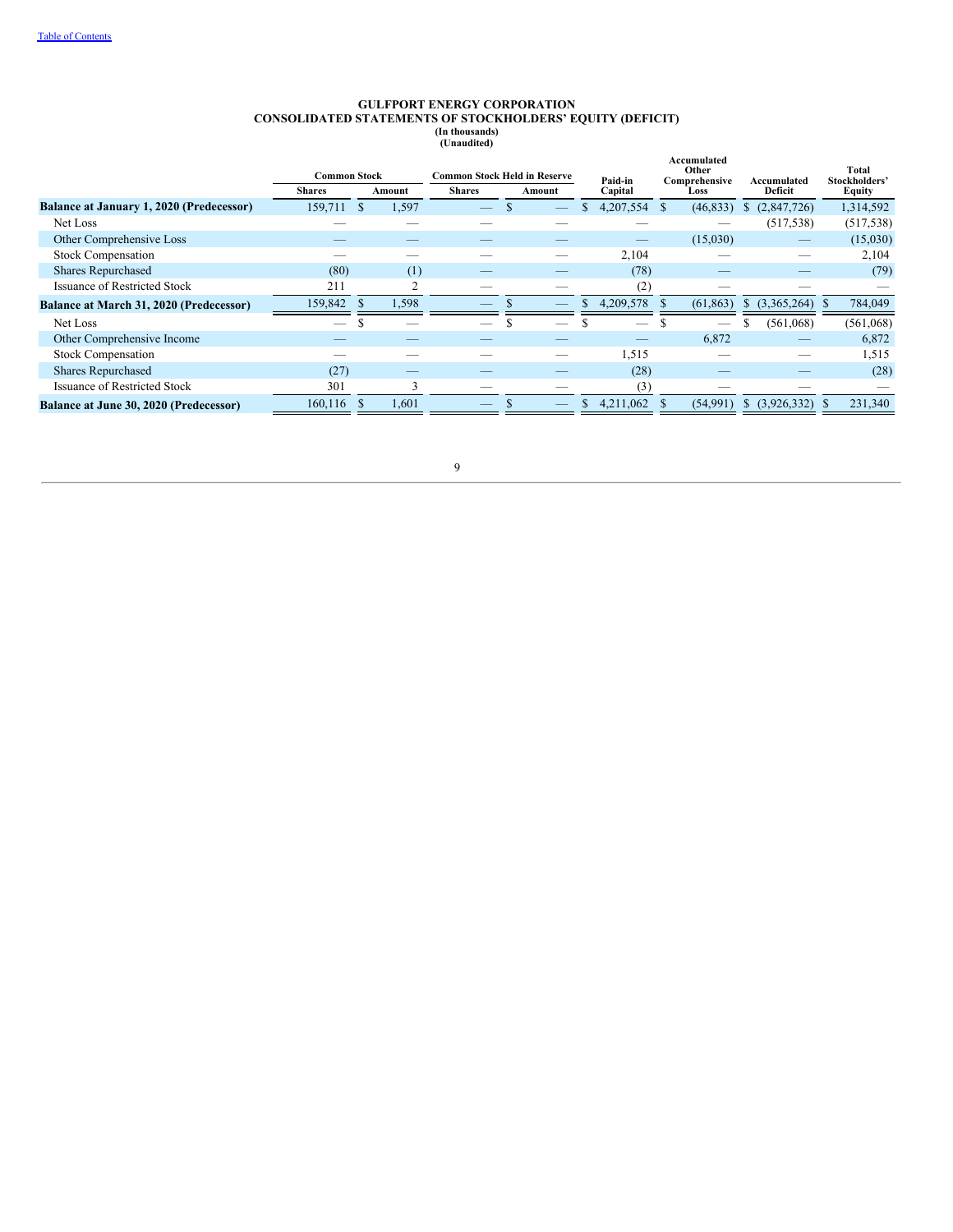# **GULFPORT ENERGY CORPORATION CONSOLIDATED STATEMENTS OF STOCKHOLDERS' EQUITY (DEFICIT) (In thousands) (Unaudited)**

|                                                 | <b>Common Stock</b><br><b>Shares</b> |               | Amount | <b>Common Stock Held in Reserve</b><br><b>Shares</b> | Amount |    | Paid-in<br>Capital |   | Accumulated<br>Other<br>Comprehensive<br>Loss | Accumulated<br>Deficit           | Total<br>Stockholders'<br>Equity |
|-------------------------------------------------|--------------------------------------|---------------|--------|------------------------------------------------------|--------|----|--------------------|---|-----------------------------------------------|----------------------------------|----------------------------------|
| <b>Balance at January 1, 2020 (Predecessor)</b> | 159,711                              | <sup>\$</sup> | 1,597  |                                                      |        | S. | 4,207,554          | S | (46, 833)                                     | (2,847,726)<br>S.                | 1,314,592                        |
| Net Loss                                        |                                      |               |        |                                                      |        |    |                    |   |                                               | (517, 538)                       | (517, 538)                       |
| Other Comprehensive Loss                        |                                      |               |        |                                                      |        |    | _                  |   | (15,030)                                      |                                  | (15,030)                         |
| <b>Stock Compensation</b>                       |                                      |               |        |                                                      |        |    | 2,104              |   |                                               |                                  | 2,104                            |
| <b>Shares Repurchased</b>                       | (80)                                 |               | (1)    |                                                      |        |    | (78)               |   |                                               |                                  | (79)                             |
| <b>Issuance of Restricted Stock</b>             | 211                                  |               | C      |                                                      | -      |    | (2                 |   |                                               |                                  |                                  |
| Balance at March 31, 2020 (Predecessor)         | 159,842                              |               | 1,598  |                                                      |        |    | 4,209,578          |   | (61, 863)                                     | (3,365,264)                      | 784,049                          |
| Net Loss                                        | $\overline{\phantom{0}}$             |               |        |                                                      | -      |    |                    |   | --                                            | (561,068)                        | (561,068)                        |
| Other Comprehensive Income                      |                                      |               |        |                                                      |        |    |                    |   | 6,872                                         |                                  | 6,872                            |
| <b>Stock Compensation</b>                       |                                      |               |        |                                                      |        |    | 1,515              |   |                                               |                                  | 1,515                            |
| <b>Shares Repurchased</b>                       | (27)                                 |               | _      |                                                      | _      |    | (28)               |   |                                               |                                  | (28)                             |
| <b>Issuance of Restricted Stock</b>             | 301                                  |               | 3      |                                                      |        |    | (3)                |   |                                               |                                  |                                  |
| Balance at June 30, 2020 (Predecessor)          | 160,116                              |               | 1.601  | —                                                    |        | S. | 4,211,062          |   | (54, 991)                                     | $(3,926,332)$ \$<br><sup>S</sup> | 231,340                          |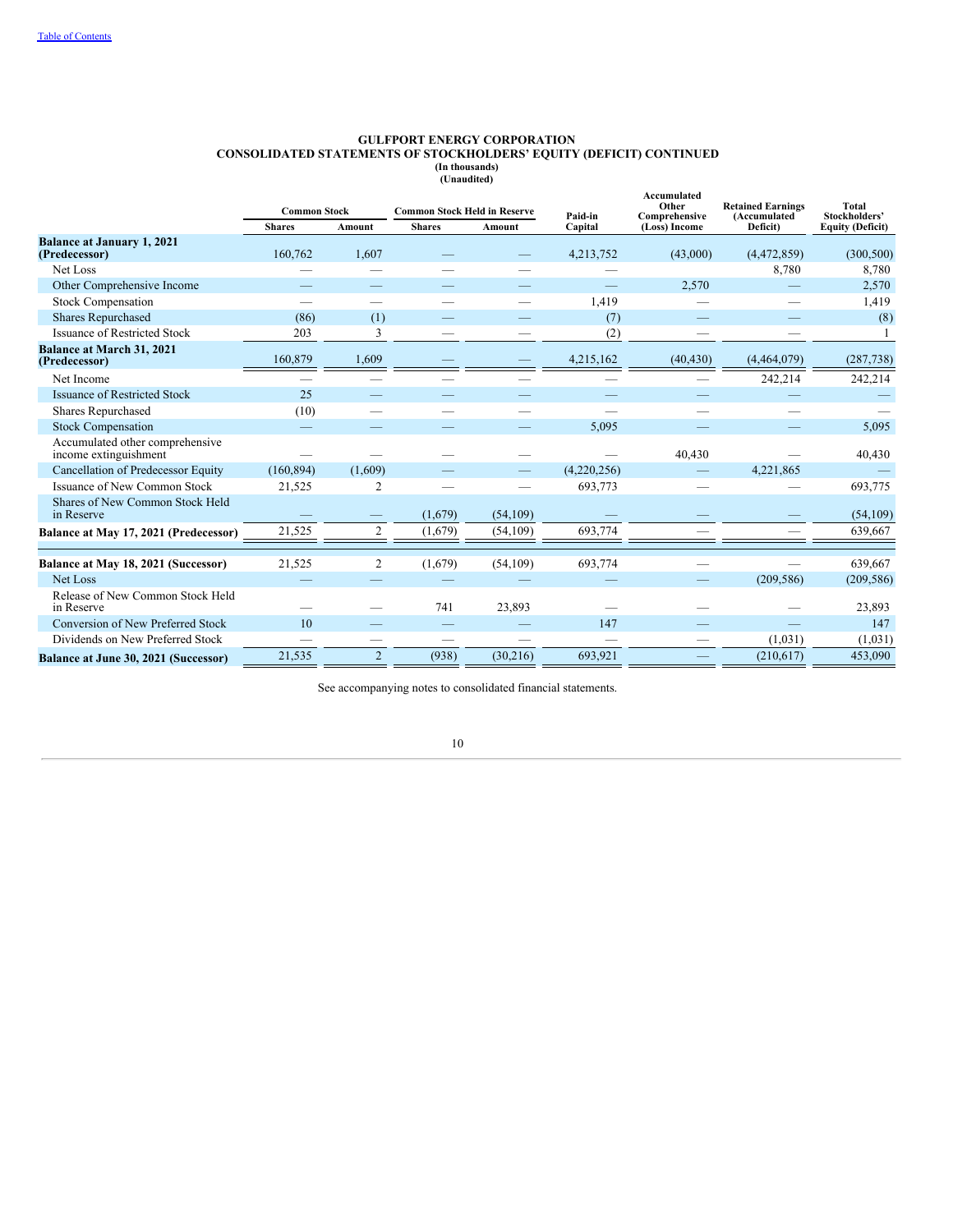# **GULFPORT ENERGY CORPORATION CONSOLIDATED STATEMENTS OF STOCKHOLDERS' EQUITY (DEFICIT) CONTINUED (In thousands) (Unaudited)**

|                                                          | <b>Common Stock</b> |                |               | <b>Common Stock Held in Reserve</b> | Paid-in     | Accumulated<br>Other<br>Comprehensive | <b>Retained Earnings</b><br>(Accumulated | Total<br>Stockholders'  |
|----------------------------------------------------------|---------------------|----------------|---------------|-------------------------------------|-------------|---------------------------------------|------------------------------------------|-------------------------|
|                                                          | <b>Shares</b>       | Amount         | <b>Shares</b> | Amount                              | Capital     | (Loss) Income                         | Deficit)                                 | <b>Equity (Deficit)</b> |
| <b>Balance at January 1, 2021</b><br>(Predecessor)       | 160,762             | 1.607          |               |                                     | 4,213,752   | (43,000)                              | (4,472,859)                              | (300, 500)              |
| Net Loss                                                 |                     |                |               |                                     |             |                                       | 8.780                                    | 8,780                   |
| Other Comprehensive Income                               |                     |                |               |                                     |             | 2,570                                 |                                          | 2,570                   |
| <b>Stock Compensation</b>                                |                     |                |               |                                     | 1.419       |                                       |                                          | 1,419                   |
| <b>Shares Repurchased</b>                                | (86)                | (1)            |               |                                     | (7)         |                                       |                                          | (8)                     |
| <b>Issuance of Restricted Stock</b>                      | 203                 | 3              | --            |                                     | (2)         |                                       |                                          |                         |
| Balance at March 31, 2021<br>(Predecessor)               | 160,879             | 1,609          |               |                                     | 4,215,162   | (40, 430)                             | (4, 464, 079)                            | (287, 738)              |
| Net Income                                               |                     |                |               |                                     |             |                                       | 242,214                                  | 242,214                 |
| <b>Issuance of Restricted Stock</b>                      | 25                  |                |               |                                     |             |                                       |                                          |                         |
| Shares Repurchased                                       | (10)                |                |               |                                     |             |                                       |                                          |                         |
| <b>Stock Compensation</b>                                |                     |                |               |                                     | 5.095       |                                       |                                          | 5.095                   |
| Accumulated other comprehensive<br>income extinguishment |                     |                |               |                                     |             | 40,430                                |                                          | 40,430                  |
| Cancellation of Predecessor Equity                       | (160, 894)          | (1,609)        |               |                                     | (4,220,256) |                                       | 4,221,865                                |                         |
| <b>Issuance of New Common Stock</b>                      | 21,525              | 2              |               |                                     | 693,773     |                                       |                                          | 693,775                 |
| Shares of New Common Stock Held<br>in Reserve            |                     |                | (1,679)       | (54, 109)                           |             |                                       |                                          | (54, 109)               |
| Balance at May 17, 2021 (Predecessor)                    | 21,525              | 2              | (1,679)       | (54, 109)                           | 693.774     |                                       |                                          | 639,667                 |
| Balance at May 18, 2021 (Successor)                      | 21,525              | 2              | (1,679)       | (54, 109)                           | 693,774     |                                       |                                          | 639,667                 |
| Net Loss                                                 |                     |                |               |                                     |             |                                       | (209, 586)                               | (209, 586)              |
| Release of New Common Stock Held<br>in Reserve           |                     |                | 741           | 23,893                              |             |                                       |                                          | 23,893                  |
| Conversion of New Preferred Stock                        | 10                  |                |               |                                     | 147         |                                       |                                          | 147                     |
| Dividends on New Preferred Stock                         |                     |                |               |                                     |             |                                       | (1,031)                                  | (1,031)                 |
| Balance at June 30, 2021 (Successor)                     | 21,535              | $\overline{2}$ | (938)         | (30, 216)                           | 693,921     |                                       | (210,617)                                | 453,090                 |

<span id="page-11-0"></span>See accompanying notes to consolidated financial statements.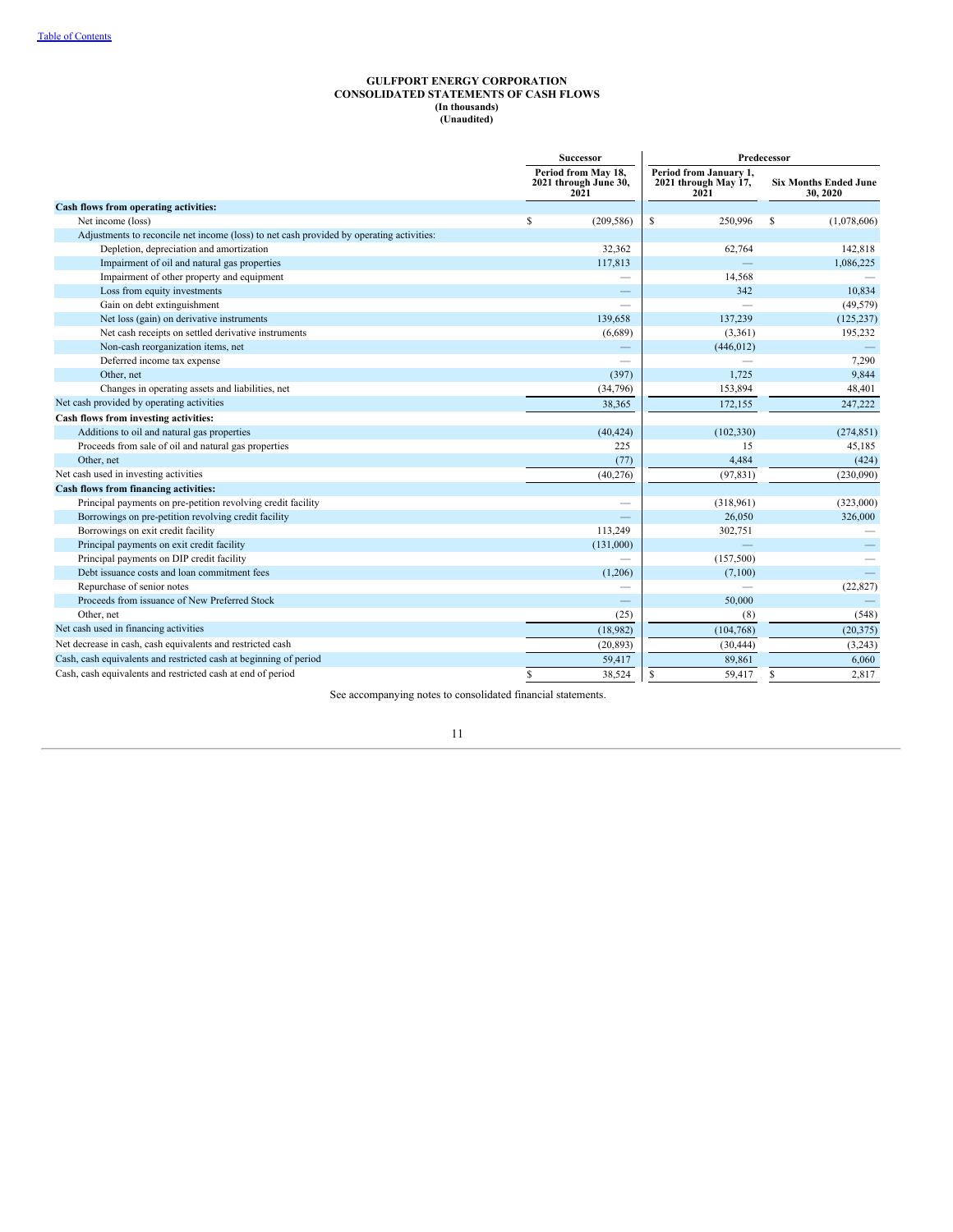# **GULFPORT ENERGY CORPORATION CONSOLIDATED STATEMENTS OF CASH FLOWS (In thousands) (Unaudited)**

|                                                                                          |    | <b>Successor</b>                                     |                                                        | Predecessor                             |
|------------------------------------------------------------------------------------------|----|------------------------------------------------------|--------------------------------------------------------|-----------------------------------------|
|                                                                                          |    | Period from May 18.<br>2021 through June 30,<br>2021 | Period from January 1,<br>2021 through May 17,<br>2021 | <b>Six Months Ended June</b><br>30.2020 |
| Cash flows from operating activities:                                                    |    |                                                      |                                                        |                                         |
| Net income (loss)                                                                        | \$ | (209, 586)                                           | S<br>250,996                                           | S<br>(1,078,606)                        |
| Adjustments to reconcile net income (loss) to net cash provided by operating activities: |    |                                                      |                                                        |                                         |
| Depletion, depreciation and amortization                                                 |    | 32,362                                               | 62,764                                                 | 142,818                                 |
| Impairment of oil and natural gas properties                                             |    | 117,813                                              |                                                        | 1,086,225                               |
| Impairment of other property and equipment                                               |    |                                                      | 14,568                                                 |                                         |
| Loss from equity investments                                                             |    |                                                      | 342                                                    | 10,834                                  |
| Gain on debt extinguishment                                                              |    |                                                      |                                                        | (49, 579)                               |
| Net loss (gain) on derivative instruments                                                |    | 139,658                                              | 137,239                                                | (125, 237)                              |
| Net cash receipts on settled derivative instruments                                      |    | (6,689)                                              | (3,361)                                                | 195,232                                 |
| Non-cash reorganization items, net                                                       |    |                                                      | (446, 012)                                             |                                         |
| Deferred income tax expense                                                              |    |                                                      |                                                        | 7,290                                   |
| Other, net                                                                               |    | (397)                                                | 1,725                                                  | 9,844                                   |
| Changes in operating assets and liabilities, net                                         |    | (34,796)                                             | 153,894                                                | 48,401                                  |
| Net cash provided by operating activities                                                |    | 38,365                                               | 172,155                                                | 247,222                                 |
| Cash flows from investing activities:                                                    |    |                                                      |                                                        |                                         |
| Additions to oil and natural gas properties                                              |    | (40, 424)                                            | (102, 330)                                             | (274, 851)                              |
| Proceeds from sale of oil and natural gas properties                                     |    | 225                                                  | 15                                                     | 45,185                                  |
| Other, net                                                                               |    | (77)                                                 | 4,484                                                  | (424)                                   |
| Net cash used in investing activities                                                    |    | (40, 276)                                            | (97, 831)                                              | (230,090)                               |
| Cash flows from financing activities:                                                    |    |                                                      |                                                        |                                         |
| Principal payments on pre-petition revolving credit facility                             |    |                                                      | (318,961)                                              | (323,000)                               |
| Borrowings on pre-petition revolving credit facility                                     |    |                                                      | 26,050                                                 | 326,000                                 |
| Borrowings on exit credit facility                                                       |    | 113,249                                              | 302,751                                                |                                         |
| Principal payments on exit credit facility                                               |    | (131,000)                                            |                                                        |                                         |
| Principal payments on DIP credit facility                                                |    |                                                      | (157,500)                                              |                                         |
| Debt issuance costs and loan commitment fees                                             |    | (1,206)                                              | (7,100)                                                |                                         |
| Repurchase of senior notes                                                               |    |                                                      |                                                        | (22, 827)                               |
| Proceeds from issuance of New Preferred Stock                                            |    |                                                      | 50,000                                                 |                                         |
| Other, net                                                                               |    | (25)                                                 | (8)                                                    | (548)                                   |
| Net cash used in financing activities                                                    |    | (18,982)                                             | (104, 768)                                             | (20, 375)                               |
| Net decrease in cash, cash equivalents and restricted cash                               |    | (20, 893)                                            | (30, 444)                                              | (3,243)                                 |
| Cash, cash equivalents and restricted cash at beginning of period                        |    | 59,417                                               | 89,861                                                 | 6,060                                   |
| Cash, cash equivalents and restricted cash at end of period                              | S  | 38,524                                               | 59,417<br>S                                            | S<br>2,817                              |

<span id="page-12-0"></span>See accompanying notes to consolidated financial statements.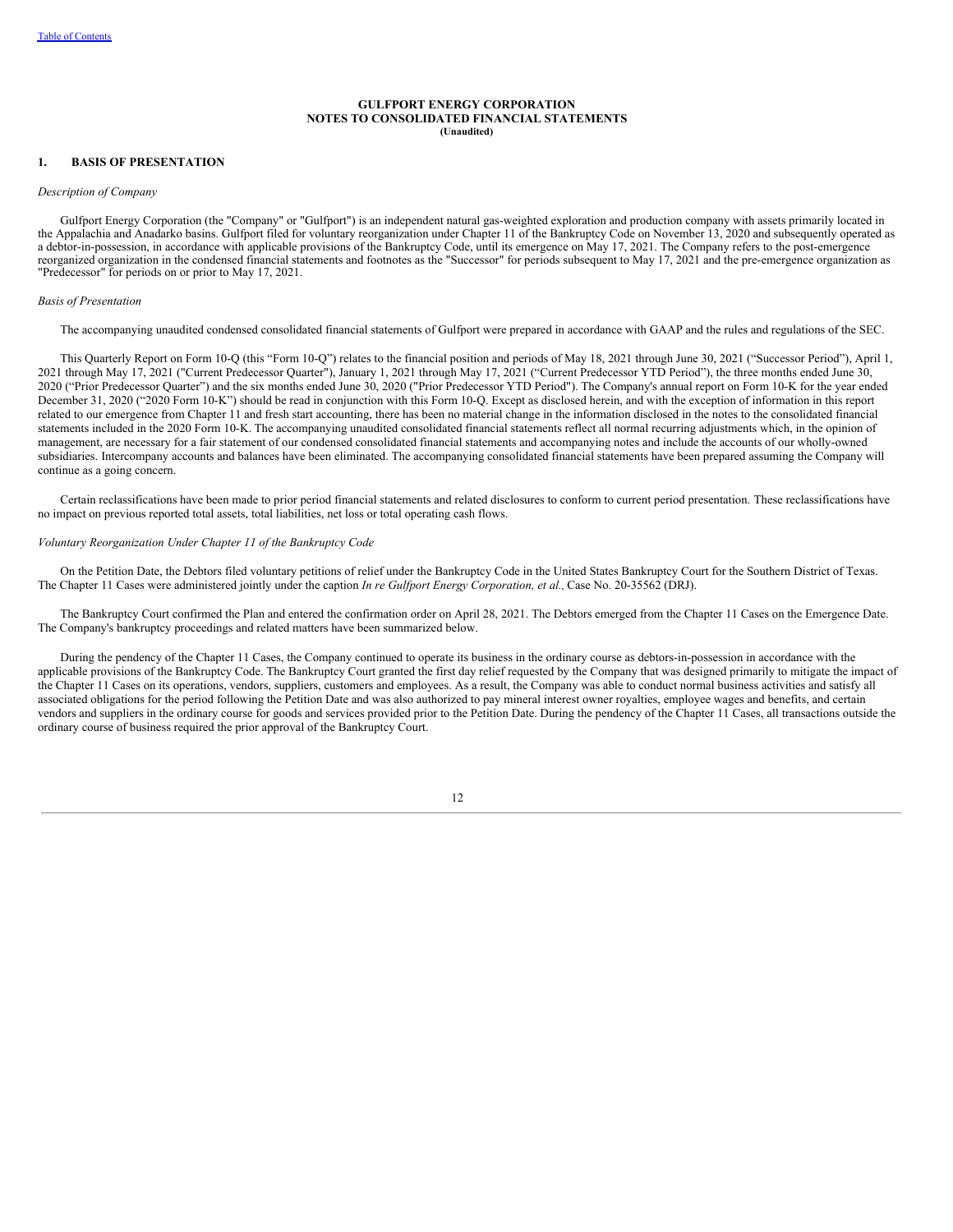## **GULFPORT ENERGY CORPORATION NOTES TO CONSOLIDATED FINANCIAL STATEMENTS (Unaudited)**

## <span id="page-13-0"></span>**1. BASIS OF PRESENTATION**

#### *Description of Company*

Gulfport Energy Corporation (the "Company" or "Gulfport") is an independent natural gas-weighted exploration and production company with assets primarily located in the Appalachia and Anadarko basins. Gulfport filed for voluntary reorganization under Chapter 11 of the Bankruptcy Code on November 13, 2020 and subsequently operated as a debtor-in-possession, in accordance with applicable provisions of the Bankruptcy Code, until its emergence on May 17, 2021. The Company refers to the post-emergence reorganized organization in the condensed financial statements and footnotes as the "Successor" for periods subsequent to May 17, 2021 and the pre-emergence organization as "Predecessor" for periods on or prior to May 17, 2021.

## *Basis of Presentation*

The accompanying unaudited condensed consolidated financial statements of Gulfport were prepared in accordance with GAAP and the rules and regulations of the SEC.

This Quarterly Report on Form 10-Q (this "Form 10-Q") relates to the financial position and periods of May 18, 2021 through June 30, 2021 ("Successor Period"), April 1, 2021 through May 17, 2021 ("Current Predecessor Quarter"), January 1, 2021 through May 17, 2021 ("Current Predecessor YTD Period"), the three months ended June 30, 2020 ("Prior Predecessor Quarter") and the six months ended June 30, 2020 ("Prior Predecessor YTD Period"). The Company's annual report on Form 10-K for the year ended December 31, 2020 ("2020 Form 10-K") should be read in conjunction with this Form 10-Q. Except as disclosed herein, and with the exception of information in this report related to our emergence from Chapter 11 and fresh start accounting, there has been no material change in the information disclosed in the notes to the consolidated financial statements included in the 2020 Form 10-K. The accompanying unaudited consolidated financial statements reflect all normal recurring adjustments which, in the opinion of management, are necessary for a fair statement of our condensed consolidated financial statements and accompanying notes and include the accounts of our wholly-owned subsidiaries. Intercompany accounts and balances have been eliminated. The accompanying consolidated financial statements have been prepared assuming the Company will continue as a going concern.

Certain reclassifications have been made to prior period financial statements and related disclosures to conform to current period presentation. These reclassifications have no impact on previous reported total assets, total liabilities, net loss or total operating cash flows.

### *Voluntary Reorganization Under Chapter 11 of the Bankruptcy Code*

On the Petition Date, the Debtors filed voluntary petitions of relief under the Bankruptcy Code in the United States Bankruptcy Court for the Southern District of Texas. The Chapter 11 Cases were administered jointly under the caption *In re Gulfport Energy Corporation, et al.,* Case No. 20-35562 (DRJ).

The Bankruptcy Court confirmed the Plan and entered the confirmation order on April 28, 2021. The Debtors emerged from the Chapter 11 Cases on the Emergence Date. The Company's bankruptcy proceedings and related matters have been summarized below.

During the pendency of the Chapter 11 Cases, the Company continued to operate its business in the ordinary course as debtors-in-possession in accordance with the applicable provisions of the Bankruptcy Code. The Bankruptcy Court granted the first day relief requested by the Company that was designed primarily to mitigate the impact of the Chapter 11 Cases on its operations, vendors, suppliers, customers and employees. As a result, the Company was able to conduct normal business activities and satisfy all associated obligations for the period following the Petition Date and was also authorized to pay mineral interest owner royalties, employee wages and benefits, and certain vendors and suppliers in the ordinary course for goods and services provided prior to the Petition Date. During the pendency of the Chapter 11 Cases, all transactions outside the ordinary course of business required the prior approval of the Bankruptcy Court.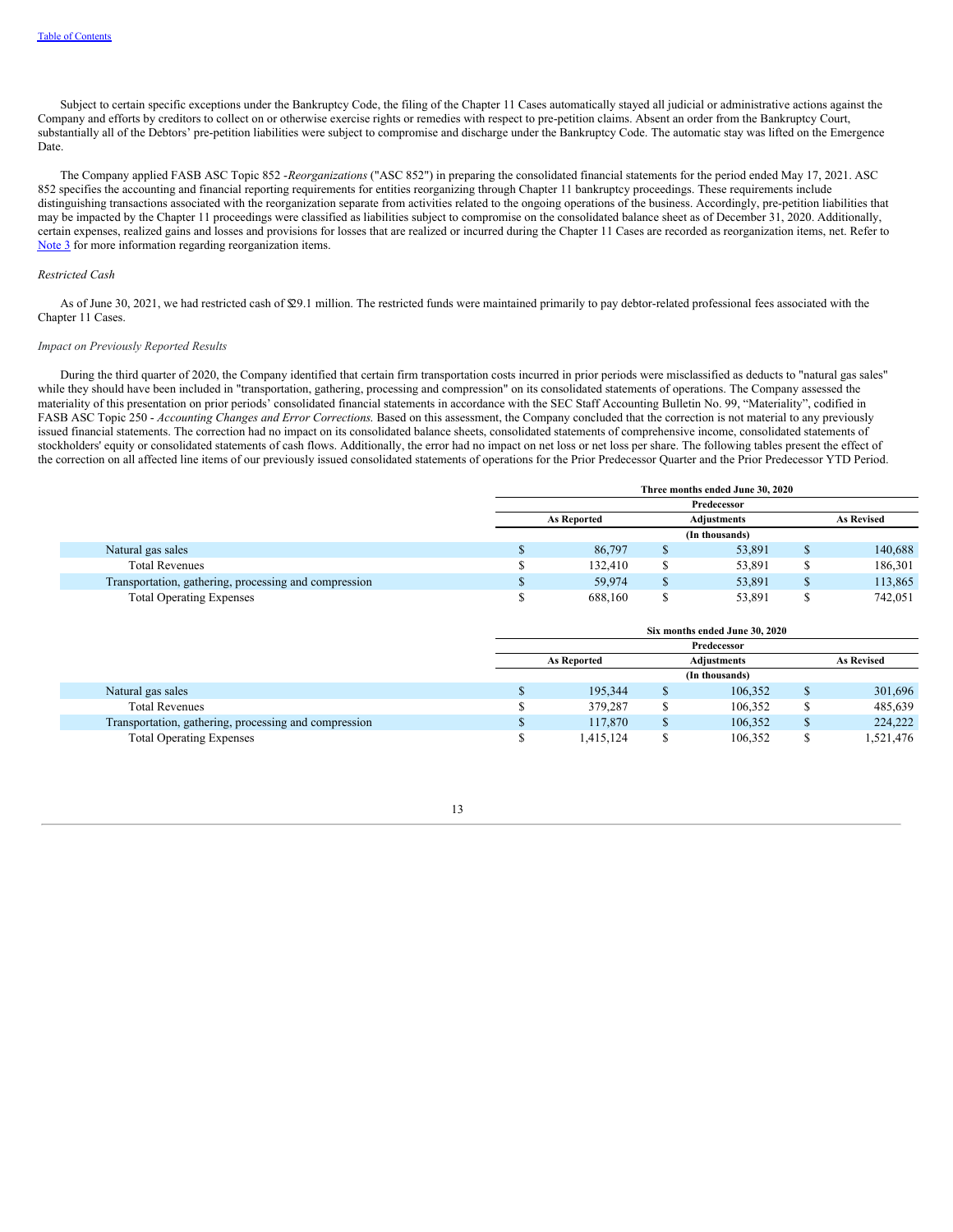Subject to certain specific exceptions under the Bankruptcy Code, the filing of the Chapter 11 Cases automatically stayed all judicial or administrative actions against the Company and efforts by creditors to collect on or otherwise exercise rights or remedies with respect to pre-petition claims. Absent an order from the Bankruptcy Court, substantially all of the Debtors' pre-petition liabilities were subject to compromise and discharge under the Bankruptcy Code. The automatic stay was lifted on the Emergence Date.

The Company applied FASB ASC Topic 852 -*Reorganizations* ("ASC 852") in preparing the consolidated financial statements for the period ended May 17, 2021. ASC 852 specifies the accounting and financial reporting requirements for entities reorganizing through Chapter 11 bankruptcy proceedings. These requirements include distinguishing transactions associated with the reorganization separate from activities related to the ongoing operations of the business. Accordingly, pre-petition liabilities that may be impacted by the Chapter 11 proceedings were classified as liabilities subject to compromise on the consolidated balance sheet as of December 31, 2020. Additionally, certain expenses, realized gains and losses and provisions for losses that are realized or incurred during the Chapter 11 Cases are recorded as reorganization items, net. Refer to [Note](#page-17-0) 3 for more information regarding reorganization items.

## *Restricted Cash*

As of June 30, 2021, we had restricted cash of \$29.1 million. The restricted funds were maintained primarily to pay debtor-related professional fees associated with the Chapter 11 Cases.

#### *Impact on Previously Reported Results*

During the third quarter of 2020, the Company identified that certain firm transportation costs incurred in prior periods were misclassified as deducts to "natural gas sales" while they should have been included in "transportation, gathering, processing and compression" on its consolidated statements of operations. The Company assessed the materiality of this presentation on prior periods' consolidated financial statements in accordance with the SEC Staff Accounting Bulletin No. 99, "Materiality", codified in FASB ASC Topic 250 - *Accounting Changes and Error Corrections*. Based on this assessment, the Company concluded that the correction is not material to any previously issued financial statements. The correction had no impact on its consolidated balance sheets, consolidated statements of comprehensive income, consolidated statements of stockholders' equity or consolidated statements of cash flows. Additionally, the error had no impact on net loss or net loss per share. The following tables present the effect of the correction on all affected line items of our previously issued consolidated statements of operations for the Prior Predecessor Quarter and the Prior Predecessor YTD Period.

|                                                       | Three months ended June 30, 2020                       |  |                |  |         |  |  |  |  |
|-------------------------------------------------------|--------------------------------------------------------|--|----------------|--|---------|--|--|--|--|
|                                                       | Predecessor                                            |  |                |  |         |  |  |  |  |
|                                                       | <b>As Revised</b><br><b>As Reported</b><br>Adjustments |  |                |  |         |  |  |  |  |
|                                                       |                                                        |  | (In thousands) |  |         |  |  |  |  |
| Natural gas sales                                     | 86,797                                                 |  | 53,891         |  | 140,688 |  |  |  |  |
| <b>Total Revenues</b>                                 | 132,410                                                |  | 53,891         |  | 186,301 |  |  |  |  |
| Transportation, gathering, processing and compression | 59,974                                                 |  | 53,891         |  | 113,865 |  |  |  |  |
| <b>Total Operating Expenses</b>                       | 688,160                                                |  | 53,891         |  | 742,051 |  |  |  |  |

|                                                       | Six months ended June 30, 2020 |  |                |  |                   |  |
|-------------------------------------------------------|--------------------------------|--|----------------|--|-------------------|--|
|                                                       | Predecessor                    |  |                |  |                   |  |
|                                                       | <b>As Reported</b>             |  | Adjustments    |  | <b>As Revised</b> |  |
|                                                       |                                |  | (In thousands) |  |                   |  |
| Natural gas sales                                     | 195.344                        |  | 106,352        |  | 301,696           |  |
| <b>Total Revenues</b>                                 | 379,287                        |  | 106,352        |  | 485,639           |  |
| Transportation, gathering, processing and compression | 117,870                        |  | 106,352        |  | 224,222           |  |
| <b>Total Operating Expenses</b>                       | 1,415,124                      |  | 106,352        |  | 1,521,476         |  |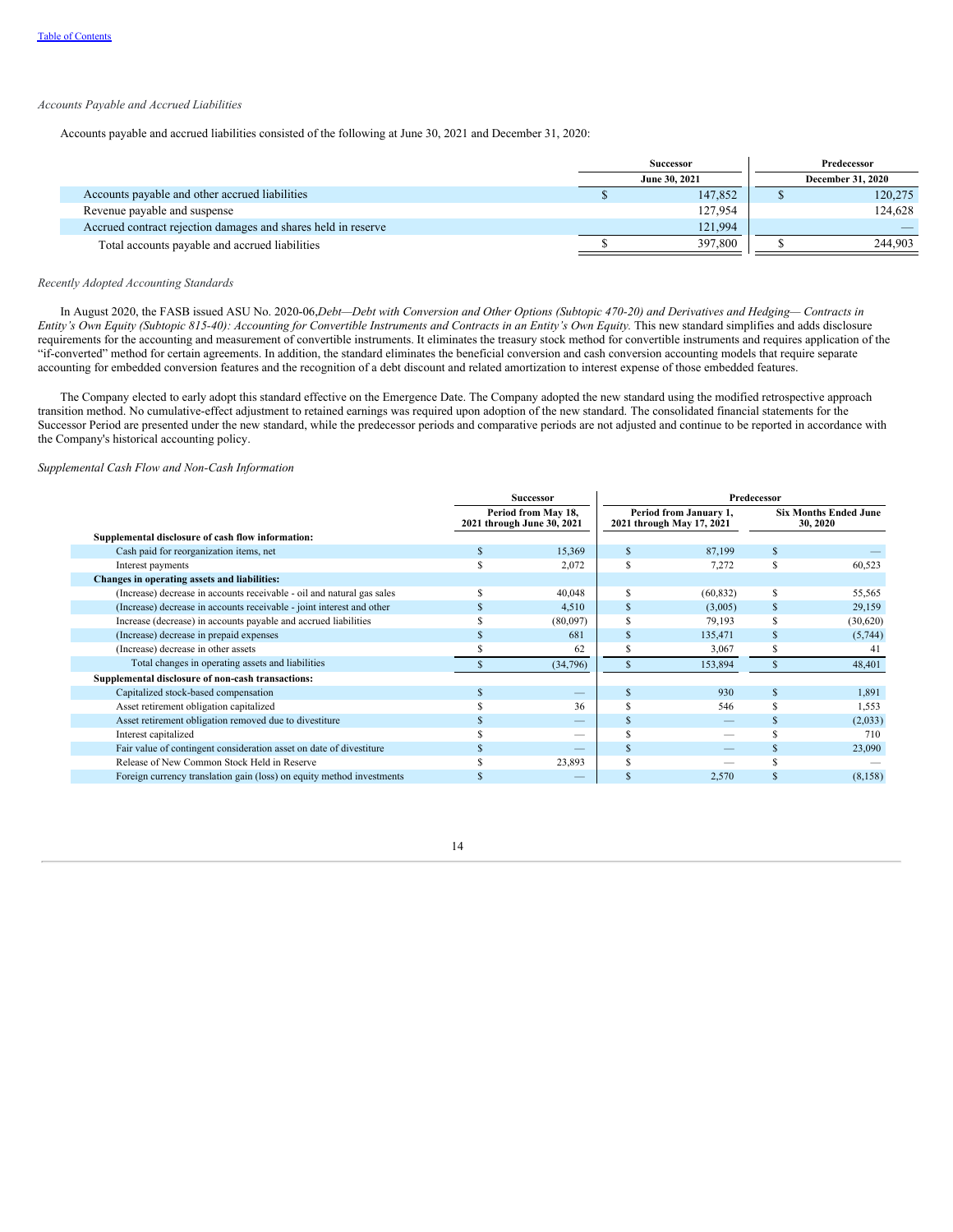## *Accounts Payable and Accrued Liabilities*

Accounts payable and accrued liabilities consisted of the following at June 30, 2021 and December 31, 2020:

|                                                               | <b>Successor</b> | Predecessor       |
|---------------------------------------------------------------|------------------|-------------------|
|                                                               | June 30, 2021    | December 31, 2020 |
| Accounts payable and other accrued liabilities                | 147.852          | 120,275           |
| Revenue payable and suspense                                  | 127.954          | 124.628           |
| Accrued contract rejection damages and shares held in reserve | 121.994          |                   |
| Total accounts payable and accrued liabilities                | 397,800          | 244,903           |

## *Recently Adopted Accounting Standards*

In August 2020, the FASB issued ASU No. 2020-06, Debt—Debt with Conversion and Other Options (Subtopic 470-20) and Derivatives and Hedging-Contracts in Entity's Own Equity (Subtopic 815-40): Accounting for Convertible Instruments and Contracts in an Entity's Own Equity. This new standard simplifies and adds disclosure requirements for the accounting and measurement of convertible instruments. It eliminates the treasury stock method for convertible instruments and requires application of the "if-converted" method for certain agreements. In addition, the standard eliminates the beneficial conversion and cash conversion accounting models that require separate accounting for embedded conversion features and the recognition of a debt discount and related amortization to interest expense of those embedded features.

The Company elected to early adopt this standard effective on the Emergence Date. The Company adopted the new standard using the modified retrospective approach transition method. No cumulative-effect adjustment to retained earnings was required upon adoption of the new standard. The consolidated financial statements for the Successor Period are presented under the new standard, while the predecessor periods and comparative periods are not adjusted and continue to be reported in accordance with the Company's historical accounting policy.

### *Supplemental Cash Flow and Non-Cash Information*

<span id="page-15-0"></span>

|                                                                        |                                                   | <b>Successor</b> |    |                                                     | Predecessor                              |          |  |  |
|------------------------------------------------------------------------|---------------------------------------------------|------------------|----|-----------------------------------------------------|------------------------------------------|----------|--|--|
|                                                                        | Period from May 18,<br>2021 through June 30, 2021 |                  |    | Period from January 1,<br>2021 through May 17, 2021 | <b>Six Months Ended June</b><br>30, 2020 |          |  |  |
| Supplemental disclosure of cash flow information:                      |                                                   |                  |    |                                                     |                                          |          |  |  |
| Cash paid for reorganization items, net                                |                                                   | 15,369           | S. | 87,199                                              | $\mathbb{S}$                             |          |  |  |
| Interest payments                                                      |                                                   | 2,072            |    | 7,272                                               | S                                        | 60,523   |  |  |
| Changes in operating assets and liabilities:                           |                                                   |                  |    |                                                     |                                          |          |  |  |
| (Increase) decrease in accounts receivable - oil and natural gas sales |                                                   | 40,048           | S  | (60, 832)                                           | S                                        | 55,565   |  |  |
| (Increase) decrease in accounts receivable - joint interest and other  |                                                   | 4,510            | ж  | (3,005)                                             | S                                        | 29,159   |  |  |
| Increase (decrease) in accounts payable and accrued liabilities        |                                                   | (80,097)         |    | 79,193                                              | S                                        | (30,620) |  |  |
| (Increase) decrease in prepaid expenses                                |                                                   | 681              |    | 135,471                                             | <b>S</b>                                 | (5,744)  |  |  |
| (Increase) decrease in other assets                                    |                                                   | 62               |    | 3,067                                               | S                                        | 41       |  |  |
| Total changes in operating assets and liabilities                      |                                                   | (34,796)         |    | 153,894                                             |                                          | 48,401   |  |  |
| Supplemental disclosure of non-cash transactions:                      |                                                   |                  |    |                                                     |                                          |          |  |  |
| Capitalized stock-based compensation                                   |                                                   |                  |    | 930                                                 |                                          | 1,891    |  |  |
| Asset retirement obligation capitalized                                |                                                   | 36               |    | 546                                                 |                                          | 1,553    |  |  |
| Asset retirement obligation removed due to divestiture                 |                                                   |                  |    |                                                     |                                          | (2,033)  |  |  |
| Interest capitalized                                                   |                                                   |                  |    |                                                     |                                          | 710      |  |  |
| Fair value of contingent consideration asset on date of divestiture    |                                                   |                  |    |                                                     |                                          | 23,090   |  |  |
| Release of New Common Stock Held in Reserve                            |                                                   | 23,893           |    |                                                     |                                          |          |  |  |
| Foreign currency translation gain (loss) on equity method investments  |                                                   |                  |    | 2,570                                               | S.                                       | (8,158)  |  |  |
|                                                                        |                                                   |                  |    |                                                     |                                          |          |  |  |

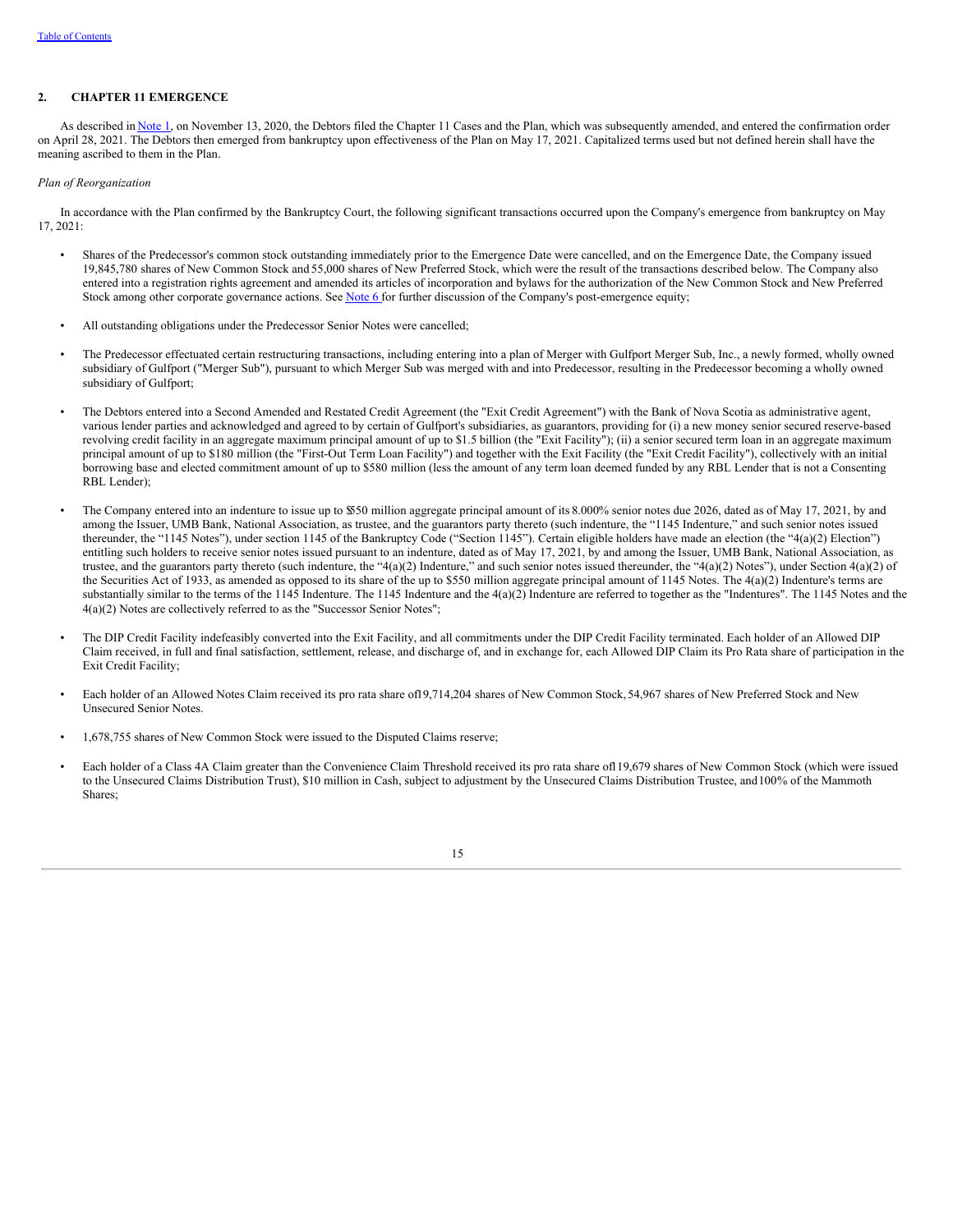## **2. CHAPTER 11 EMERGENCE**

As described in [Note](#page-13-0) 1, on November 13, 2020, the Debtors filed the Chapter 11 Cases and the Plan, which was subsequently amended, and entered the confirmation order on April 28, 2021. The Debtors then emerged from bankruptcy upon effectiveness of the Plan on May 17, 2021. Capitalized terms used but not defined herein shall have the meaning ascribed to them in the Plan.

## *Plan of Reorganization*

In accordance with the Plan confirmed by the Bankruptcy Court, the following significant transactions occurred upon the Company's emergence from bankruptcy on May 17, 2021:

- Shares of the Predecessor's common stock outstanding immediately prior to the Emergence Date were cancelled, and on the Emergence Date, the Company issued 19,845,780 shares of New Common Stock and 55,000 shares of New Preferred Stock, which were the result of the transactions described below. The Company also entered into a registration rights agreement and amended its articles of incorporation and bylaws for the authorization of the New Common Stock and New Preferred Stock among other corporate governance actions. See [Note](#page-30-0) 6 for further discussion of the Company's post-emergence equity;
- All outstanding obligations under the Predecessor Senior Notes were cancelled;
- The Predecessor effectuated certain restructuring transactions, including entering into a plan of Merger with Gulfport Merger Sub, Inc., a newly formed, wholly owned subsidiary of Gulfport ("Merger Sub"), pursuant to which Merger Sub was merged with and into Predecessor, resulting in the Predecessor becoming a wholly owned subsidiary of Gulfport;
- The Debtors entered into a Second Amended and Restated Credit Agreement (the "Exit Credit Agreement") with the Bank of Nova Scotia as administrative agent, various lender parties and acknowledged and agreed to by certain of Gulfport's subsidiaries, as guarantors, providing for (i) a new money senior secured reserve-based revolving credit facility in an aggregate maximum principal amount of up to \$1.5 billion (the "Exit Facility"); (ii) a senior secured term loan in an aggregate maximum principal amount of up to \$180 million (the "First-Out Term Loan Facility") and together with the Exit Facility (the "Exit Credit Facility"), collectively with an initial principal amount of up to \$180 million (the "Firstborrowing base and elected commitment amount of up to \$580 million (less the amount of any term loan deemed funded by any RBL Lender that is not a Consenting RBL Lender);
- The Company entered into an indenture to issue up to \$550 million aggregate principal amount of its 8.000% senior notes due 2026, dated as of May 17, 2021, by and among the Issuer, UMB Bank, National Association, as trustee, and the guarantors party thereto (such indenture, the "1145 Indenture," and such senior notes issued thereunder, the "1145 Notes"), under section 1145 of the Bankruptcy Code ("Section 1145"). Certain eligible holders have made an election (the "4(a)(2) Election") entitling such holders to receive senior notes issued pursuant to an indenture, dated as of May 17, 2021, by and among the Issuer, UMB Bank, National Association, as trustee, and the guarantors party thereto (such indenture, the "4(a)(2) Indenture," and such senior notes issued thereunder, the "4(a)(2) Notes"), under Section 4(a)(2) of the Securities Act of 1933, as amended as opposed to its share of the up to \$550 million aggregate principal amount of 1145 Notes. The 4(a)(2) Indenture's terms are substantially similar to the terms of the 1145 Indenture. The 1145 Indenture and the  $4(a)(2)$  Indenture are referred to together as the "Indentures". The 1145 Notes and the 4(a)(2) Notes are collectively referred to as the "Successor Senior Notes";
- The DIP Credit Facility indefeasibly converted into the Exit Facility, and all commitments under the DIP Credit Facility terminated. Each holder of an Allowed DIP Claim received, in full and final satisfaction, settlement, release, and discharge of, and in exchange for, each Allowed DIP Claim its Pro Rata share of participation in the Exit Credit Facility;
- Each holder of an Allowed Notes Claim received its pro rata share of19,714,204 shares of New Common Stock, 54,967 shares of New Preferred Stock and New Unsecured Senior Notes.
- 1,678,755 shares of New Common Stock were issued to the Disputed Claims reserve;
- Each holder of a Class 4A Claim greater than the Convenience Claim Threshold received its pro rata share of 19,679 shares of New Common Stock (which were issued to the Unsecured Claims Distribution Trust), \$10 million in Cash, subject to adjustment by the Unsecured Claims Distribution Trustee, and 100% of the Mammoth Shares;

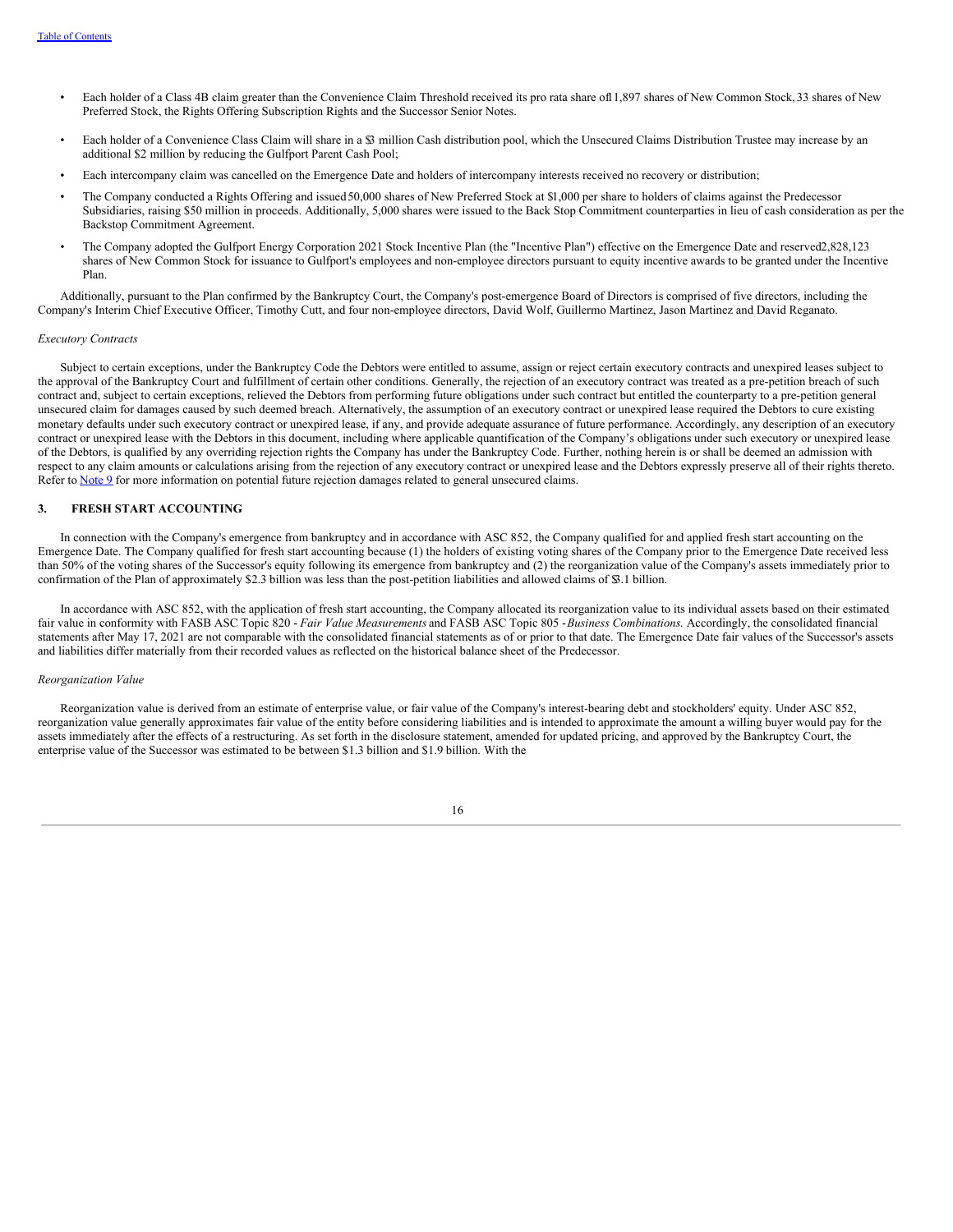- Each holder of a Class 4B claim greater than the Convenience Claim Threshold received its pro rata share of11,897 shares of New Common Stock, 33 shares of New Preferred Stock, the Rights Offering Subscription Rights and the Successor Senior Notes.
- Each holder of a Convenience Class Claim will share in a \$3 million Cash distribution pool, which the Unsecured Claims Distribution Trustee may increase by an additional \$2 million by reducing the Gulfport Parent Cash Pool;
- Each intercompany claim was cancelled on the Emergence Date and holders of intercompany interests received no recovery or distribution;
- The Company conducted a Rights Offering and issued 50,000 shares of New Preferred Stock at \$1,000 per share to holders of claims against the Predecessor Subsidiaries, raising \$50 million in proceeds. Additionally, 5,000 shares were issued to the Back Stop Commitment counterparties in lieu of cash consideration as per the Backstop Commitment Agreement.
- The Company adopted the Gulfport Energy Corporation 2021 Stock Incentive Plan (the "Incentive Plan") effective on the Emergence Date and reserved2,828,123 shares of New Common Stock for issuance to Gulfport's employees and non-employee directors pursuant to equity incentive awards to be granted under the Incentive Plan.

Additionally, pursuant to the Plan confirmed by the Bankruptcy Court, the Company's post-emergence Board of Directors is comprised of five directors, including the Company's Interim Chief Executive Officer, Timothy Cutt, and four non-employee directors, David Wolf, Guillermo Martinez, Jason Martinez and David Reganato.

### *Executory Contracts*

Subject to certain exceptions, under the Bankruptcy Code the Debtors were entitled to assume, assign or reject certain executory contracts and unexpired leases subject to the approval of the Bankruptcy Court and fulfillment of certain other conditions. Generally, the rejection of an executory contract was treated as a pre-petition breach of such contract and, subject to certain exceptions, relieved the Debtors from performing future obligations under such contract but entitled the counterparty to a pre-petition general unsecured claim for damages caused by such deemed breach. Alternatively, the assumption of an executory contract or unexpired lease required the Debtors to cure existing monetary defaults under such executory contract or unexpired lease, if any, and provide adequate assurance of future performance. Accordingly, any description of an executory contract or unexpired lease with the Debtors in this document, including where applicable quantification of the Company's obligations under such executory or unexpired lease of the Debtors, is qualified by any overriding rejection rights the Company has under the Bankruptcy Code. Further, nothing herein is or shall be deemed an admission with respect to any claim amounts or calculations arising from the rejection of any executory contract or unexpired lease and the Debtors expressly preserve all of their rights thereto. Refer to <u>[Note](#page-33-0) 9</u> for more information on potential future rejection damages related to general unsecured claims.

## <span id="page-17-0"></span>**3. FRESH START ACCOUNTING**

In connection with the Company's emergence from bankruptcy and in accordance with ASC 852, the Company qualified for and applied fresh start accounting on the Emergence Date. The Company qualified for fresh start accounting because (1) the holders of existing voting shares of the Company prior to the Emergence Date received less than 50% of the voting shares of the Successor's equity following its emergence from bankruptcy and (2) the reorganization value of the Company's assets immediately prior to confirmation of the Plan of approximately \$2.3 billion was less than the post-petition liabilities and allowed claims of \$3.1 billion.

In accordance with ASC 852, with the application of fresh start accounting, the Company allocated its reorganization value to its individual assets based on their estimated fair value in conformity with FASB ASC Topic 820 - *Fair Value Measurements* and FASB ASC Topic 805 -*Business Combinations*. Accordingly, the consolidated financial statements after May 17, 2021 are not comparable with the consolidated financial statements as of or prior to that date. The Emergence Date fair values of the Successor's assets and liabilities differ materially from their recorded values as reflected on the historical balance sheet of the Predecessor.

### *Reorganization Value*

Reorganization value is derived from an estimate of enterprise value, or fair value of the Company's interest-bearing debt and stockholders' equity. Under ASC 852, reorganization value generally approximates fair value of the entity before considering liabilities and is intended to approximate the amount a willing buyer would pay for the assets immediately after the effects of a restructuring. As set forth in the disclosure statement, amended for updated pricing, and approved by the Bankruptcy Court, the enterprise value of the Successor was estimated to be between \$1.3 billion and \$1.9 billion. With the

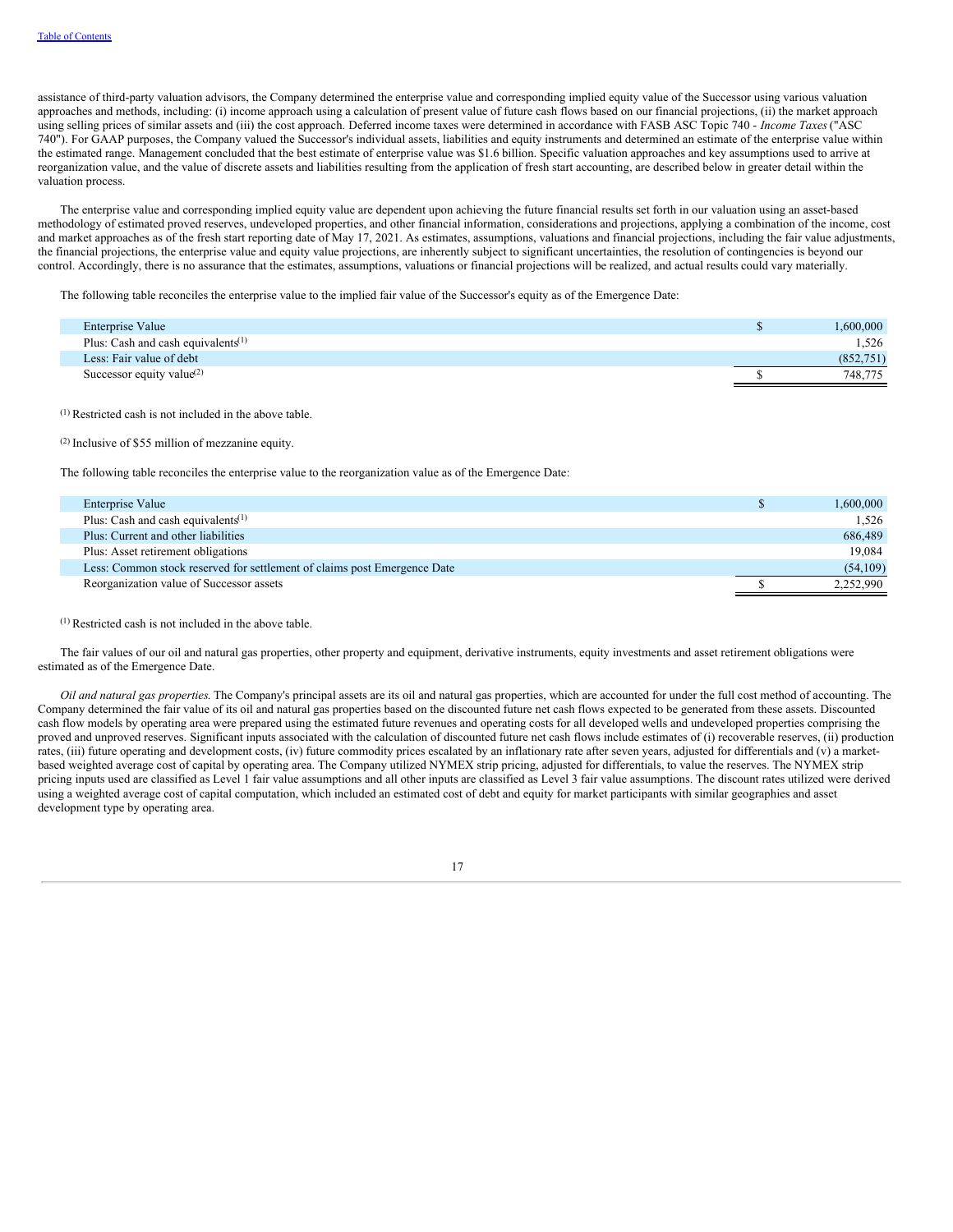assistance of third-party valuation advisors, the Company determined the enterprise value and corresponding implied equity value of the Successor using various valuation approaches and methods, including: (i) income approach using a calculation of present value of future cash flows based on our financial projections, (ii) the market approach using selling prices of similar assets and (iii) the cost approach. Deferred income taxes were determined in accordance with FASB ASC Topic 740 - *Income Taxes*("ASC 740"). For GAAP purposes, the Company valued the Successor's individual assets, liabilities and equity instruments and determined an estimate of the enterprise value within the estimated range. Management concluded that the best estimate of enterprise value was \$1.6 billion. Specific valuation approaches and key assumptions used to arrive at reorganization value, and the value of discrete assets and liabilities resulting from the application of fresh start accounting, are described below in greater detail within the valuation process.

The enterprise value and corresponding implied equity value are dependent upon achieving the future financial results set forth in our valuation using an asset-based methodology of estimated proved reserves, undeveloped properties, and other financial information, considerations and projections, applying a combination of the income, cost and market approaches as of the fresh start reporting date of May 17, 2021. As estimates, assumptions, valuations and financial projections, including the fair value adjustments, the financial projections, the enterprise value and equity value projections, are inherently subject to significant uncertainties, the resolution of contingencies is beyond our control. Accordingly, there is no assurance that the estimates, assumptions, valuations or financial projections will be realized, and actual results could vary materially.

The following table reconciles the enterprise value to the implied fair value of the Successor's equity as of the Emergence Date:

| <b>Enterprise Value</b>                                     | .600.000   |
|-------------------------------------------------------------|------------|
| Plus: Cash and cash equivalents <sup><math>(1)</math></sup> | 1.526      |
| Less: Fair value of debt                                    | (852, 751) |
| Successor equity value <sup>(2)</sup>                       | 748,775    |

 $(1)$  Restricted cash is not included in the above table.

 $(2)$  Inclusive of \$55 million of mezzanine equity.

The following table reconciles the enterprise value to the reorganization value as of the Emergence Date:

| <b>Enterprise Value</b>                                                  | 1.600.000 |
|--------------------------------------------------------------------------|-----------|
| Plus: Cash and cash equivalents $(1)$                                    | 1.526     |
| Plus: Current and other liabilities                                      | 686,489   |
| Plus: Asset retirement obligations                                       | 19.084    |
| Less: Common stock reserved for settlement of claims post Emergence Date | (54,109)  |
| Reorganization value of Successor assets                                 | 2.252.990 |

 $(1)$  Restricted cash is not included in the above table.

The fair values of our oil and natural gas properties, other property and equipment, derivative instruments, equity investments and asset retirement obligations were estimated as of the Emergence Date.

*Oil and natural gas properties*. The Company's principal assets are its oil and natural gas properties, which are accounted for under the full cost method of accounting. The Company determined the fair value of its oil and natural gas properties based on the discounted future net cash flows expected to be generated from these assets. Discounted cash flow models by operating area were prepared using the estimated future revenues and operating costs for all developed wells and undeveloped properties comprising the proved and unproved reserves. Significant inputs associated with the calculation of discounted future net cash flows include estimates of (i) recoverable reserves, (ii) production rates, (iii) future operating and development costs, (iv) future commodity prices escalated by an inflationary rate after seven years, adjusted for differentials and (v) a marketbased weighted average cost of capital by operating area. The Company utilized NYMEX strip pricing, adjusted for differentials, to value the reserves. The NYMEX strip pricing inputs used are classified as Level 1 fair value assumptions and all other inputs are classified as Level 3 fair value assumptions. The discount rates utilized were derived using a weighted average cost of capital computation, which included an estimated cost of debt and equity for market participants with similar geographies and asset development type by operating area.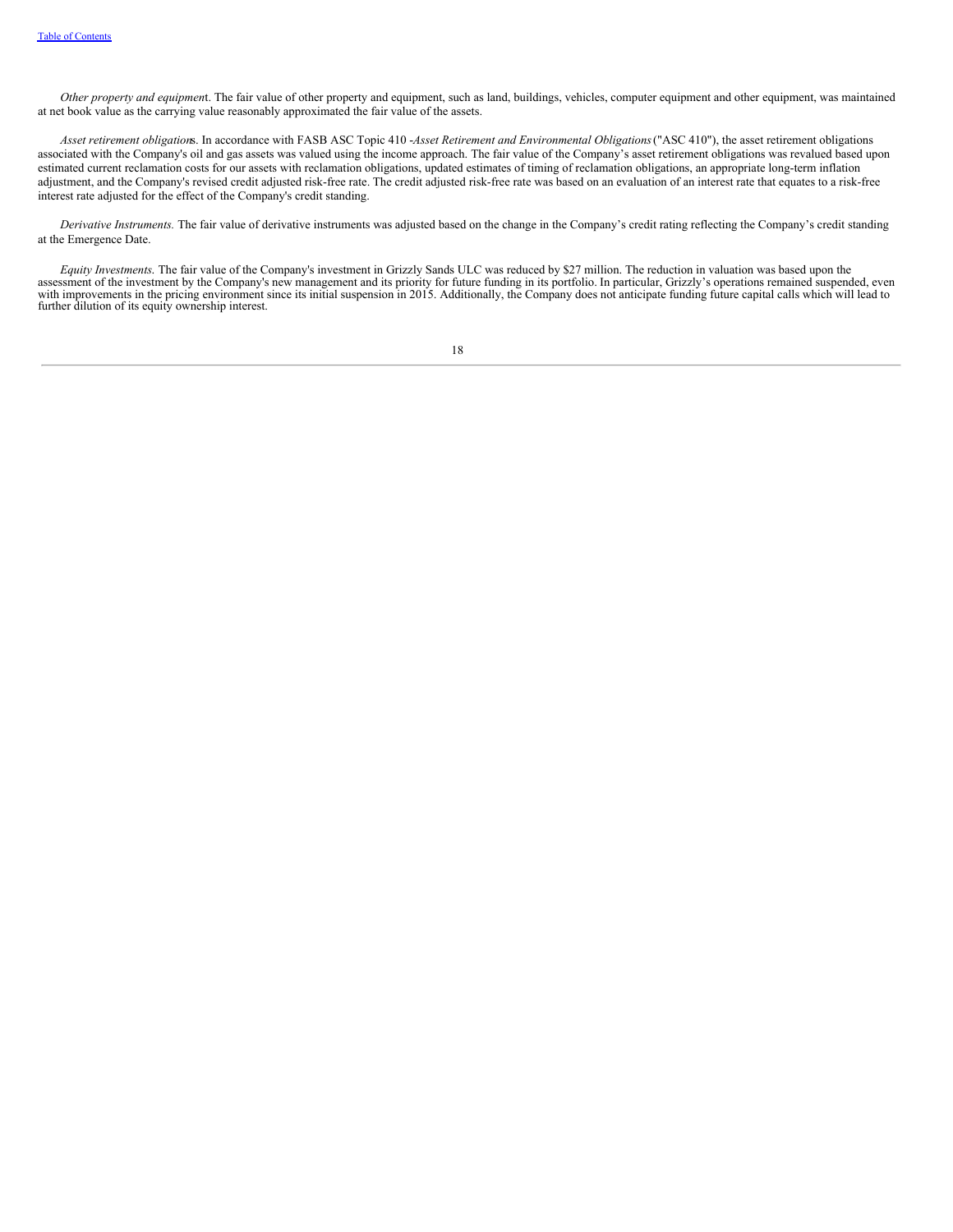*Other property and equipmen*t. The fair value of other property and equipment, such as land, buildings, vehicles, computer equipment and other equipment, was maintained at net book value as the carrying value reasonably approximated the fair value of the assets.

*Asset retirement obligation*s. In accordance with FASB ASC Topic 410 -*Asset Retirement and Environmental Obligations*("ASC 410"), the asset retirement obligations associated with the Company's oil and gas assets was valued using the income approach. The fair value of the Company's asset retirement obligations was revalued based upon estimated current reclamation costs for our assets with reclamation obligations, updated estimates of timing of reclamation obligations, an appropriate long-term inflation adjustment, and the Company's revised credit adjusted risk-free rate. The credit adjusted risk-free rate was based on an evaluation of an interest rate that equates to a risk-free interest rate adjusted for the effect of the Company's credit standing.

*Derivative Instruments.* The fair value of derivative instruments was adjusted based on the change in the Company's credit rating reflecting the Company's credit standing at the Emergence Date.

*Equity Investments*. The fair value of the Company's investment in Grizzly Sands ULC was reduced by \$27 million. The reduction in valuation was based upon the assessment of the investment by the Company's new management and its priority for future funding in its portfolio. In particular, Grizzly's operations remained suspended, even with improvements in the pricing environment since its initial suspension in 2015. Additionally, the Company does not anticipate funding future capital calls which will lead to further dilution of its equity ownership interest.

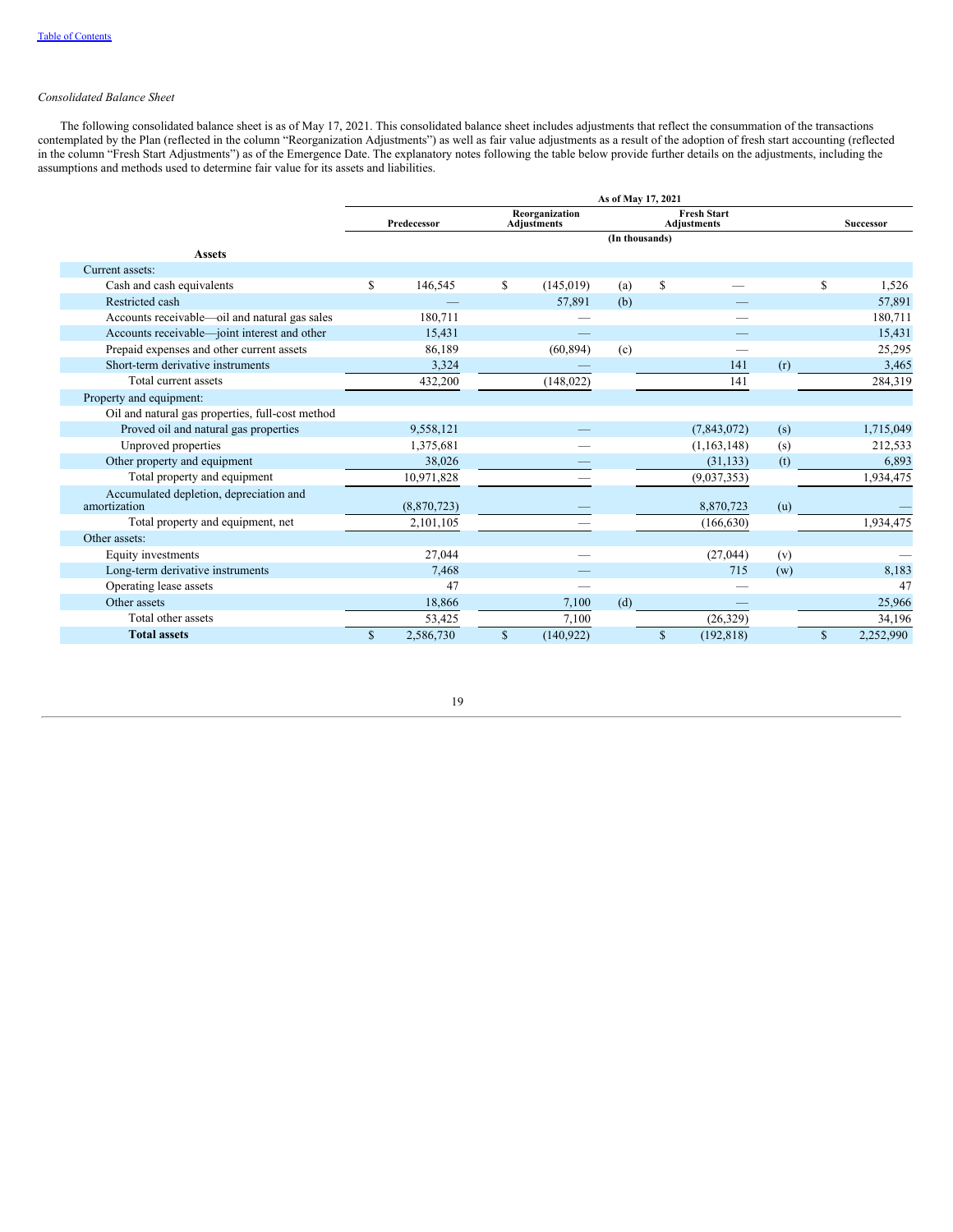## *Consolidated Balance Sheet*

The following consolidated balance sheet is as of May 17, 2021. This consolidated balance sheet includes adjustments that reflect the consummation of the transactions contemplated by the Plan (reflected in the column "Reorganization Adjustments") as well as fair value adjustments as a result of the adoption of fresh start accounting (reflected in the column "Fresh Start Adjustments") as of the Emergence Date. The explanatory notes following the table below provide further details on the adjustments, including the assumptions and methods used to determine fair value for its assets and liabilities.

|                                                  | As of May 17, 2021 |             |             |                                      |                |              |                                   |     |   |           |
|--------------------------------------------------|--------------------|-------------|-------------|--------------------------------------|----------------|--------------|-----------------------------------|-----|---|-----------|
|                                                  |                    | Predecessor |             | Reorganization<br><b>Adjustments</b> |                |              | <b>Fresh Start</b><br>Adjustments |     |   | Successor |
|                                                  |                    |             |             |                                      | (In thousands) |              |                                   |     |   |           |
| <b>Assets</b>                                    |                    |             |             |                                      |                |              |                                   |     |   |           |
| Current assets:                                  |                    |             |             |                                      |                |              |                                   |     |   |           |
| Cash and cash equivalents                        | S                  | 146,545     | S           | (145, 019)                           | (a)            | $\mathbb{S}$ |                                   |     | S | 1,526     |
| Restricted cash                                  |                    |             |             | 57,891                               | (b)            |              |                                   |     |   | 57,891    |
| Accounts receivable-oil and natural gas sales    |                    | 180,711     |             |                                      |                |              |                                   |     |   | 180,711   |
| Accounts receivable—joint interest and other     |                    | 15,431      |             |                                      |                |              |                                   |     |   | 15,431    |
| Prepaid expenses and other current assets        |                    | 86,189      |             | (60, 894)                            | (c)            |              |                                   |     |   | 25,295    |
| Short-term derivative instruments                |                    | 3,324       |             |                                      |                |              | 141                               | (r) |   | 3,465     |
| Total current assets                             |                    | 432,200     |             | (148, 022)                           |                |              | 141                               |     |   | 284,319   |
| Property and equipment:                          |                    |             |             |                                      |                |              |                                   |     |   |           |
| Oil and natural gas properties, full-cost method |                    |             |             |                                      |                |              |                                   |     |   |           |
| Proved oil and natural gas properties            |                    | 9,558,121   |             |                                      |                |              | (7,843,072)                       | (s) |   | 1,715,049 |
| Unproved properties                              |                    | 1,375,681   |             |                                      |                |              | (1,163,148)                       | (s) |   | 212,533   |
| Other property and equipment                     |                    | 38,026      |             |                                      |                |              | (31, 133)                         | (t) |   | 6,893     |
| Total property and equipment                     |                    | 10,971,828  |             |                                      |                |              | (9,037,353)                       |     |   | 1,934,475 |
| Accumulated depletion, depreciation and          |                    |             |             |                                      |                |              |                                   |     |   |           |
| amortization                                     |                    | (8,870,723) |             |                                      |                |              | 8,870,723                         | (u) |   |           |
| Total property and equipment, net                |                    | 2,101,105   |             |                                      |                |              | (166, 630)                        |     |   | 1,934,475 |
| Other assets:                                    |                    |             |             |                                      |                |              |                                   |     |   |           |
| Equity investments                               |                    | 27,044      |             |                                      |                |              | (27, 044)                         | (v) |   |           |
| Long-term derivative instruments                 |                    | 7,468       |             |                                      |                |              | 715                               | (w) |   | 8,183     |
| Operating lease assets                           |                    | 47          |             |                                      |                |              |                                   |     |   | 47        |
| Other assets                                     |                    | 18.866      |             | 7,100                                | (d)            |              |                                   |     |   | 25,966    |
| Total other assets                               |                    | 53,425      |             | 7,100                                |                |              | (26, 329)                         |     |   | 34,196    |
| <b>Total assets</b>                              | S                  | 2,586,730   | $\mathbf S$ | (140, 922)                           |                | $\mathbf S$  | (192, 818)                        |     | S | 2,252,990 |
|                                                  |                    |             |             |                                      |                |              |                                   |     |   |           |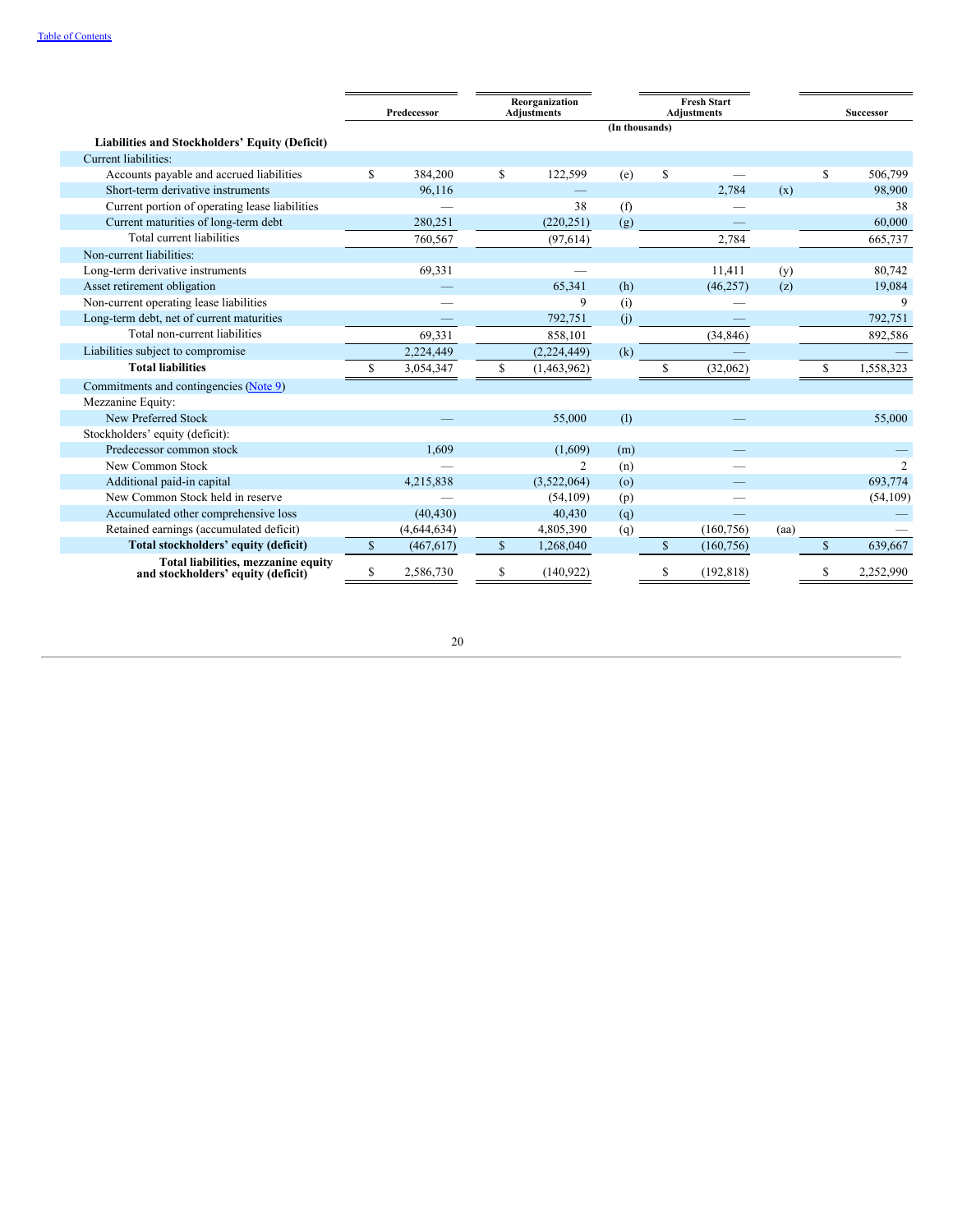|                                                                           |              | Predecessor |             | Reorganization<br><b>Adjustments</b> |                |              | <b>Fresh Start</b><br><b>Adjustments</b> |      |              | <b>Successor</b> |
|---------------------------------------------------------------------------|--------------|-------------|-------------|--------------------------------------|----------------|--------------|------------------------------------------|------|--------------|------------------|
|                                                                           |              |             |             |                                      | (In thousands) |              |                                          |      |              |                  |
| Liabilities and Stockholders' Equity (Deficit)                            |              |             |             |                                      |                |              |                                          |      |              |                  |
| Current liabilities:                                                      |              |             |             |                                      |                |              |                                          |      |              |                  |
| Accounts payable and accrued liabilities                                  | $\mathbf S$  | 384,200     | \$          | 122,599                              | (e)            | S            |                                          |      | \$           | 506,799          |
| Short-term derivative instruments                                         |              | 96,116      |             |                                      |                |              | 2,784                                    | (x)  |              | 98,900           |
| Current portion of operating lease liabilities                            |              |             |             | 38                                   | (f)            |              |                                          |      |              | 38               |
| Current maturities of long-term debt                                      |              | 280,251     |             | (220, 251)                           | (g)            |              |                                          |      |              | 60,000           |
| Total current liabilities                                                 |              | 760,567     |             | (97, 614)                            |                |              | 2,784                                    |      |              | 665,737          |
| Non-current liabilities:                                                  |              |             |             |                                      |                |              |                                          |      |              |                  |
| Long-term derivative instruments                                          |              | 69,331      |             |                                      |                |              | 11,411                                   | (y)  |              | 80,742           |
| Asset retirement obligation                                               |              |             |             | 65,341                               | (h)            |              | (46, 257)                                | (z)  |              | 19,084           |
| Non-current operating lease liabilities                                   |              |             |             | 9                                    | (i)            |              |                                          |      |              | 9                |
| Long-term debt, net of current maturities                                 |              |             |             | 792,751                              | (j)            |              |                                          |      |              | 792,751          |
| Total non-current liabilities                                             |              | 69,331      |             | 858,101                              |                |              | (34, 846)                                |      |              | 892,586          |
| Liabilities subject to compromise                                         |              | 2.224.449   |             | (2, 224, 449)                        | (k)            |              |                                          |      |              |                  |
| <b>Total liabilities</b>                                                  |              | 3,054,347   | S           | (1,463,962)                          |                |              | (32,062)                                 |      |              | 1,558,323        |
| Commitments and contingencies (Note 9)                                    |              |             |             |                                      |                |              |                                          |      |              |                  |
| Mezzanine Equity:                                                         |              |             |             |                                      |                |              |                                          |      |              |                  |
| New Preferred Stock                                                       |              |             |             | 55,000                               | (1)            |              |                                          |      |              | 55,000           |
| Stockholders' equity (deficit):                                           |              |             |             |                                      |                |              |                                          |      |              |                  |
| Predecessor common stock                                                  |              | 1.609       |             | (1,609)                              | (m)            |              |                                          |      |              |                  |
| New Common Stock                                                          |              |             |             | $\mathfrak{D}_{1}$                   | (n)            |              |                                          |      |              | 2                |
| Additional paid-in capital                                                |              | 4,215,838   |             | (3,522,064)                          | $\circ$        |              |                                          |      |              | 693,774          |
| New Common Stock held in reserve                                          |              |             |             | (54, 109)                            | (p)            |              |                                          |      |              | (54, 109)        |
| Accumulated other comprehensive loss                                      |              | (40, 430)   |             | 40,430                               | (q)            |              |                                          |      |              |                  |
| Retained earnings (accumulated deficit)                                   |              | (4,644,634) |             | 4,805,390                            | (q)            |              | (160, 756)                               | (aa) |              |                  |
| Total stockholders' equity (deficit)                                      | $\mathbf{s}$ | (467, 617)  | $\mathbf S$ | 1,268,040                            |                | $\mathbf{s}$ | (160, 756)                               |      | $\mathbf{s}$ | 639,667          |
| Total liabilities, mezzanine equity<br>and stockholders' equity (deficit) | S            | 2,586,730   | S           | (140, 922)                           |                |              | (192, 818)                               |      |              | 2,252,990        |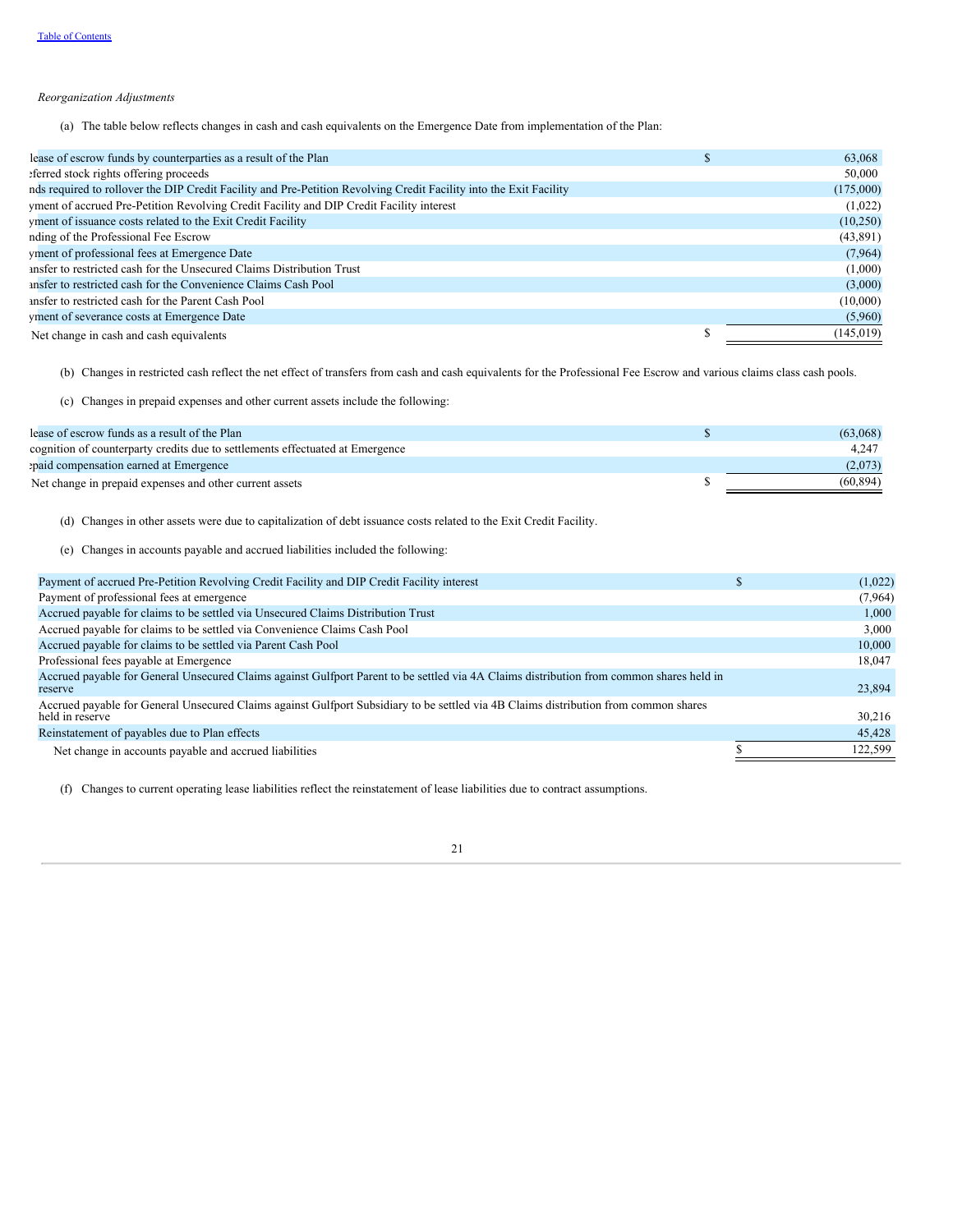## *Reorganization Adjustments*

(a) The table below reflects changes in cash and cash equivalents on the Emergence Date from implementation of the Plan:

| lease of escrow funds by counterparties as a result of the Plan                                                    | 63,068     |
|--------------------------------------------------------------------------------------------------------------------|------------|
| eferred stock rights offering proceeds                                                                             | 50,000     |
| nds required to rollover the DIP Credit Facility and Pre-Petition Revolving Credit Facility into the Exit Facility | (175,000)  |
| yment of accrued Pre-Petition Revolving Credit Facility and DIP Credit Facility interest                           | (1,022)    |
| yment of issuance costs related to the Exit Credit Facility                                                        | (10,250)   |
| nding of the Professional Fee Escrow                                                                               | (43,891)   |
| yment of professional fees at Emergence Date                                                                       | (7,964)    |
| insfer to restricted cash for the Unsecured Claims Distribution Trust                                              | (1,000)    |
| insfer to restricted cash for the Convenience Claims Cash Pool                                                     | (3,000)    |
| insfer to restricted cash for the Parent Cash Pool                                                                 | (10,000)   |
| yment of severance costs at Emergence Date                                                                         | (5,960)    |
| Net change in cash and cash equivalents                                                                            | (145, 019) |
|                                                                                                                    |            |

(b) Changes in restricted cash reflect the net effect of transfers from cash and cash equivalents for the Professional Fee Escrow and various claims class cash pools.

(c) Changes in prepaid expenses and other current assets include the following:

| lease of escrow funds as a result of the Plan                                 | (63,068)  |
|-------------------------------------------------------------------------------|-----------|
| cognition of counterparty credits due to settlements effectuated at Emergence | 4.247     |
| paid compensation earned at Emergence                                         | (2,073)   |
| Net change in prepaid expenses and other current assets                       | (60, 894) |

(d) Changes in other assets were due to capitalization of debt issuance costs related to the Exit Credit Facility.

(e) Changes in accounts payable and accrued liabilities included the following:

| Payment of accrued Pre-Petition Revolving Credit Facility and DIP Credit Facility interest                                                              | (1,022) |
|---------------------------------------------------------------------------------------------------------------------------------------------------------|---------|
| Payment of professional fees at emergence                                                                                                               | (7,964) |
| Accrued payable for claims to be settled via Unsecured Claims Distribution Trust                                                                        | 1,000   |
| Accrued payable for claims to be settled via Convenience Claims Cash Pool                                                                               | 3,000   |
| Accrued payable for claims to be settled via Parent Cash Pool                                                                                           | 10,000  |
| Professional fees payable at Emergence                                                                                                                  | 18.047  |
| Accrued payable for General Unsecured Claims against Gulfport Parent to be settled via 4A Claims distribution from common shares held in<br>reserve     | 23,894  |
| Accrued payable for General Unsecured Claims against Gulfport Subsidiary to be settled via 4B Claims distribution from common shares<br>held in reserve | 30.216  |
| Reinstatement of payables due to Plan effects                                                                                                           | 45,428  |
| Net change in accounts payable and accrued liabilities                                                                                                  | 122,599 |
|                                                                                                                                                         |         |

(f) Changes to current operating lease liabilities reflect the reinstatement of lease liabilities due to contract assumptions.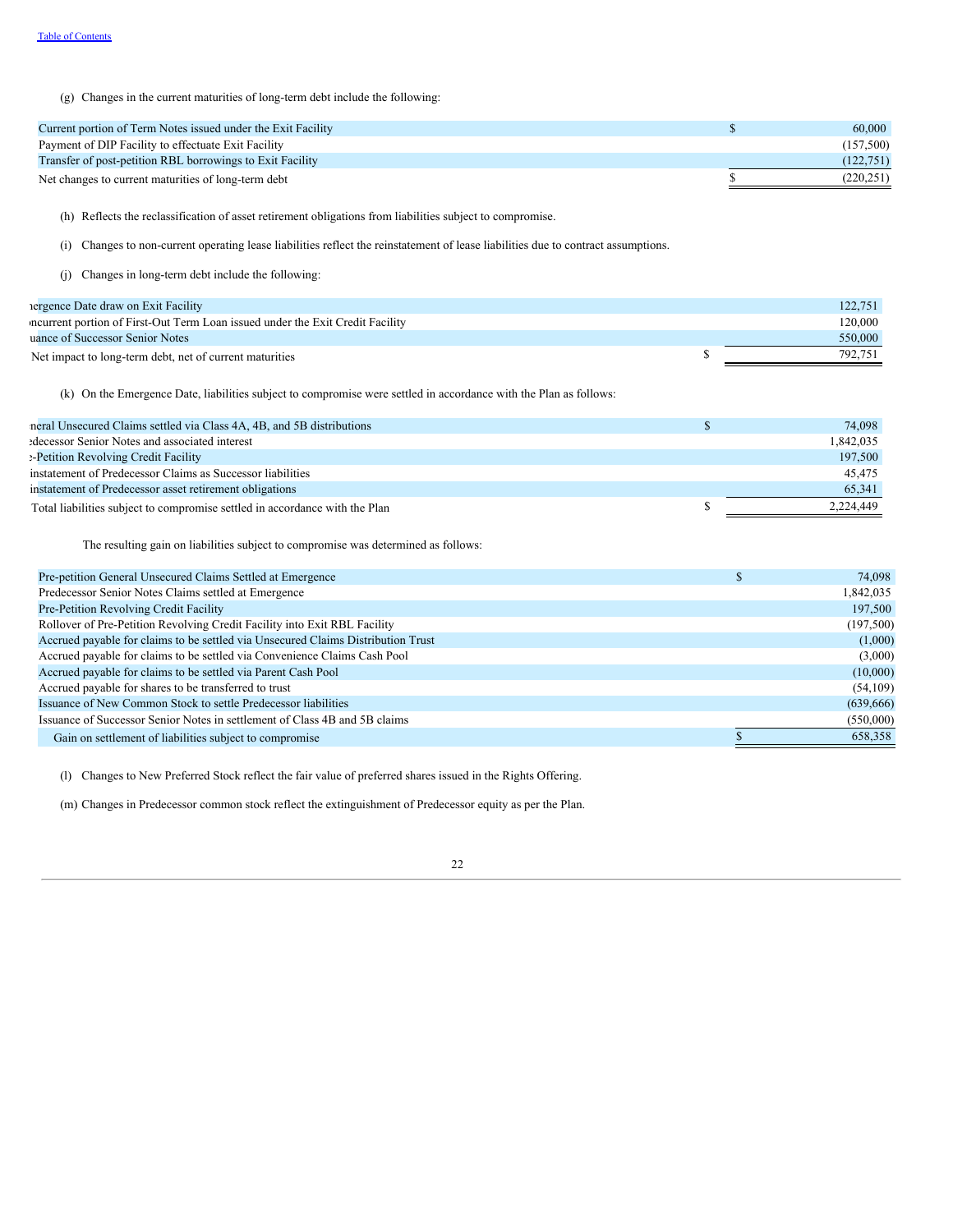(g) Changes in the current maturities of long-term debt include the following:

| Current portion of Term Notes issued under the Exit Facility | 60,000     |
|--------------------------------------------------------------|------------|
| Payment of DIP Facility to effectuate Exit Facility          | (157,500)  |
| Transfer of post-petition RBL borrowings to Exit Facility    | (122, 751) |
| Net changes to current maturities of long-term debt          | (220, 251) |
|                                                              |            |

- (h) Reflects the reclassification of asset retirement obligations from liabilities subject to compromise.
- (i) Changes to non-current operating lease liabilities reflect the reinstatement of lease liabilities due to contract assumptions.
- (j) Changes in long-term debt include the following:

| ergence Date draw on Exit Facility                                            | 122.751 |
|-------------------------------------------------------------------------------|---------|
| ncurrent portion of First-Out Term Loan issued under the Exit Credit Facility | 120,000 |
| uance of Successor Senior Notes                                               | 550,000 |
| Net impact to long-term debt, net of current maturities                       | 792.751 |

(k) On the Emergence Date, liabilities subject to compromise were settled in accordance with the Plan as follows:

| neral Unsecured Claims settled via Class 4A, 4B, and 5B distributions       | 74,098    |
|-----------------------------------------------------------------------------|-----------|
| edecessor Senior Notes and associated interest                              | 1,842,035 |
| :-Petition Revolving Credit Facility                                        | 197,500   |
| instatement of Predecessor Claims as Successor liabilities                  | 45.475    |
| instatement of Predecessor asset retirement obligations                     | 65,341    |
| Total liabilities subject to compromise settled in accordance with the Plan | 2.224.449 |

The resulting gain on liabilities subject to compromise was determined as follows:

| Pre-petition General Unsecured Claims Settled at Emergence                       | 74,098     |
|----------------------------------------------------------------------------------|------------|
| Predecessor Senior Notes Claims settled at Emergence                             | 1,842,035  |
| <b>Pre-Petition Revolving Credit Facility</b>                                    | 197,500    |
| Rollover of Pre-Petition Revolving Credit Facility into Exit RBL Facility        | (197,500)  |
| Accrued payable for claims to be settled via Unsecured Claims Distribution Trust | (1,000)    |
| Accrued payable for claims to be settled via Convenience Claims Cash Pool        | (3,000)    |
| Accrued payable for claims to be settled via Parent Cash Pool                    | (10,000)   |
| Accrued payable for shares to be transferred to trust                            | (54, 109)  |
| Issuance of New Common Stock to settle Predecessor liabilities                   | (639, 666) |
| Issuance of Successor Senior Notes in settlement of Class 4B and 5B claims       | (550,000)  |
| Gain on settlement of liabilities subject to compromise                          | 658,358    |

(l) Changes to New Preferred Stock reflect the fair value of preferred shares issued in the Rights Offering.

(m) Changes in Predecessor common stock reflect the extinguishment of Predecessor equity as per the Plan.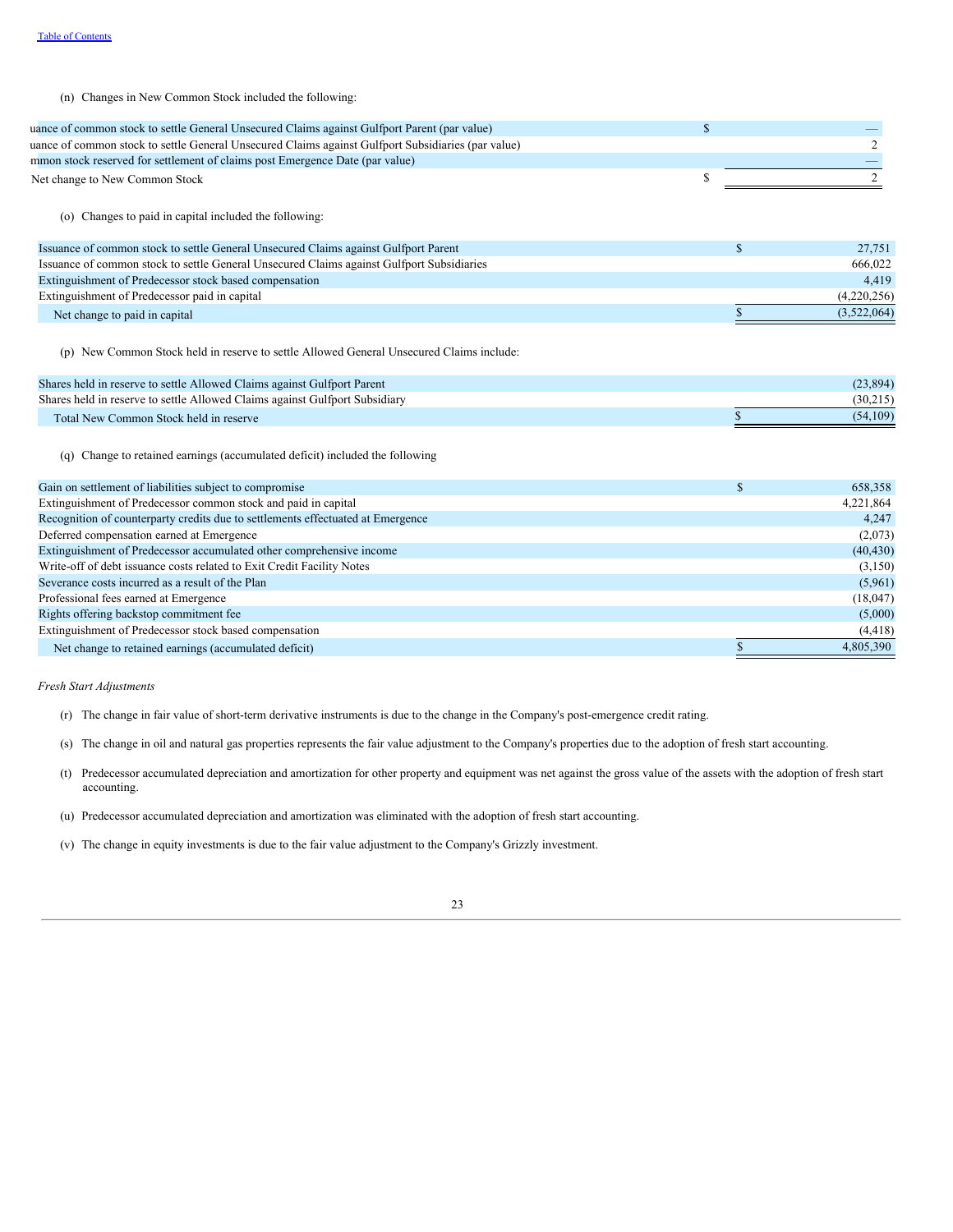## (n) Changes in New Common Stock included the following:

| uance of common stock to settle General Unsecured Claims against Gulfport Parent (par value)       |  |
|----------------------------------------------------------------------------------------------------|--|
| uance of common stock to settle General Unsecured Claims against Gulfport Subsidiaries (par value) |  |
| mmon stock reserved for settlement of claims post Emergence Date (par value)                       |  |
| Net change to New Common Stock                                                                     |  |
|                                                                                                    |  |

(o) Changes to paid in capital included the following:

| Issuance of common stock to settle General Unsecured Claims against Gulfport Parent       | 27.751      |
|-------------------------------------------------------------------------------------------|-------------|
| Issuance of common stock to settle General Unsecured Claims against Gulfport Subsidiaries | 666.022     |
| Extinguishment of Predecessor stock based compensation                                    | 4.419       |
| Extinguishment of Predecessor paid in capital                                             | (4,220,256) |
| Net change to paid in capital                                                             | (3,522,064) |

(p) New Common Stock held in reserve to settle Allowed General Unsecured Claims include:

| Shares held in reserve to settle Allowed Claims against Gulfport Parent     | (23, 894) |
|-----------------------------------------------------------------------------|-----------|
| Shares held in reserve to settle Allowed Claims against Gulfport Subsidiary | (30,215)  |
| Total New Common Stock held in reserve                                      | (54, 109) |

(q) Change to retained earnings (accumulated deficit) included the following

| Gain on settlement of liabilities subject to compromise                         | 658,358   |
|---------------------------------------------------------------------------------|-----------|
| Extinguishment of Predecessor common stock and paid in capital                  | 4,221,864 |
| Recognition of counterparty credits due to settlements effectuated at Emergence | 4.247     |
| Deferred compensation earned at Emergence                                       | (2,073)   |
| Extinguishment of Predecessor accumulated other comprehensive income            | (40, 430) |
| Write-off of debt issuance costs related to Exit Credit Facility Notes          | (3,150)   |
| Severance costs incurred as a result of the Plan                                | (5,961)   |
| Professional fees earned at Emergence                                           | (18,047)  |
| Rights offering backstop commitment fee                                         | (5,000)   |
| Extinguishment of Predecessor stock based compensation                          | (4, 418)  |
| Net change to retained earnings (accumulated deficit)                           | 4,805,390 |

*Fresh Start Adjustments*

- (r) The change in fair value of short-term derivative instruments is due to the change in the Company's post-emergence credit rating.
- (s) The change in oil and natural gas properties represents the fair value adjustment to the Company's properties due to the adoption of fresh start accounting.
- (t) Predecessor accumulated depreciation and amortization for other property and equipment was net against the gross value of the assets with the adoption of fresh start accounting.

(u) Predecessor accumulated depreciation and amortization was eliminated with the adoption of fresh start accounting.

(v) The change in equity investments is due to the fair value adjustment to the Company's Grizzly investment.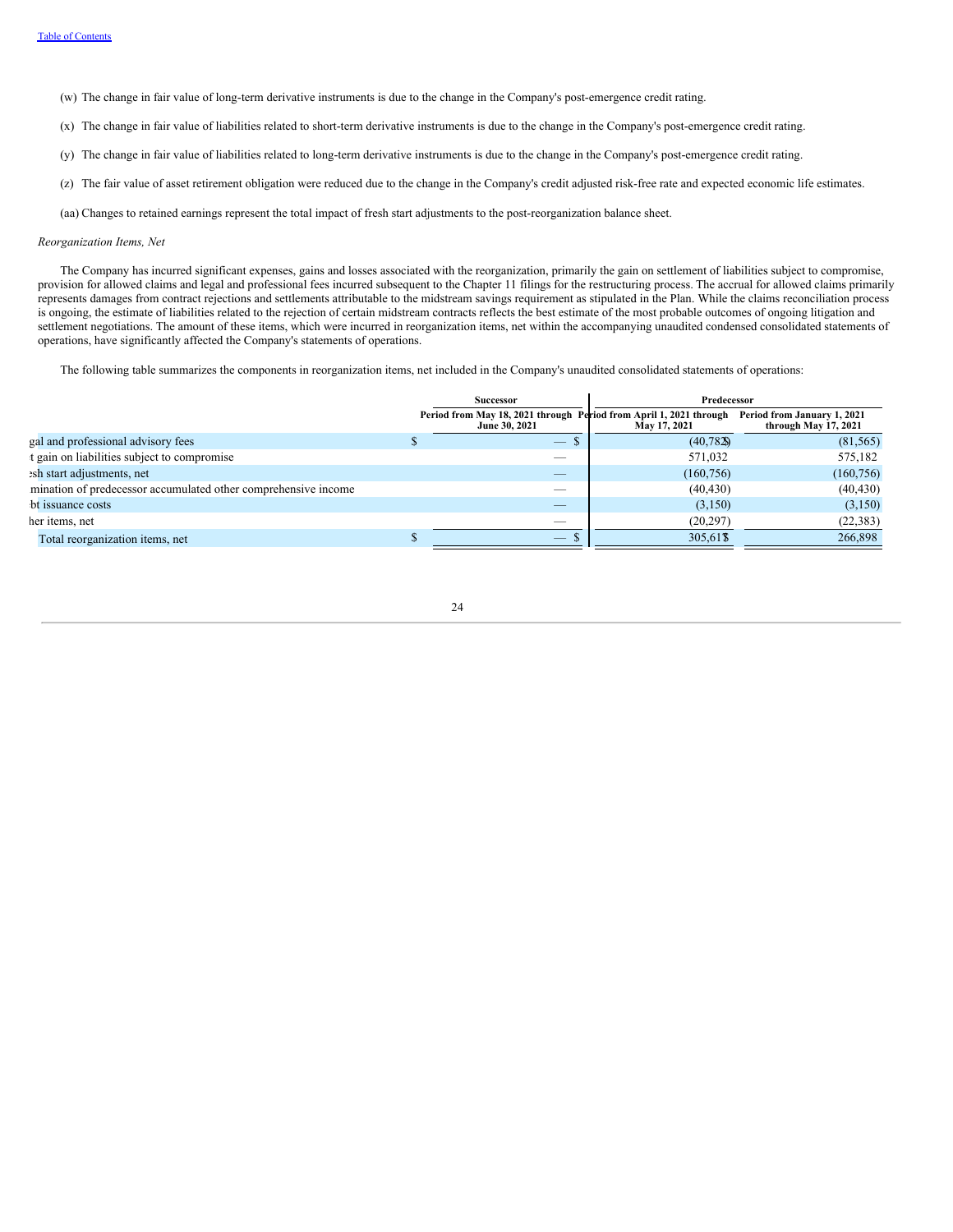- (w) The change in fair value of long-term derivative instruments is due to the change in the Company's post-emergence credit rating.
- (x) The change in fair value of liabilities related to short-term derivative instruments is due to the change in the Company's post-emergence credit rating.
- (y) The change in fair value of liabilities related to long-term derivative instruments is due to the change in the Company's post-emergence credit rating.
- (z) The fair value of asset retirement obligation were reduced due to the change in the Company's credit adjusted risk-free rate and expected economic life estimates.
- (aa) Changes to retained earnings represent the total impact of fresh start adjustments to the post-reorganization balance sheet.

## *Reorganization Items, Net*

The Company has incurred significant expenses, gains and losses associated with the reorganization, primarily the gain on settlement of liabilities subject to compromise, provision for allowed claims and legal and professional fees incurred subsequent to the Chapter 11 filings for the restructuring process. The accrual for allowed claims primarily represents damages from contract rejections and settlements attributable to the midstream savings requirement as stipulated in the Plan. While the claims reconciliation process is ongoing, the estimate of liabilities related to the rejection of certain midstream contracts reflects the best estimate of the most probable outcomes of ongoing litigation and settlement negotiations. The amount of these items, which were incurred in reorganization items, net within the accompanying unaudited condensed consolidated statements of operations, have significantly affected the Company's statements of operations.

The following table summarizes the components in reorganization items, net included in the Company's unaudited consolidated statements of operations:

|                                                                | Successor                                                                           | Predecessor                                         |            |
|----------------------------------------------------------------|-------------------------------------------------------------------------------------|-----------------------------------------------------|------------|
|                                                                | Period from May 18, 2021 through Period from April 1, 2021 through<br>June 30, 2021 | Period from January 1, 2021<br>through May 17, 2021 |            |
| gal and professional advisory fees                             | $\hspace{0.1mm}-\hspace{0.1mm}$                                                     | (40,782)                                            | (81, 565)  |
| t gain on liabilities subject to compromise                    |                                                                                     | 571.032                                             | 575.182    |
| sh start adjustments, net                                      |                                                                                     | (160, 756)                                          | (160, 756) |
| mination of predecessor accumulated other comprehensive income | __                                                                                  | (40, 430)                                           | (40, 430)  |
| bt issuance costs                                              | $\overline{\phantom{a}}$                                                            | (3,150)                                             | (3,150)    |
| her items, net                                                 |                                                                                     | (20, 297)                                           | (22, 383)  |
| Total reorganization items, net                                | $\overline{\phantom{a}}$                                                            | 305.61%                                             | 266,898    |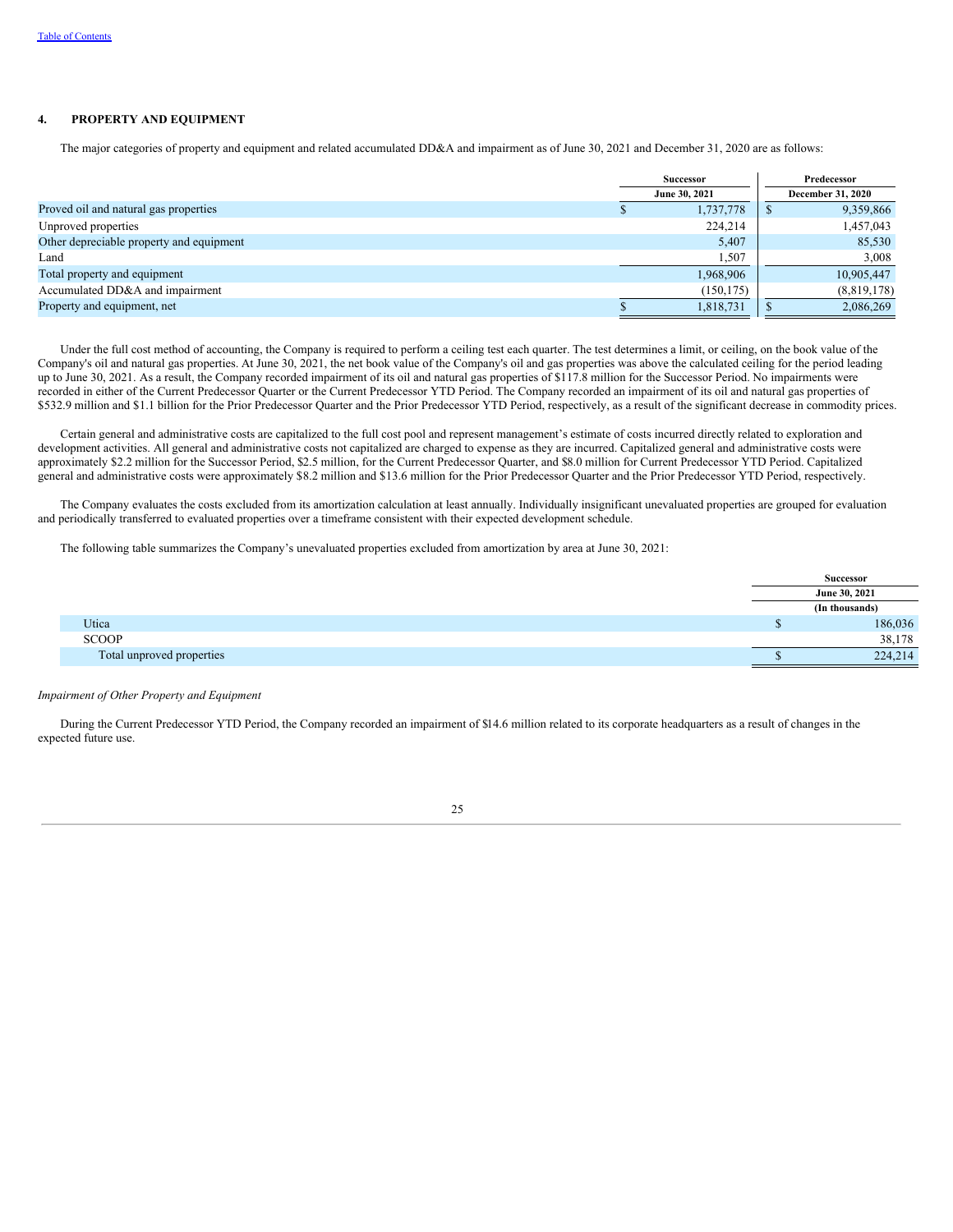## **4. PROPERTY AND EQUIPMENT**

The major categories of property and equipment and related accumulated DD&A and impairment as of June 30, 2021 and December 31, 2020 are as follows:

| <b>Successor</b> | Predecessor              |
|------------------|--------------------------|
| June 30, 2021    | <b>December 31, 2020</b> |
| 1,737,778        | 9,359,866                |
| 224,214          | 1,457,043                |
| 5,407            | 85,530                   |
| 1,507            | 3,008                    |
| 1,968,906        | 10,905,447               |
| (150, 175)       | (8,819,178)              |
| 1,818,731        | 2,086,269                |
|                  |                          |

Under the full cost method of accounting, the Company is required to perform a ceiling test each quarter. The test determines a limit, or ceiling, on the book value of the Company's oil and natural gas properties. At June 30, 2021, the net book value of the Company's oil and gas properties was above the calculated ceiling for the period leading up to June 30, 2021. As a result, the Company recorded impairment of its oil and natural gas properties of \$117.8 million for the Successor Period. No impairments were recorded in either of the Current Predecessor Quarter or the Current Predecessor YTD Period. The Company recorded an impairment of its oil and natural gas properties of \$532.9 million and \$1.1 billion for the Prior Predecessor Quarter and the Prior Predecessor YTD Period, respectively, as a result of the significant decrease in commodity prices.

Certain general and administrative costs are capitalized to the full cost pool and represent management's estimate of costs incurred directly related to exploration and development activities. All general and administrative costs not capitalized are charged to expense as they are incurred. Capitalized general and administrative costs were approximately \$2.2 million for the Successor Period, \$2.5 million, for the Current Predecessor Quarter, and \$8.0 million for Current Predecessor YTD Period. Capitalized general and administrative costs were approximately \$8.2 million and \$13.6 million for the Prior Predecessor Quarter and the Prior Predecessor YTD Period, respectively.

The Company evaluates the costs excluded from its amortization calculation at least annually. Individually insignificant unevaluated properties are grouped for evaluation and periodically transferred to evaluated properties over a timeframe consistent with their expected development schedule.

The following table summarizes the Company's unevaluated properties excluded from amortization by area at June 30, 2021:

|                           | Successor      |
|---------------------------|----------------|
|                           | June 30, 2021  |
|                           | (In thousands) |
| Utica                     | 186,036        |
| <b>SCOOP</b>              | 38,178         |
| Total unproved properties | 224,214        |

### *Impairment of Other Property and Equipment*

During the Current Predecessor YTD Period, the Company recorded an impairment of \$14.6 million related to its corporate headquarters as a result of changes in the expected future use.

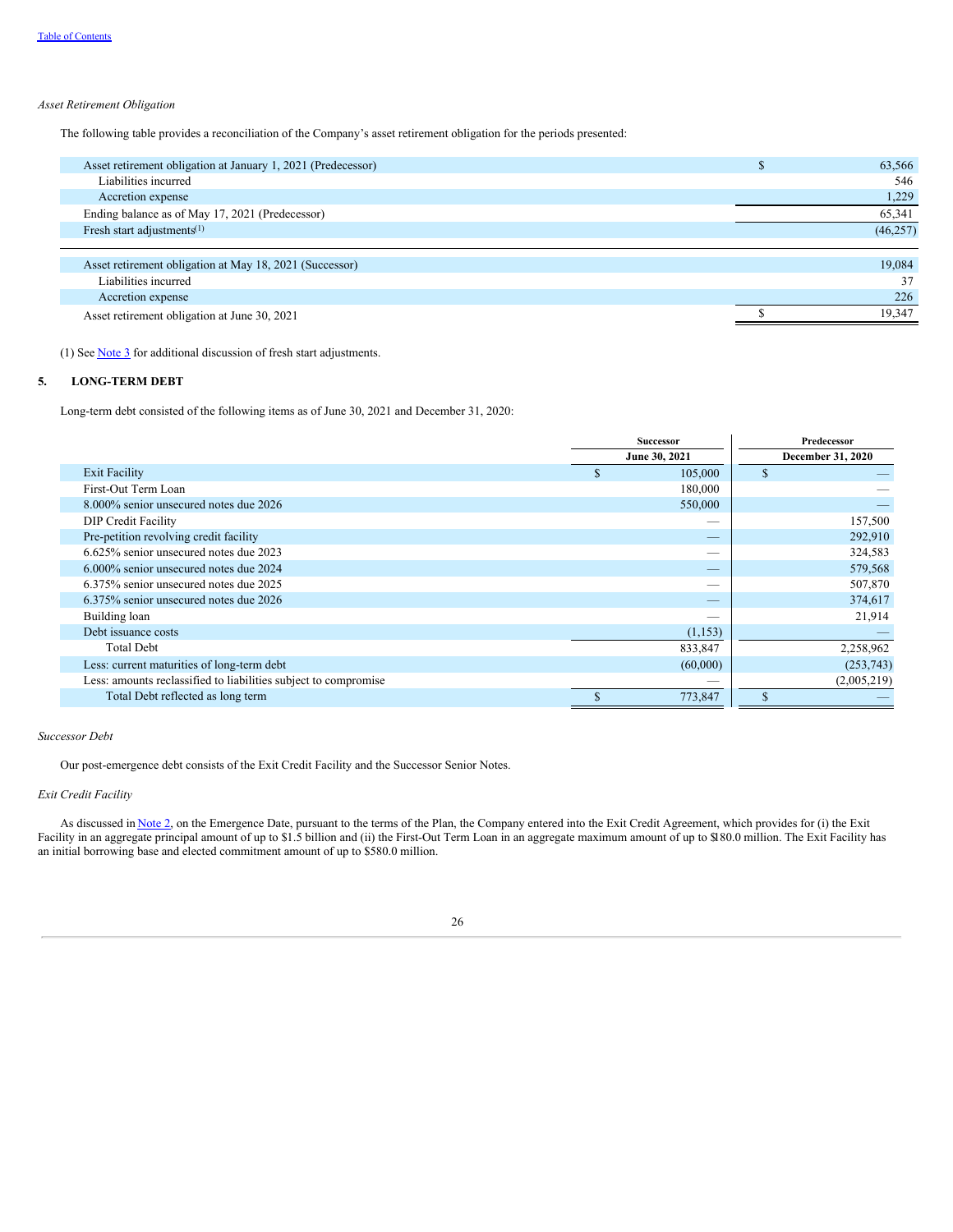## *Asset Retirement Obligation*

The following table provides a reconciliation of the Company's asset retirement obligation for the periods presented:

| Asset retirement obligation at January 1, 2021 (Predecessor) | 63,566    |
|--------------------------------------------------------------|-----------|
| Liabilities incurred                                         | 546       |
| Accretion expense                                            | 1,229     |
| Ending balance as of May 17, 2021 (Predecessor)              | 65,341    |
| Fresh start adjustments $(1)$                                | (46, 257) |
|                                                              |           |
| Asset retirement obligation at May 18, 2021 (Successor)      | 19,084    |
| Liabilities incurred                                         | 37        |
| Accretion expense                                            | 226       |
|                                                              |           |
| Asset retirement obligation at June 30, 2021                 | 19.347    |

(1) See [Note](#page-17-0) 3 for additional discussion of fresh start adjustments.

## **5. LONG-TERM DEBT**

Long-term debt consisted of the following items as of June 30, 2021 and December 31, 2020:

|                                                                 | Successor     | Predecessor |                   |  |
|-----------------------------------------------------------------|---------------|-------------|-------------------|--|
|                                                                 | June 30, 2021 |             | December 31, 2020 |  |
| <b>Exit Facility</b>                                            | 105,000       | S.          |                   |  |
| First-Out Term Loan                                             | 180,000       |             |                   |  |
| 8.000% senior unsecured notes due 2026                          | 550,000       |             |                   |  |
| <b>DIP Credit Facility</b>                                      | _             |             | 157,500           |  |
| Pre-petition revolving credit facility                          | _             |             | 292,910           |  |
| 6.625% senior unsecured notes due 2023                          | _             |             | 324,583           |  |
| 6.000% senior unsecured notes due 2024                          | _             |             | 579,568           |  |
| 6.375% senior unsecured notes due 2025                          | _             |             | 507,870           |  |
| 6.375% senior unsecured notes due 2026                          |               |             | 374,617           |  |
| Building loan                                                   | _             |             | 21,914            |  |
| Debt issuance costs                                             | (1, 153)      |             |                   |  |
| <b>Total Debt</b>                                               | 833,847       |             | 2,258,962         |  |
| Less: current maturities of long-term debt                      | (60,000)      |             | (253,743)         |  |
| Less: amounts reclassified to liabilities subject to compromise | --            |             | (2,005,219)       |  |
| Total Debt reflected as long term                               | 773,847       |             |                   |  |

## *Successor Debt*

Our post-emergence debt consists of the Exit Credit Facility and the Successor Senior Notes.

## *Exit Credit Facility*

As discussed in [Note](#page-15-0) 2, on the Emergence Date, pursuant to the terms of the Plan, the Company entered into the Exit Credit Agreement, which provides for (i) the Exit Facility in an aggregate principal amount of up to \$1.5 billion and (ii) the First-Out Term Loan in an aggregate maximum amount of up to \$180.0 million. The Exit Facility has an initial borrowing base and elected commitment amount of up to \$580.0 million.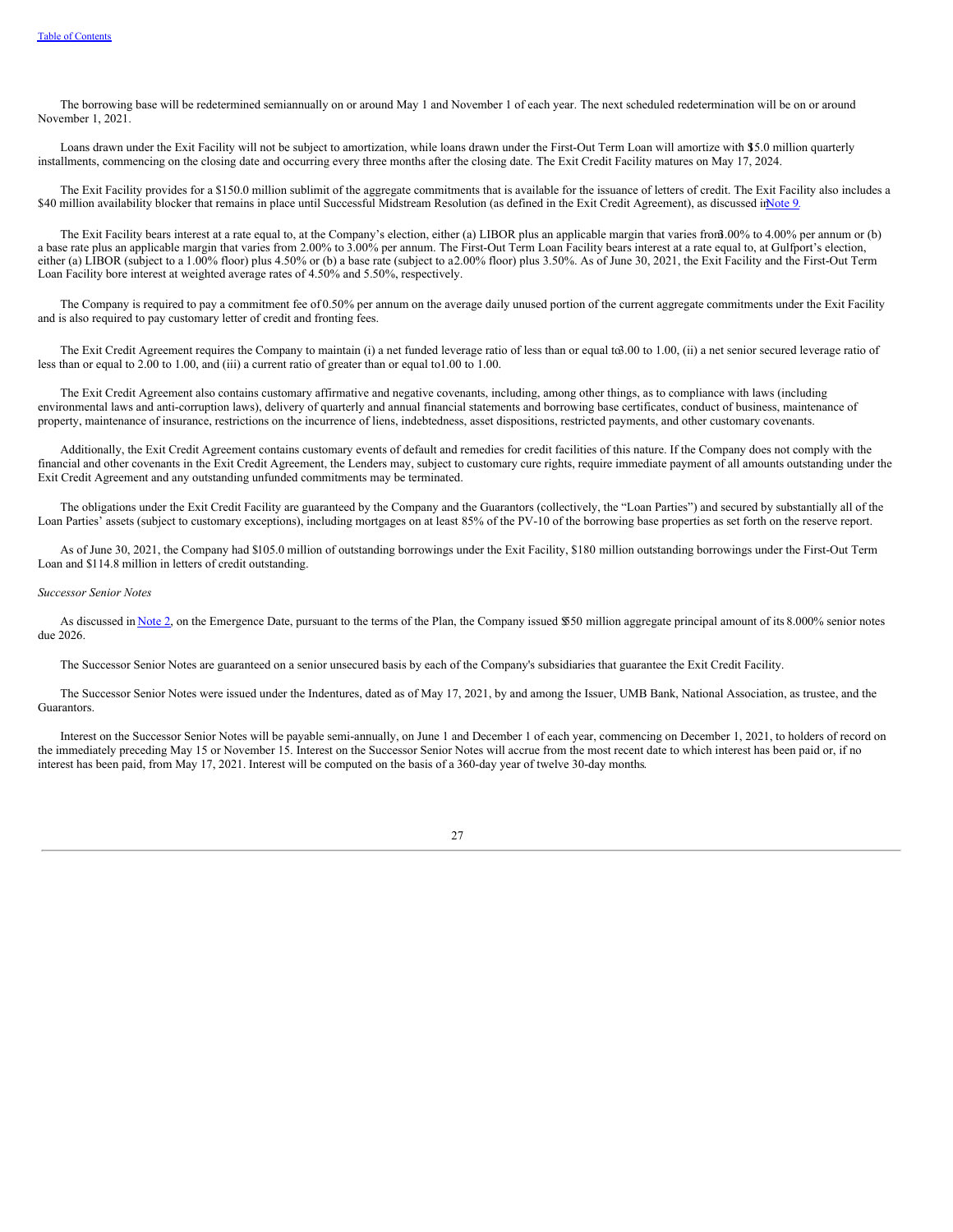The borrowing base will be redetermined semiannually on or around May 1 and November 1 of each year. The next scheduled redetermination will be on or around November 1, 2021.

Loans drawn under the Exit Facility will not be subject to amortization, while loans drawn under the First-Out Term Loan will amortize with \$15.0 million quarterly installments, commencing on the closing date and occurring every three months after the closing date. The Exit Credit Facility matures on May 17, 2024.

The Exit Facility provides for a \$150.0 million sublimit of the aggregate commitments that is available for the issuance of letters of credit. The Exit Facility also includes a \$40 million availability blocker that remains in place until Successful Midstream Resolution (as defined in the Exit Credit Agreement), as discussed i[nNote](#page-33-0) 9.

The Exit Facility bears interest at a rate equal to, at the Company's election, either (a) LIBOR plus an applicable margin that varies from3.00% to 4.00% per annum or (b) a base rate plus an applicable margin that varies from 2.00% to 3.00% per annum. The First-Out Term Loan Facility bears interest at a rate equal to, at Gulfport's election, either (a) LIBOR (subject to a 1.00% floor) plus 4.50% or (b) a base rate (subject to a2.00% floor) plus 3.50%. As of June 30, 2021, the Exit Facility and the First-Out Term Loan Facility bore interest at weighted average rates of 4.50% and 5.50%, respectively.

The Company is required to pay a commitment fee of 0.50% per annum on the average daily unused portion of the current aggregate commitments under the Exit Facility and is also required to pay customary letter of credit and fronting fees.

The Exit Credit Agreement requires the Company to maintain (i) a net funded leverage ratio of less than or equal to3.00 to 1.00, (ii) a net senior secured leverage ratio of less than or equal to 2.00 to 1.00, and (iii) a current ratio of greater than or equal to1.00 to 1.00.

The Exit Credit Agreement also contains customary affirmative and negative covenants, including, among other things, as to compliance with laws (including environmental laws and anti-corruption laws), delivery of quarterly and annual financial statements and borrowing base certificates, conduct of business, maintenance of property, maintenance of insurance, restrictions on the incurrence of liens, indebtedness, asset dispositions, restricted payments, and other customary covenants.

Additionally, the Exit Credit Agreement contains customary events of default and remedies for credit facilities of this nature. If the Company does not comply with the financial and other covenants in the Exit Credit Agreement, the Lenders may, subject to customary cure rights, require immediate payment of all amounts outstanding under the Exit Credit Agreement and any outstanding unfunded commitments may be terminated.

The obligations under the Exit Credit Facility are guaranteed by the Company and the Guarantors (collectively, the "Loan Parties") and secured by substantially all of the Loan Parties' assets (subject to customary exceptions), including mortgages on at least 85% of the PV-10 of the borrowing base properties as set forth on the reserve report.

As of June 30, 2021, the Company had \$105.0 million of outstanding borrowings under the Exit Facility, \$180 million outstanding borrowings under the First-Out Term Loan and \$114.8 million in letters of credit outstanding.

#### *Successor Senior Notes*

As discussed in [Note](#page-15-0) 2, on the Emergence Date, pursuant to the terms of the Plan, the Company issued \$50 million aggregate principal amount of its 8.000% senior notes due 2026.

The Successor Senior Notes are guaranteed on a senior unsecured basis by each of the Company's subsidiaries that guarantee the Exit Credit Facility.

The Successor Senior Notes were issued under the Indentures, dated as of May 17, 2021, by and among the Issuer, UMB Bank, National Association, as trustee, and the Guarantors.

Interest on the Successor Senior Notes will be payable semi-annually, on June 1 and December 1 of each year, commencing on December 1, 2021, to holders of record on the immediately preceding May 15 or November 15. Interest on the Successor Senior Notes will accrue from the most recent date to which interest has been paid or, if no interest has been paid, from May 17, 2021. Interest will be computed on the basis of a 360-day year of twelve 30-day months.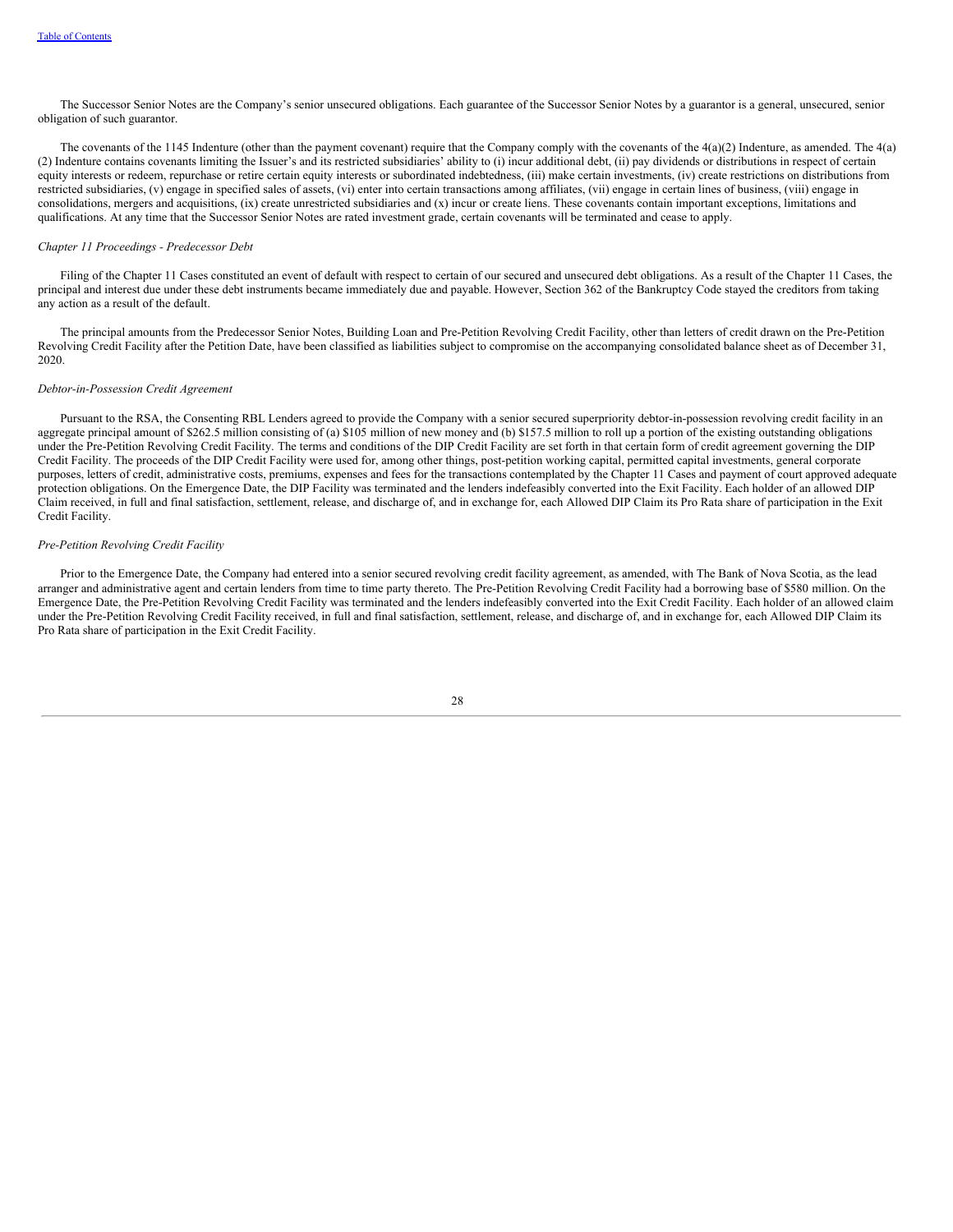The Successor Senior Notes are the Company's senior unsecured obligations. Each guarantee of the Successor Senior Notes by a guarantor is a general, unsecured, senior obligation of such guarantor.

The covenants of the 1145 Indenture (other than the payment covenant) require that the Company comply with the covenants of the 4(a)(2) Indenture, as amended. The 4(a) (2) Indenture contains covenants limiting the Issuer's and its restricted subsidiaries' ability to (i) incur additional debt, (ii) pay dividends or distributions in respect of certain equity interests or redeem, repurchase or retire certain equity interests or subordinated indebtedness, (iii) make certain investments, (iv) create restrictions on distributions from restricted subsidiaries, (v) engage in specified sales of assets, (vi) enter into certain transactions among affiliates, (vii) engage in certain lines of business, (viii) engage in consolidations, mergers and acquisitions, (ix) create unrestricted subsidiaries and (x) incur or create liens. These covenants contain important exceptions, limitations and qualifications. At any time that the Successor Senior Notes are rated investment grade, certain covenants will be terminated and cease to apply.

## *Chapter 11 Proceedings - Predecessor Debt*

Filing of the Chapter 11 Cases constituted an event of default with respect to certain of our secured and unsecured debt obligations. As a result of the Chapter 11 Cases, the principal and interest due under these debt instruments became immediately due and payable. However, Section 362 of the Bankruptcy Code stayed the creditors from taking any action as a result of the default.

The principal amounts from the Predecessor Senior Notes, Building Loan and Pre-Petition Revolving Credit Facility, other than letters of credit drawn on the Pre-Petition Revolving Credit Facility after the Petition Date, have been classified as liabilities subject to compromise on the accompanying consolidated balance sheet as of December 31, 2020.

#### *Debtor-in-Possession Credit Agreement*

Pursuant to the RSA, the Consenting RBL Lenders agreed to provide the Company with a senior secured superpriority debtor-in-possession revolving credit facility in an aggregate principal amount of \$262.5 million consisting of (a) \$105 million of new money and (b) \$157.5 million to roll up a portion of the existing outstanding obligations under the Pre-Petition Revolving Credit Facility. The terms and conditions of the DIP Credit Facility are set forth in that certain form of credit agreement governing the DIP Credit Facility. The proceeds of the DIP Credit Facility were used for, among other things, post-petition working capital, permitted capital investments, general corporate purposes, letters of credit, administrative costs, premiums, expenses and fees for the transactions contemplated by the Chapter 11 Cases and payment of court approved adequate protection obligations. On the Emergence Date, the DIP Facility was terminated and the lenders indefeasibly converted into the Exit Facility. Each holder of an allowed DIP Claim received, in full and final satisfaction, settlement, release, and discharge of, and in exchange for, each Allowed DIP Claim its Pro Rata share of participation in the Exit Credit Facility.

## *Pre-Petition Revolving Credit Facility*

Prior to the Emergence Date, the Company had entered into a senior secured revolving credit facility agreement, as amended, with The Bank of Nova Scotia, as the lead arranger and administrative agent and certain lenders from time to time party thereto. The Pre-Petition Revolving Credit Facility had a borrowing base of \$580 million. On the Emergence Date, the Pre-Petition Revolving Credit Facility was terminated and the lenders indefeasibly converted into the Exit Credit Facility. Each holder of an allowed claim under the Pre-Petition Revolving Credit Facility received, in full and final satisfaction, settlement, release, and discharge of, and in exchange for, each Allowed DIP Claim its Pro Rata share of participation in the Exit Credit Facility.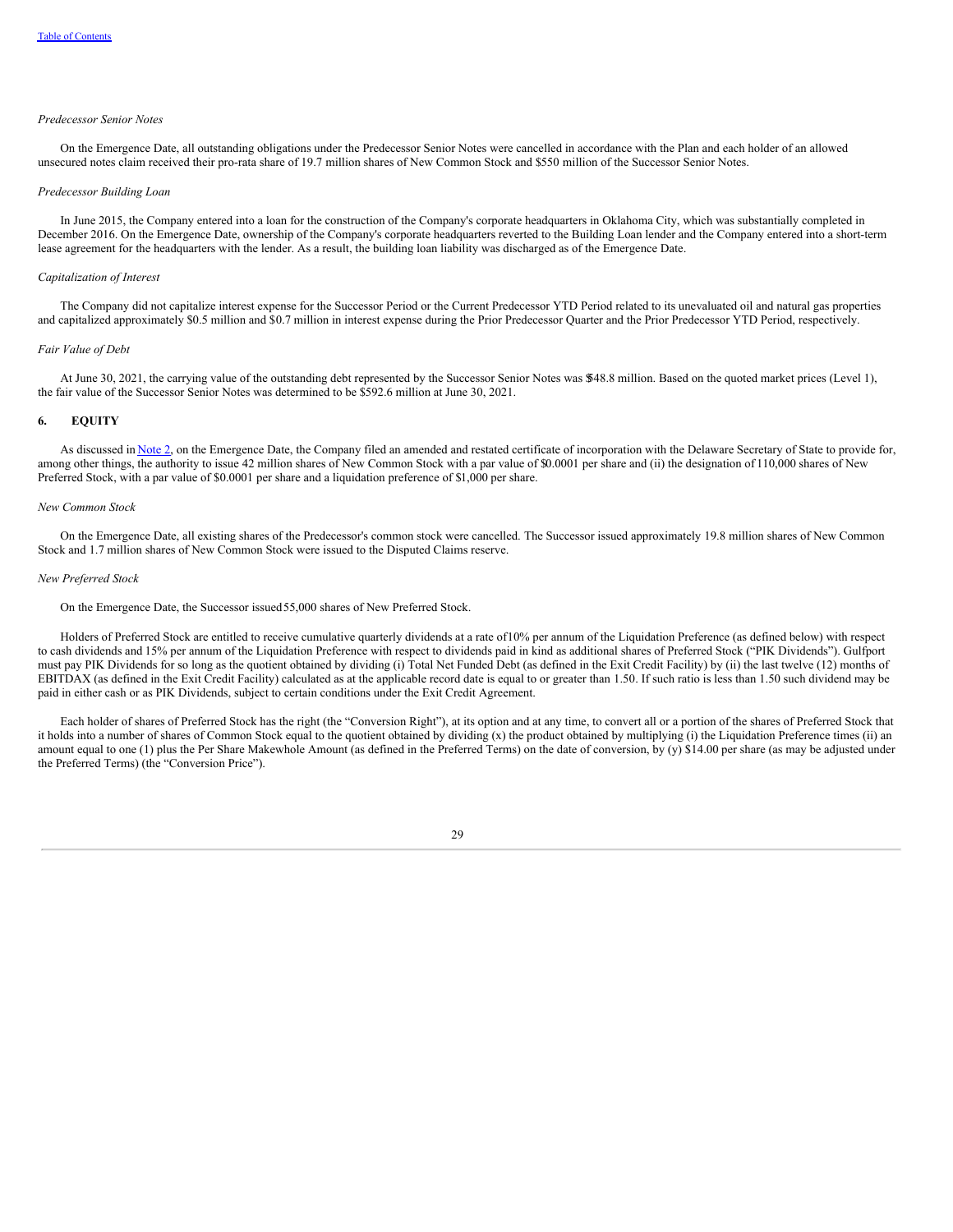### *Predecessor Senior Notes*

On the Emergence Date, all outstanding obligations under the Predecessor Senior Notes were cancelled in accordance with the Plan and each holder of an allowed unsecured notes claim received their pro-rata share of 19.7 million shares of New Common Stock and \$550 million of the Successor Senior Notes.

#### *Predecessor Building Loan*

In June 2015, the Company entered into a loan for the construction of the Company's corporate headquarters in Oklahoma City, which was substantially completed in December 2016. On the Emergence Date, ownership of the Company's corporate headquarters reverted to the Building Loan lender and the Company entered into a short-term lease agreement for the headquarters with the lender. As a result, the building loan liability was discharged as of the Emergence Date.

#### *Capitalization of Interest*

The Company did not capitalize interest expense for the Successor Period or the Current Predecessor YTD Period related to its unevaluated oil and natural gas properties and capitalized approximately \$0.5 million and \$0.7 million in interest expense during the Prior Predecessor Quarter and the Prior Predecessor YTD Period, respectively.

## *Fair Value of Debt*

At June 30, 2021, the carrying value of the outstanding debt represented by the Successor Senior Notes was \$548.8 million. Based on the quoted market prices (Level 1), the fair value of the Successor Senior Notes was determined to be \$592.6 million at June 30, 2021.

#### <span id="page-30-0"></span>**6. EQUITY**

As discussed in [Note](#page-15-0) 2, on the Emergence Date, the Company filed an amended and restated certificate of incorporation with the Delaware Secretary of State to provide for, among other things, the authority to issue 42 million shares of New Common Stock with a par value of \$0.0001 per share and (ii) the designation of 110,000 shares of New Preferred Stock, with a par value of \$0.0001 per share and a liquidation preference of \$1,000 per share.

#### *New Common Stock*

On the Emergence Date, all existing shares of the Predecessor's common stock were cancelled. The Successor issued approximately 19.8 million shares of New Common Stock and 1.7 million shares of New Common Stock were issued to the Disputed Claims reserve.

## *New Preferred Stock*

On the Emergence Date, the Successor issued55,000 shares of New Preferred Stock.

Holders of Preferred Stock are entitled to receive cumulative quarterly dividends at a rate of10% per annum of the Liquidation Preference (as defined below) with respect to cash dividends and 15% per annum of the Liquidation Preference with respect to dividends paid in kind as additional shares of Preferred Stock ("PIK Dividends"). Gulfport must pay PIK Dividends for so long as the quotient obtained by dividing (i) Total Net Funded Debt (as defined in the Exit Credit Facility) by (ii) the last twelve (12) months of EBITDAX (as defined in the Exit Credit Facility) calculated as at the applicable record date is equal to or greater than 1.50. If such ratio is less than 1.50 such dividend may be paid in either cash or as PIK Dividends, subject to certain conditions under the Exit Credit Agreement.

Each holder of shares of Preferred Stock has the right (the "Conversion Right"), at its option and at any time, to convert all or a portion of the shares of Preferred Stock that it holds into a number of shares of Common Stock equal to the quotient obtained by dividing (x) the product obtained by multiplying (i) the Liquidation Preference times (ii) an amount equal to one (1) plus the Per Share Makewhole Amount (as defined in the Preferred Terms) on the date of conversion, by (y) \$14.00 per share (as may be adjusted under the Preferred Terms) (the "Conversion Price").

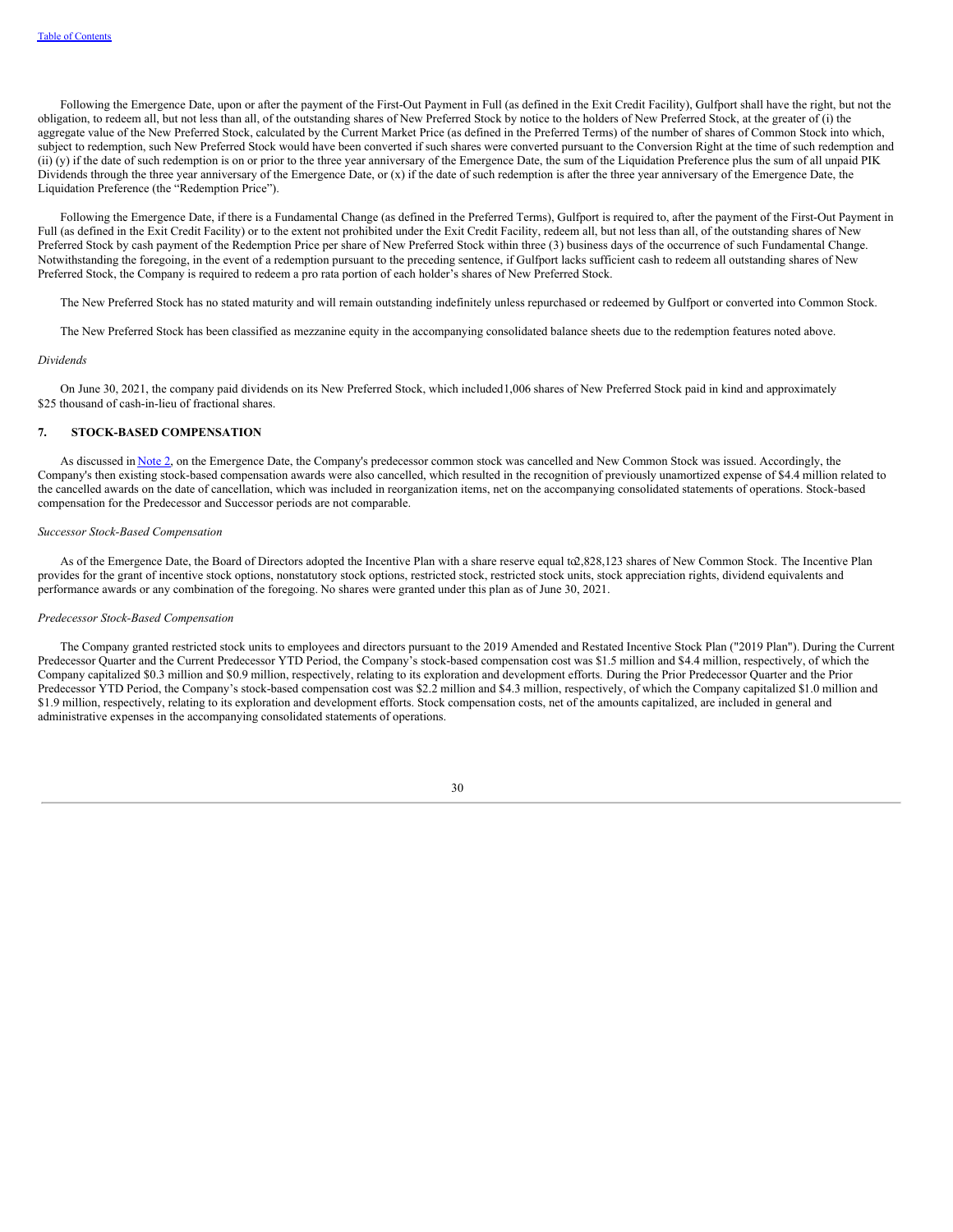Following the Emergence Date, upon or after the payment of the First-Out Payment in Full (as defined in the Exit Credit Facility), Gulfport shall have the right, but not the obligation, to redeem all, but not less than all, of the outstanding shares of New Preferred Stock by notice to the holders of New Preferred Stock, at the greater of (i) the aggregate value of the New Preferred Stock, calculated by the Current Market Price (as defined in the Preferred Terms) of the number of shares of Common Stock into which, subject to redemption, such New Preferred Stock would have been converted if such shares were converted pursuant to the Conversion Right at the time of such redemption and (ii) (y) if the date of such redemption is on or prior to the three year anniversary of the Emergence Date, the sum of the Liquidation Preference plus the sum of all unpaid PIK Dividends through the three year anniversary of the Emergence Date, or (x) if the date of such redemption is after the three year anniversary of the Emergence Date, the Liquidation Preference (the "Redemption Price").

Following the Emergence Date, if there is a Fundamental Change (as defined in the Preferred Terms), Gulfport is required to, after the payment of the First-Out Payment in Full (as defined in the Exit Credit Facility) or to the extent not prohibited under the Exit Credit Facility, redeem all, but not less than all, of the outstanding shares of New Preferred Stock by cash payment of the Redemption Price per share of New Preferred Stock within three (3) business days of the occurrence of such Fundamental Change. Notwithstanding the foregoing, in the event of a redemption pursuant to the preceding sentence, if Gulfport lacks sufficient cash to redeem all outstanding shares of New Preferred Stock, the Company is required to redeem a pro rata portion of each holder's shares of New Preferred Stock.

The New Preferred Stock has no stated maturity and will remain outstanding indefinitely unless repurchased or redeemed by Gulfport or converted into Common Stock.

The New Preferred Stock has been classified as mezzanine equity in the accompanying consolidated balance sheets due to the redemption features noted above.

#### *Dividends*

On June 30, 2021, the company paid dividends on its New Preferred Stock, which included1,006 shares of New Preferred Stock paid in kind and approximately \$25 thousand of cash-in-lieu of fractional shares.

## **7. STOCK-BASED COMPENSATION**

As discussed in [Note](#page-15-0) 2, on the Emergence Date, the Company's predecessor common stock was cancelled and New Common Stock was issued. Accordingly, the Company's then existing stock-based compensation awards were also cancelled, which resulted in the recognition of previously unamortized expense of \$4.4 million related to the cancelled awards on the date of cancellation, which was included in reorganization items, net on the accompanying consolidated statements of operations. Stock-based compensation for the Predecessor and Successor periods are not comparable.

#### *Successor Stock-Based Compensation*

As of the Emergence Date, the Board of Directors adopted the Incentive Plan with a share reserve equal to 2,828,123 shares of New Common Stock. The Incentive Plan provides for the grant of incentive stock options, nonstatutory stock options, restricted stock, restricted stock units, stock appreciation rights, dividend equivalents and performance awards or any combination of the foregoing. No shares were granted under this plan as of June 30, 2021.

### *Predecessor Stock-Based Compensation*

The Company granted restricted stock units to employees and directors pursuant to the 2019 Amended and Restated Incentive Stock Plan ("2019 Plan"). During the Current Predecessor Quarter and the Current Predecessor YTD Period, the Company's stock-based compensation cost was \$1.5 million and \$4.4 million, respectively, of which the Company capitalized \$0.3 million and \$0.9 million, respectively, relating to its exploration and development efforts. During the Prior Predecessor Quarter and the Prior Predecessor YTD Period, the Company's stock-based compensation cost was \$2.2 million and \$4.3 million, respectively, of which the Company capitalized \$1.0 million and \$1.9 million, respectively, relating to its exploration and development efforts. Stock compensation costs, net of the amounts capitalized, are included in general and administrative expenses in the accompanying consolidated statements of operations.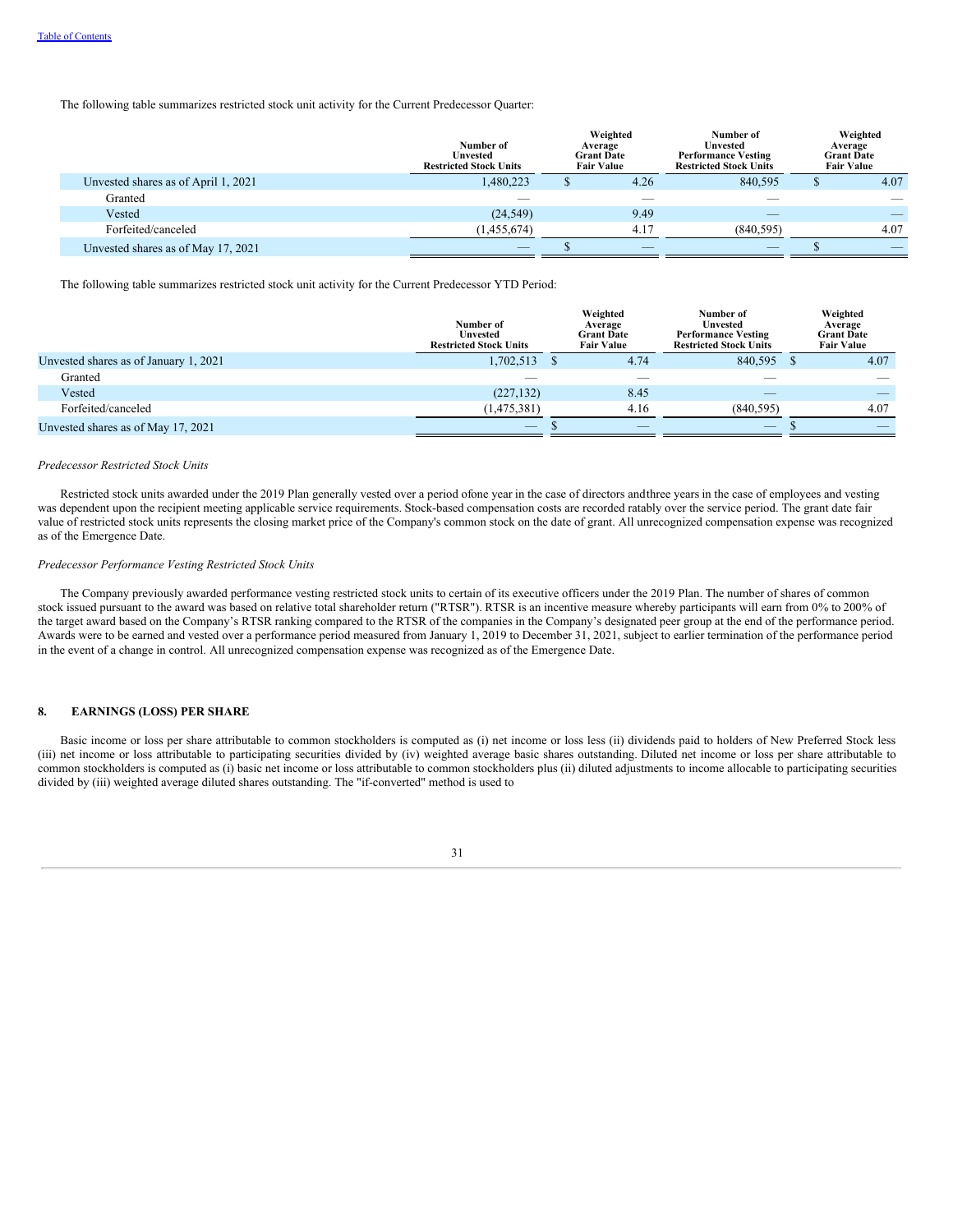The following table summarizes restricted stock unit activity for the Current Predecessor Quarter:

|                                     | Number of<br>Unvested<br><b>Restricted Stock Units</b> | Weighted<br>Average<br><b>Grant Date</b><br><b>Fair Value</b> | Number of<br>Unvested<br><b>Performance Vesting</b><br><b>Restricted Stock Units</b> |    | Weighted<br>Average<br><b>Grant Date</b><br><b>Fair Value</b> |
|-------------------------------------|--------------------------------------------------------|---------------------------------------------------------------|--------------------------------------------------------------------------------------|----|---------------------------------------------------------------|
| Unvested shares as of April 1, 2021 | 1,480,223                                              | 4.26                                                          | 840.595                                                                              | ۰D | 4.07                                                          |
| Granted                             |                                                        |                                                               |                                                                                      |    |                                                               |
| Vested                              | (24, 549)                                              | 9.49                                                          |                                                                                      |    |                                                               |
| Forfeited/canceled                  | (1.455.674)                                            | 4.17                                                          | (840, 595)                                                                           |    | 4.07                                                          |
| Unvested shares as of May 17, 2021  | $\overline{\phantom{a}}$                               | _                                                             | $\overline{\phantom{a}}$                                                             |    |                                                               |

The following table summarizes restricted stock unit activity for the Current Predecessor YTD Period:

|                                       | Number of<br>Unvested<br><b>Restricted Stock Units</b> | Weighted<br>Average<br><b>Grant Date</b><br><b>Fair Value</b> | Number of<br><b>Unvested</b><br><b>Performance Vesting</b><br><b>Restricted Stock Units</b> | Weighted<br>Average<br><b>Grant Date</b><br><b>Fair Value</b> |
|---------------------------------------|--------------------------------------------------------|---------------------------------------------------------------|---------------------------------------------------------------------------------------------|---------------------------------------------------------------|
| Unvested shares as of January 1, 2021 | 1,702,513                                              | 4.74                                                          | 840.595 \$                                                                                  | 4.07                                                          |
| Granted                               |                                                        | $\overline{\phantom{a}}$                                      | $\overline{\phantom{a}}$                                                                    |                                                               |
| Vested                                | (227, 132)                                             | 8.45                                                          |                                                                                             |                                                               |
| Forfeited/canceled                    | (1,475,381)                                            | 4.16                                                          | (840, 595)                                                                                  | 4.07                                                          |
| Unvested shares as of May 17, 2021    | $\hspace{0.1mm}-\hspace{0.1mm}$                        |                                                               | $\overline{\phantom{a}}$                                                                    |                                                               |

## *Predecessor Restricted Stock Units*

Restricted stock units awarded under the 2019 Plan generally vested over a period ofone year in the case of directors and three years in the case of employees and vesting was dependent upon the recipient meeting applicable service requirements. Stock-based compensation costs are recorded ratably over the service period. The grant date fair value of restricted stock units represents the closing market price of the Company's common stock on the date of grant. All unrecognized compensation expense was recognized as of the Emergence Date.

## *Predecessor Performance Vesting Restricted Stock Units*

The Company previously awarded performance vesting restricted stock units to certain of its executive officers under the 2019 Plan. The number of shares of common stock issued pursuant to the award was based on relative total shareholder return ("RTSR"). RTSR is an incentive measure whereby participants will earn from 0% to 200% of the target award based on the Company's RTSR ranking compared to the RTSR of the companies in the Company's designated peer group at the end of the performance period. Awards were to be earned and vested over a performance period measured from January 1, 2019 to December 31, 2021, subject to earlier termination of the performance period in the event of a change in control. All unrecognized compensation expense was recognized as of the Emergence Date.

## **8. EARNINGS (LOSS) PER SHARE**

Basic income or loss per share attributable to common stockholders is computed as (i) net income or loss less (ii) dividends paid to holders of New Preferred Stock less (iii) net income or loss attributable to participating securities divided by (iv) weighted average basic shares outstanding. Diluted net income or loss per share attributable to common stockholders is computed as (i) basic net income or loss attributable to common stockholders plus (ii) diluted adjustments to income allocable to participating securities divided by (iii) weighted average diluted shares outstanding. The "if-converted" method is used to

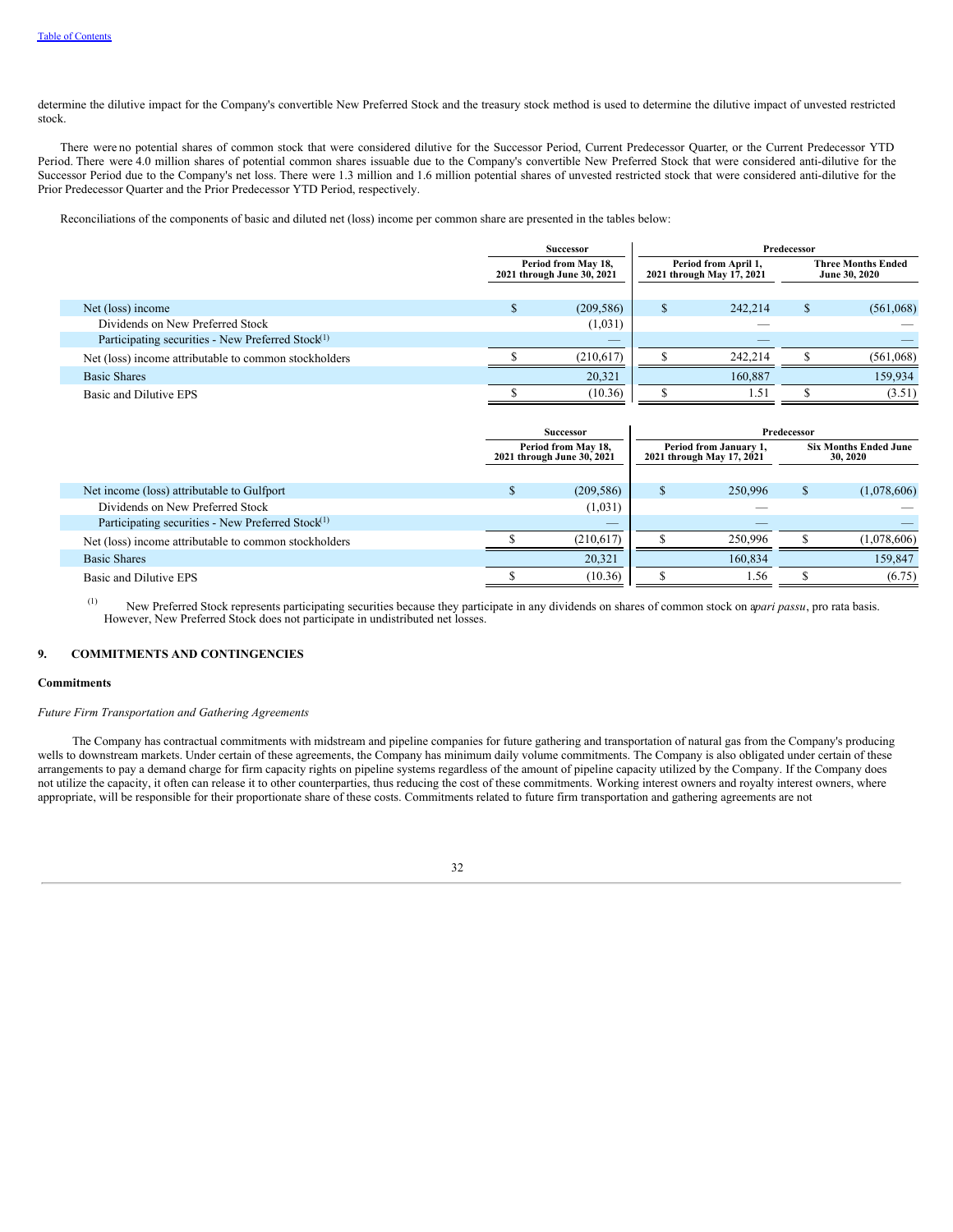determine the dilutive impact for the Company's convertible New Preferred Stock and the treasury stock method is used to determine the dilutive impact of unvested restricted stock.

There were no potential shares of common stock that were considered dilutive for the Successor Period, Current Predecessor Quarter, or the Current Predecessor YTD Period. There were 4.0 million shares of potential common shares issuable due to the Company's convertible New Preferred Stock that were considered anti-dilutive for the Successor Period due to the Company's net loss. There were 1.3 million and 1.6 million potential shares of unvested restricted stock that were considered anti-dilutive for the Prior Predecessor Quarter and the Prior Predecessor YTD Period, respectively.

Reconciliations of the components of basic and diluted net (loss) income per common share are presented in the tables below:

|                                                               | <b>Successor</b>                                  |            | Predecessor                                       |           |                                            |           |
|---------------------------------------------------------------|---------------------------------------------------|------------|---------------------------------------------------|-----------|--------------------------------------------|-----------|
|                                                               | Period from May 18,<br>2021 through June 30, 2021 |            | Period from April 1,<br>2021 through May 17, 2021 |           | <b>Three Months Ended</b><br>June 30, 2020 |           |
| Net (loss) income                                             | ٠D                                                | (209, 586) | \$                                                | 242,214   |                                            | (561,068) |
| Dividends on New Preferred Stock                              |                                                   | (1,031)    |                                                   |           |                                            |           |
| Participating securities - New Preferred Stock <sup>(1)</sup> |                                                   | $-$        |                                                   |           |                                            |           |
| Net (loss) income attributable to common stockholders         |                                                   | (210,617)  |                                                   | 242,214   |                                            | (561,068) |
| <b>Basic Shares</b>                                           |                                                   | 20,321     |                                                   | 160,887   |                                            | 159,934   |
| Basic and Dilutive EPS                                        |                                                   | (10.36)    |                                                   | $1.5^{1}$ |                                            | (3.51)    |

|                                                               |                                                   | <b>Successor</b>         | Predecessor                                         |         |   |                                          |  |
|---------------------------------------------------------------|---------------------------------------------------|--------------------------|-----------------------------------------------------|---------|---|------------------------------------------|--|
|                                                               | Period from May 18,<br>2021 through June 30, 2021 |                          | Period from January 1,<br>2021 through May 17, 2021 |         |   | <b>Six Months Ended June</b><br>30, 2020 |  |
|                                                               |                                                   |                          |                                                     |         |   |                                          |  |
| Net income (loss) attributable to Gulfport                    |                                                   | (209, 586)               | <b>J</b>                                            | 250,996 | ъ | (1,078,606)                              |  |
| Dividends on New Preferred Stock                              |                                                   | (1,031)                  |                                                     |         |   |                                          |  |
| Participating securities - New Preferred Stock <sup>(1)</sup> |                                                   | $\overline{\phantom{a}}$ |                                                     |         |   |                                          |  |
| Net (loss) income attributable to common stockholders         |                                                   | (210,617)                |                                                     | 250,996 |   | (1,078,606)                              |  |
| <b>Basic Shares</b>                                           |                                                   | 20,321                   |                                                     | 160,834 |   | 159,847                                  |  |
| Basic and Dilutive EPS                                        |                                                   | (10.36)                  |                                                     | 1.56    |   | (6.75)                                   |  |

New Preferred Stock represents participating securities because they participate in any dividends on shares of common stock on a*pari passu*, pro rata basis. However, New Preferred Stock does not participate in undistributed net losses. (1)

## <span id="page-33-0"></span>**9. COMMITMENTS AND CONTINGENCIES**

## **Commitments**

*Future Firm Transportation and Gathering Agreements*

The Company has contractual commitments with midstream and pipeline companies for future gathering and transportation of natural gas from the Company's producing wells to downstream markets. Under certain of these agreements, the Company has minimum daily volume commitments. The Company is also obligated under certain of these arrangements to pay a demand charge for firm capacity rights on pipeline systems regardless of the amount of pipeline capacity utilized by the Company. If the Company does not utilize the capacity, it often can release it to other counterparties, thus reducing the cost of these commitments. Working interest owners and royalty interest owners, where appropriate, will be responsible for their proportionate share of these costs. Commitments related to future firm transportation and gathering agreements are not

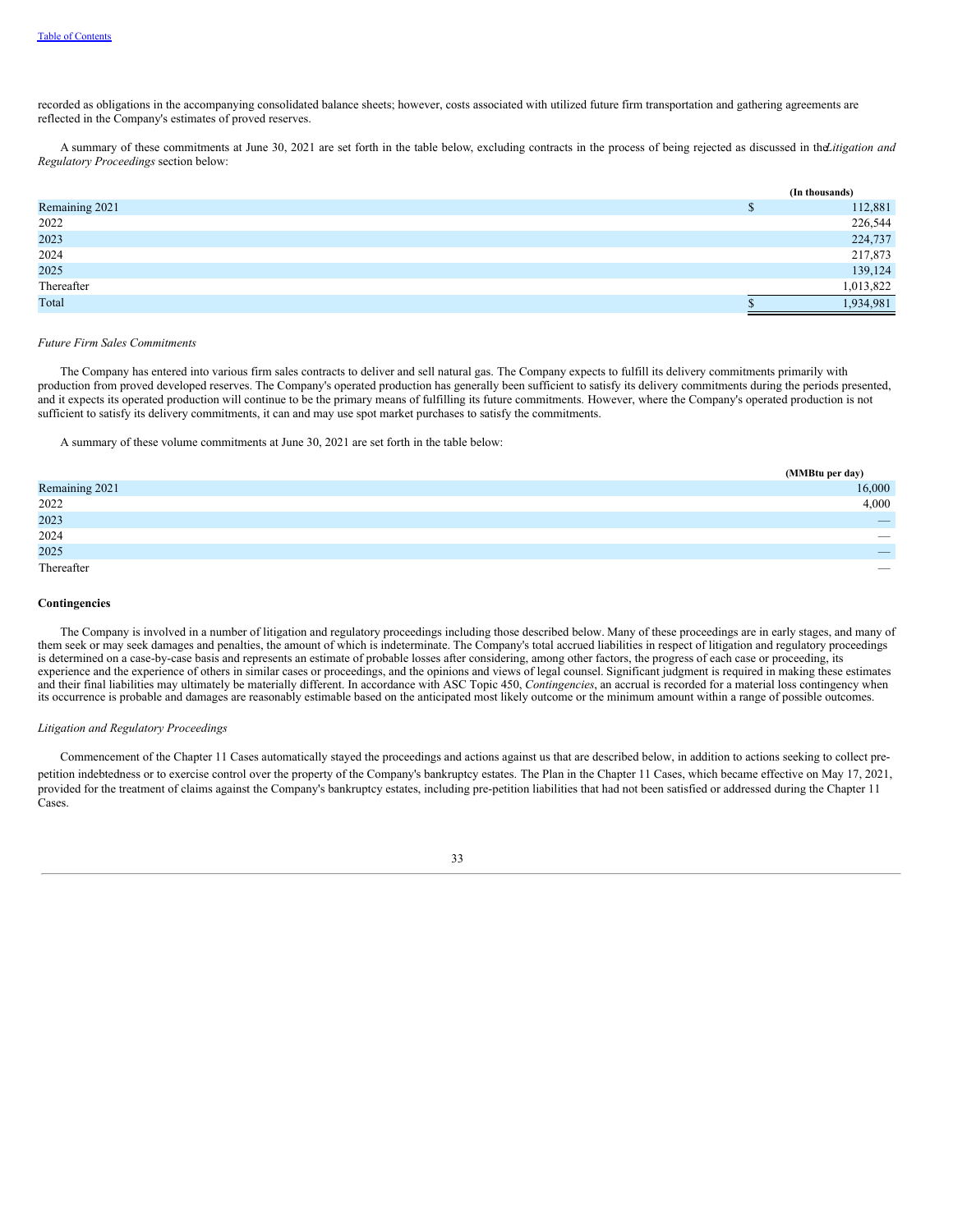recorded as obligations in the accompanying consolidated balance sheets; however, costs associated with utilized future firm transportation and gathering agreements are reflected in the Company's estimates of proved reserves.

A summary of these commitments at June 30, 2021 are set forth in the table below, excluding contracts in the process of being rejected as discussed in the*Litigation and Regulatory Proceedings* section below:

|                | (In thousands) |
|----------------|----------------|
| Remaining 2021 | 112,881        |
| 2022           | 226,544        |
| 2023           | 224,737        |
| 2024           | 217,873        |
| 2025           | 139,124        |
| Thereafter     | 1,013,822      |
| Total          | 1,934,981      |
|                |                |

## *Future Firm Sales Commitments*

The Company has entered into various firm sales contracts to deliver and sell natural gas. The Company expects to fulfill its delivery commitments primarily with production from proved developed reserves. The Company's operated production has generally been sufficient to satisfy its delivery commitments during the periods presented, and it expects its operated production will continue to be the primary means of fulfilling its future commitments. However, where the Company's operated production is not sufficient to satisfy its delivery commitments, it can and may use spot market purchases to satisfy the commitments.

A summary of these volume commitments at June 30, 2021 are set forth in the table below:

|                | (MMBtu per day)                 |
|----------------|---------------------------------|
| Remaining 2021 | 16,000                          |
| 2022           | 4,000                           |
| 2023           | $\overline{\phantom{a}}$        |
| 2024           | $\overline{\phantom{a}}$        |
| 2025           | $\hspace{0.1mm}-\hspace{0.1mm}$ |
| Thereafter     | $\hspace{0.1mm}-\hspace{0.1mm}$ |

#### **Contingencies**

The Company is involved in a number of litigation and regulatory proceedings including those described below. Many of these proceedings are in early stages, and many of them seek or may seek damages and penalties, the amount of which is indeterminate. The Company's total accrued liabilities in respect of litigation and regulatory proceedings is determined on a case-by-case basis and represents an estimate of probable losses after considering, among other factors, the progress of each case or proceeding, its experience and the experience of others in similar cases or proceedings, and the opinions and views of legal counsel. Significant judgment is required in making these estimates and their final liabilities may ultimately be materially different. In accordance with ASC Topic 450, *Contingencies*, an accrual is recorded for a material loss contingency when its occurrence is probable and damages are reasonably estimable based on the anticipated most likely outcome or the minimum amount within a range of possible outcomes.

#### *Litigation and Regulatory Proceedings*

Commencement of the Chapter 11 Cases automatically stayed the proceedings and actions against us that are described below, in addition to actions seeking to collect prepetition indebtedness or to exercise control over the property of the Company's bankruptcy estates. The Plan in the Chapter 11 Cases, which became effective on May 17, 2021, provided for the treatment of claims against the Company's bankruptcy estates, including pre-petition liabilities that had not been satisfied or addressed during the Chapter 11 Cases.

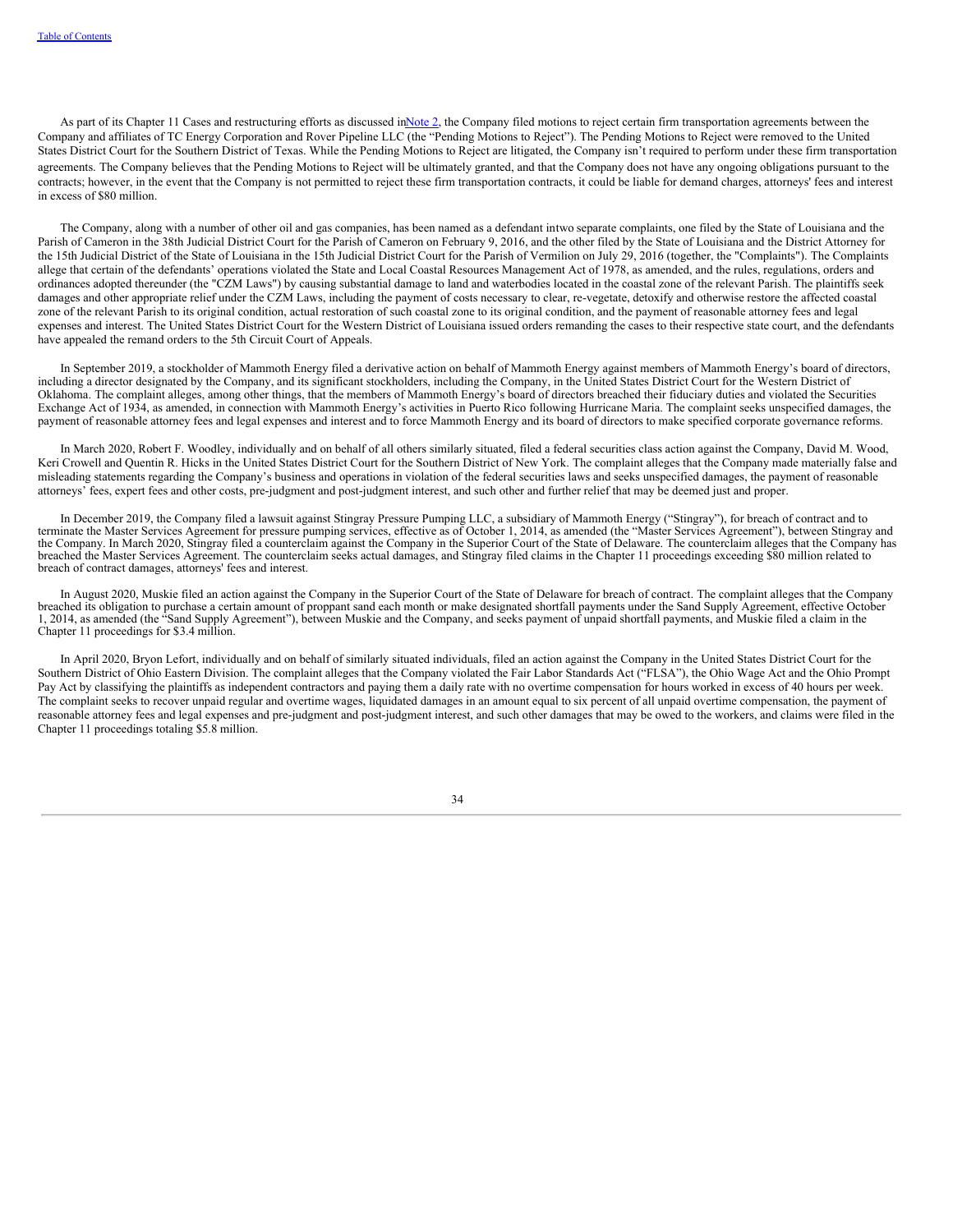As part of its Chapter 11 Cases and restructuring efforts as discussed i[nNote](#page-15-0) 2, the Company filed motions to reject certain firm transportation agreements between the Company and affiliates of TC Energy Corporation and Rover Pipeline LLC (the "Pending Motions to Reject"). The Pending Motions to Reject were removed to the United States District Court for the Southern District of Texas. While the Pending Motions to Reject are litigated, the Company isn't required to perform under these firm transportation agreements. The Company believes that the Pending Motions to Reject will be ultimately granted, and that the Company does not have any ongoing obligations pursuant to the contracts; however, in the event that the Company is not permitted to reject these firm transportation contracts, it could be liable for demand charges, attorneys' fees and interest in excess of \$80 million.

The Company, along with a number of other oil and gas companies, has been named as a defendant intwo separate complaints, one filed by the State of Louisiana and the Parish of Cameron in the 38th Judicial District Court for the Parish of Cameron on February 9, 2016, and the other filed by the State of Louisiana and the District Attorney for the 15th Judicial District of the State of Louisiana in the 15th Judicial District Court for the Parish of Vermilion on July 29, 2016 (together, the "Complaints"). The Complaints allege that certain of the defendants' operations violated the State and Local Coastal Resources Management Act of 1978, as amended, and the rules, regulations, orders and ordinances adopted thereunder (the "CZM Laws") by causing substantial damage to land and waterbodies located in the coastal zone of the relevant Parish. The plaintiffs seek damages and other appropriate relief under the CZM Laws, including the payment of costs necessary to clear, re-vegetate, detoxify and otherwise restore the affected coastal zone of the relevant Parish to its original condition, actual restoration of such coastal zone to its original condition, and the payment of reasonable attorney fees and legal expenses and interest. The United States District Court for the Western District of Louisiana issued orders remanding the cases to their respective state court, and the defendants have appealed the remand orders to the 5th Circuit Court of Appeals.

In September 2019, a stockholder of Mammoth Energy filed a derivative action on behalf of Mammoth Energy against members of Mammoth Energy's board of directors, including a director designated by the Company, and its significant stockholders, including the Company, in the United States District Court for the Western District of Oklahoma. The complaint alleges, among other things, that the members of Mammoth Energy's board of directors breached their fiduciary duties and violated the Securities Exchange Act of 1934, as amended, in connection with Mammoth Energy's activities in Puerto Rico following Hurricane Maria. The complaint seeks unspecified damages, the payment of reasonable attorney fees and legal expenses and interest and to force Mammoth Energy and its board of directors to make specified corporate governance reforms.

In March 2020, Robert F. Woodley, individually and on behalf of all others similarly situated, filed a federal securities class action against the Company, David M. Wood, Keri Crowell and Quentin R. Hicks in the United States District Court for the Southern District of New York. The complaint alleges that the Company made materially false and misleading statements regarding the Company's business and operations in violation of the federal securities laws and seeks unspecified damages, the payment of reasonable attorneys' fees, expert fees and other costs, pre-judgment and post-judgment interest, and such other and further relief that may be deemed just and proper.

In December 2019, the Company filed a lawsuit against Stingray Pressure Pumping LLC, a subsidiary of Mammoth Energy ("Stingray"), for breach of contract and to terminate the Master Services Agreement for pressure pumping services, effective as of October 1, 2014, as amended (the "Master Services Agreement"), between Stingray and the Company. In March 2020, Stingray filed a counterclaim against the Company in the Superior Court of the State of Delaware. The counterclaim alleges that the Company has the Company has breached the Master Services Agreement. The counterclaim seeks actual damages, and Stingray filed claims in the Chapter 11 proceedings exceeding \$80 million related to breach of contract damages, attorneys' fees and interest.

In August 2020, Muskie filed an action against the Company in the Superior Court of the State of Delaware for breach of contract. The complaint alleges that the Company breached its obligation to purchase a certain amount of proppant sand each month or make designated shortfall payments under the Sand Supply Agreement, effective October 1, 2014, as amended (the "Sand Supply Agreement"), between Muskie and the Company, and seeks payment of unpaid shortfall payments, and Muskie filed a claim in the Chapter 11 proceedings for \$3.4 million.

In April 2020, Bryon Lefort, individually and on behalf of similarly situated individuals, filed an action against the Company in the United States District Court for the Southern District of Ohio Eastern Division. The complaint alleges that the Company violated the Fair Labor Standards Act ("FLSA"), the Ohio Wage Act and the Ohio Prompt Pay Act by classifying the plaintiffs as independent contractors and paying them a daily rate with no overtime compensation for hours worked in excess of 40 hours per week. The complaint seeks to recover unpaid regular and overtime wages, liquidated damages in an amount equal to six percent of all unpaid overtime compensation, the payment of reasonable attorney fees and legal expenses and pre-judgment and post-judgment interest, and such other damages that may be owed to the workers, and claims were filed in the Chapter 11 proceedings totaling \$5.8 million.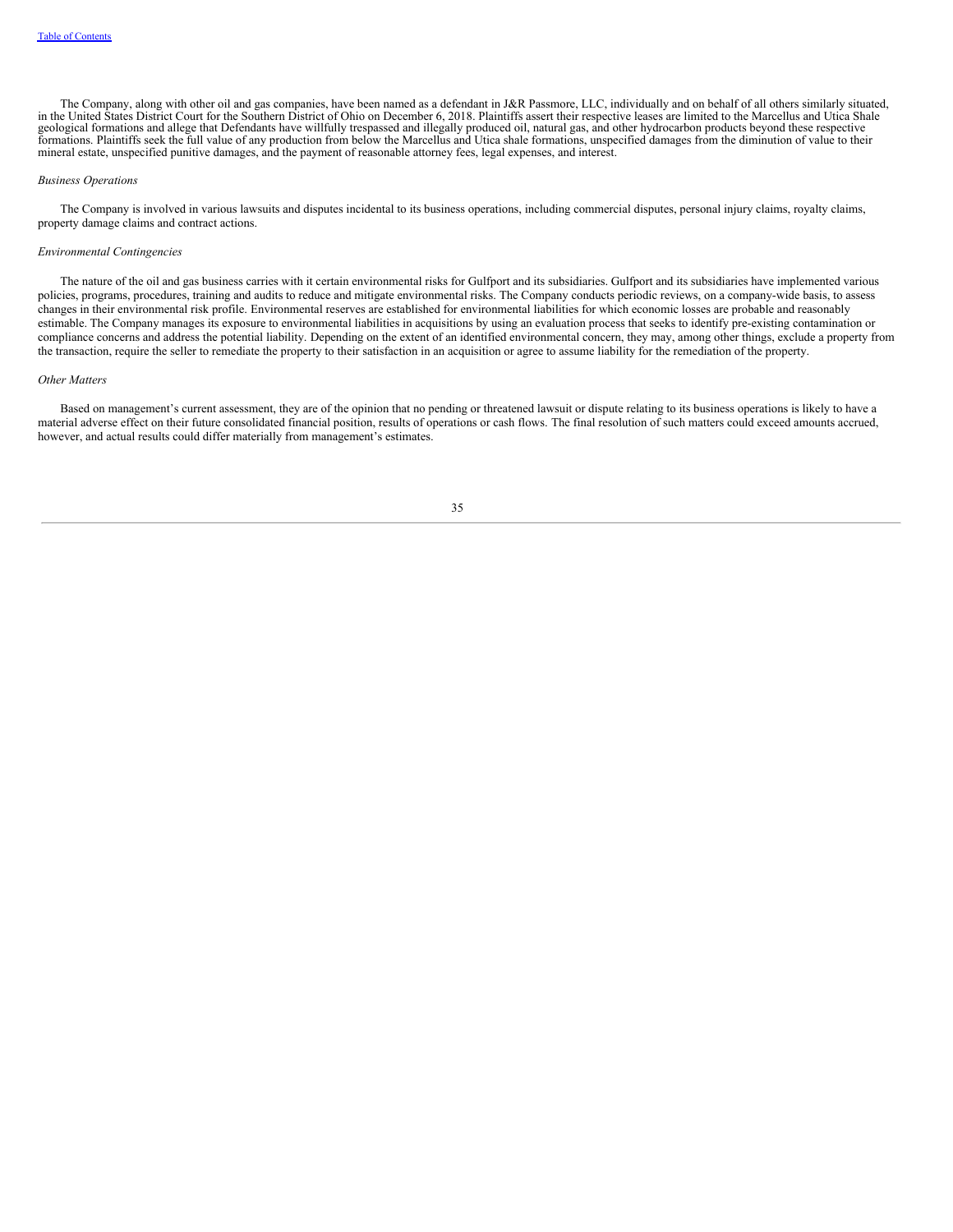The Company, along with other oil and gas companies, have been named as a defendant in J&R Passmore, LLC, individually and on behalf of all others similarly situated, in the United States District Court for the Southern District of Ohio on December 6, 2018. Plaintiffs assert their respective leases are limited to the Marcellus and Utica Shale geological formations and allege that Defendants have willfully trespassed and illegally produced oil, natural gas, and other hydrocarbon products beyond these respective formations. Plaintiffs seek the full value of any production from below the Marcellus and Utica shale formations, unspecified damages from the diminution of value to their mineral estate, unspecified punitive damages, and

### *Business Operations*

The Company is involved in various lawsuits and disputes incidental to its business operations, including commercial disputes, personal injury claims, royalty claims, property damage claims and contract actions.

#### *Environmental Contingencies*

The nature of the oil and gas business carries with it certain environmental risks for Gulfport and its subsidiaries. Gulfport and its subsidiaries have implemented various policies, programs, procedures, training and audits to reduce and mitigate environmental risks. The Company conducts periodic reviews, on a company-wide basis, to assess changes in their environmental risk profile. Environmental reserves are established for environmental liabilities for which economic losses are probable and reasonably estimable. The Company manages its exposure to environmental liabilities in acquisitions by using an evaluation process that seeks to identify pre-existing contamination or compliance concerns and address the potential liability. Depending on the extent of an identified environmental concern, they may, among other things, exclude a property from the transaction, require the seller to remediate the property to their satisfaction in an acquisition or agree to assume liability for the remediation of the property.

#### *Other Matters*

<span id="page-36-0"></span>Based on management's current assessment, they are of the opinion that no pending or threatened lawsuit or dispute relating to its business operations is likely to have a material adverse effect on their future consolidated financial position, results of operations or cash flows. The final resolution of such matters could exceed amounts accrued, however, and actual results could differ materially from management's estimates.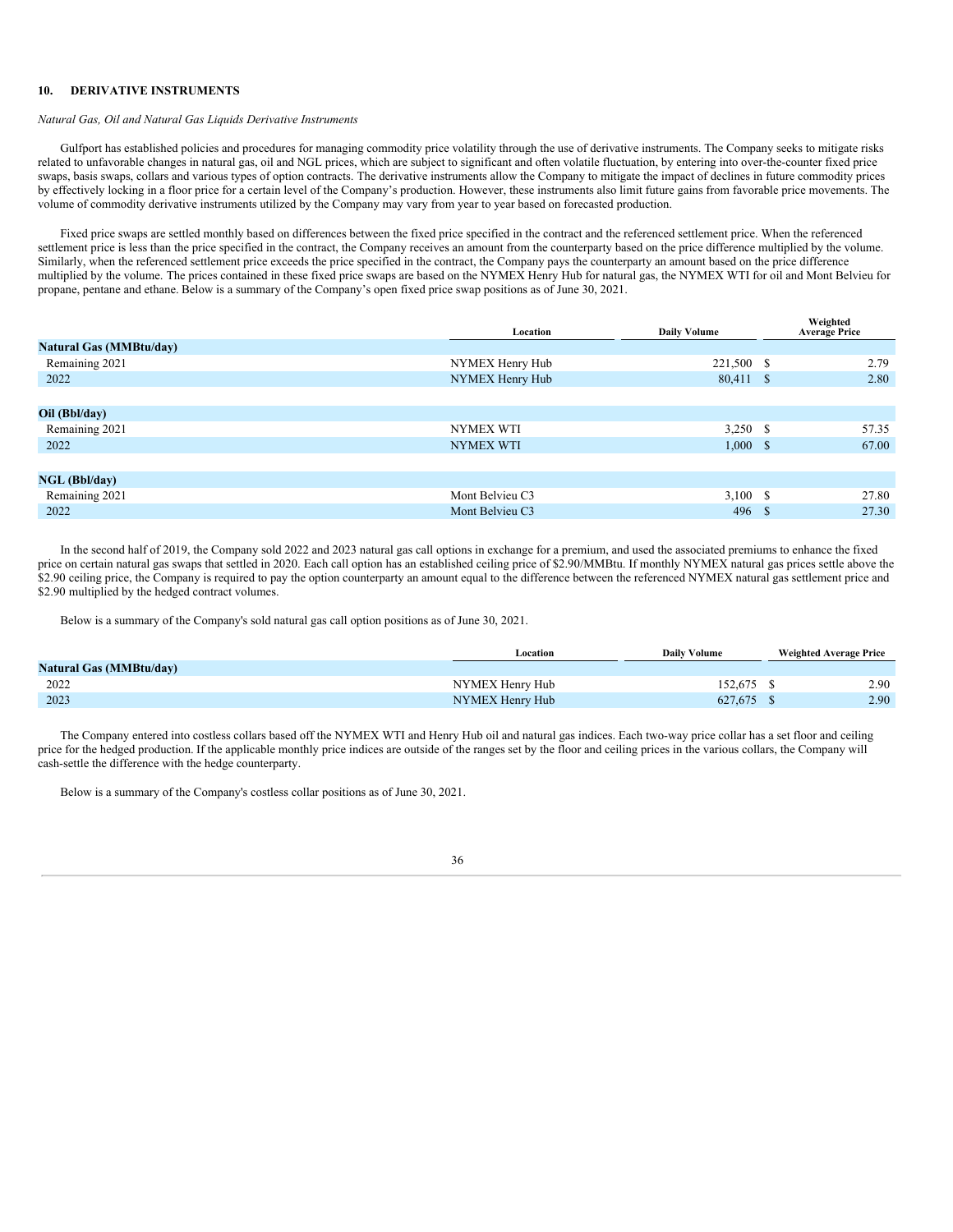## **10. DERIVATIVE INSTRUMENTS**

### *Natural Gas, Oil and Natural Gas Liquids Derivative Instruments*

Gulfport has established policies and procedures for managing commodity price volatility through the use of derivative instruments. The Company seeks to mitigate risks related to unfavorable changes in natural gas, oil and NGL prices, which are subject to significant and often volatile fluctuation, by entering into over-the-counter fixed price swaps, basis swaps, collars and various types of option contracts. The derivative instruments allow the Company to mitigate the impact of declines in future commodity prices by effectively locking in a floor price for a certain level of the Company's production. However, these instruments also limit future gains from favorable price movements. The volume of commodity derivative instruments utilized by the Company may vary from year to year based on forecasted production.

Fixed price swaps are settled monthly based on differences between the fixed price specified in the contract and the referenced settlement price. When the referenced settlement price is less than the price specified in the contract, the Company receives an amount from the counterparty based on the price difference multiplied by the volume. Similarly, when the referenced settlement price exceeds the price specified in the contract, the Company pays the counterparty an amount based on the price difference multiplied by the volume. The prices contained in these fixed price swaps are based on the NYMEX Henry Hub for natural gas, the NYMEX WTI for oil and Mont Belvieu for propane, pentane and ethane. Below is a summary of the Company's open fixed price swap positions as of June 30, 2021.

|                                | Location                    | <b>Daily Volume</b> | Weighted<br>Average Price |
|--------------------------------|-----------------------------|---------------------|---------------------------|
| <b>Natural Gas (MMBtu/day)</b> |                             |                     |                           |
| Remaining 2021                 | NYMEX Henry Hub             | 221,500 \$          | 2.79                      |
| 2022                           | NYMEX Henry Hub             | 80,411 \$           | 2.80                      |
|                                |                             |                     |                           |
| Oil (Bbl/day)                  |                             |                     |                           |
| Remaining 2021                 | <b>NYMEX WTI</b>            | $3,250$ \$          | 57.35                     |
| 2022                           | <b>NYMEX WTI</b>            | $1,000 \quad$ \$    | 67.00                     |
|                                |                             |                     |                           |
| <b>NGL</b> (Bbl/day)           |                             |                     |                           |
| Remaining 2021                 | Mont Belvieu C3             | 3,100S              | 27.80                     |
| 2022                           | Mont Belvieu C <sub>3</sub> | 496                 | 27.30                     |

In the second half of 2019, the Company sold 2022 and 2023 natural gas call options in exchange for a premium, and used the associated premiums to enhance the fixed price on certain natural gas swaps that settled in 2020. Each call option has an established ceiling price of \$2.90/MMBtu. If monthly NYMEX natural gas prices settle above the \$2.90 ceiling price, the Company is required to pay the option counterparty an amount equal to the difference between the referenced NYMEX natural gas settlement price and \$2.90 multiplied by the hedged contract volumes.

Below is a summary of the Company's sold natural gas call option positions as of June 30, 2021.

|                                | Location        | <b>Daily Volume</b> | <b>Weighted Average Price</b> |  |  |
|--------------------------------|-----------------|---------------------|-------------------------------|--|--|
| <b>Natural Gas (MMBtu/day)</b> |                 |                     |                               |  |  |
| 2022                           | NYMEX Henry Hub | 152.675             | 2.90                          |  |  |
| 2023                           | NYMEX Henry Hub | 627.675             | 2.90                          |  |  |

The Company entered into costless collars based off the NYMEX WTI and Henry Hub oil and natural gas indices. Each two-way price collar has a set floor and ceiling price for the hedged production. If the applicable monthly price indices are outside of the ranges set by the floor and ceiling prices in the various collars, the Company will cash-settle the difference with the hedge counterparty.

Below is a summary of the Company's costless collar positions as of June 30, 2021.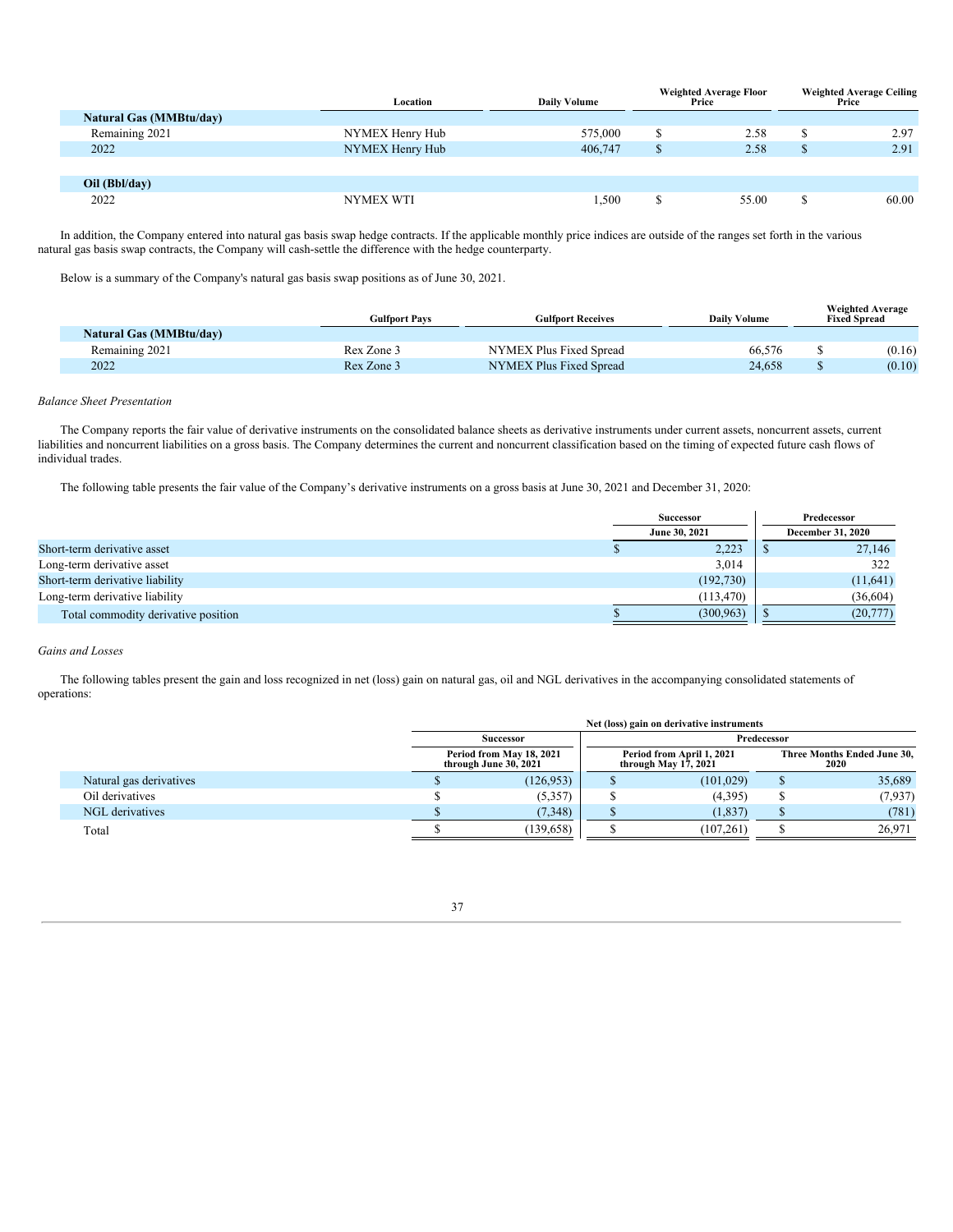|                                | Location         | <b>Daily Volume</b> |   | <b>Weighted Average Floor</b><br>Price | <b>Weighted Average Ceiling</b><br>Price |       |  |
|--------------------------------|------------------|---------------------|---|----------------------------------------|------------------------------------------|-------|--|
| <b>Natural Gas (MMBtu/day)</b> |                  |                     |   |                                        |                                          |       |  |
| Remaining 2021                 | NYMEX Henry Hub  | 575,000             |   | 2.58                                   |                                          | 2.97  |  |
| 2022                           | NYMEX Henry Hub  | 406,747             | Ф | 2.58                                   | ď<br>D                                   | 2.91  |  |
|                                |                  |                     |   |                                        |                                          |       |  |
| Oil (Bbl/day)                  |                  |                     |   |                                        |                                          |       |  |
| 2022                           | <b>NYMEX WTI</b> | .500                |   | 55.00                                  |                                          | 60.00 |  |

In addition, the Company entered into natural gas basis swap hedge contracts. If the applicable monthly price indices are outside of the ranges set forth in the various natural gas basis swap contracts, the Company will cash-settle the difference with the hedge counterparty.

Below is a summary of the Company's natural gas basis swap positions as of June 30, 2021.

|                                | <b>Gulfport Pavs</b><br><b>Gulfport Receives</b> |                         | <b>Daily Volume</b> | <b>Weighted Average</b><br><b>Fixed Spread</b> |        |  |
|--------------------------------|--------------------------------------------------|-------------------------|---------------------|------------------------------------------------|--------|--|
| <b>Natural Gas (MMBtu/day)</b> |                                                  |                         |                     |                                                |        |  |
| Remaining 2021                 | Rex Zone 3                                       | NYMEX Plus Fixed Spread | 66.576              |                                                | (0.16) |  |
| 2022                           | Rex Zone 3                                       | NYMEX Plus Fixed Spread | 24,658              |                                                | (0.10) |  |

### *Balance Sheet Presentation*

The Company reports the fair value of derivative instruments on the consolidated balance sheets as derivative instruments under current assets, noncurrent assets, current liabilities and noncurrent liabilities on a gross basis. The Company determines the current and noncurrent classification based on the timing of expected future cash flows of individual trades.

The following table presents the fair value of the Company's derivative instruments on a gross basis at June 30, 2021 and December 31, 2020:

|                                     | <b>Successor</b> | Predecessor |                          |  |
|-------------------------------------|------------------|-------------|--------------------------|--|
|                                     | June 30, 2021    |             | <b>December 31, 2020</b> |  |
| Short-term derivative asset         | 2,223            |             | 27,146                   |  |
| Long-term derivative asset          | 3.014            |             | 322                      |  |
| Short-term derivative liability     | (192, 730)       |             | (11,641)                 |  |
| Long-term derivative liability      | (113, 470)       |             | (36,604)                 |  |
| Total commodity derivative position | (300, 963)       |             | (20,777)                 |  |

## *Gains and Losses*

The following tables present the gain and loss recognized in net (loss) gain on natural gas, oil and NGL derivatives in the accompanying consolidated statements of operations:

|                         | Net (loss) gain on derivative instruments |                                                   |  |                                                   |                                     |          |  |  |  |
|-------------------------|-------------------------------------------|---------------------------------------------------|--|---------------------------------------------------|-------------------------------------|----------|--|--|--|
|                         |                                           | <b>Successor</b>                                  |  |                                                   | Predecessor                         |          |  |  |  |
|                         |                                           | Period from May 18, 2021<br>through June 30, 2021 |  | Period from April 1, 2021<br>through May 17, 2021 | Three Months Ended June 30,<br>2020 |          |  |  |  |
| Natural gas derivatives |                                           | (126, 953)                                        |  | (101, 029)                                        |                                     | 35,689   |  |  |  |
| Oil derivatives         |                                           | (5,357)                                           |  | (4,395)                                           |                                     | (7, 937) |  |  |  |
| NGL derivatives         |                                           | (7, 348)                                          |  | (1, 837)                                          |                                     | (781)    |  |  |  |
| Total                   |                                           | (139, 658)                                        |  | (107.261)                                         |                                     | 26.971   |  |  |  |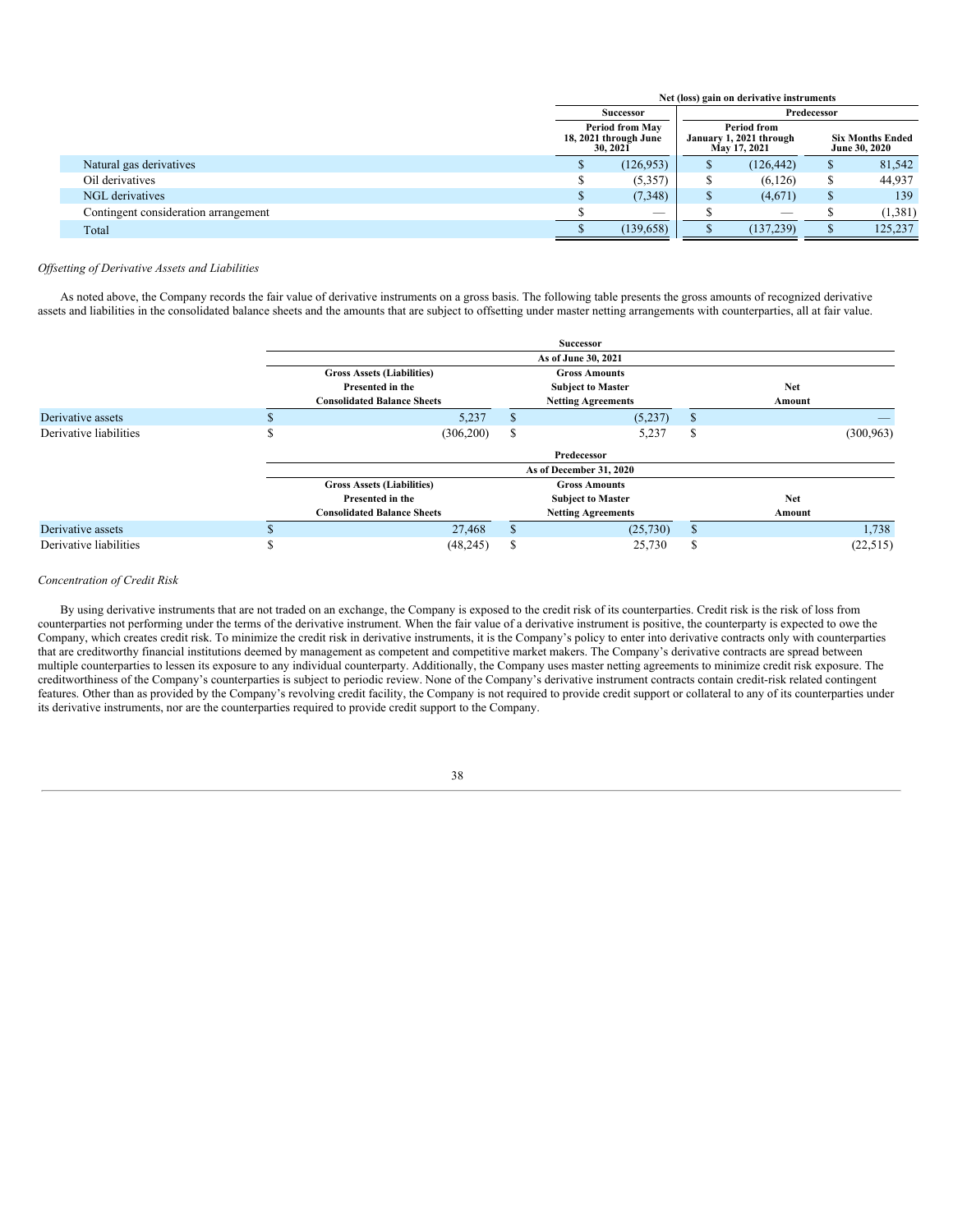|                                      | Net (loss) gain on derivative instruments            |    |                                                        |                                          |         |  |  |
|--------------------------------------|------------------------------------------------------|----|--------------------------------------------------------|------------------------------------------|---------|--|--|
|                                      | Successor                                            |    |                                                        | Predecessor                              |         |  |  |
|                                      | Period from May<br>18, 2021 through June<br>30, 2021 |    | Period from<br>January 1, 2021 through<br>May 17, 2021 | <b>Six Months Ended</b><br>June 30, 2020 |         |  |  |
| Natural gas derivatives              | (126, 953)                                           |    | (126, 442)                                             |                                          | 81,542  |  |  |
| Oil derivatives                      | (5.357)                                              |    | (6,126)                                                |                                          | 44,937  |  |  |
| NGL derivatives                      | (7,348)                                              | ۰D | (4,671)                                                |                                          | 139     |  |  |
| Contingent consideration arrangement | $\hspace{0.1mm}-\hspace{0.1mm}$                      |    | $\overline{\phantom{a}}$                               |                                          | (1,381) |  |  |
| Total                                | (139, 658)                                           |    | (137, 239)                                             |                                          | 125,237 |  |  |

### *Of setting of Derivative Assets and Liabilities*

As noted above, the Company records the fair value of derivative instruments on a gross basis. The following table presents the gross amounts of recognized derivative assets and liabilities in the consolidated balance sheets and the amounts that are subject to offsetting under master netting arrangements with counterparties, all at fair value.

|                        |     |                                    |              | <b>Successor</b>          |                   |            |            |  |  |  |
|------------------------|-----|------------------------------------|--------------|---------------------------|-------------------|------------|------------|--|--|--|
|                        |     |                                    |              | As of June 30, 2021       |                   |            |            |  |  |  |
|                        |     | <b>Gross Assets (Liabilities)</b>  |              | <b>Gross Amounts</b>      |                   |            |            |  |  |  |
|                        |     | Presented in the                   |              | <b>Subject to Master</b>  |                   | <b>Net</b> |            |  |  |  |
|                        |     | <b>Consolidated Balance Sheets</b> |              | <b>Netting Agreements</b> |                   | Amount     |            |  |  |  |
| Derivative assets      |     | 5,237                              | $\mathbf{r}$ | (5,237)                   | S                 |            | $-$        |  |  |  |
| Derivative liabilities | Ф   | (306, 200)                         | \$           | 5,237                     | S                 |            | (300, 963) |  |  |  |
|                        |     | Predecessor                        |              |                           |                   |            |            |  |  |  |
|                        |     | As of December 31, 2020            |              |                           |                   |            |            |  |  |  |
|                        |     | <b>Gross Assets (Liabilities)</b>  |              | <b>Gross Amounts</b>      |                   |            |            |  |  |  |
|                        |     | Presented in the                   |              | <b>Subject to Master</b>  |                   | <b>Net</b> |            |  |  |  |
|                        |     | <b>Consolidated Balance Sheets</b> |              | <b>Netting Agreements</b> |                   | Amount     |            |  |  |  |
| Derivative assets      |     | 27,468                             | \$.          | (25,730)                  | \$.               |            | 1,738      |  |  |  |
| Derivative liabilities | JЭ. | (48, 245)                          | S            | 25,730                    | $\triangle$<br>J. |            | (22, 515)  |  |  |  |

# *Concentration of Credit Risk*

By using derivative instruments that are not traded on an exchange, the Company is exposed to the credit risk of its counterparties. Credit risk is the risk of loss from counterparties not performing under the terms of the derivative instrument. When the fair value of a derivative instrument is positive, the counterparty is expected to owe the Company, which creates credit risk. To minimize the credit risk in derivative instruments, it is the Company's policy to enter into derivative contracts only with counterparties that are creditworthy financial institutions deemed by management as competent and competitive market makers. The Company's derivative contracts are spread between multiple counterparties to lessen its exposure to any individual counterparty. Additionally, the Company uses master netting agreements to minimize credit risk exposure. The creditworthiness of the Company's counterparties is subject to periodic review. None of the Company's derivative instrument contracts contain credit-risk related contingent features. Other than as provided by the Company's revolving credit facility, the Company is not required to provide credit support or collateral to any of its counterparties under its derivative instruments, nor are the counterparties required to provide credit support to the Company.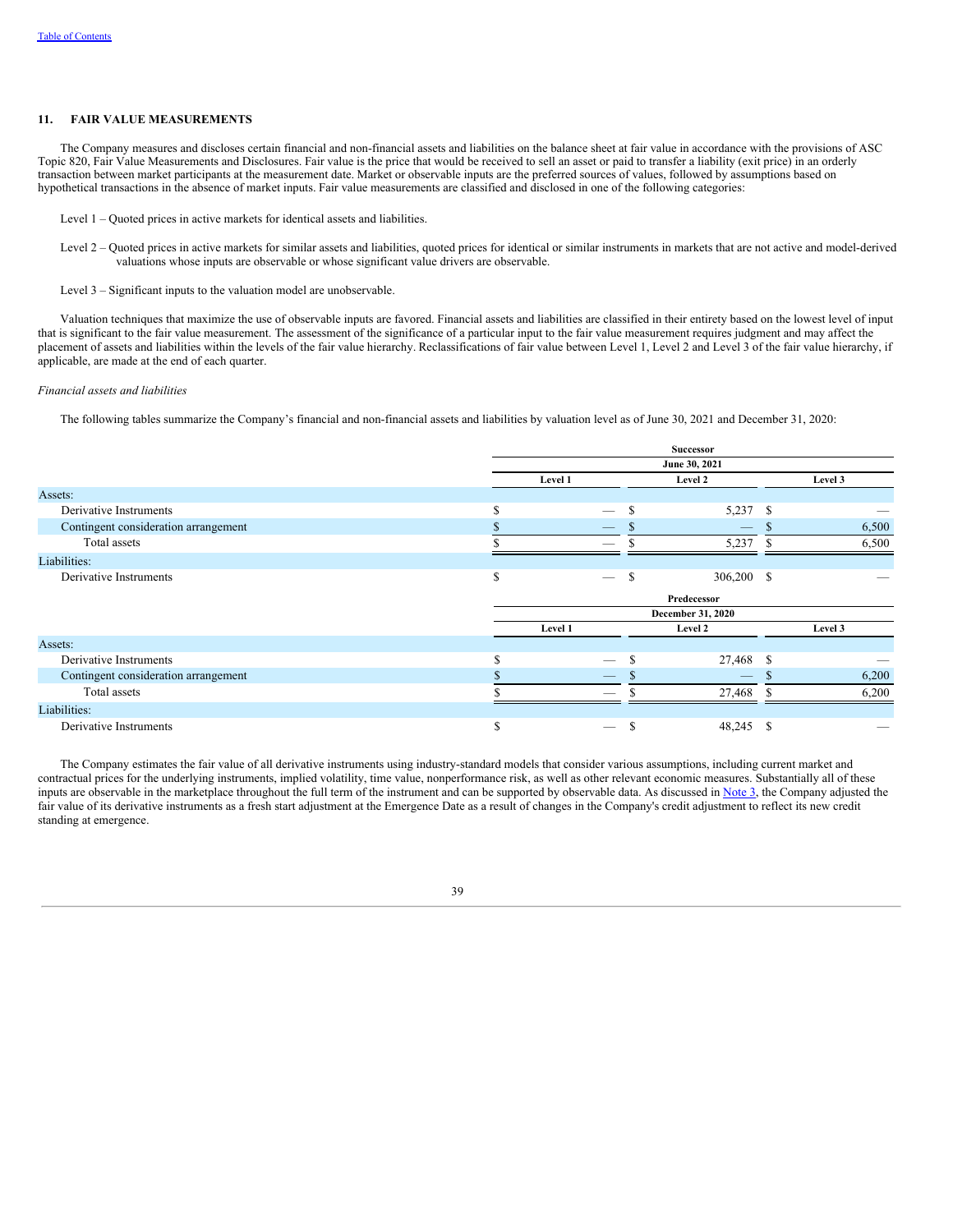## **11. FAIR VALUE MEASUREMENTS**

The Company measures and discloses certain financial and non-financial assets and liabilities on the balance sheet at fair value in accordance with the provisions of ASC Topic 820, Fair Value Measurements and Disclosures. Fair value is the price that would be received to sell an asset or paid to transfer a liability (exit price) in an orderly transaction between market participants at the measurement date. Market or observable inputs are the preferred sources of values, followed by assumptions based on hypothetical transactions in the absence of market inputs. Fair value measurements are classified and disclosed in one of the following categories:

- Level 1 Quoted prices in active markets for identical assets and liabilities.
- Level 2 Quoted prices in active markets for similar assets and liabilities, quoted prices for identical or similar instruments in markets that are not active and model-derived valuations whose inputs are observable or whose significant value drivers are observable.
- Level 3 Significant inputs to the valuation model are unobservable.

Valuation techniques that maximize the use of observable inputs are favored. Financial assets and liabilities are classified in their entirety based on the lowest level of input that is significant to the fair value measurement. The assessment of the significance of a particular input to the fair value measurement requires judgment and may affect the placement of assets and liabilities within the levels of the fair value hierarchy. Reclassifications of fair value between Level 1, Level 2 and Level 3 of the fair value hierarchy, if applicable, are made at the end of each quarter.

## *Financial assets and liabilities*

The following tables summarize the Company's financial and non-financial assets and liabilities by valuation level as of June 30, 2021 and December 31, 2020:

|                                      |    | Successor                |               |                   |     |         |  |  |
|--------------------------------------|----|--------------------------|---------------|-------------------|-----|---------|--|--|
|                                      |    |                          |               | June 30, 2021     |     |         |  |  |
|                                      |    | Level 1                  | Level 2       |                   |     | Level 3 |  |  |
| Assets:                              |    |                          |               |                   |     |         |  |  |
| Derivative Instruments               | S  |                          | <sup>\$</sup> | 5,237             | - S |         |  |  |
| Contingent consideration arrangement |    |                          |               | _                 |     | 6,500   |  |  |
| Total assets                         |    |                          |               | 5,237             |     | 6,500   |  |  |
| Liabilities:                         |    |                          |               |                   |     |         |  |  |
| Derivative Instruments               | \$ | $\overline{\phantom{m}}$ | -S            | 306,200 \$        |     |         |  |  |
|                                      |    |                          |               |                   |     |         |  |  |
|                                      |    |                          |               | Predecessor       |     |         |  |  |
|                                      |    |                          |               | December 31, 2020 |     |         |  |  |
|                                      |    | Level 1                  |               | Level 2           |     | Level 3 |  |  |
| Assets:                              |    |                          |               |                   |     |         |  |  |
| Derivative Instruments               |    |                          | S             | 27,468 \$         |     |         |  |  |
| Contingent consideration arrangement |    |                          |               | $-$               |     | 6,200   |  |  |
| Total assets                         |    | _                        |               | 27,468            |     | 6,200   |  |  |
| Liabilities:                         |    |                          |               |                   |     |         |  |  |

The Company estimates the fair value of all derivative instruments using industry-standard models that consider various assumptions, including current market and contractual prices for the underlying instruments, implied volatility, time value, nonperformance risk, as well as other relevant economic measures. Substantially all of these inputs are observable in the marketplace throughout the full term of the instrument and can be supported by observable data. As discussed in [Note](#page-17-0) 3, the Company adjusted the fair value of its derivative instruments as a fresh start adjustment at the Emergence Date as a result of changes in the Company's credit adjustment to reflect its new credit standing at emergence.

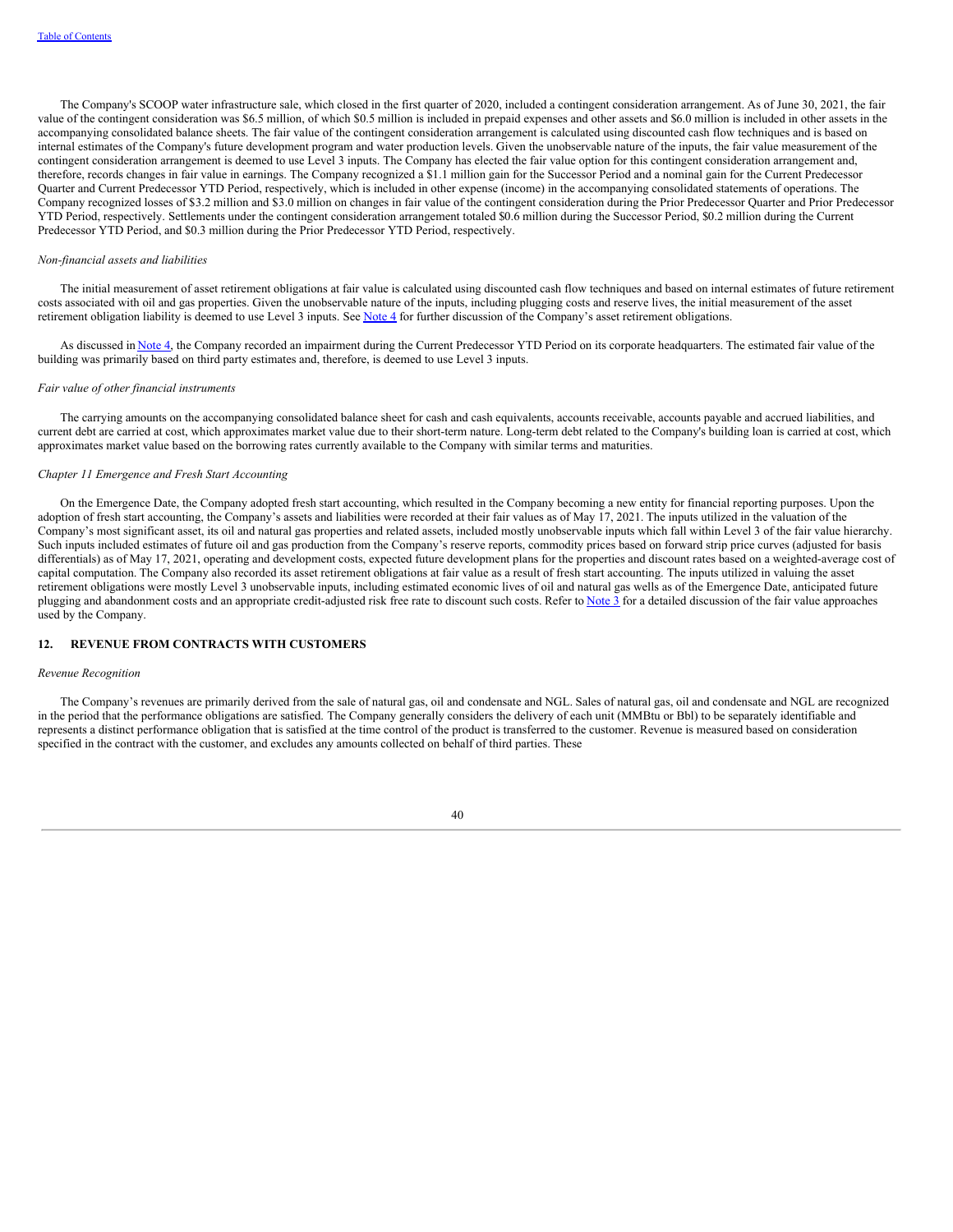The Company's SCOOP water infrastructure sale, which closed in the first quarter of 2020, included a contingent consideration arrangement. As of June 30, 2021, the fair value of the contingent consideration was \$6.5 million, of which \$0.5 million is included in prepaid expenses and other assets and \$6.0 million is included in other assets in the accompanying consolidated balance sheets. The fair value of the contingent consideration arrangement is calculated using discounted cash flow techniques and is based on internal estimates of the Company's future development program and water production levels. Given the unobservable nature of the inputs, the fair value measurement of the contingent consideration arrangement is deemed to use Level 3 inputs. The Company has elected the fair value option for this contingent consideration arrangement and, therefore, records changes in fair value in earnings. The Company recognized a \$1.1 million gain for the Successor Period and a nominal gain for the Current Predecessor Quarter and Current Predecessor YTD Period, respectively, which is included in other expense (income) in the accompanying consolidated statements of operations. The Company recognized losses of \$3.2 million and \$3.0 million on changes in fair value of the contingent consideration during the Prior Predecessor Quarter and Prior Predecessor YTD Period, respectively. Settlements under the contingent consideration arrangement totaled \$0.6 million during the Successor Period, \$0.2 million during the Current Predecessor YTD Period, and \$0.3 million during the Prior Predecessor YTD Period, respectively.

#### *Non-financial assets and liabilities*

The initial measurement of asset retirement obligations at fair value is calculated using discounted cash flow techniques and based on internal estimates of future retirement costs associated with oil and gas properties. Given the unobservable nature of the inputs, including plugging costs and reserve lives, the initial measurement of the asset retirement obligation liability is deemed to use Level 3 inputs. See [Note](#page-25-0) 4 for further discussion of the Company's asset retirement obligations.

As discussed in [Note](#page-25-0) 4, the Company recorded an impairment during the Current Predecessor YTD Period on its corporate headquarters. The estimated fair value of the building was primarily based on third party estimates and, therefore, is deemed to use Level 3 inputs.

#### *Fair value of other financial instruments*

The carrying amounts on the accompanying consolidated balance sheet for cash and cash equivalents, accounts receivable, accounts payable and accrued liabilities, and current debt are carried at cost, which approximates market value due to their short-term nature. Long-term debt related to the Company's building loan is carried at cost, which approximates market value based on the borrowing rates currently available to the Company with similar terms and maturities.

#### *Chapter 11 Emergence and Fresh Start Accounting*

On the Emergence Date, the Company adopted fresh start accounting, which resulted in the Company becoming a new entity for financial reporting purposes. Upon the adoption of fresh start accounting, the Company's assets and liabilities were recorded at their fair values as of May 17, 2021. The inputs utilized in the valuation of the Company's most significant asset, its oil and natural gas properties and related assets, included mostly unobservable inputs which fall within Level 3 of the fair value hierarchy. Such inputs included estimates of future oil and gas production from the Company's reserve reports, commodity prices based on forward strip price curves (adjusted for basis differentials) as of May 17, 2021, operating and development costs, expected future development plans for the properties and discount rates based on a weighted-average cost of capital computation. The Company also recorded its asset retirement obligations at fair value as a result of fresh start accounting. The inputs utilized in valuing the asset retirement obligations were mostly Level 3 unobservable inputs, including estimated economic lives of oil and natural gas wells as of the Emergence Date, anticipated future plugging and abandonment costs and an appropriate credit-adjusted risk free rate to discount such costs. Refer to [Note](#page-17-0) 3 for a detailed discussion of the fair value approaches used by the Company.

#### **12. REVENUE FROM CONTRACTS WITH CUSTOMERS**

#### *Revenue Recognition*

The Company's revenues are primarily derived from the sale of natural gas, oil and condensate and NGL. Sales of natural gas, oil and condensate and NGL are recognized in the period that the performance obligations are satisfied. The Company generally considers the delivery of each unit (MMBtu or Bbl) to be separately identifiable and represents a distinct performance obligation that is satisfied at the time control of the product is transferred to the customer. Revenue is measured based on consideration specified in the contract with the customer, and excludes any amounts collected on behalf of third parties. These

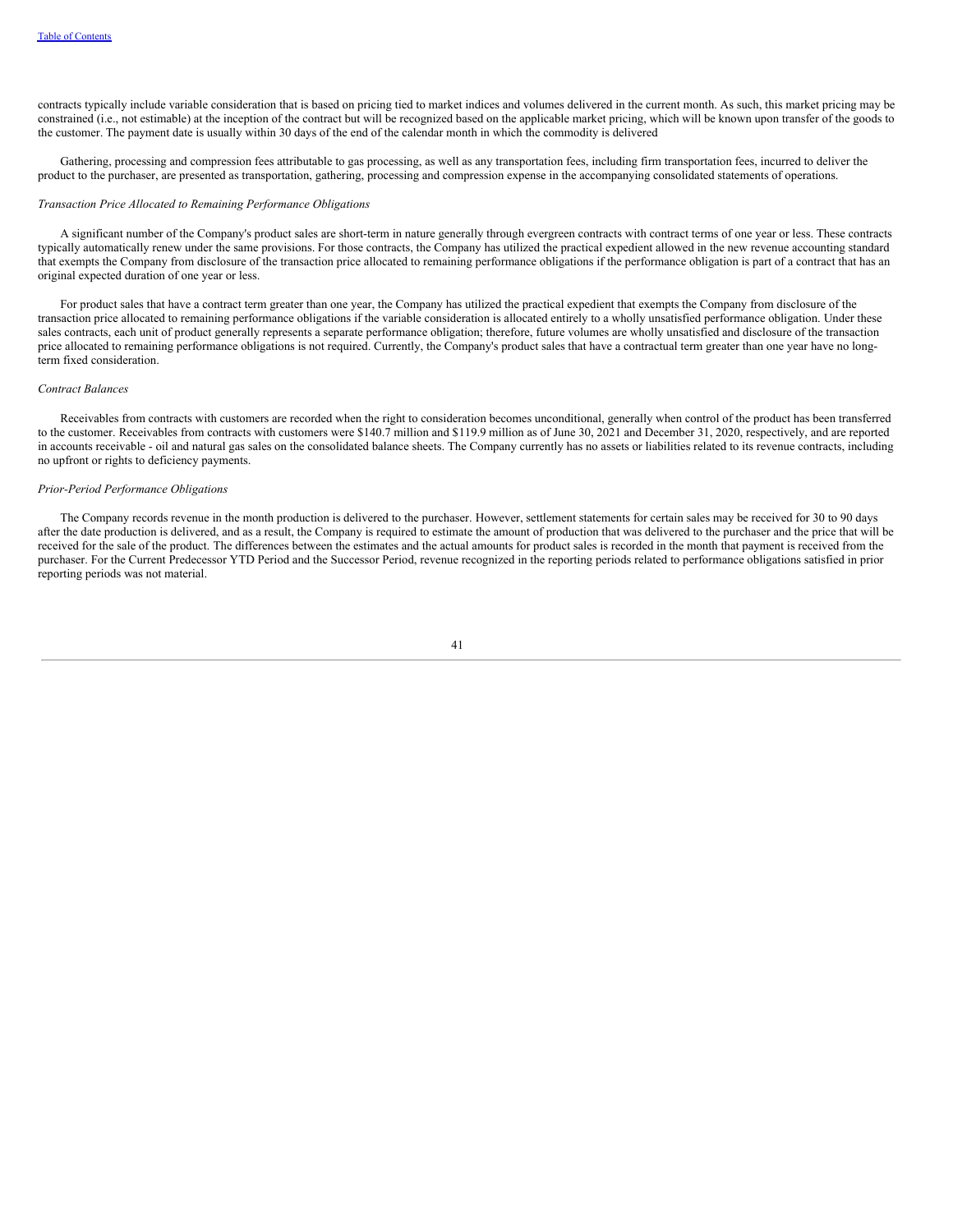contracts typically include variable consideration that is based on pricing tied to market indices and volumes delivered in the current month. As such, this market pricing may be constrained (i.e., not estimable) at the inception of the contract but will be recognized based on the applicable market pricing, which will be known upon transfer of the goods to the customer. The payment date is usually within 30 days of the end of the calendar month in which the commodity is delivered.

Gathering, processing and compression fees attributable to gas processing, as well as any transportation fees, including firm transportation fees, incurred to deliver the product to the purchaser, are presented as transportation, gathering, processing and compression expense in the accompanying consolidated statements of operations.

### *Transaction Price Allocated to Remaining Performance Obligations*

A significant number of the Company's product sales are short-term in nature generally through evergreen contracts with contract terms of one year or less. These contracts typically automatically renew under the same provisions. For those contracts, the Company has utilized the practical expedient allowed in the new revenue accounting standard that exempts the Company from disclosure of the transaction price allocated to remaining performance obligations if the performance obligation is part of a contract that has an original expected duration of one year or less.

For product sales that have a contract term greater than one year, the Company has utilized the practical expedient that exempts the Company from disclosure of the transaction price allocated to remaining performance obligations if the variable consideration is allocated entirely to a wholly unsatisfied performance obligation. Under these sales contracts, each unit of product generally represents a separate performance obligation; therefore, future volumes are wholly unsatisfied and disclosure of the transaction price allocated to remaining performance obligations is not required. Currently, the Company's product sales that have a contractual term greater than one year have no longterm fixed consideration.

#### *Contract Balances*

Receivables from contracts with customers are recorded when the right to consideration becomes unconditional, generally when control of the product has been transferred to the customer. Receivables from contracts with customers were \$140.7 million and \$119.9 million as of June 30, 2021 and December 31, 2020, respectively, and are reported in accounts receivable - oil and natural gas sales on the consolidated balance sheets. The Company currently has no assets or liabilities related to its revenue contracts, including no upfront or rights to deficiency payments.

### *Prior-Period Performance Obligations*

<span id="page-42-0"></span>The Company records revenue in the month production is delivered to the purchaser. However, settlement statements for certain sales may be received for 30 to 90 days after the date production is delivered, and as a result, the Company is required to estimate the amount of production that was delivered to the purchaser and the price that will be received for the sale of the product. The differences between the estimates and the actual amounts for product sales is recorded in the month that payment is received from the purchaser. For the Current Predecessor YTD Period and the Successor Period, revenue recognized in the reporting periods related to performance obligations satisfied in prior reporting periods was not material.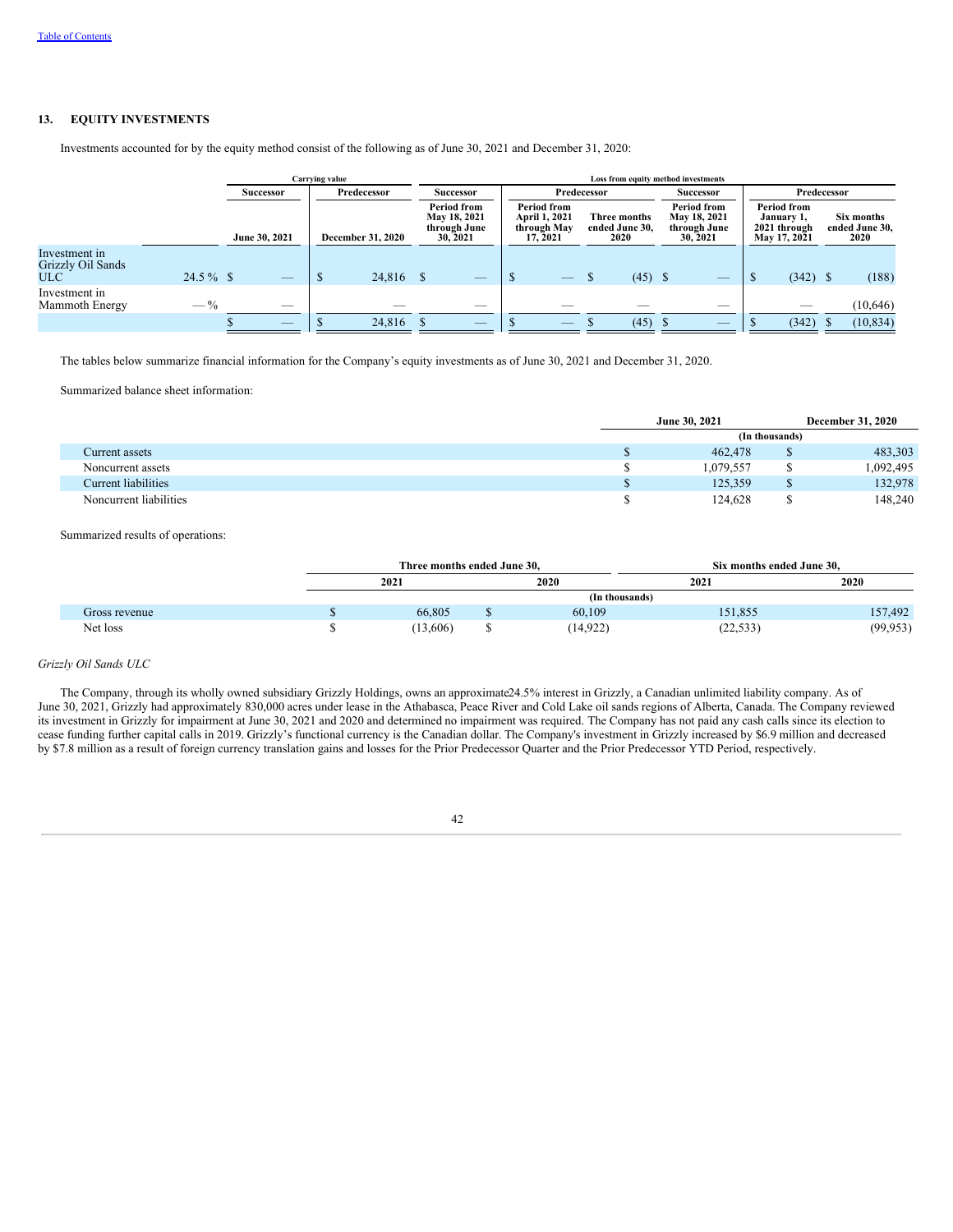## **13. EQUITY INVESTMENTS**

Investments accounted for by the equity method consist of the following as of June 30, 2021 and December 31, 2020:

|                                                  |                 |                          | Carrving value |                          | Loss from equity method investments |                                                         |  |                                                               |  |                                        |                                                                |  |                                                           |  |                                      |
|--------------------------------------------------|-----------------|--------------------------|----------------|--------------------------|-------------------------------------|---------------------------------------------------------|--|---------------------------------------------------------------|--|----------------------------------------|----------------------------------------------------------------|--|-----------------------------------------------------------|--|--------------------------------------|
|                                                  |                 | <b>Successor</b>         |                | Predecessor              |                                     | Successor                                               |  | Predecessor                                                   |  |                                        | Successor                                                      |  | Predecessor                                               |  |                                      |
|                                                  |                 | June 30, 2021            |                | <b>December 31, 2020</b> |                                     | Period from<br>May 18, 2021<br>through June<br>30, 2021 |  | Period from<br><b>April 1, 2021</b><br>through May<br>17.2021 |  | Three months<br>ended June 30,<br>2020 | Period from<br><b>May 18, 2021</b><br>through June<br>30, 2021 |  | Period from<br>January 1,<br>2021 through<br>May 17, 2021 |  | Six months<br>ended June 30,<br>2020 |
| Investment in<br>Grizzly Oil Sands<br><b>ULC</b> | $24.5\%$ \$     | $\overline{\phantom{a}}$ | Φ              | 24,816                   | - \$                                | $\overline{\phantom{a}}$                                |  | $\hspace{0.1mm}-\hspace{0.1mm}$                               |  | $(45)$ \$                              | $\overline{\phantom{a}}$                                       |  | $(342)$ \$                                                |  | (188)                                |
| Investment in<br>Mammoth Energy                  | $- \frac{6}{9}$ | $-$                      |                |                          |                                     | $\overbrace{\hspace{25mm}}^{}$                          |  |                                                               |  |                                        | _                                                              |  |                                                           |  | (10, 646)                            |
|                                                  |                 | _                        |                | 24,816                   |                                     | $\overline{\phantom{a}}$                                |  | $\overline{\phantom{a}}$                                      |  | (45)                                   | $\overline{\phantom{a}}$                                       |  | (342)                                                     |  | (10, 834)                            |

The tables below summarize financial information for the Company's equity investments as of June 30, 2021 and December 31, 2020.

Summarized balance sheet information:

|                        | June 30, 2021 |           |   | <b>December 31, 2020</b> |
|------------------------|---------------|-----------|---|--------------------------|
|                        |               |           |   |                          |
| Current assets         |               | 462,478   | Φ | 483,303                  |
| Noncurrent assets      |               | 1.079.557 |   | .092,495                 |
| Current liabilities    |               | 125,359   | Φ | 132,978                  |
| Noncurrent liabilities |               | 124.628   |   | 148.240                  |

Summarized results of operations:

|               | Three months ended June 30. |  |                | Six months ended June 30. |           |  |  |
|---------------|-----------------------------|--|----------------|---------------------------|-----------|--|--|
|               | 2021<br>2020                |  |                | 2021                      | 2020      |  |  |
|               |                             |  | (In thousands) |                           |           |  |  |
| Gross revenue | 66,805                      |  | 60,109         | 151,855                   | 157,492   |  |  |
| Net loss      | (13,606)                    |  | (14, 922)      | (22, 533)                 | (99, 953) |  |  |

### *Grizzly Oil Sands ULC*

The Company, through its wholly owned subsidiary Grizzly Holdings, owns an approximate24.5% interest in Grizzly, a Canadian unlimited liability company. As of June 30, 2021, Grizzly had approximately 830,000 acres under lease in the Athabasca, Peace River and Cold Lake oil sands regions of Alberta, Canada. The Company reviewed its investment in Grizzly for impairment at June 30, 2021 and 2020 and determined no impairment was required. The Company has not paid any cash calls since its election to cease funding further capital calls in 2019. Grizzly's functional currency is the Canadian dollar. The Company's investment in Grizzly increased by \$6.9 million and decreased by \$7.8 million as a result of foreign currency translation gains and losses for the Prior Predecessor Quarter and the Prior Predecessor YTD Period, respectively.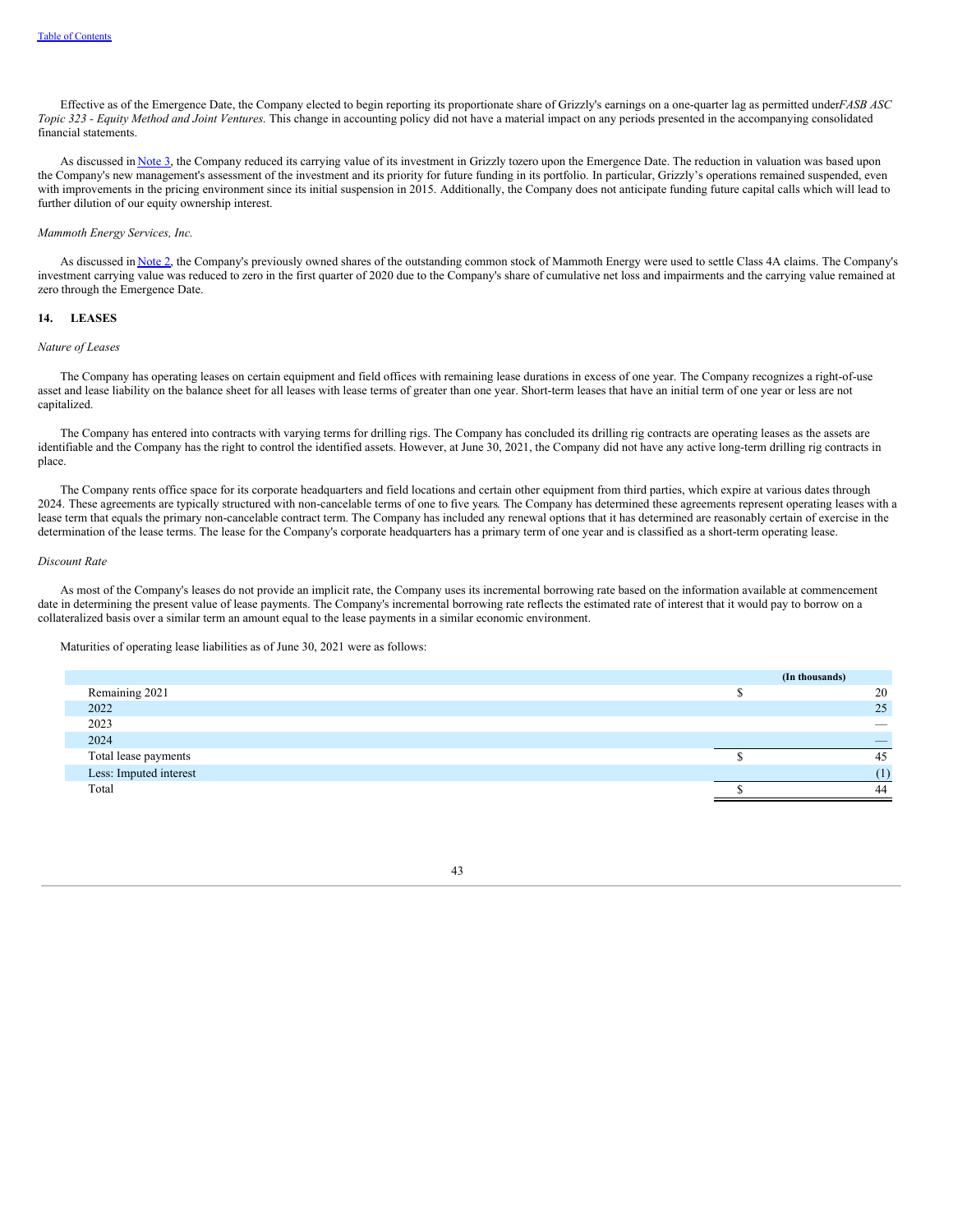Effective as of the Emergence Date, the Company elected to begin reporting its proportionate share of Grizzly's earnings on a one-quarter lag as permitted under*FASB ASC Topic 323 - Equity Method and Joint Ventures*. This change in accounting policy did not have a material impact on any periods presented in the accompanying consolidated financial statements.

As discussed in [Note](#page-17-0) 3, the Company reduced its carrying value of its investment in Grizzly tozero upon the Emergence Date. The reduction in valuation was based upon the Company's new management's assessment of the investment and its priority for future funding in its portfolio. In particular, Grizzly's operations remained suspended, even with improvements in the pricing environment since its initial suspension in 2015. Additionally, the Company does not anticipate funding future capital calls which will lead to further dilution of our equity ownership interest.

### *Mammoth Energy Services, Inc.*

As discussed in [Note](#page-15-0) 2, the Company's previously owned shares of the outstanding common stock of Mammoth Energy were used to settle Class 4A claims. The Company's investment carrying value was reduced to zero in the first quarter of 2020 due to the Company's share of cumulative net loss and impairments and the carrying value remained at zero through the Emergence Date.

### **14. LEASES**

#### *Nature of Leases*

The Company has operating leases on certain equipment and field offices with remaining lease durations in excess of one year. The Company recognizes a right-of-use asset and lease liability on the balance sheet for all leases with lease terms of greater than one year. Short-term leases that have an initial term of one year or less are not capitalized.

The Company has entered into contracts with varying terms for drilling rigs. The Company has concluded its drilling rig contracts are operating leases as the assets are identifiable and the Company has the right to control the identified assets. However, at June 30, 2021, the Company did not have any active long-term drilling rig contracts in place.

The Company rents office space for its corporate headquarters and field locations and certain other equipment from third parties, which expire at various dates through 2024. These agreements are typically structured with non-cancelable terms of one to five years. The Company has determined these agreements represent operating leases with a lease term that equals the primary non-cancelable contract term. The Company has included any renewal options that it has determined are reasonably certain of exercise in the determination of the lease terms. The lease for the Company's corporate headquarters has a primary term of one year and is classified as a short-term operating lease.

#### *Discount Rate*

As most of the Company's leases do not provide an implicit rate, the Company uses its incremental borrowing rate based on the information available at commencement date in determining the present value of lease payments. The Company's incremental borrowing rate reflects the estimated rate of interest that it would pay to borrow on a collateralized basis over a similar term an amount equal to the lease payments in a similar economic environment.

#### Maturities of operating lease liabilities as of June 30, 2021 were as follows:

|                        | (In thousands)           |
|------------------------|--------------------------|
| Remaining 2021         | 20                       |
| 2022                   | 25                       |
| 2023                   | $\overline{\phantom{a}}$ |
| 2024                   | $\overline{\phantom{a}}$ |
| Total lease payments   | 45                       |
| Less: Imputed interest | (1)                      |
| Total                  | 44                       |

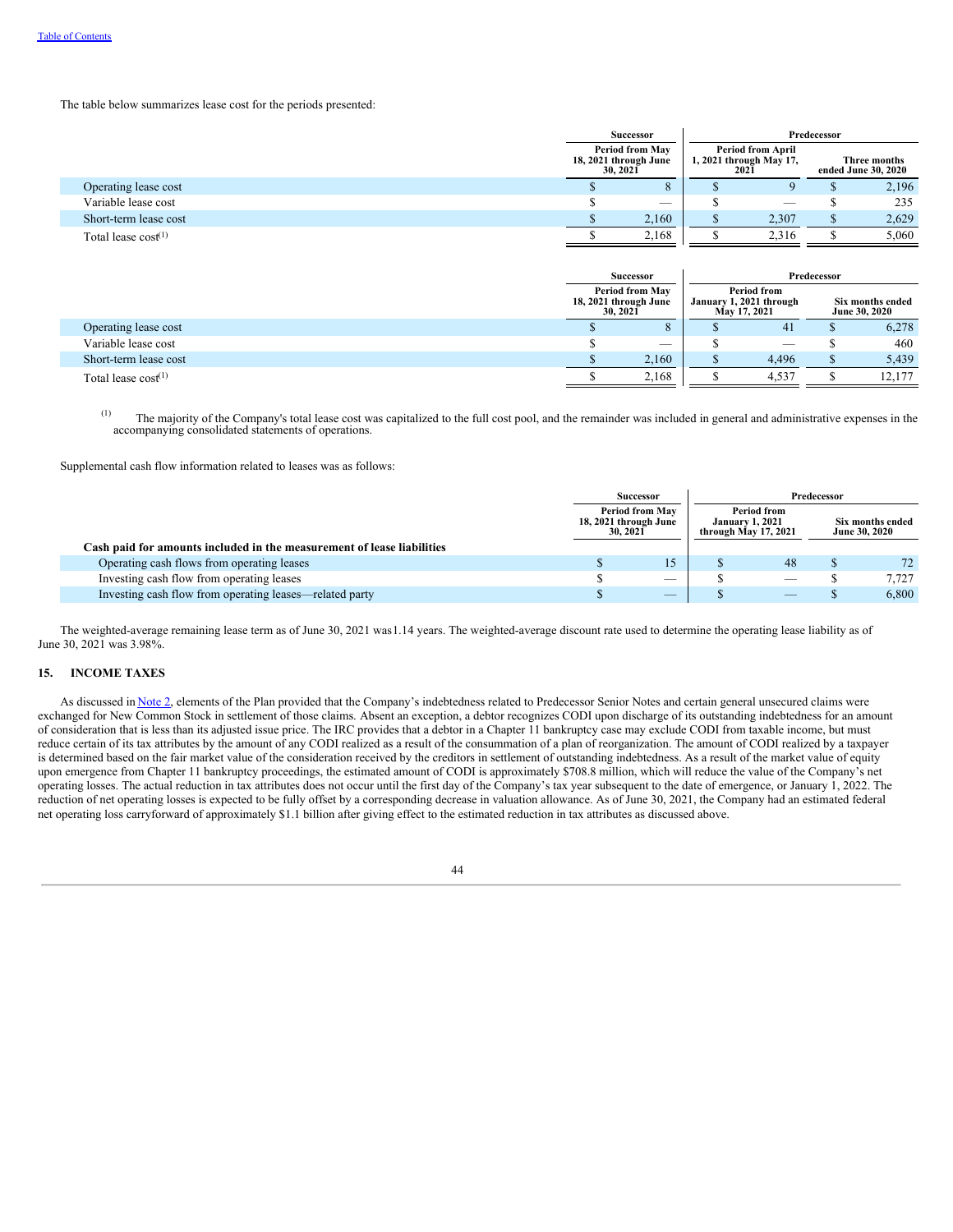#### The table below summarizes lease cost for the periods presented:

|                          |                                  | <b>Successor</b> |                                                             | Predecessor                         |       |  |
|--------------------------|----------------------------------|------------------|-------------------------------------------------------------|-------------------------------------|-------|--|
|                          | 18, 2021 through June<br>30.2021 | Period from May  | <b>Period from April</b><br>1, 2021 through May 17,<br>2021 | Three months<br>ended June 30, 2020 |       |  |
| Operating lease cost     |                                  |                  |                                                             |                                     | 2,196 |  |
| Variable lease cost      |                                  |                  | $\hspace{0.1mm}-\hspace{0.1mm}$                             |                                     | 235   |  |
| Short-term lease cost    |                                  | 2.160            | 2.307                                                       |                                     | 2.629 |  |
| Total lease $cost^{(1)}$ |                                  | 2,168            | 2,316                                                       |                                     | 5.060 |  |

|                          | <b>Successor</b>                                            | Predecessor |                                                        |                                          |        |  |
|--------------------------|-------------------------------------------------------------|-------------|--------------------------------------------------------|------------------------------------------|--------|--|
|                          | <b>Period from May</b><br>18, 2021 through June<br>30, 2021 |             | Period from<br>January 1, 2021 through<br>May 17, 2021 | Six months ended<br><b>June 30, 2020</b> |        |  |
| Operating lease cost     |                                                             |             | 41                                                     |                                          | 6,278  |  |
| Variable lease cost      | $\hspace{0.1mm}-\hspace{0.1mm}$                             |             | _                                                      |                                          | 460    |  |
| Short-term lease cost    | 2,160                                                       |             | 4,496                                                  |                                          | 5,439  |  |
| Total lease $cost^{(1)}$ | 2,168                                                       |             | 4,537                                                  |                                          | 12,177 |  |

The majority of the Company's total lease cost was capitalized to the full cost pool, and the remainder was included in general and administrative expenses in the accompanying consolidated statements of operations. (1)

Supplemental cash flow information related to leases was as follows:

|                                                                        | <b>Successor</b>                  |                          | Predecessor                                    |                          |  |                                   |  |
|------------------------------------------------------------------------|-----------------------------------|--------------------------|------------------------------------------------|--------------------------|--|-----------------------------------|--|
|                                                                        | 18, 2021 through June<br>30, 2021 | Period from May          | <b>January 1, 2021</b><br>through May 17, 2021 | <b>Period from</b>       |  | Six months ended<br>June 30, 2020 |  |
| Cash paid for amounts included in the measurement of lease liabilities |                                   |                          |                                                |                          |  |                                   |  |
| Operating cash flows from operating leases                             |                                   |                          |                                                | 48                       |  | 72                                |  |
| Investing cash flow from operating leases                              |                                   | -                        |                                                | $\overline{\phantom{a}}$ |  | 7.727                             |  |
| Investing cash flow from operating leases—related party                |                                   | $\overline{\phantom{a}}$ |                                                |                          |  | 6,800                             |  |

The weighted-average remaining lease term as of June 30, 2021 was1.14 years. The weighted-average discount rate used to determine the operating lease liability as of June 30, 2021 was 3.98%.

### **15. INCOME TAXES**

As discussed in [Note](#page-15-0) 2, elements of the Plan provided that the Company's indebtedness related to Predecessor Senior Notes and certain general unsecured claims were exchanged for New Common Stock in settlement of those claims. Absent an exception, a debtor recognizes CODI upon discharge of its outstanding indebtedness for an amount of consideration that is less than its adjusted issue price. The IRC provides that a debtor in a Chapter 11 bankruptcy case may exclude CODI from taxable income, but must reduce certain of its tax attributes by the amount of any CODI realized as a result of the consummation of a plan of reorganization. The amount of CODI realized by a taxpayer is determined based on the fair market value of the consideration received by the creditors in settlement of outstanding indebtedness. As a result of the market value of equity upon emergence from Chapter 11 bankruptcy proceedings, the estimated amount of CODI is approximately \$708.8 million, which will reduce the value of the Company's net operating losses. The actual reduction in tax attributes does not occur until the first day of the Company's tax year subsequent to the date of emergence, or January 1, 2022. The reduction of net operating losses is expected to be fully offset by a corresponding decrease in valuation allowance. As of June 30, 2021, the Company had an estimated federal net operating loss carryforward of approximately \$1.1 billion after giving effect to the estimated reduction in tax attributes as discussed above.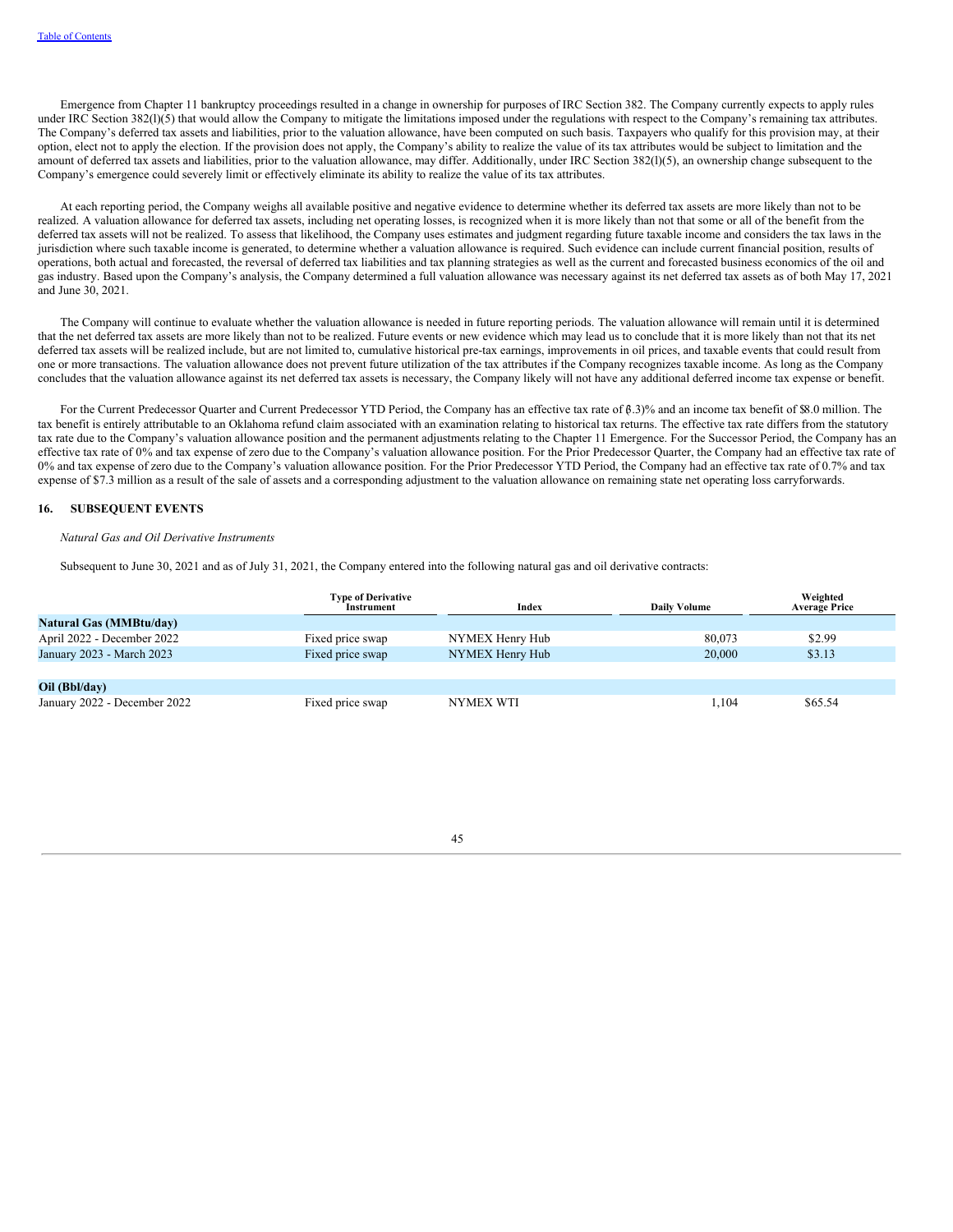Emergence from Chapter 11 bankruptcy proceedings resulted in a change in ownership for purposes of IRC Section 382. The Company currently expects to apply rules under IRC Section 382(l)(5) that would allow the Company to mitigate the limitations imposed under the regulations with respect to the Company's remaining tax attributes. The Company's deferred tax assets and liabilities, prior to the valuation allowance, have been computed on such basis. Taxpayers who qualify for this provision may, at their option, elect not to apply the election. If the provision does not apply, the Company's ability to realize the value of its tax attributes would be subject to limitation and the amount of deferred tax assets and liabilities, prior to the valuation allowance, may differ. Additionally, under IRC Section 382(l)(5), an ownership change subsequent to the Company's emergence could severely limit or effectively eliminate its ability to realize the value of its tax attributes.

At each reporting period, the Company weighs all available positive and negative evidence to determine whether its deferred tax assets are more likely than not to be realized. A valuation allowance for deferred tax assets, including net operating losses, is recognized when it is more likely than not that some or all of the benefit from the deferred tax assets will not be realized. To assess that likelihood, the Company uses estimates and judgment regarding future taxable income and considers the tax laws in the jurisdiction where such taxable income is generated, to determine whether a valuation allowance is required. Such evidence can include current financial position, results of operations, both actual and forecasted, the reversal of deferred tax liabilities and tax planning strategies as well as the current and forecasted business economics of the oil and gas industry. Based upon the Company's analysis, the Company determined a full valuation allowance was necessary against its net deferred tax assets as of both May 17, 2021 and June 30, 2021.

The Company will continue to evaluate whether the valuation allowance is needed in future reporting periods. The valuation allowance will remain until it is determined that the net deferred tax assets are more likely than not to be realized. Future events or new evidence which may lead us to conclude that it is more likely than not that its net deferred tax assets will be realized include, but are not limited to, cumulative historical pre-tax earnings, improvements in oil prices, and taxable events that could result from one or more transactions. The valuation allowance does not prevent future utilization of the tax attributes if the Company recognizes taxable income. As long as the Company concludes that the valuation allowance against its net deferred tax assets is necessary, the Company likely will not have any additional deferred income tax expense or benefit.

For the Current Predecessor Quarter and Current Predecessor YTD Period, the Company has an effective tax rate of  $6.3$ % and an income tax benefit of \$8.0 million. The tax benefit is entirely attributable to an Oklahoma refund claim associated with an examination relating to historical tax returns. The effective tax rate differs from the statutory tax rate due to the Company's valuation allowance position and the permanent adjustments relating to the Chapter 11 Emergence. For the Successor Period, the Company has an effective tax rate of 0% and tax expense of zero due to the Company's valuation allowance position. For the Prior Predecessor Quarter, the Company had an effective tax rate of 0% and tax expense of zero due to the Company's valuation allowance position. For the Prior Predecessor YTD Period, the Company had an effective tax rate of 0.7% and tax expense of \$7.3 million as a result of the sale of assets and a corresponding adjustment to the valuation allowance on remaining state net operating loss carryforwards.

## **16. SUBSEQUENT EVENTS**

*Natural Gas and Oil Derivative Instruments*

Subsequent to June 30, 2021 and as of July 31, 2021, the Company entered into the following natural gas and oil derivative contracts:

|                                | <b>Type of Derivative</b><br>Instrument | Index           | <b>Daily Volume</b> | Weighted<br><b>Average Price</b> |
|--------------------------------|-----------------------------------------|-----------------|---------------------|----------------------------------|
| <b>Natural Gas (MMBtu/day)</b> |                                         |                 |                     |                                  |
| April 2022 - December 2022     | Fixed price swap                        | NYMEX Henry Hub | 80,073              | \$2.99                           |
| January 2023 - March 2023      | Fixed price swap                        | NYMEX Henry Hub | 20,000              | \$3.13                           |
|                                |                                         |                 |                     |                                  |
| Oil (Bbl/day)                  |                                         |                 |                     |                                  |
| January 2022 - December 2022   | Fixed price swap                        | NYMEX WTI       | 1.104               | \$65.54                          |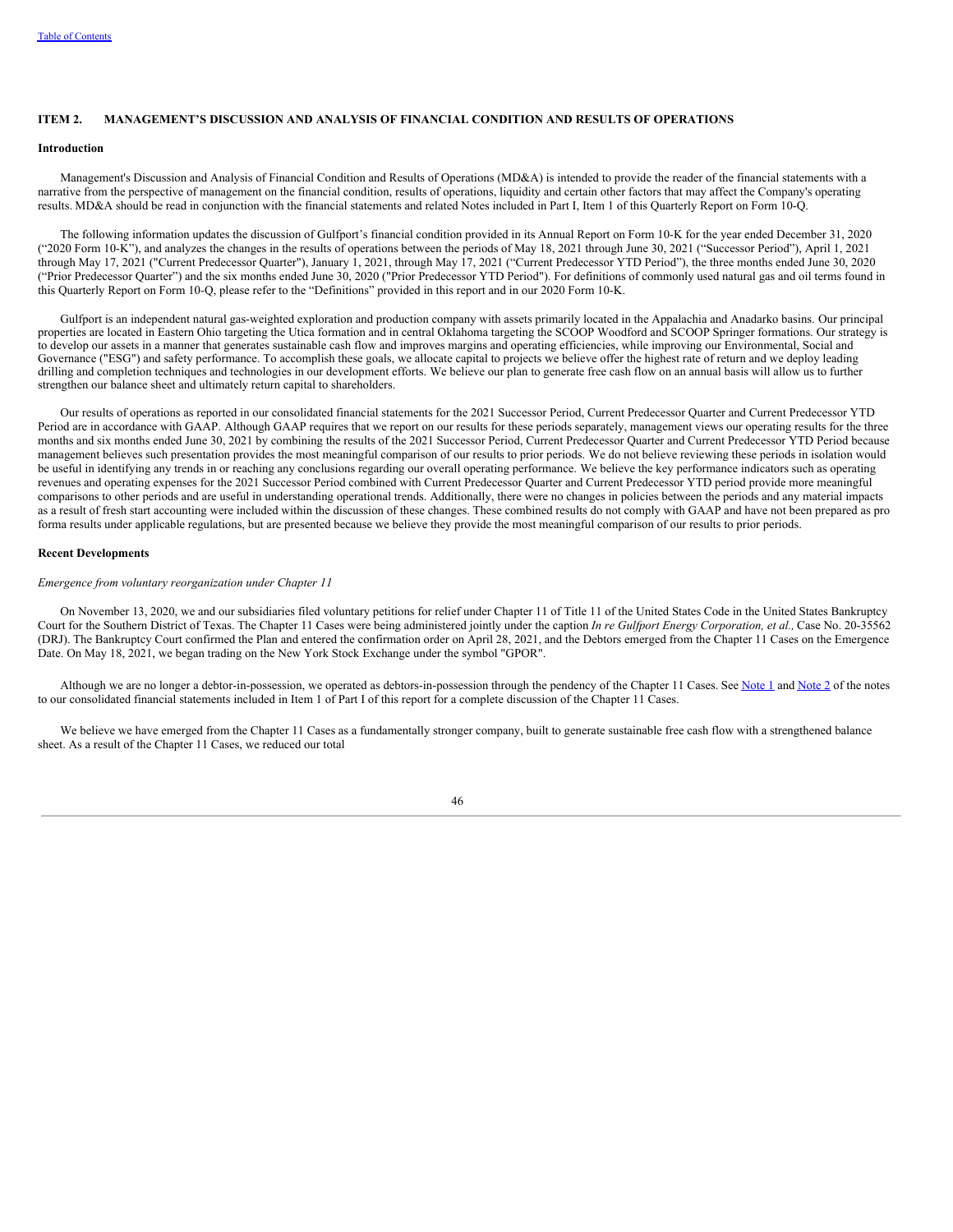## **ITEM 2. MANAGEMENT'S DISCUSSION AND ANALYSIS OF FINANCIAL CONDITION AND RESULTS OF OPERATIONS**

## **Introduction**

Management's Discussion and Analysis of Financial Condition and Results of Operations (MD&A) is intended to provide the reader of the financial statements with a narrative from the perspective of management on the financial condition, results of operations, liquidity and certain other factors that may affect the Company's operating results. MD&A should be read in conjunction with the financial statements and related Notes included in Part I, Item 1 of this Quarterly Report on Form 10-Q.

The following information updates the discussion of Gulfport's financial condition provided in its Annual Report on Form 10-K for the year ended December 31, 2020 ("2020 Form 10-K"), and analyzes the changes in the results of operations between the periods of May 18, 2021 through June 30, 2021 ("Successor Period"), April 1, 2021 through May 17, 2021 ("Current Predecessor Quarter"), January 1, 2021, through May 17, 2021 ("Current Predecessor YTD Period"), the three months ended June 30, 2020 ("Prior Predecessor Quarter") and the six months ended June 30, 2020 ("Prior Predecessor YTD Period"). For definitions of commonly used natural gas and oil terms found in this Quarterly Report on Form 10-Q, please refer to the "Definitions" provided in this report and in our 2020 Form 10-K.

Gulfport is an independent natural gas-weighted exploration and production company with assets primarily located in the Appalachia and Anadarko basins. Our principal properties are located in Eastern Ohio targeting the Utica formation and in central Oklahoma targeting the SCOOP Woodford and SCOOP Springer formations. Our strategy is to develop our assets in a manner that generates sustainable cash flow and improves margins and operating efficiencies, while improving our Environmental, Social and Governance ("ESG") and safety performance. To accomplish these goals, we allocate capital to projects we believe offer the highest rate of return and we deploy leading drilling and completion techniques and technologies in our development efforts. We believe our plan to generate free cash flow on an annual basis will allow us to further strengthen our balance sheet and ultimately return capital to shareholders.

Our results of operations as reported in our consolidated financial statements for the 2021 Successor Period, Current Predecessor Quarter and Current Predecessor YTD Period are in accordance with GAAP. Although GAAP requires that we report on our results for these periods separately, management views our operating results for the three months and six months ended June 30, 2021 by combining the results of the 2021 Successor Period, Current Predecessor Quarter and Current Predecessor YTD Period because management believes such presentation provides the most meaningful comparison of our results to prior periods. We do not believe reviewing these periods in isolation would be useful in identifying any trends in or reaching any conclusions regarding our overall operating performance. We believe the key performance indicators such as operating revenues and operating expenses for the 2021 Successor Period combined with Current Predecessor Quarter and Current Predecessor YTD period provide more meaningful comparisons to other periods and are useful in understanding operational trends. Additionally, there were no changes in policies between the periods and any material impacts as a result of fresh start accounting were included within the discussion of these changes. These combined results do not comply with GAAP and have not been prepared as pro forma results under applicable regulations, but are presented because we believe they provide the most meaningful comparison of our results to prior periods.

## **Recent Developments**

### *Emergence from voluntary reorganization under Chapter 11*

On November 13, 2020, we and our subsidiaries filed voluntary petitions for relief under Chapter 11 of Title 11 of the United States Code in the United States Bankruptcy Court for the Southern District of Texas. The Chapter 11 Cases were being administered jointly under the caption *In re Gulfport Energy Corporation, et al.,* Case No. 20-35562 (DRJ). The Bankruptcy Court confirmed the Plan and entered the confirmation order on April 28, 2021, and the Debtors emerged from the Chapter 11 Cases on the Emergence Date. On May 18, 2021, we began trading on the New York Stock Exchange under the symbol "GPOR".

Although we are no longer a debtor-in-possession, we operated as debtors-in-possession through the pendency of the Chapter 11 Cases. See [Note](#page-15-0) [1](#page-13-0) and Note 2 of the notes to our consolidated financial statements included in Item 1 of Part I of this report for a complete discussion of the Chapter 11 Cases.

We believe we have emerged from the Chapter 11 Cases as a fundamentally stronger company, built to generate sustainable free cash flow with a strengthened balance sheet. As a result of the Chapter 11 Cases, we reduced our total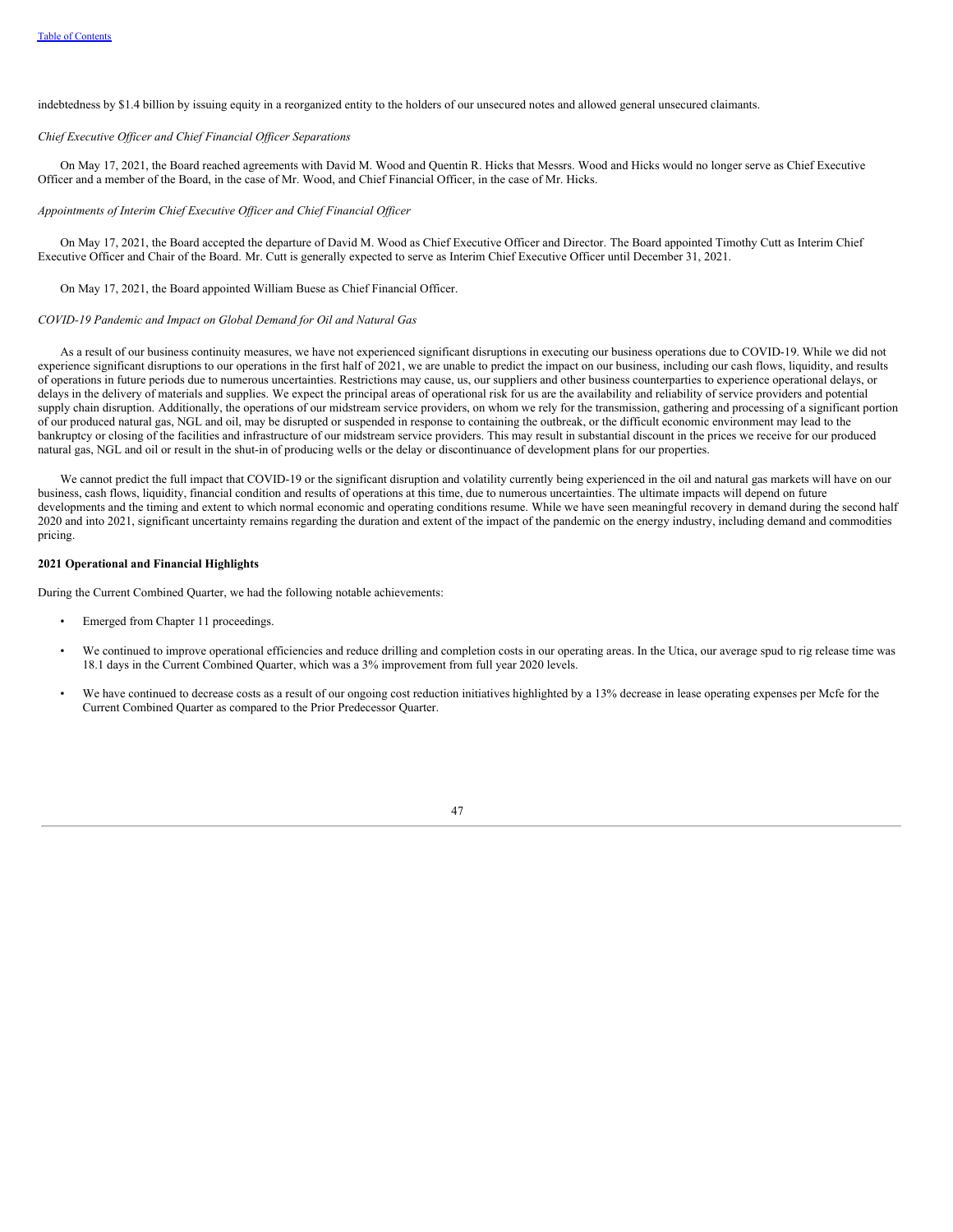indebtedness by \$1.4 billion by issuing equity in a reorganized entity to the holders of our unsecured notes and allowed general unsecured claimants.

## *Chief Executive Of icer and Chief Financial Of icer Separations*

On May 17, 2021, the Board reached agreements with David M. Wood and Quentin R. Hicks that Messrs. Wood and Hicks would no longer serve as Chief Executive Officer and a member of the Board, in the case of Mr. Wood, and Chief Financial Officer, in the case of Mr. Hicks.

#### *Appointments of Interim Chief Executive Of icer and Chief Financial Of icer*

On May 17, 2021, the Board accepted the departure of David M. Wood as Chief Executive Officer and Director. The Board appointed Timothy Cutt as Interim Chief Executive Officer and Chair of the Board. Mr. Cutt is generally expected to serve as Interim Chief Executive Officer until December 31, 2021.

On May 17, 2021, the Board appointed William Buese as Chief Financial Officer.

### *COVID-19 Pandemic and Impact on Global Demand for Oil and Natural Gas*

As a result of our business continuity measures, we have not experienced significant disruptions in executing our business operations due to COVID-19. While we did not experience significant disruptions to our operations in the first half of 2021, we are unable to predict the impact on our business, including our cash flows, liquidity, and results of operations in future periods due to numerous uncertainties. Restrictions may cause, us, our suppliers and other business counterparties to experience operational delays, or delays in the delivery of materials and supplies. We expect the principal areas of operational risk for us are the availability and reliability of service providers and potential supply chain disruption. Additionally, the operations of our midstream service providers, on whom we rely for the transmission, gathering and processing of a significant portion of our produced natural gas, NGL and oil, may be disrupted or suspended in response to containing the outbreak, or the difficult economic environment may lead to the bankruptcy or closing of the facilities and infrastructure of our midstream service providers. This may result in substantial discount in the prices we receive for our produced natural gas, NGL and oil or result in the shut-in of producing wells or the delay or discontinuance of development plans for our properties.

We cannot predict the full impact that COVID-19 or the significant disruption and volatility currently being experienced in the oil and natural gas markets will have on our business, cash flows, liquidity, financial condition and results of operations at this time, due to numerous uncertainties. The ultimate impacts will depend on future developments and the timing and extent to which normal economic and operating conditions resume. While we have seen meaningful recovery in demand during the second half 2020 and into 2021, significant uncertainty remains regarding the duration and extent of the impact of the pandemic on the energy industry, including demand and commodities pricing.

### **2021 Operational and Financial Highlights**

During the Current Combined Quarter, we had the following notable achievements:

- Emerged from Chapter 11 proceedings.
- We continued to improve operational efficiencies and reduce drilling and completion costs in our operating areas. In the Utica, our average spud to rig release time was 18.1 days in the Current Combined Quarter, which was a 3% improvement from full year 2020 levels.
- We have continued to decrease costs as a result of our ongoing cost reduction initiatives highlighted by a 13% decrease in lease operating expenses per Mcfe for the Current Combined Quarter as compared to the Prior Predecessor Quarter.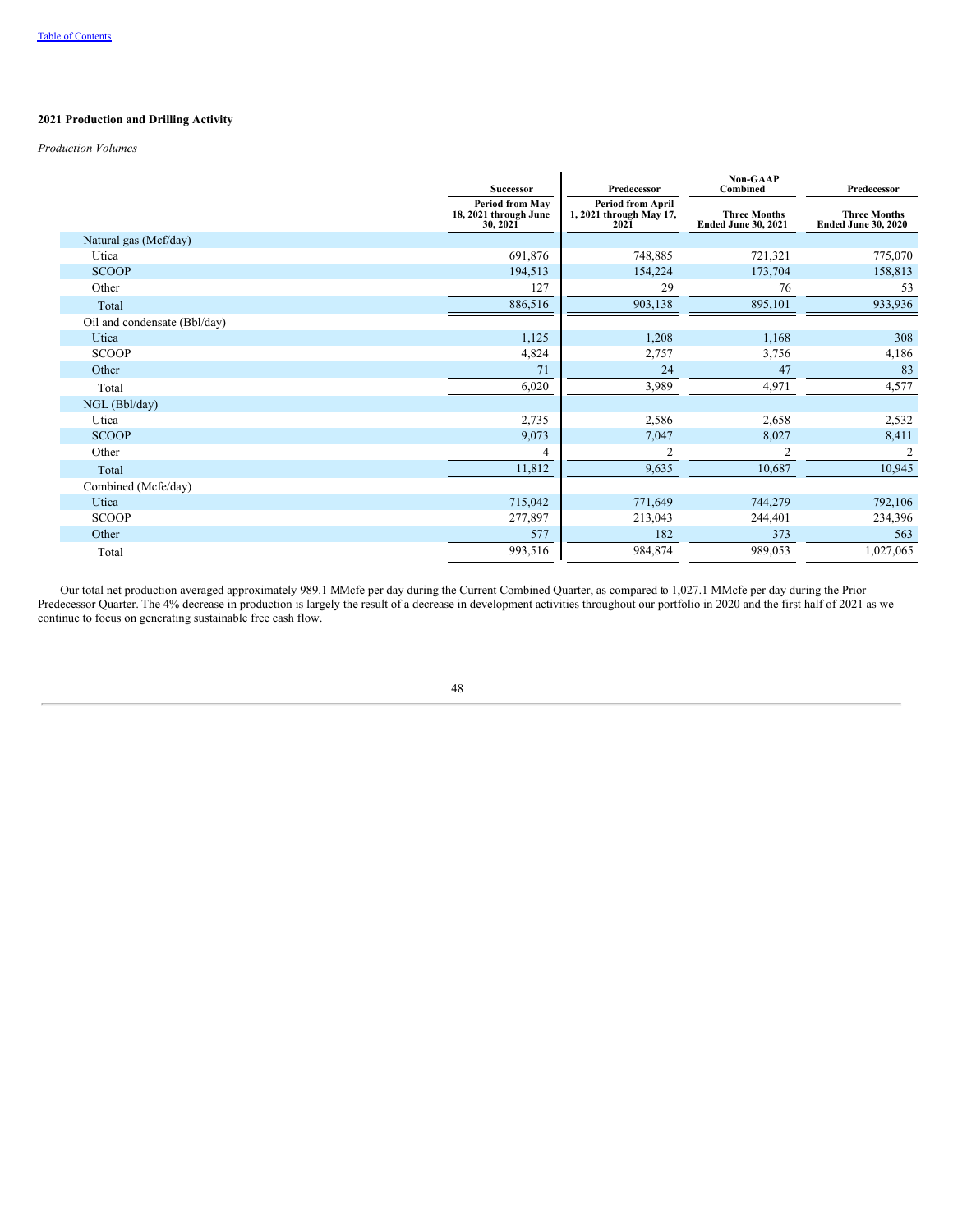# **2021 Production and Drilling Activity**

*Production Volumes*

| Successor                                            | Predecessor                                                  | <b>Non-GAAP</b><br>Combined                       | Predecessor                                       |
|------------------------------------------------------|--------------------------------------------------------------|---------------------------------------------------|---------------------------------------------------|
| Period from May<br>18, 2021 through June<br>30, 2021 | Period from April<br>1, 2021 through May 17,<br>$202\bar{1}$ | <b>Three Months</b><br><b>Ended June 30, 2021</b> | <b>Three Months</b><br><b>Ended June 30, 2020</b> |
|                                                      |                                                              |                                                   |                                                   |
| 691,876                                              | 748,885                                                      | 721,321                                           | 775,070                                           |
| 194,513                                              | 154,224                                                      | 173,704                                           | 158,813                                           |
| 127                                                  | 29                                                           | 76                                                | 53                                                |
| 886,516                                              | 903,138                                                      | 895,101                                           | 933,936                                           |
|                                                      |                                                              |                                                   |                                                   |
| 1,125                                                | 1,208                                                        | 1,168                                             | 308                                               |
| 4,824                                                | 2,757                                                        | 3,756                                             | 4,186                                             |
| 71                                                   | 24                                                           | 47                                                | 83                                                |
| 6,020                                                | 3,989                                                        | 4,971                                             | 4,577                                             |
|                                                      |                                                              |                                                   |                                                   |
| 2,735                                                | 2,586                                                        | 2,658                                             | 2,532                                             |
| 9,073                                                | 7,047                                                        | 8,027                                             | 8,411                                             |
| 4                                                    | 2                                                            | $\overline{2}$                                    | $\overline{2}$                                    |
| 11,812                                               | 9,635                                                        | 10,687                                            | 10,945                                            |
|                                                      |                                                              |                                                   |                                                   |
| 715,042                                              | 771,649                                                      | 744,279                                           | 792,106                                           |
| 277,897                                              | 213,043                                                      | 244,401                                           | 234,396                                           |
| 577                                                  | 182                                                          | 373                                               | 563                                               |
| 993,516                                              | 984,874                                                      | 989,053                                           | 1,027,065                                         |
|                                                      |                                                              |                                                   |                                                   |

Our total net production averaged approximately 989.1 MMcfe per day during the Current Combined Quarter, as compared to 1,027.1 MMcfe per day during the Prior Predecessor Quarter. The 4% decrease in production is largely the result of a decrease in development activities throughout our portfolio in 2020 and the first half of 2021 as we continue to focus on generating sustainable free cash flow.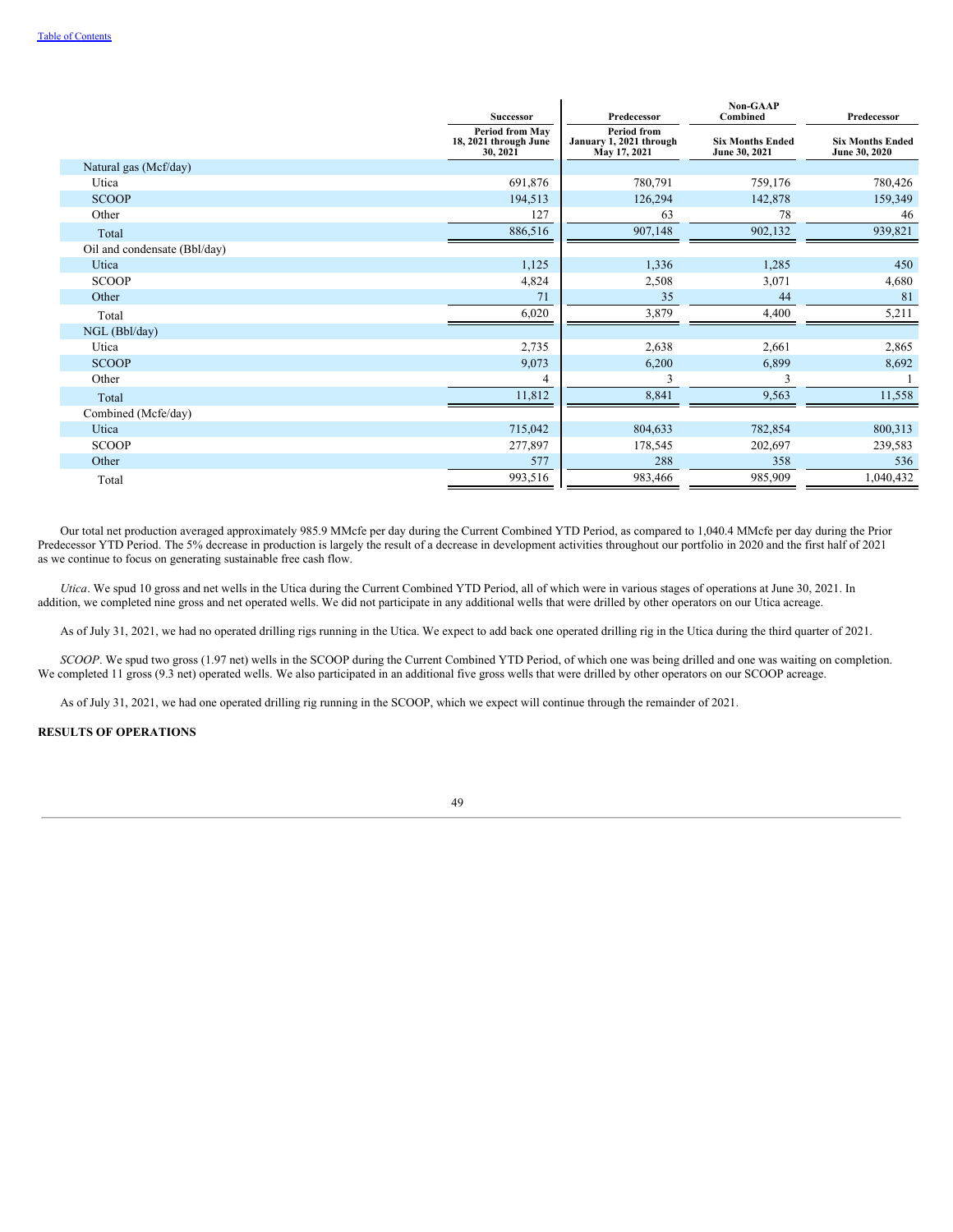|                              | Successor                                            | Predecessor                                                   | <b>Non-GAAP</b><br>Combined              | Predecessor                              |
|------------------------------|------------------------------------------------------|---------------------------------------------------------------|------------------------------------------|------------------------------------------|
|                              | Period from May<br>18, 2021 through June<br>30, 2021 | <b>Period from</b><br>January 1, 2021 through<br>May 17, 2021 | <b>Six Months Ended</b><br>June 30, 2021 | <b>Six Months Ended</b><br>June 30, 2020 |
| Natural gas (Mcf/day)        |                                                      |                                                               |                                          |                                          |
| Utica                        | 691,876                                              | 780,791                                                       | 759,176                                  | 780,426                                  |
| <b>SCOOP</b>                 | 194,513                                              | 126,294                                                       | 142,878                                  | 159,349                                  |
| Other                        | 127                                                  | 63                                                            | 78                                       | 46                                       |
| Total                        | 886,516                                              | 907,148                                                       | 902,132                                  | 939,821                                  |
| Oil and condensate (Bbl/day) |                                                      |                                                               |                                          |                                          |
| Utica                        | 1,125                                                | 1,336                                                         | 1,285                                    | 450                                      |
| <b>SCOOP</b>                 | 4,824                                                | 2,508                                                         | 3,071                                    | 4,680                                    |
| Other                        | 71                                                   | 35                                                            | 44                                       | 81                                       |
| Total                        | 6,020                                                | 3,879                                                         | 4,400                                    | 5,211                                    |
| NGL (Bbl/day)                |                                                      |                                                               |                                          |                                          |
| Utica                        | 2,735                                                | 2,638                                                         | 2,661                                    | 2,865                                    |
| <b>SCOOP</b>                 | 9,073                                                | 6,200                                                         | 6,899                                    | 8,692                                    |
| Other                        | 4                                                    | 3                                                             | 3                                        |                                          |
| Total                        | 11,812                                               | 8,841                                                         | 9,563                                    | 11,558                                   |
| Combined (Mcfe/day)          |                                                      |                                                               |                                          |                                          |
| Utica                        | 715,042                                              | 804,633                                                       | 782,854                                  | 800,313                                  |
| <b>SCOOP</b>                 | 277,897                                              | 178,545                                                       | 202,697                                  | 239,583                                  |
| Other                        | 577                                                  | 288                                                           | 358                                      | 536                                      |
| Total                        | 993,516                                              | 983,466                                                       | 985,909                                  | 1,040,432                                |

Our total net production averaged approximately 985.9 MMcfe per day during the Current Combined YTD Period, as compared to 1,040.4 MMcfe per day during the Prior Predecessor YTD Period. The 5% decrease in production is largely the result of a decrease in development activities throughout our portfolio in 2020 and the first half of 2021 as we continue to focus on generating sustainable free cash flow.

*Utica*. We spud 10 gross and net wells in the Utica during the Current Combined YTD Period, all of which were in various stages of operations at June 30, 2021. In addition, we completed nine gross and net operated wells. We did not participate in any additional wells that were drilled by other operators on our Utica acreage.

As of July 31, 2021, we had no operated drilling rigs running in the Utica. We expect to add back one operated drilling rig in the Utica during the third quarter of 2021.

*SCOOP*. We spud two gross (1.97 net) wells in the SCOOP during the Current Combined YTD Period, of which one was being drilled and one was waiting on completion. We completed 11 gross (9.3 net) operated wells. We also participated in an additional five gross wells that were drilled by other operators on our SCOOP acreage.

As of July 31, 2021, we had one operated drilling rig running in the SCOOP, which we expect will continue through the remainder of 2021.

## **RESULTS OF OPERATIONS**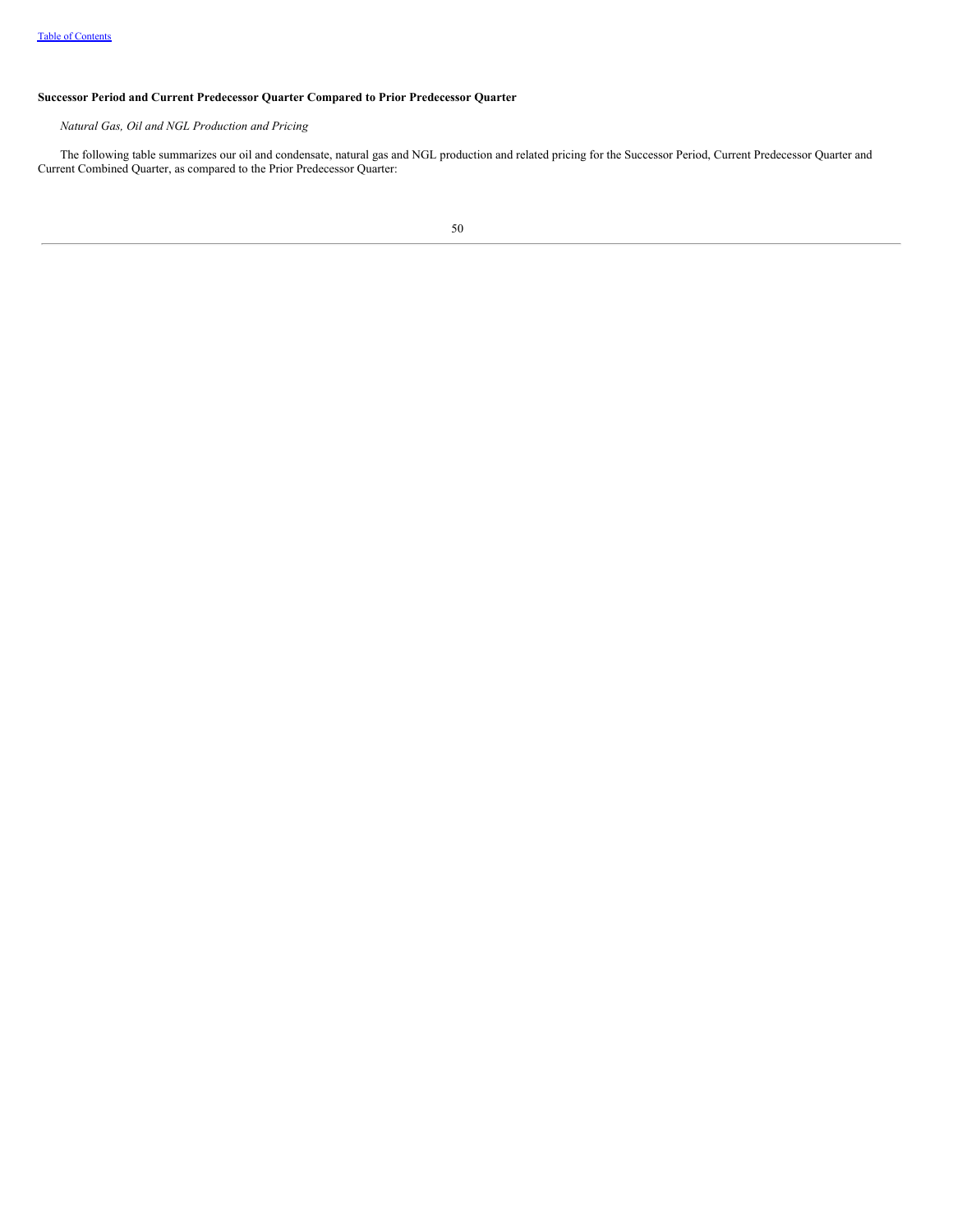## **Successor Period and Current Predecessor Quarter Compared to Prior Predecessor Quarter**

*Natural Gas, Oil and NGL Production and Pricing*

The following table summarizes our oil and condensate, natural gas and NGL production and related pricing for the Successor Period, Current Predecessor Quarter and Current Combined Quarter, as compared to the Prior Predecessor Quarter: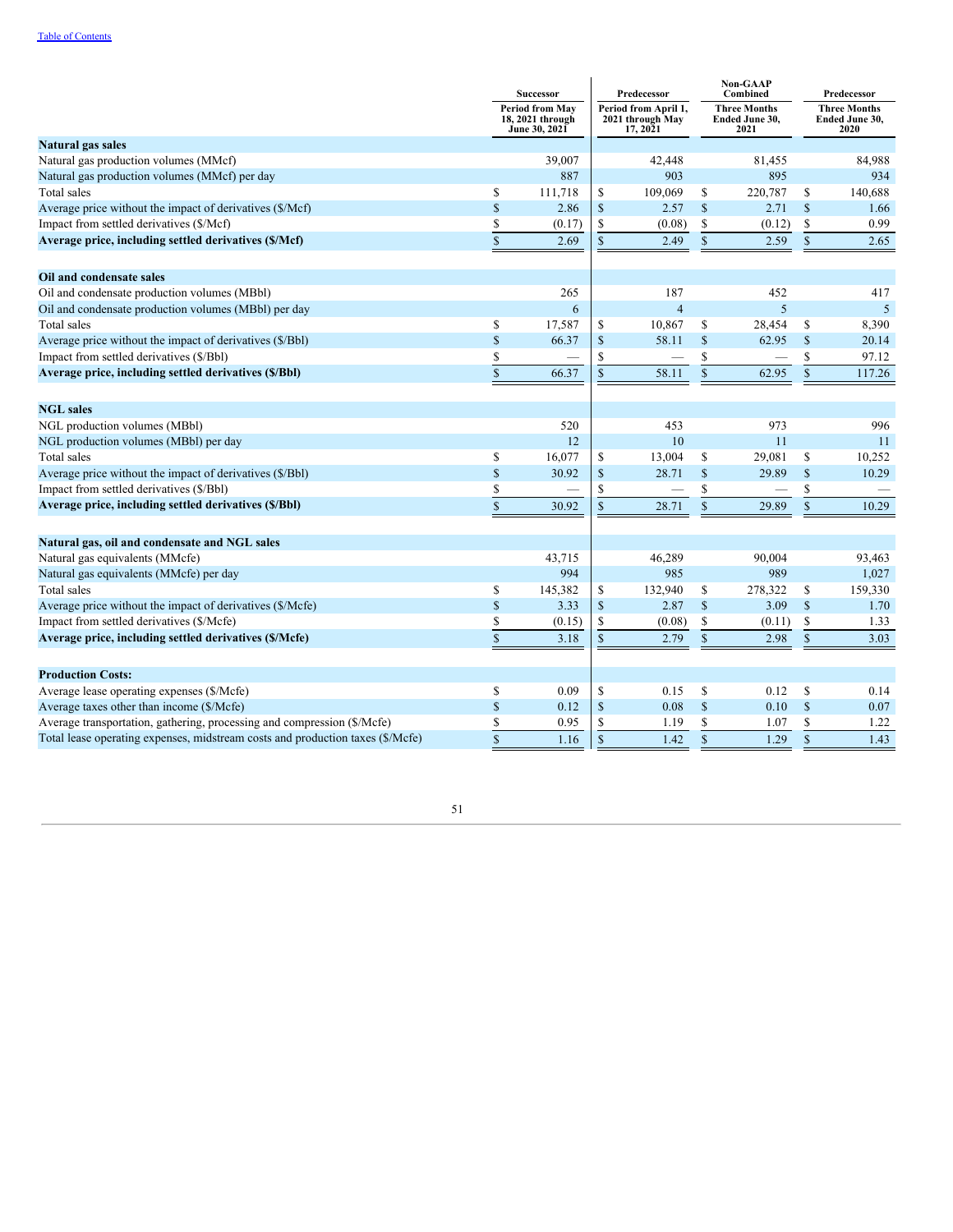|                                                                                | <b>Successor</b>          |                                                             |                         | Predecessor                                          |                         | Non-GAAP<br>Combined                          |                         | Predecessor                                   |
|--------------------------------------------------------------------------------|---------------------------|-------------------------------------------------------------|-------------------------|------------------------------------------------------|-------------------------|-----------------------------------------------|-------------------------|-----------------------------------------------|
|                                                                                |                           | <b>Period from May</b><br>18, 2021 through<br>June 30, 2021 |                         | Period from April 1,<br>2021 through May<br>17, 2021 |                         | <b>Three Months</b><br>Ended June 30,<br>2021 |                         | <b>Three Months</b><br>Ended June 30,<br>2020 |
| <b>Natural gas sales</b>                                                       |                           |                                                             |                         |                                                      |                         |                                               |                         |                                               |
| Natural gas production volumes (MMcf)                                          |                           | 39,007                                                      |                         | 42,448                                               |                         | 81,455                                        |                         | 84,988                                        |
| Natural gas production volumes (MMcf) per day                                  |                           | 887                                                         |                         | 903                                                  |                         | 895                                           |                         | 934                                           |
| Total sales                                                                    | \$                        | 111,718                                                     | \$                      | 109,069                                              | \$                      | 220,787                                       | \$                      | 140,688                                       |
| Average price without the impact of derivatives (\$/Mcf)                       | \$                        | 2.86                                                        | \$                      | 2.57                                                 | \$                      | 2.71                                          | $\mathsf{\$}$           | 1.66                                          |
| Impact from settled derivatives (\$/Mcf)                                       | \$                        | (0.17)                                                      | \$                      | (0.08)                                               | \$                      | (0.12)                                        | \$                      | 0.99                                          |
| Average price, including settled derivatives (\$/Mcf)                          | $\mathbb S$               | 2.69                                                        | \$                      | 2.49                                                 | \$                      | 2.59                                          | $\mathbb{S}$            | 2.65                                          |
| Oil and condensate sales                                                       |                           |                                                             |                         |                                                      |                         |                                               |                         |                                               |
| Oil and condensate production volumes (MBbl)                                   |                           | 265                                                         |                         | 187                                                  |                         | 452                                           |                         | 417                                           |
| Oil and condensate production volumes (MBbl) per day                           |                           | 6                                                           |                         | $\overline{4}$                                       |                         | 5                                             |                         | 5                                             |
| Total sales                                                                    | \$                        | 17,587                                                      | \$                      | 10,867                                               | \$                      | 28,454                                        | \$                      | 8,390                                         |
| Average price without the impact of derivatives (\$/Bbl)                       | \$                        | 66.37                                                       | \$                      | 58.11                                                | \$                      | 62.95                                         | $\mathsf{\$}$           | 20.14                                         |
| Impact from settled derivatives (\$/Bbl)                                       | \$                        |                                                             | \$                      |                                                      | \$                      |                                               | $\mathbb{S}$            | 97.12                                         |
| Average price, including settled derivatives (\$/Bbl)                          | $\overline{\$}$           | 66.37                                                       | $\overline{\mathbf{s}}$ | 58.11                                                | $\overline{\$}$         | 62.95                                         | $\mathsf{\$}$           | 117.26                                        |
| <b>NGL</b> sales                                                               |                           |                                                             |                         |                                                      |                         |                                               |                         |                                               |
| NGL production volumes (MBbl)                                                  |                           | 520                                                         |                         | 453                                                  |                         | 973                                           |                         | 996                                           |
| NGL production volumes (MBbl) per day                                          |                           | 12                                                          |                         | 10                                                   |                         | 11                                            |                         | 11                                            |
| Total sales                                                                    | \$                        | 16,077                                                      | \$                      | 13,004                                               | \$                      | 29,081                                        | $\mathbb{S}$            | 10,252                                        |
| Average price without the impact of derivatives (\$/Bbl)                       | \$                        | 30.92                                                       | \$                      | 28.71                                                | $\mathbf S$             | 29.89                                         | $\mathbf S$             | 10.29                                         |
| Impact from settled derivatives (\$/Bbl)                                       | \$                        |                                                             | \$                      |                                                      | \$                      |                                               | \$                      |                                               |
| Average price, including settled derivatives (\$/Bbl)                          | $\boldsymbol{\mathsf{S}}$ | 30.92                                                       | $\overline{\mathbf{s}}$ | 28.71                                                | $\overline{\$}$         | 29.89                                         | $\overline{\mathbb{S}}$ | 10.29                                         |
| Natural gas, oil and condensate and NGL sales                                  |                           |                                                             |                         |                                                      |                         |                                               |                         |                                               |
| Natural gas equivalents (MMcfe)                                                |                           | 43,715                                                      |                         | 46,289                                               |                         | 90.004                                        |                         | 93,463                                        |
| Natural gas equivalents (MMcfe) per day                                        |                           | 994                                                         |                         | 985                                                  |                         | 989                                           |                         | 1,027                                         |
| Total sales                                                                    | \$                        | 145,382                                                     | \$                      | 132,940                                              | \$                      | 278,322                                       | $\mathbb{S}$            | 159,330                                       |
| Average price without the impact of derivatives (\$/Mcfe)                      | $\mathbb{S}$              | 3.33                                                        | \$                      | 2.87                                                 | \$                      | 3.09                                          | $\mathsf{\$}$           | 1.70                                          |
| Impact from settled derivatives (\$/Mcfe)                                      | \$                        | (0.15)                                                      | \$                      | (0.08)                                               | \$                      | (0.11)                                        | \$                      | 1.33                                          |
| Average price, including settled derivatives (\$/Mcfe)                         | $\$$                      | 3.18                                                        | \$                      | 2.79                                                 | $\mathbb{S}$            | 2.98                                          | $\mathbb{S}$            | 3.03                                          |
| <b>Production Costs:</b>                                                       |                           |                                                             |                         |                                                      |                         |                                               |                         |                                               |
| Average lease operating expenses (\$/Mcfe)                                     | \$                        | 0.09                                                        | \$                      | 0.15                                                 | \$                      | 0.12                                          | $\mathbb{S}$            | 0.14                                          |
| Average taxes other than income (\$/Mcfe)                                      | \$                        | 0.12                                                        | \$                      | 0.08                                                 | \$                      | 0.10                                          | $\mathsf{\$}$           | 0.07                                          |
| Average transportation, gathering, processing and compression (\$/Mcfe)        | \$                        | 0.95                                                        | \$                      | 1.19                                                 | \$                      | 1.07                                          | \$                      | 1.22                                          |
| Total lease operating expenses, midstream costs and production taxes (\$/Mcfe) | $\overline{\mathbb{S}}$   | 1.16                                                        | $\overline{\mathbf{s}}$ | 1.42                                                 | $\overline{\mathbf{S}}$ | 1.29                                          | $\overline{\$}$         | 1.43                                          |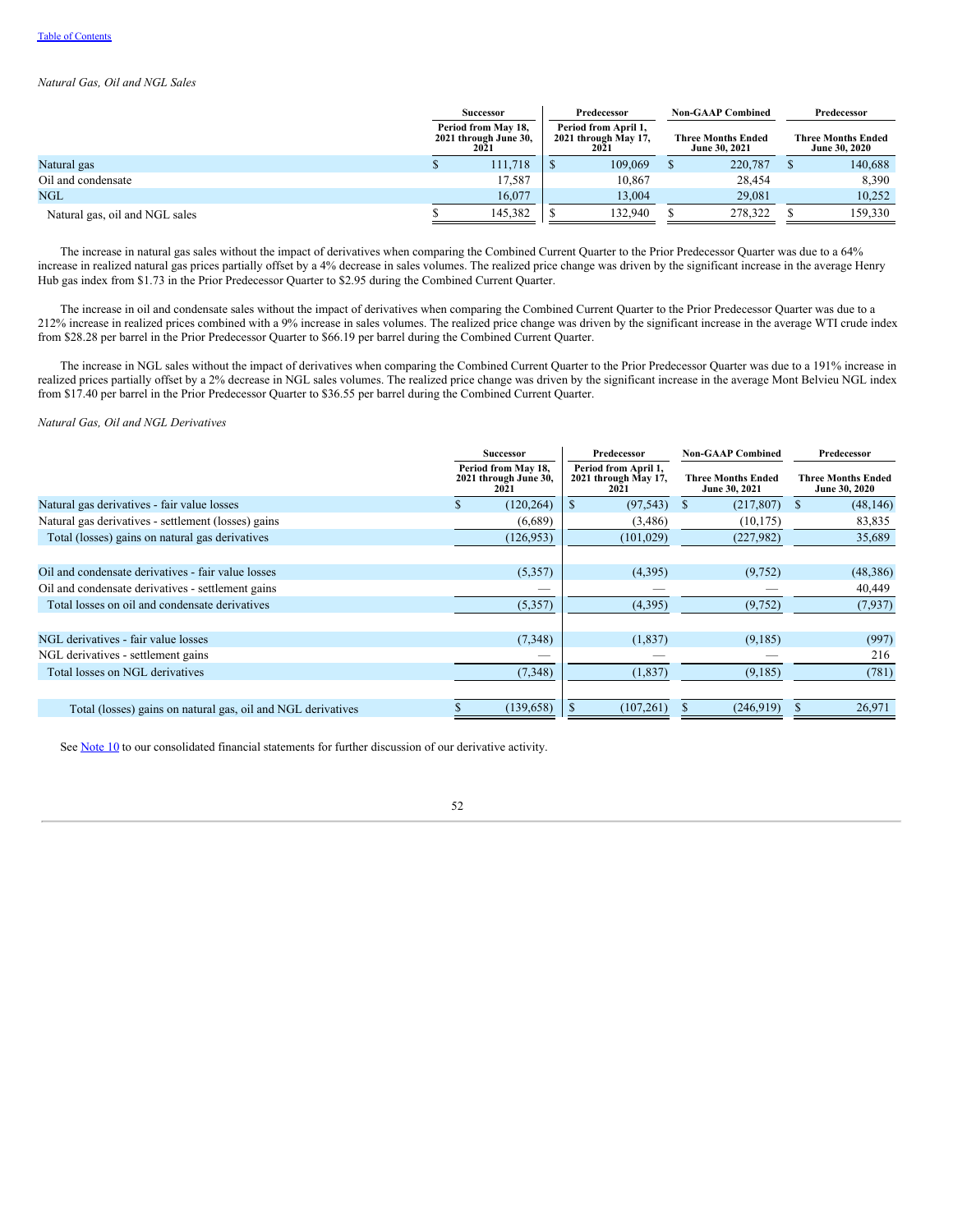## *Natural Gas, Oil and NGL Sales*

|                                | <b>Successor</b> |                                                      | Predecessor |                                                      | <b>Non-GAAP Combined</b> |                                            |  | Predecessor                                       |
|--------------------------------|------------------|------------------------------------------------------|-------------|------------------------------------------------------|--------------------------|--------------------------------------------|--|---------------------------------------------------|
|                                |                  | Period from May 18,<br>2021 through June 30,<br>2021 |             | Period from April 1,<br>2021 through May 17,<br>2021 |                          | <b>Three Months Ended</b><br>June 30, 2021 |  | <b>Three Months Ended</b><br><b>June 30, 2020</b> |
| Natural gas                    |                  | 111,718                                              |             | 109,069                                              |                          | 220,787                                    |  | 140,688                                           |
| Oil and condensate             |                  | 17,587                                               |             | 10.867                                               |                          | 28,454                                     |  | 8,390                                             |
| <b>NGL</b>                     |                  | 16,077                                               |             | 13.004                                               |                          | 29,081                                     |  | 10.252                                            |
| Natural gas, oil and NGL sales |                  | 145,382                                              |             | 132.940                                              |                          | 278,322                                    |  | 159.330                                           |

The increase in natural gas sales without the impact of derivatives when comparing the Combined Current Quarter to the Prior Predecessor Quarter was due to a 64% increase in realized natural gas prices partially offset by a 4% decrease in sales volumes. The realized price change was driven by the significant increase in the average Henry Hub gas index from \$1.73 in the Prior Predecessor Quarter to \$2.95 during the Combined Current Quarter.

The increase in oil and condensate sales without the impact of derivatives when comparing the Combined Current Quarter to the Prior Predecessor Quarter was due to a 212% increase in realized prices combined with a 9% increase in sales volumes. The realized price change was driven by the significant increase in the average WTI crude index from \$28.28 per barrel in the Prior Predecessor Quarter to \$66.19 per barrel during the Combined Current Quarter.

The increase in NGL sales without the impact of derivatives when comparing the Combined Current Quarter to the Prior Predecessor Quarter was due to a 191% increase in realized prices partially offset by a 2% decrease in NGL sales volumes. The realized price change was driven by the significant increase in the average Mont Belvieu NGL index from \$17.40 per barrel in the Prior Predecessor Quarter to \$36.55 per barrel during the Combined Current Quarter.

*Natural Gas, Oil and NGL Derivatives*

|                                                              | Successor |                                                      |                                                      | Predecessor |                                            | <b>Non-GAAP Combined</b> |          | Predecessor                                |
|--------------------------------------------------------------|-----------|------------------------------------------------------|------------------------------------------------------|-------------|--------------------------------------------|--------------------------|----------|--------------------------------------------|
|                                                              |           | Period from May 18,<br>2021 through June 30,<br>2021 | Period from April 1,<br>2021 through May 17,<br>2021 |             | <b>Three Months Ended</b><br>June 30, 2021 |                          |          | <b>Three Months Ended</b><br>June 30, 2020 |
| Natural gas derivatives - fair value losses                  |           | (120, 264)                                           | <sup>\$</sup>                                        | (97, 543)   |                                            | (217, 807)               | <b>S</b> | (48, 146)                                  |
| Natural gas derivatives - settlement (losses) gains          |           | (6,689)                                              |                                                      | (3,486)     |                                            | (10, 175)                |          | 83,835                                     |
| Total (losses) gains on natural gas derivatives              |           | (126, 953)                                           |                                                      | (101, 029)  |                                            | (227, 982)               |          | 35,689                                     |
|                                                              |           |                                                      |                                                      |             |                                            |                          |          |                                            |
| Oil and condensate derivatives - fair value losses           |           | (5,357)                                              |                                                      | (4,395)     |                                            | (9,752)                  |          | (48, 386)                                  |
| Oil and condensate derivatives - settlement gains            |           |                                                      |                                                      |             |                                            |                          |          | 40,449                                     |
| Total losses on oil and condensate derivatives               |           | (5, 357)                                             |                                                      | (4,395)     |                                            | (9, 752)                 |          | (7, 937)                                   |
|                                                              |           |                                                      |                                                      |             |                                            |                          |          |                                            |
| NGL derivatives - fair value losses                          |           | (7,348)                                              |                                                      | (1, 837)    |                                            | (9,185)                  |          | (997)                                      |
| NGL derivatives - settlement gains                           |           |                                                      |                                                      |             |                                            |                          |          | 216                                        |
| Total losses on NGL derivatives                              |           | (7, 348)                                             |                                                      | (1, 837)    |                                            | (9,185)                  |          | (781)                                      |
|                                                              |           |                                                      |                                                      |             |                                            |                          |          |                                            |
| Total (losses) gains on natural gas, oil and NGL derivatives |           | (139, 658)                                           |                                                      | (107, 261)  |                                            | (246, 919)               |          | 26,971                                     |

52

See [Note](#page-36-0) 10 to our consolidated financial statements for further discussion of our derivative activity.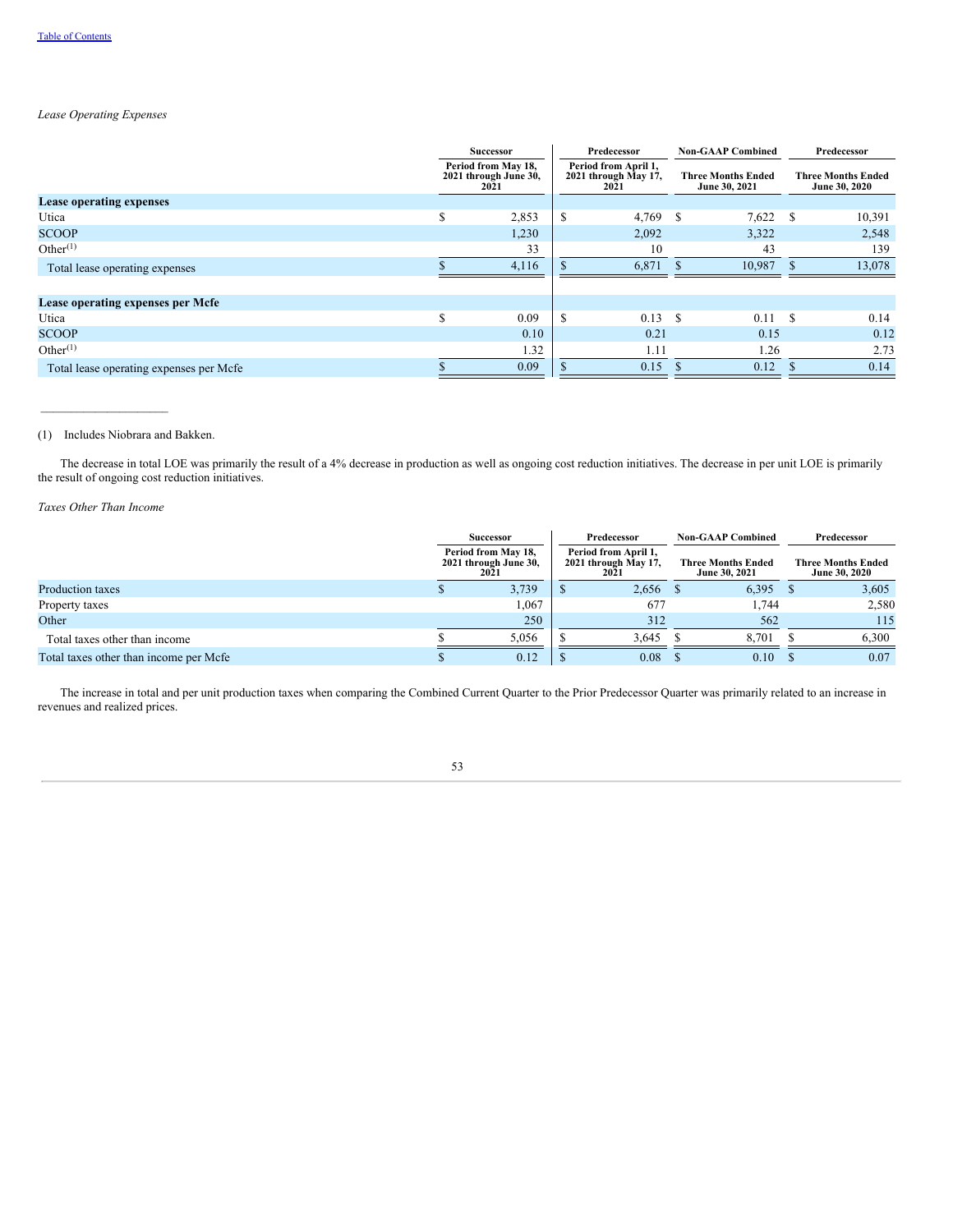## *Lease Operating Expenses*

|                                         | <b>Successor</b>                                     |       |                                                      | <b>Non-GAAP Combined</b><br>Predecessor |                                            |        | Predecessor |                                            |
|-----------------------------------------|------------------------------------------------------|-------|------------------------------------------------------|-----------------------------------------|--------------------------------------------|--------|-------------|--------------------------------------------|
|                                         | Period from May 18,<br>2021 through June 30,<br>2021 |       | Period from April 1,<br>2021 through May 17,<br>2021 |                                         | <b>Three Months Ended</b><br>June 30, 2021 |        |             | <b>Three Months Ended</b><br>June 30, 2020 |
| Lease operating expenses                |                                                      |       |                                                      |                                         |                                            |        |             |                                            |
| Utica                                   | ъ                                                    | 2,853 | S                                                    | 4,769                                   | - S                                        | 7,622  | - \$        | 10,391                                     |
| <b>SCOOP</b>                            |                                                      | 1,230 |                                                      | 2,092                                   |                                            | 3,322  |             | 2,548                                      |
| Other <sup>(1)</sup>                    |                                                      | 33    |                                                      | 10                                      |                                            | 43     |             | 139                                        |
| Total lease operating expenses          |                                                      | 4,116 |                                                      | 6,871                                   |                                            | 10,987 |             | 13,078                                     |
|                                         |                                                      |       |                                                      |                                         |                                            |        |             |                                            |
| Lease operating expenses per Mcfe       |                                                      |       |                                                      |                                         |                                            |        |             |                                            |
| Utica                                   |                                                      | 0.09  | S                                                    | $0.13 \quad$ \$                         |                                            | 0.11   | - \$        | 0.14                                       |
| <b>SCOOP</b>                            |                                                      | 0.10  |                                                      | 0.21                                    |                                            | 0.15   |             | 0.12                                       |
| Other <sup>(1)</sup>                    |                                                      | 1.32  |                                                      | 1.11                                    |                                            | 1.26   |             | 2.73                                       |
| Total lease operating expenses per Mcfe |                                                      | 0.09  |                                                      | 0.15                                    |                                            | 0.12   |             | 0.14                                       |

## (1) Includes Niobrara and Bakken.

\_\_\_\_\_\_\_\_\_\_\_\_\_\_\_\_\_\_\_\_\_

The decrease in total LOE was primarily the result of a 4% decrease in production as well as ongoing cost reduction initiatives. The decrease in per unit LOE is primarily the result of ongoing cost reduction initiatives.

# *Taxes Other Than Income*

|                                        | <b>Successor</b>                                     |       | Predecessor<br>Period from April 1,<br>2021 through May 17,<br>2021 |       | <b>Non-GAAP Combined</b><br><b>Three Months Ended</b><br>June 30, 2021 |       |                                            | Predecessor |
|----------------------------------------|------------------------------------------------------|-------|---------------------------------------------------------------------|-------|------------------------------------------------------------------------|-------|--------------------------------------------|-------------|
|                                        | Period from May 18,<br>2021 through June 30,<br>2021 |       |                                                                     |       |                                                                        |       | <b>Three Months Ended</b><br>June 30, 2020 |             |
| <b>Production taxes</b>                |                                                      | 3,739 |                                                                     | 2,656 |                                                                        | 6,395 |                                            | 3,605       |
| Property taxes                         |                                                      | 1,067 |                                                                     | 677   |                                                                        | 1,744 |                                            | 2,580       |
| Other                                  |                                                      | 250   |                                                                     | 312   |                                                                        | 562   |                                            | 115         |
| Total taxes other than income          |                                                      | 5,056 |                                                                     | 3.645 |                                                                        | 8.701 |                                            | 6.300       |
| Total taxes other than income per Mcfe |                                                      | 0.12  |                                                                     | 0.08  |                                                                        | 0.10  |                                            | 0.07        |

The increase in total and per unit production taxes when comparing the Combined Current Quarter to the Prior Predecessor Quarter was primarily related to an increase in revenues and realized prices.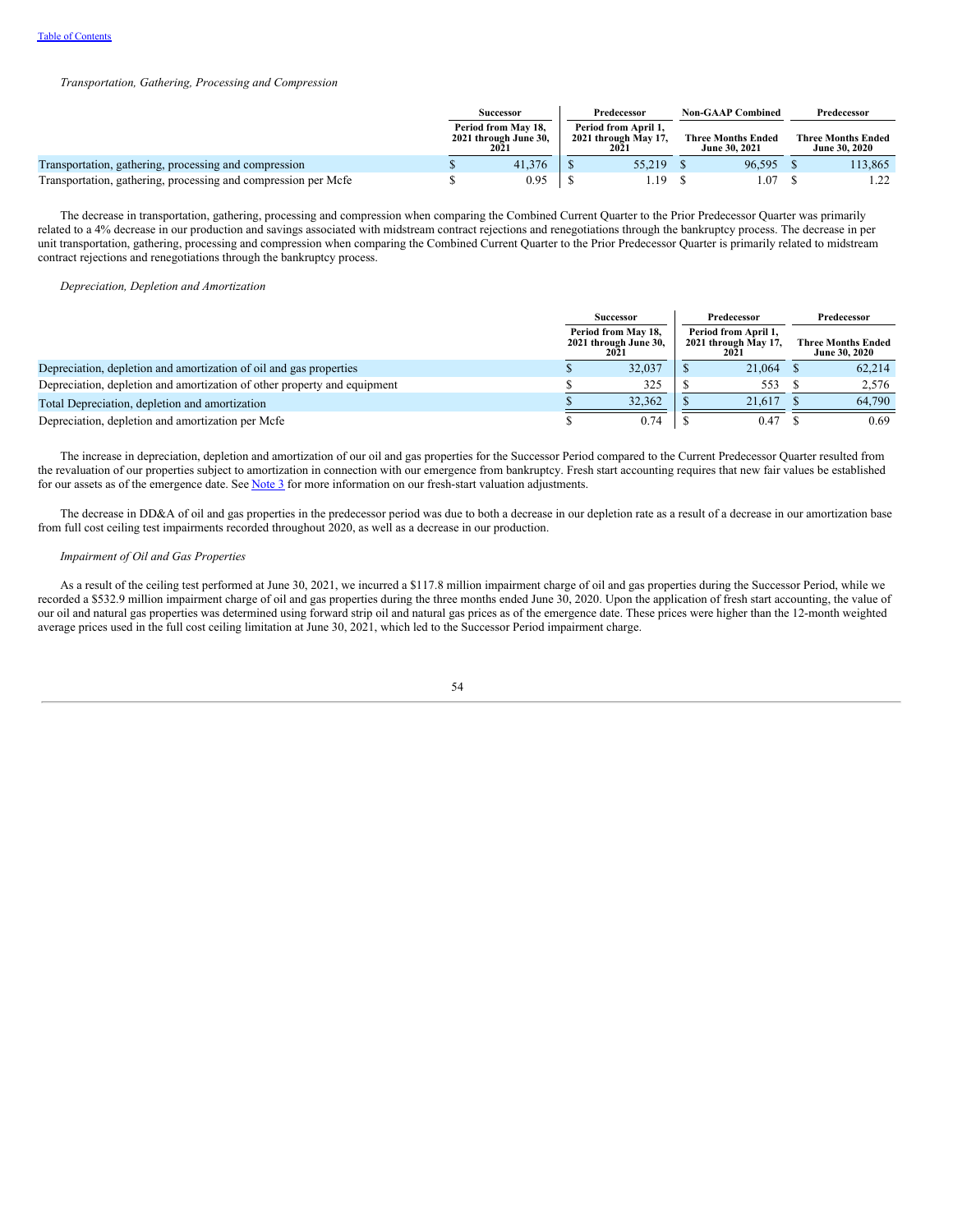### *Transportation, Gathering, Processing and Compression*

|                                                                | <b>Successor</b>                                     |        |                                                      | Predecessor | <b>Non-GAAP Combined</b> |                                            |                                                   | Predecessor |  |
|----------------------------------------------------------------|------------------------------------------------------|--------|------------------------------------------------------|-------------|--------------------------|--------------------------------------------|---------------------------------------------------|-------------|--|
|                                                                | Period from May 18,<br>2021 through June 30,<br>2021 |        | Period from April 1,<br>2021 through May 17,<br>2021 |             |                          | <b>Three Months Ended</b><br>June 30, 2021 | <b>Three Months Ended</b><br><b>June 30, 2020</b> |             |  |
| Transportation, gathering, processing and compression          |                                                      | 41,376 |                                                      | 55.219      |                          | 96.595                                     |                                                   | 113,865     |  |
| Transportation, gathering, processing and compression per Mcfe |                                                      | 0.95   |                                                      | . 19        |                          | 1.07                                       |                                                   | 1.∠∠        |  |

The decrease in transportation, gathering, processing and compression when comparing the Combined Current Quarter to the Prior Predecessor Quarter was primarily related to a 4% decrease in our production and savings associated with midstream contract rejections and renegotiations through the bankruptcy process. The decrease in per unit transportation, gathering, processing and compression when comparing the Combined Current Quarter to the Prior Predecessor Quarter is primarily related to midstream contract rejections and renegotiations through the bankruptcy process.

#### *Depreciation, Depletion and Amortization*

|                                                                          | <b>Successor</b>                                     | Predecessor |                                                      |  | Predecessor                                |
|--------------------------------------------------------------------------|------------------------------------------------------|-------------|------------------------------------------------------|--|--------------------------------------------|
|                                                                          | Period from May 18,<br>2021 through June 30,<br>2021 |             | Period from April 1,<br>2021 through May 17,<br>2021 |  | <b>Three Months Ended</b><br>June 30, 2020 |
| Depreciation, depletion and amortization of oil and gas properties       | 32,037                                               |             | 21,064                                               |  | 62.214                                     |
| Depreciation, depletion and amortization of other property and equipment | 325                                                  |             | 553                                                  |  | 2.576                                      |
| Total Depreciation, depletion and amortization                           | 32.362                                               |             | 21.617                                               |  | 64,790                                     |
| Depreciation, depletion and amortization per Mcfe                        | 0.74                                                 |             | 0.47                                                 |  | 0.69                                       |

The increase in depreciation, depletion and amortization of our oil and gas properties for the Successor Period compared to the Current Predecessor Quarter resulted from the revaluation of our properties subject to amortization in connection with our emergence from bankruptcy. Fresh start accounting requires that new fair values be established for our assets as of the emergence date. See [Note](#page-17-0) 3 for more information on our fresh-start valuation adjustments.

The decrease in DD&A of oil and gas properties in the predecessor period was due to both a decrease in our depletion rate as a result of a decrease in our amortization base from full cost ceiling test impairments recorded throughout 2020, as well as a decrease in our production.

## *Impairment of Oil and Gas Properties*

As a result of the ceiling test performed at June 30, 2021, we incurred a \$117.8 million impairment charge of oil and gas properties during the Successor Period, while we recorded a \$532.9 million impairment charge of oil and gas properties during the three months ended June 30, 2020. Upon the application of fresh start accounting, the value of our oil and natural gas properties was determined using forward strip oil and natural gas prices as of the emergence date. These prices were higher than the 12-month weighted average prices used in the full cost ceiling limitation at June 30, 2021, which led to the Successor Period impairment charge.

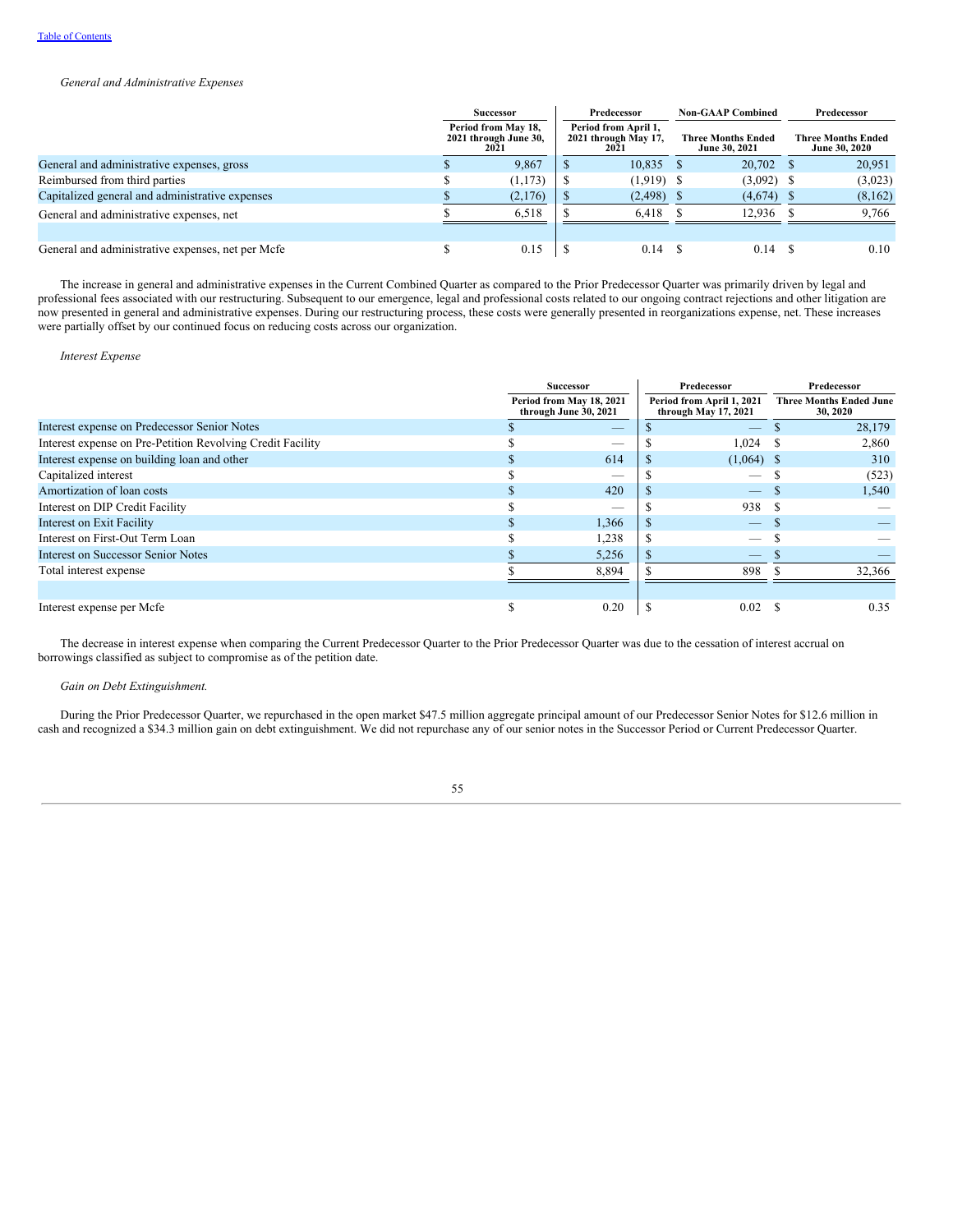### *General and Administrative Expenses*

|                                                   |                                                      | <b>Successor</b> |                                                      | Predecessor  |                                     | <b>Non-GAAP Combined</b> |  | Predecessor                                |
|---------------------------------------------------|------------------------------------------------------|------------------|------------------------------------------------------|--------------|-------------------------------------|--------------------------|--|--------------------------------------------|
|                                                   | Period from May 18,<br>2021 through June 30,<br>2021 |                  | Period from April 1.<br>2021 through May 17,<br>2021 |              | Three Months Ended<br>June 30, 2021 |                          |  | <b>Three Months Ended</b><br>June 30, 2020 |
| General and administrative expenses, gross        |                                                      | 9,867            |                                                      | $10,835$ \$  |                                     | 20,702 \$                |  | 20,951                                     |
| Reimbursed from third parties                     |                                                      | (1,173)          |                                                      | $(1,919)$ \$ |                                     | $(3,092)$ \$             |  | (3,023)                                    |
| Capitalized general and administrative expenses   |                                                      | (2,176)          |                                                      | $(2,498)$ \$ |                                     | $(4,674)$ \$             |  | (8,162)                                    |
| General and administrative expenses, net          |                                                      | 6,518            |                                                      | 6,418        |                                     | 12,936 \$                |  | 9,766                                      |
|                                                   |                                                      |                  |                                                      |              |                                     |                          |  |                                            |
| General and administrative expenses, net per Mcfe |                                                      | 0.15             |                                                      | 0.14S        |                                     | 0.14S                    |  | 0.10                                       |

The increase in general and administrative expenses in the Current Combined Quarter as compared to the Prior Predecessor Quarter was primarily driven by legal and professional fees associated with our restructuring. Subsequent to our emergence, legal and professional costs related to our ongoing contract rejections and other litigation are now presented in general and administrative expenses. During our restructuring process, these costs were generally presented in reorganizations expense, net. These increases were partially offset by our continued focus on reducing costs across our organization.

## *Interest Expense*

|                                                            | <b>Successor</b>                                  | Predecessor |                                                   |    | Predecessor                                |
|------------------------------------------------------------|---------------------------------------------------|-------------|---------------------------------------------------|----|--------------------------------------------|
|                                                            | Period from May 18, 2021<br>through June 30, 2021 |             | Period from April 1, 2021<br>through May 17, 2021 |    | <b>Three Months Ended June</b><br>30, 2020 |
| Interest expense on Predecessor Senior Notes               | _                                                 |             |                                                   |    | 28,179                                     |
| Interest expense on Pre-Petition Revolving Credit Facility | $-$                                               |             | 1,024                                             | -S | 2,860                                      |
| Interest expense on building loan and other                | 614                                               |             | $(1,064)$ \$                                      |    | 310                                        |
| Capitalized interest                                       | $\overbrace{\hspace{25mm}}^{}$                    |             | $\overline{\phantom{a}}$                          |    | (523)                                      |
| Amortization of loan costs                                 | 420                                               |             |                                                   |    | 1,540                                      |
| Interest on DIP Credit Facility                            |                                                   |             | 938                                               | S  |                                            |
| Interest on Exit Facility                                  | 1,366                                             |             | $\overline{\phantom{0}}$                          |    |                                            |
| Interest on First-Out Term Loan                            | 1,238                                             |             | $\overline{\phantom{a}}$                          |    |                                            |
| <b>Interest on Successor Senior Notes</b>                  | 5,256                                             |             | $-$                                               |    |                                            |
| Total interest expense                                     | 8,894                                             |             | 898                                               |    | 32,366                                     |
|                                                            |                                                   |             |                                                   |    |                                            |
| Interest expense per Mcfe                                  | 0.20                                              |             | 0.02                                              |    | 0.35                                       |

The decrease in interest expense when comparing the Current Predecessor Quarter to the Prior Predecessor Quarter was due to the cessation of interest accrual on borrowings classified as subject to compromise as of the petition date.

# *Gain on Debt Extinguishment.*

During the Prior Predecessor Quarter, we repurchased in the open market \$47.5 million aggregate principal amount of our Predecessor Senior Notes for \$12.6 million in cash and recognized a \$34.3 million gain on debt extinguishment. We did not repurchase any of our senior notes in the Successor Period or Current Predecessor Quarter.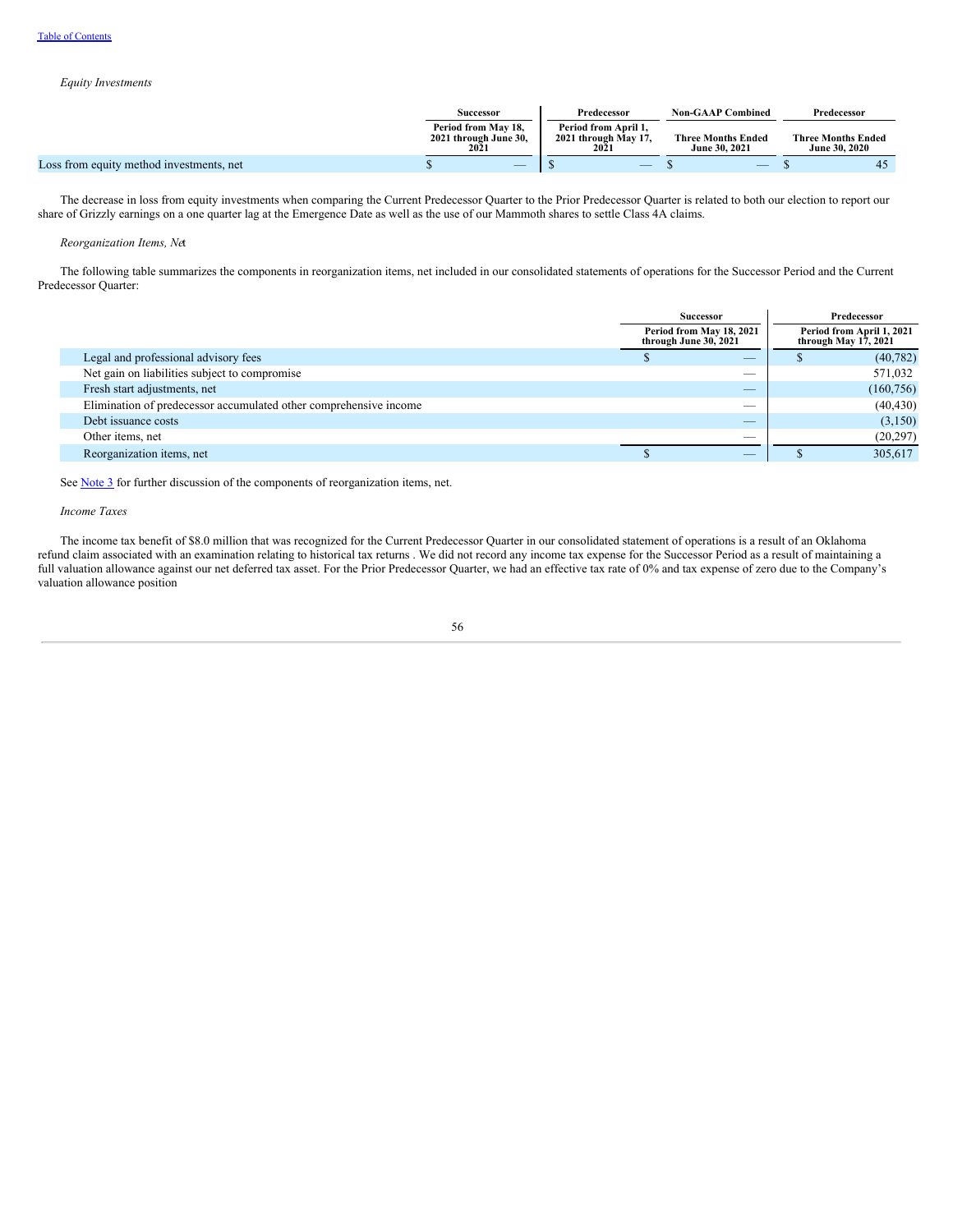## *Equity Investments*

|                                          | <b>Successor</b>                                     |                          | Predecessor                                          |                          | <b>Non-GAAP Combined</b>                   | Predecessor                                       |
|------------------------------------------|------------------------------------------------------|--------------------------|------------------------------------------------------|--------------------------|--------------------------------------------|---------------------------------------------------|
|                                          | Period from May 18,<br>2021 through June 30,<br>2021 |                          | Period from April 1.<br>2021 through May 17.<br>2021 |                          | <b>Three Months Ended</b><br>June 30, 2021 | <b>Three Months Ended</b><br><b>June 30, 2020</b> |
| Loss from equity method investments, net |                                                      | $\overline{\phantom{a}}$ |                                                      | $\overline{\phantom{a}}$ | $\hspace{1.0cm} \overline{\phantom{0}}$    | 45                                                |

The decrease in loss from equity investments when comparing the Current Predecessor Quarter to the Prior Predecessor Quarter is related to both our election to report our share of Grizzly earnings on a one quarter lag at the Emergence Date as well as the use of our Mammoth shares to settle Class 4A claims.

## *Reorganization Items, Ne*t

The following table summarizes the components in reorganization items, net included in our consolidated statements of operations for the Successor Period and the Current Predecessor Quarter:

|                                                                   |                       | Successor                | Predecessor                                       |
|-------------------------------------------------------------------|-----------------------|--------------------------|---------------------------------------------------|
|                                                                   | through June 30, 2021 | Period from May 18, 2021 | Period from April 1, 2021<br>through May 17, 2021 |
| Legal and professional advisory fees                              |                       | $-$                      | (40, 782)                                         |
| Net gain on liabilities subject to compromise                     |                       | __                       | 571,032                                           |
| Fresh start adjustments, net                                      |                       | $-$                      | (160, 756)                                        |
| Elimination of predecessor accumulated other comprehensive income |                       | _                        | (40, 430)                                         |
| Debt issuance costs                                               |                       | _                        | (3,150)                                           |
| Other items, net                                                  |                       | $-$                      | (20, 297)                                         |
| Reorganization items, net                                         |                       | _                        | 305,617                                           |

See [Note](#page-17-0) 3 for further discussion of the components of reorganization items, net.

## *Income Taxes*

The income tax benefit of \$8.0 million that was recognized for the Current Predecessor Quarter in our consolidated statement of operations is a result of an Oklahoma refund claim associated with an examination relating to historical tax returns . We did not record any income tax expense for the Successor Period as a result of maintaining a full valuation allowance against our net deferred tax asset. For the Prior Predecessor Quarter, we had an effective tax rate of 0% and tax expense of zero due to the Company's valuation allowance position

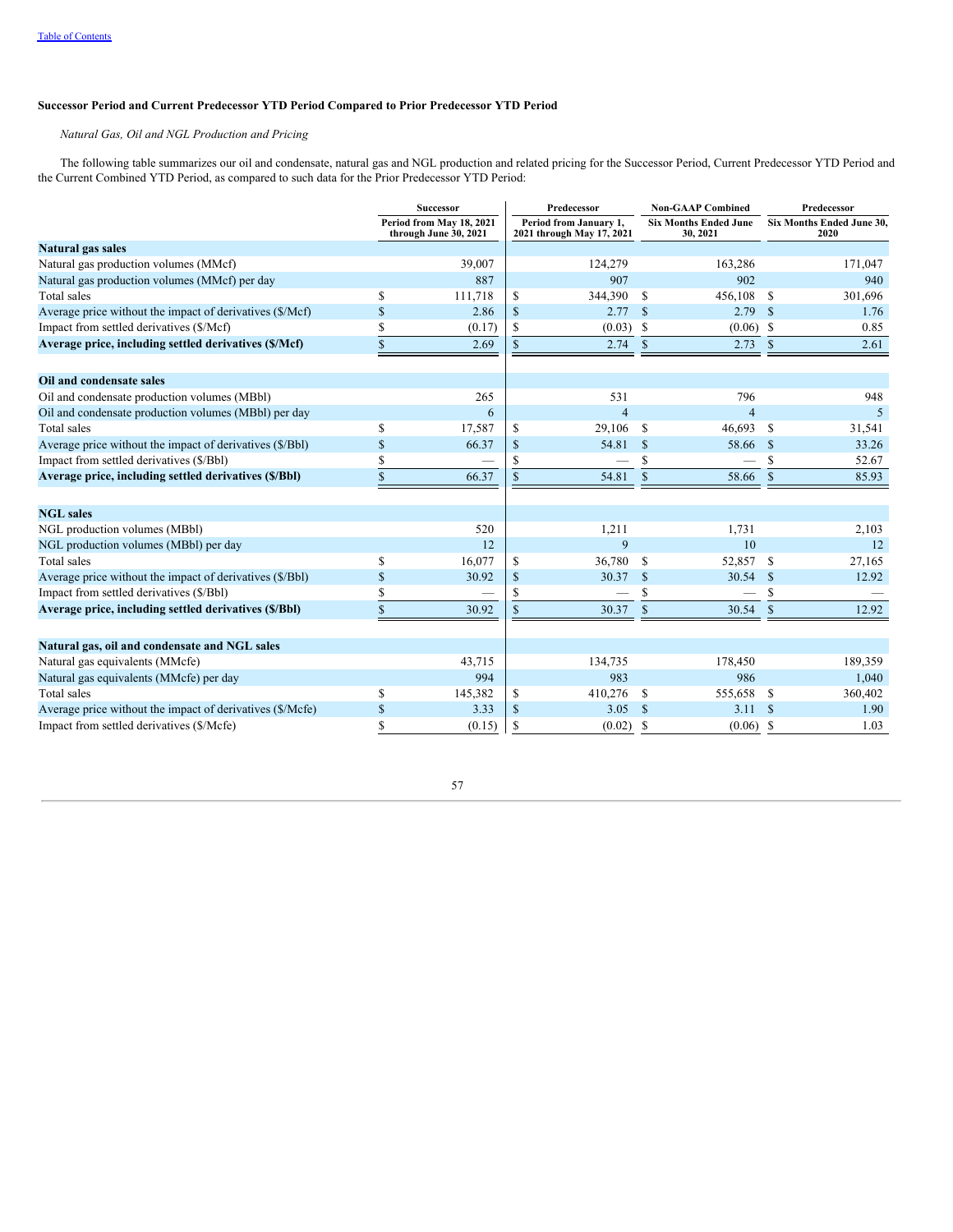## **Successor Period and Current Predecessor YTD Period Compared to Prior Predecessor YTD Period**

## *Natural Gas, Oil and NGL Production and Pricing*

The following table summarizes our oil and condensate, natural gas and NGL production and related pricing for the Successor Period, Current Predecessor YTD Period and the Current Combined YTD Period, as compared to such data for the Prior Predecessor YTD Period:

|                                                           |             | <b>Successor</b>                                  |                                                     | Predecessor    |               | <b>Non-GAAP Combined</b>                 | Predecessor   |                                   |  |  |
|-----------------------------------------------------------|-------------|---------------------------------------------------|-----------------------------------------------------|----------------|---------------|------------------------------------------|---------------|-----------------------------------|--|--|
|                                                           |             | Period from May 18, 2021<br>through June 30, 2021 | Period from January 1,<br>2021 through May 17, 2021 |                |               | <b>Six Months Ended June</b><br>30, 2021 |               | Six Months Ended June 30.<br>2020 |  |  |
| Natural gas sales                                         |             |                                                   |                                                     |                |               |                                          |               |                                   |  |  |
| Natural gas production volumes (MMcf)                     |             | 39,007                                            |                                                     | 124,279        |               | 163,286                                  |               | 171,047                           |  |  |
| Natural gas production volumes (MMcf) per day             |             | 887                                               |                                                     | 907            |               | 902                                      |               | 940                               |  |  |
| Total sales                                               | \$          | 111,718                                           | \$                                                  | 344,390        | S             | 456,108                                  | S             | 301,696                           |  |  |
| Average price without the impact of derivatives (\$/Mcf)  | \$          | 2.86                                              | $\mathbb{S}$                                        | 2.77           | $\mathbf S$   | 2.79                                     | <sup>S</sup>  | 1.76                              |  |  |
| Impact from settled derivatives (\$/Mcf)                  | \$          | (0.17)                                            | \$                                                  | (0.03)         | S             | (0.06)                                   | -S            | 0.85                              |  |  |
| Average price, including settled derivatives (\$/Mcf)     | \$          | 2.69                                              | S                                                   | 2.74           | $\mathbb{S}$  | 2.73                                     | $\mathbb{S}$  | 2.61                              |  |  |
| Oil and condensate sales                                  |             |                                                   |                                                     |                |               |                                          |               |                                   |  |  |
| Oil and condensate production volumes (MBbl)              |             | 265                                               |                                                     | 531            |               | 796                                      |               | 948                               |  |  |
| Oil and condensate production volumes (MBbl) per day      |             | 6                                                 |                                                     | $\overline{4}$ |               | $\overline{4}$                           |               | 5                                 |  |  |
| Total sales                                               | \$          | 17,587                                            | \$                                                  | 29,106         | S             | 46,693                                   | S             | 31,541                            |  |  |
| Average price without the impact of derivatives (\$/Bbl)  | \$          | 66.37                                             | $\mathbb{S}$                                        | 54.81          | <sup>S</sup>  | 58.66                                    | $\mathbf{s}$  | 33.26                             |  |  |
| Impact from settled derivatives (\$/Bbl)                  | \$          |                                                   | \$                                                  |                | S             |                                          | S             | 52.67                             |  |  |
| Average price, including settled derivatives (\$/Bbl)     | \$          | 66.37                                             | $\mathbb{S}$                                        | 54.81          | $\mathcal{S}$ | 58.66                                    | $\mathbf{s}$  | 85.93                             |  |  |
| <b>NGL</b> sales                                          |             |                                                   |                                                     |                |               |                                          |               |                                   |  |  |
| NGL production volumes (MBbl)                             |             | 520                                               |                                                     | 1,211          |               | 1,731                                    |               | 2,103                             |  |  |
| NGL production volumes (MBbl) per day                     |             | 12                                                |                                                     | 9              |               | 10                                       |               | 12                                |  |  |
| <b>Total</b> sales                                        | \$          | 16,077                                            | \$                                                  | 36,780         | S             | 52,857                                   | S             | 27,165                            |  |  |
| Average price without the impact of derivatives (\$/Bbl)  | \$          | 30.92                                             | $\mathbb{S}$                                        | 30.37          | <sup>S</sup>  | 30.54                                    | <sup>S</sup>  | 12.92                             |  |  |
| Impact from settled derivatives (\$/Bbl)                  | \$          |                                                   | \$                                                  |                | S             |                                          | S             |                                   |  |  |
| Average price, including settled derivatives (\$/Bbl)     | $\mathbf S$ | 30.92                                             | $\mathbf S$                                         | 30.37          | $\mathbf{s}$  | 30.54                                    | $\mathbf S$   | 12.92                             |  |  |
| Natural gas, oil and condensate and NGL sales             |             |                                                   |                                                     |                |               |                                          |               |                                   |  |  |
| Natural gas equivalents (MMcfe)                           |             | 43,715                                            |                                                     | 134,735        |               | 178,450                                  |               | 189,359                           |  |  |
| Natural gas equivalents (MMcfe) per day                   |             | 994                                               |                                                     | 983            |               | 986                                      |               | 1,040                             |  |  |
| Total sales                                               | \$          | 145,382                                           | \$                                                  | 410,276        | S             | 555,658                                  | S             | 360,402                           |  |  |
| Average price without the impact of derivatives (\$/Mcfe) | \$          | 3.33                                              | $\mathbb{S}$                                        | 3.05           | $\mathbf{s}$  | 3.11                                     | $\mathcal{S}$ | 1.90                              |  |  |
| Impact from settled derivatives (\$/Mcfe)                 | \$          | (0.15)                                            | \$                                                  | (0.02)         | S             | (0.06)                                   | -S            | 1.03                              |  |  |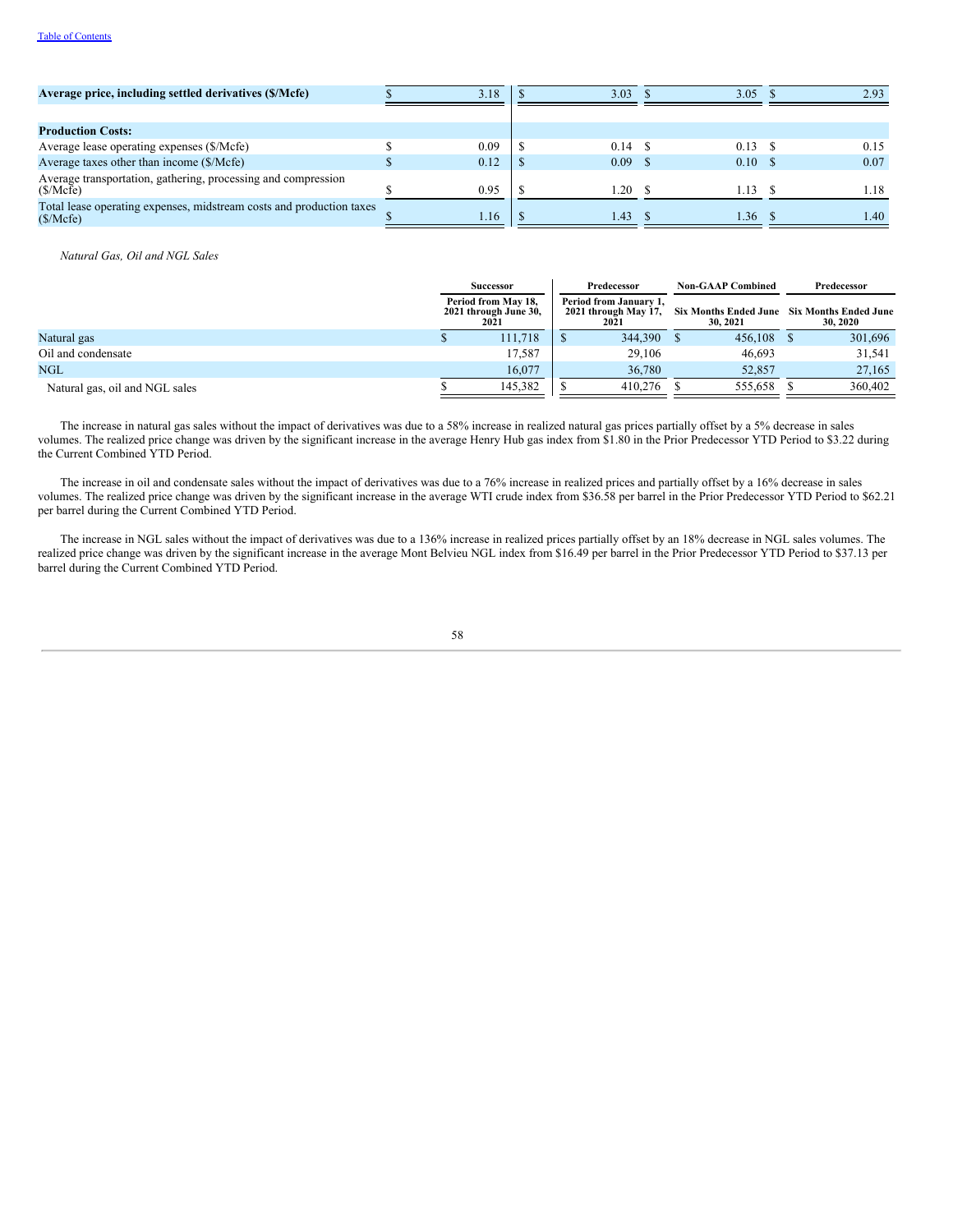| Average price, including settled derivatives (\$/Mcfe)                           | 3.18 | 3.03   | 3.05  | 2.93 |
|----------------------------------------------------------------------------------|------|--------|-------|------|
|                                                                                  |      |        |       |      |
| <b>Production Costs:</b>                                                         |      |        |       |      |
| Average lease operating expenses (\$/Mcfe)                                       | 0.09 | 0.14   | 0.13  | 0.15 |
| Average taxes other than income (\$/Mcfe)                                        | 0.12 | 0.09 S | 0.10S | 0.07 |
| Average transportation, gathering, processing and compression<br>(S/Mcfe)        | 0.95 | 1.20   | 1.13  | 1.18 |
| Total lease operating expenses, midstream costs and production taxes<br>(S/Mcfe) | 1.16 | 1.43   | 1.36  | 1.40 |

*Natural Gas, Oil and NGL Sales*

|                                |  | <b>Successor</b>                                     | Predecessor<br>Period from January 1.<br>2021 through May 17,<br>2021 |            | <b>Non-GAAP Combined</b>                                |            |  | Predecessor |
|--------------------------------|--|------------------------------------------------------|-----------------------------------------------------------------------|------------|---------------------------------------------------------|------------|--|-------------|
|                                |  | Period from May 18,<br>2021 through June 30,<br>2021 |                                                                       |            | Six Months Ended June Six Months Ended June<br>30, 2021 |            |  | 30, 2020    |
| Natural gas                    |  | 111,718                                              |                                                                       | 344,390 \$ |                                                         | 456,108 \$ |  | 301,696     |
| Oil and condensate             |  | 17,587                                               |                                                                       | 29.106     |                                                         | 46.693     |  | 31.541      |
| <b>NGL</b>                     |  | 16.077                                               |                                                                       | 36,780     |                                                         | 52,857     |  | 27,165      |
| Natural gas, oil and NGL sales |  | 145,382                                              |                                                                       | 410.276 \$ |                                                         | 555,658    |  | 360,402     |

The increase in natural gas sales without the impact of derivatives was due to a 58% increase in realized natural gas prices partially offset by a 5% decrease in sales volumes. The realized price change was driven by the significant increase in the average Henry Hub gas index from \$1.80 in the Prior Predecessor YTD Period to \$3.22 during the Current Combined YTD Period.

The increase in oil and condensate sales without the impact of derivatives was due to a 76% increase in realized prices and partially offset by a 16% decrease in sales volumes. The realized price change was driven by the significant increase in the average WTI crude index from \$36.58 per barrel in the Prior Predecessor YTD Period to \$62.21 per barrel during the Current Combined YTD Period.

The increase in NGL sales without the impact of derivatives was due to a 136% increase in realized prices partially offset by an 18% decrease in NGL sales volumes. The realized price change was driven by the significant increase in the average Mont Belvieu NGL index from \$16.49 per barrel in the Prior Predecessor YTD Period to \$37.13 per barrel during the Current Combined YTD Period.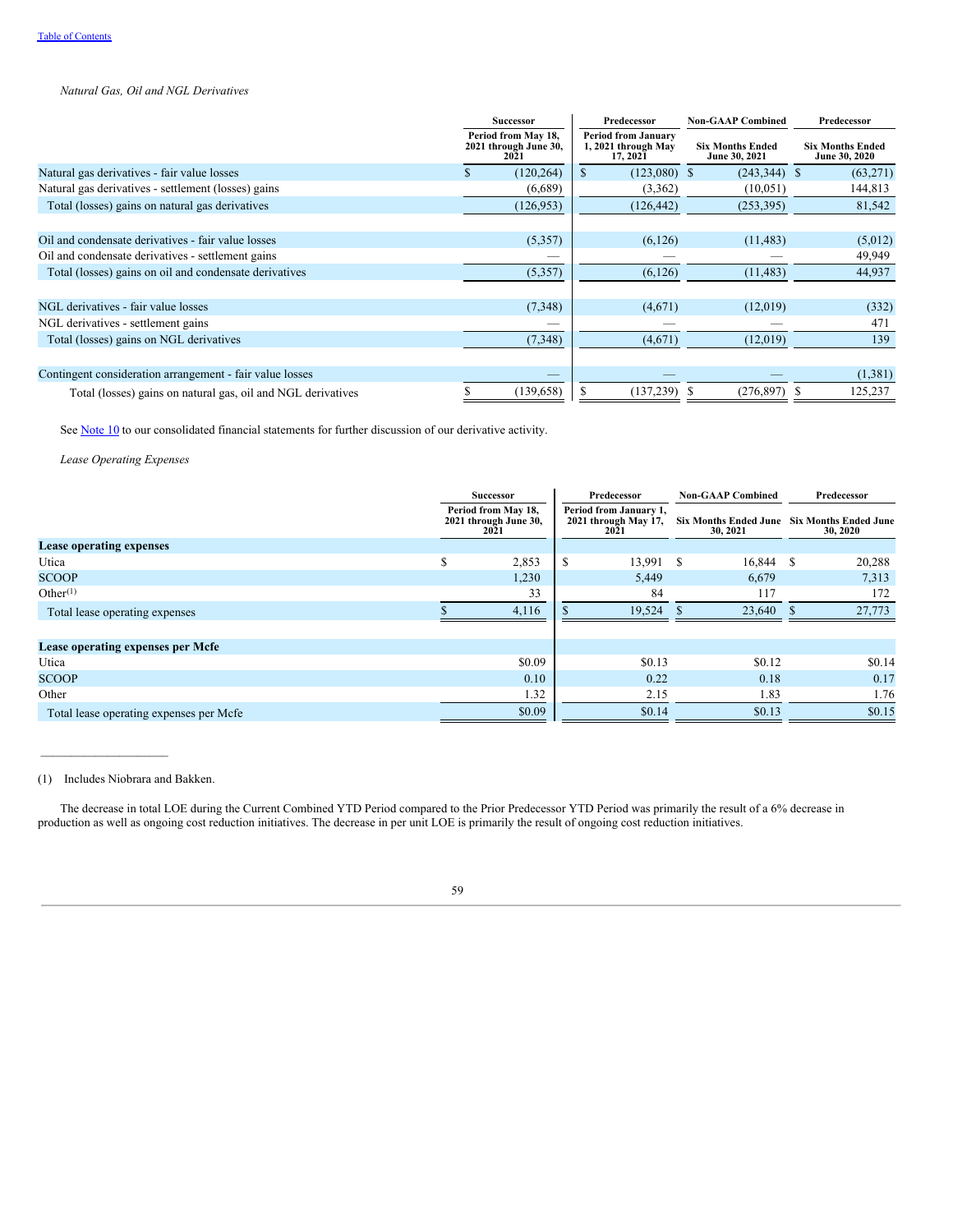## *Natural Gas, Oil and NGL Derivatives*

|                                                              | <b>Successor</b>                                                                                                      |    | Predecessor                              | <b>Non-GAAP Combined</b> | Predecessor                              |          |  |
|--------------------------------------------------------------|-----------------------------------------------------------------------------------------------------------------------|----|------------------------------------------|--------------------------|------------------------------------------|----------|--|
|                                                              | Period from May 18,<br><b>Period from January</b><br>1, 2021 through May<br>2021 through June 30,<br>2021<br>17, 2021 |    | <b>Six Months Ended</b><br>June 30, 2021 |                          | <b>Six Months Ended</b><br>June 30, 2020 |          |  |
| Natural gas derivatives - fair value losses                  | (120, 264)                                                                                                            | \$ | $(123,080)$ \$                           | $(243, 344)$ \$          |                                          | (63,271) |  |
| Natural gas derivatives - settlement (losses) gains          | (6,689)                                                                                                               |    | (3,362)                                  | (10, 051)                |                                          | 144,813  |  |
| Total (losses) gains on natural gas derivatives              | (126, 953)                                                                                                            |    | (126, 442)                               | (253, 395)               |                                          | 81,542   |  |
|                                                              |                                                                                                                       |    |                                          |                          |                                          |          |  |
| Oil and condensate derivatives - fair value losses           | (5,357)                                                                                                               |    | (6, 126)                                 | (11, 483)                |                                          | (5,012)  |  |
| Oil and condensate derivatives - settlement gains            |                                                                                                                       |    |                                          |                          |                                          | 49,949   |  |
| Total (losses) gains on oil and condensate derivatives       | (5, 357)                                                                                                              |    | (6,126)                                  | (11, 483)                |                                          | 44,937   |  |
|                                                              |                                                                                                                       |    |                                          |                          |                                          |          |  |
| NGL derivatives - fair value losses                          | (7, 348)                                                                                                              |    | (4,671)                                  | (12,019)                 |                                          | (332)    |  |
| NGL derivatives - settlement gains                           |                                                                                                                       |    |                                          |                          |                                          | 471      |  |
| Total (losses) gains on NGL derivatives                      | (7, 348)                                                                                                              |    | (4,671)                                  | (12,019)                 |                                          | 139      |  |
|                                                              |                                                                                                                       |    |                                          |                          |                                          |          |  |
| Contingent consideration arrangement - fair value losses     |                                                                                                                       |    |                                          |                          |                                          | (1,381)  |  |
| Total (losses) gains on natural gas, oil and NGL derivatives | (139, 658)                                                                                                            |    | (137, 239)                               | (276, 897)               | Ъ.                                       | 125,237  |  |

See [Note](#page-36-0) 10 to our consolidated financial statements for further discussion of our derivative activity.

## *Lease Operating Expenses*

|                                         | <b>Successor</b>                                     |        | Predecessor                                            | <b>Non-GAAP Combined</b>                                | Predecessor |
|-----------------------------------------|------------------------------------------------------|--------|--------------------------------------------------------|---------------------------------------------------------|-------------|
|                                         | Period from May 18,<br>2021 through June 30,<br>2021 |        | Period from January 1,<br>2021 through May 17,<br>2021 | Six Months Ended June Six Months Ended June<br>30, 2021 | 30, 2020    |
| <b>Lease operating expenses</b>         |                                                      |        |                                                        |                                                         |             |
| Utica                                   | S                                                    | 2,853  | S<br>13,991 \$                                         | 16,844 \$                                               | 20,288      |
| <b>SCOOP</b>                            |                                                      | 1,230  | 5,449                                                  | 6,679                                                   | 7,313       |
| Other $(1)$                             |                                                      | 33     | 84                                                     | 117                                                     | 172         |
| Total lease operating expenses          |                                                      | 4,116  | 19,524 \$                                              | 23,640                                                  | 27,773      |
| Lease operating expenses per Mcfe       |                                                      |        |                                                        |                                                         |             |
| Utica                                   |                                                      | \$0.09 | \$0.13                                                 | \$0.12                                                  | \$0.14      |
| <b>SCOOP</b>                            |                                                      | 0.10   | 0.22                                                   | 0.18                                                    | 0.17        |
| Other                                   |                                                      | 1.32   | 2.15                                                   | 1.83                                                    | 1.76        |
| Total lease operating expenses per Mcfe |                                                      | \$0.09 | \$0.14                                                 | \$0.13                                                  | \$0.15      |

(1) Includes Niobrara and Bakken.

 $\mathcal{L}_\text{max}$ 

The decrease in total LOE during the Current Combined YTD Period compared to the Prior Predecessor YTD Period was primarily the result of a 6% decrease in production as well as ongoing cost reduction initiatives. The decrease in per unit LOE is primarily the result of ongoing cost reduction initiatives.

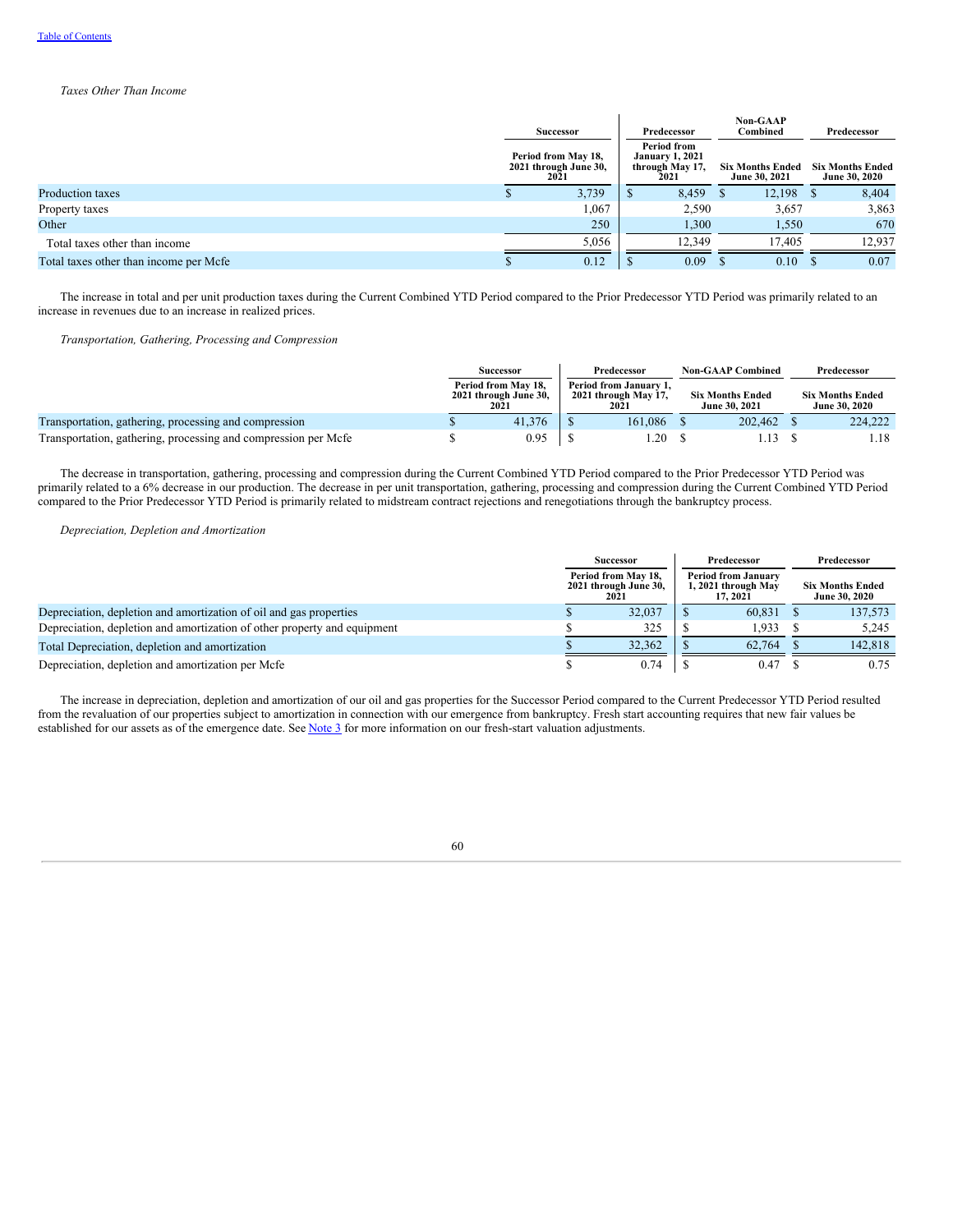## *Taxes Other Than Income*

|                                        | Successor                                            | Predecessor                                              |        |    | Non-GAAP<br>Combined                     | Predecessor                              |
|----------------------------------------|------------------------------------------------------|----------------------------------------------------------|--------|----|------------------------------------------|------------------------------------------|
|                                        | Period from May 18,<br>2021 through June 30,<br>2021 | Period from<br><b>January 1, 2021</b><br>through May 17, | 2021   |    | <b>Six Months Ended</b><br>June 30, 2021 | <b>Six Months Ended</b><br>June 30, 2020 |
| Production taxes                       | 3,739                                                | -8                                                       | 8.459  |    | 12,198                                   | 8,404                                    |
| Property taxes                         | 1,067                                                |                                                          | 2,590  |    | 3,657                                    | 3,863                                    |
| Other                                  | 250                                                  |                                                          | 1,300  |    | 1,550                                    | 670                                      |
| Total taxes other than income          | 5,056                                                |                                                          | 12,349 |    | 17.405                                   | 12,937                                   |
| Total taxes other than income per Mcfe | 0.12                                                 |                                                          | 0.09   | -S | 0.10                                     | 0.07                                     |

The increase in total and per unit production taxes during the Current Combined YTD Period compared to the Prior Predecessor YTD Period was primarily related to an increase in revenues due to an increase in realized prices.

*Transportation, Gathering, Processing and Compression*

|                                                                | Successor                                            |  | Predecessor                                            |  | <b>Non-GAAP Combined</b>                 | Predecessor                              |
|----------------------------------------------------------------|------------------------------------------------------|--|--------------------------------------------------------|--|------------------------------------------|------------------------------------------|
|                                                                | Period from May 18,<br>2021 through June 30,<br>2021 |  | Period from January 1.<br>2021 through May 17,<br>2021 |  | <b>Six Months Ended</b><br>June 30, 2021 | <b>Six Months Ended</b><br>June 30, 2020 |
| Transportation, gathering, processing and compression          | 41,376                                               |  | 161,086                                                |  | 202,462                                  | 224,222                                  |
| Transportation, gathering, processing and compression per Mcfe | 0.95                                                 |  | 1.20                                                   |  | . . 13                                   |                                          |

The decrease in transportation, gathering, processing and compression during the Current Combined YTD Period compared to the Prior Predecessor YTD Period was primarily related to a 6% decrease in our production. The decrease in per unit transportation, gathering, processing and compression during the Current Combined YTD Period compared to the Prior Predecessor YTD Period is primarily related to midstream contract rejections and renegotiations through the bankruptcy process.

*Depreciation, Depletion and Amortization*

|                                                                          |  | <b>Successor</b>                                     |                                                              |        |                                                 | Predecessor |  | Predecessor |
|--------------------------------------------------------------------------|--|------------------------------------------------------|--------------------------------------------------------------|--------|-------------------------------------------------|-------------|--|-------------|
|                                                                          |  | Period from May 18,<br>2021 through June 30,<br>2021 | <b>Period from January</b><br>1, 2021 through May<br>17.2021 |        | <b>Six Months Ended</b><br><b>June 30, 2020</b> |             |  |             |
| Depreciation, depletion and amortization of oil and gas properties       |  | 32,037                                               |                                                              | 60.831 |                                                 | 137,573     |  |             |
| Depreciation, depletion and amortization of other property and equipment |  | 325                                                  |                                                              | 1,933  |                                                 | 5,245       |  |             |
| Total Depreciation, depletion and amortization                           |  | 32,362                                               |                                                              | 62.764 |                                                 | 142,818     |  |             |
| Depreciation, depletion and amortization per Mcfe                        |  | 0.74                                                 |                                                              | 0.47   |                                                 | 0.75        |  |             |

The increase in depreciation, depletion and amortization of our oil and gas properties for the Successor Period compared to the Current Predecessor YTD Period resulted from the revaluation of our properties subject to amortization in connection with our emergence from bankruptcy. Fresh start accounting requires that new fair values be established for our assets as of the emergence date. See [Note](#page-17-0) 3 for more information on our fresh-start valuation adjustments.

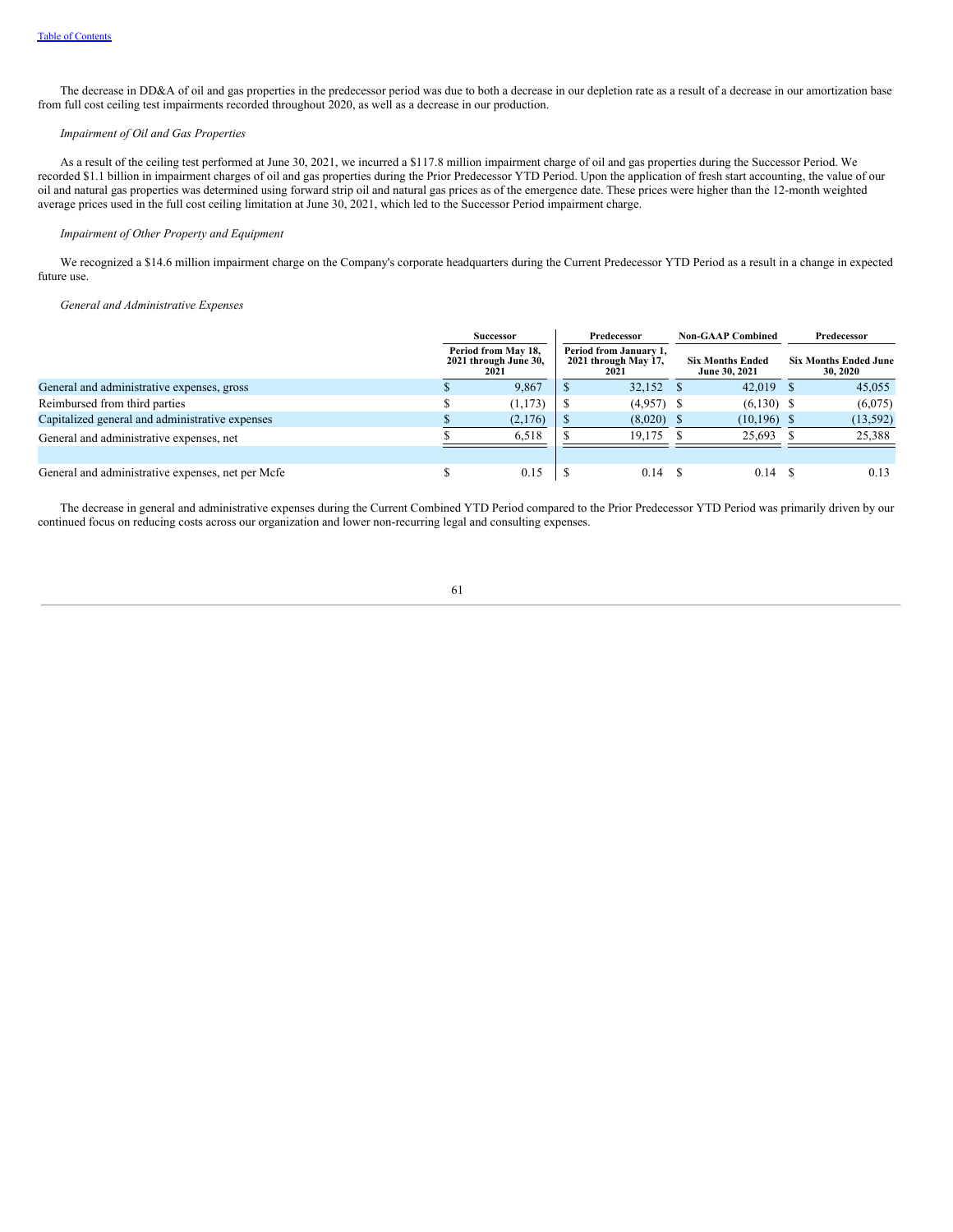The decrease in DD&A of oil and gas properties in the predecessor period was due to both a decrease in our depletion rate as a result of a decrease in our amortization base from full cost ceiling test impairments recorded throughout 2020, as well as a decrease in our production.

### *Impairment of Oil and Gas Properties*

As a result of the ceiling test performed at June 30, 2021, we incurred a \$117.8 million impairment charge of oil and gas properties during the Successor Period. We recorded \$1.1 billion in impairment charges of oil and gas properties during the Prior Predecessor YTD Period. Upon the application of fresh start accounting, the value of our oil and natural gas properties was determined using forward strip oil and natural gas prices as of the emergence date. These prices were higher than the 12-month weighted average prices used in the full cost ceiling limitation at June 30, 2021, which led to the Successor Period impairment charge.

## *Impairment of Other Property and Equipment*

We recognized a \$14.6 million impairment charge on the Company's corporate headquarters during the Current Predecessor YTD Period as a result in a change in expected future use.

# *General and Administrative Expenses*

|                                                   | <b>Successor</b> |                                                      | Predecessor  |                                                        |  |                                          | <b>Non-GAAP Combined</b>                 | Predecessor |
|---------------------------------------------------|------------------|------------------------------------------------------|--------------|--------------------------------------------------------|--|------------------------------------------|------------------------------------------|-------------|
|                                                   |                  | Period from May 18,<br>2021 through June 30,<br>2021 |              | Period from January 1,<br>2021 through May 17,<br>2021 |  | <b>Six Months Ended</b><br>June 30, 2021 | <b>Six Months Ended June</b><br>30, 2020 |             |
| General and administrative expenses, gross        |                  | 9,867                                                |              | 32,152 \$                                              |  | 42.019 \$                                | 45,055                                   |             |
| Reimbursed from third parties                     |                  | (1,173)                                              | <sup>8</sup> | $(4,957)$ \$                                           |  | $(6,130)$ \$                             | (6,075)                                  |             |
| Capitalized general and administrative expenses   |                  | (2,176)                                              |              | $(8,020)$ \$                                           |  | $(10, 196)$ \$                           | (13, 592)                                |             |
| General and administrative expenses, net          |                  | 6,518                                                |              | 19.175 \$                                              |  | 25.693                                   | 25,388                                   |             |
|                                                   |                  |                                                      |              |                                                        |  |                                          |                                          |             |
| General and administrative expenses, net per Mcfe |                  | 0.15                                                 |              | $0.14$ \$                                              |  | 0.14                                     | 0.13                                     |             |

The decrease in general and administrative expenses during the Current Combined YTD Period compared to the Prior Predecessor YTD Period was primarily driven by our continued focus on reducing costs across our organization and lower non-recurring legal and consulting expenses.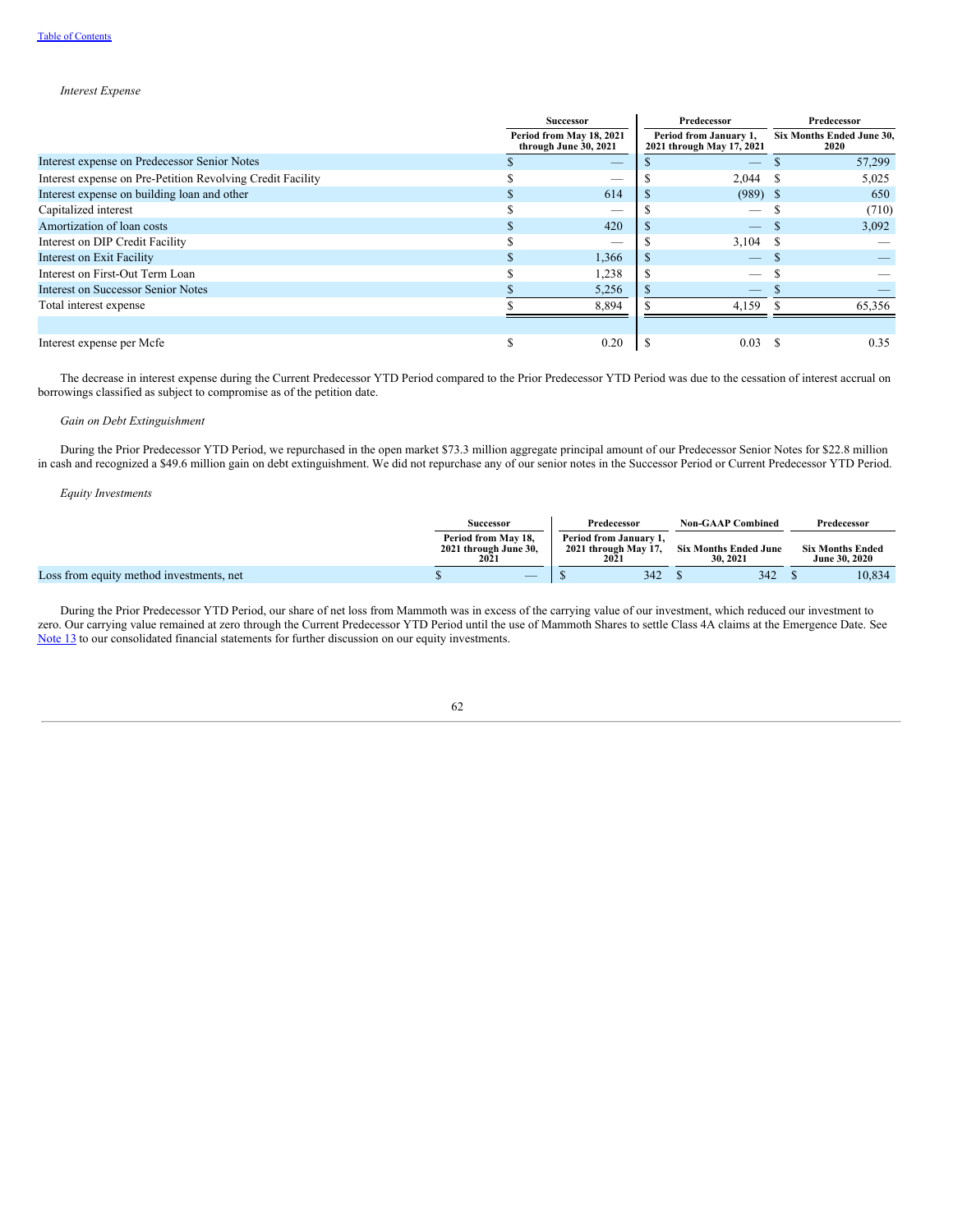## *Interest Expense*

|                                                            | Successor                                         |                          |                                                     | Predecessor              | Predecessor                       |        |
|------------------------------------------------------------|---------------------------------------------------|--------------------------|-----------------------------------------------------|--------------------------|-----------------------------------|--------|
|                                                            | Period from May 18, 2021<br>through June 30, 2021 |                          | Period from January 1,<br>2021 through May 17, 2021 |                          | Six Months Ended June 30,<br>2020 |        |
| Interest expense on Predecessor Senior Notes               |                                                   | _                        |                                                     |                          |                                   | 57,299 |
| Interest expense on Pre-Petition Revolving Credit Facility |                                                   | $\overline{\phantom{a}}$ |                                                     | 2,044                    | -S                                | 5,025  |
| Interest expense on building loan and other                |                                                   | 614                      |                                                     | $(989)$ \$               |                                   | 650    |
| Capitalized interest                                       |                                                   | $\hspace{0.05cm}$        |                                                     | $\overline{\phantom{a}}$ |                                   | (710)  |
| Amortization of loan costs                                 |                                                   | 420                      |                                                     |                          |                                   | 3,092  |
| Interest on DIP Credit Facility                            |                                                   | $\sim$                   |                                                     | 3,104                    |                                   |        |
| Interest on Exit Facility                                  |                                                   | 1,366                    |                                                     | $\qquad \qquad -$        |                                   |        |
| Interest on First-Out Term Loan                            |                                                   | 1,238                    |                                                     | $\overline{\phantom{m}}$ |                                   |        |
| <b>Interest on Successor Senior Notes</b>                  |                                                   | 5,256                    |                                                     |                          |                                   |        |
| Total interest expense                                     |                                                   | 8,894                    |                                                     | 4.159                    |                                   | 65,356 |
|                                                            |                                                   |                          |                                                     |                          |                                   |        |
| Interest expense per Mcfe                                  |                                                   | 0.20                     |                                                     | 0.03                     |                                   | 0.35   |

The decrease in interest expense during the Current Predecessor YTD Period compared to the Prior Predecessor YTD Period was due to the cessation of interest accrual on borrowings classified as subject to compromise as of the petition date.

## *Gain on Debt Extinguishment*

During the Prior Predecessor YTD Period, we repurchased in the open market \$73.3 million aggregate principal amount of our Predecessor Senior Notes for \$22.8 million in cash and recognized a \$49.6 million gain on debt extinguishment. We did not repurchase any of our senior notes in the Successor Period or Current Predecessor YTD Period.

*Equity Investments*

|                                          | Successor                                            | <b>Non-GAAP Combined</b><br>Predecessor                |                                          | Predecessor                                     |
|------------------------------------------|------------------------------------------------------|--------------------------------------------------------|------------------------------------------|-------------------------------------------------|
|                                          | Period from May 18,<br>2021 through June 30,<br>2021 | Period from January 1.<br>2021 through May 17.<br>2021 | <b>Six Months Ended June</b><br>30, 2021 | <b>Six Months Ended</b><br><b>June 30, 2020</b> |
| Loss from equity method investments, net | $\overline{\phantom{a}}$                             | 342                                                    | 342                                      | 10.834                                          |

During the Prior Predecessor YTD Period, our share of net loss from Mammoth was in excess of the carrying value of our investment, which reduced our investment to zero. Our carrying value remained at zero through the Current Predecessor YTD Period until the use of Mammoth Shares to settle Class 4A claims at the Emergence Date. See [Note](#page-42-0) 13 to our consolidated financial statements for further discussion on our equity investments.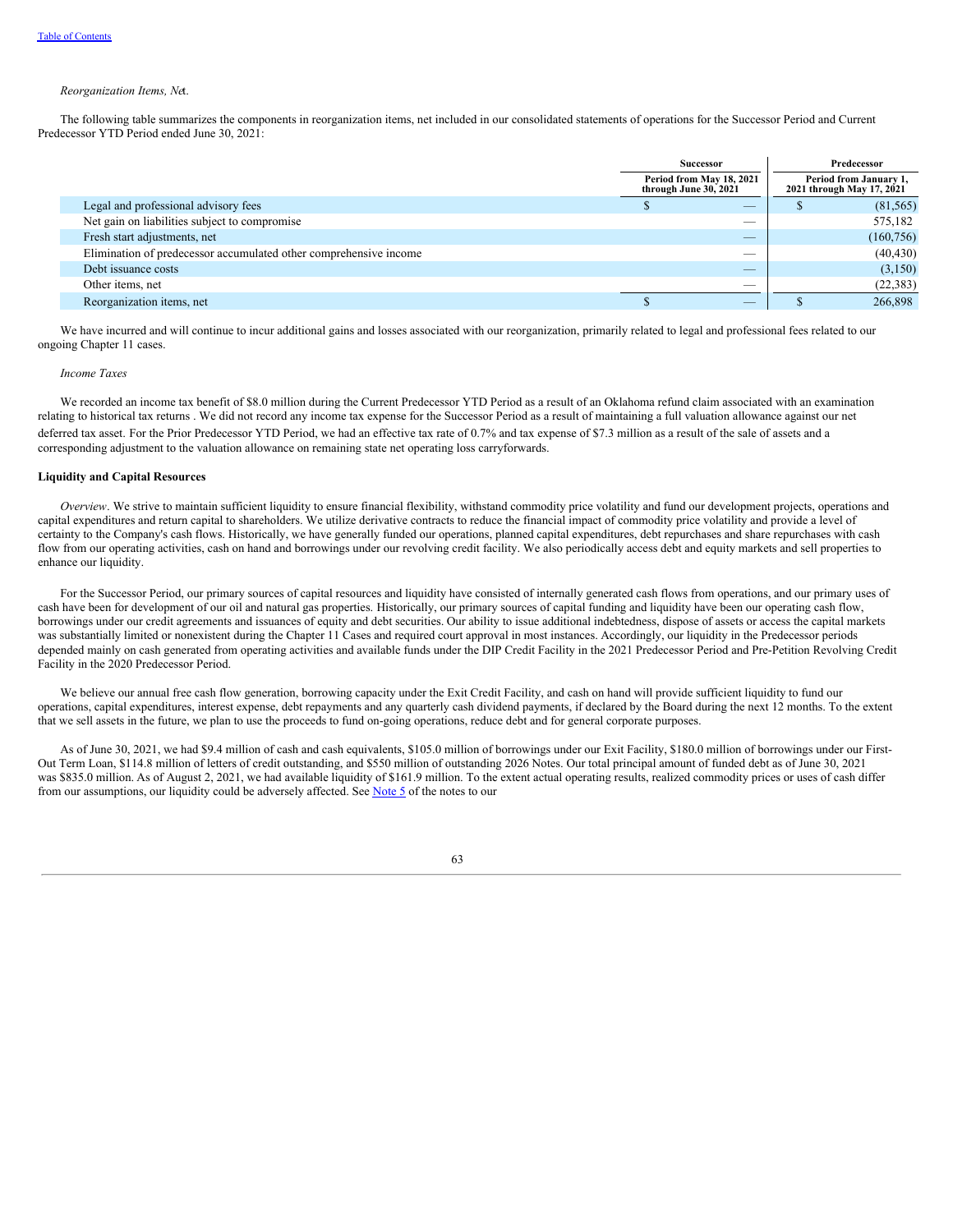#### *Reorganization Items, Ne*t.

The following table summarizes the components in reorganization items, net included in our consolidated statements of operations for the Successor Period and Current Predecessor YTD Period ended June 30, 2021:

|                                                                   |                       | <b>Successor</b>         | Predecessor                                         |
|-------------------------------------------------------------------|-----------------------|--------------------------|-----------------------------------------------------|
|                                                                   | through June 30, 2021 | Period from May 18, 2021 | Period from January 1,<br>2021 through May 17, 2021 |
| Legal and professional advisory fees                              |                       | $-$                      | (81, 565)                                           |
| Net gain on liabilities subject to compromise                     |                       | _                        | 575,182                                             |
| Fresh start adjustments, net                                      |                       | $-$                      | (160, 756)                                          |
| Elimination of predecessor accumulated other comprehensive income |                       | $-$                      | (40, 430)                                           |
| Debt issuance costs                                               |                       | $-$                      | (3,150)                                             |
| Other items, net                                                  |                       | $-$                      | (22, 383)                                           |
| Reorganization items, net                                         |                       | $\overline{\phantom{a}}$ | 266,898                                             |
|                                                                   |                       |                          |                                                     |

We have incurred and will continue to incur additional gains and losses associated with our reorganization, primarily related to legal and professional fees related to our ongoing Chapter 11 cases.

#### *Income Taxes*

We recorded an income tax benefit of \$8.0 million during the Current Predecessor YTD Period as a result of an Oklahoma refund claim associated with an examination relating to historical tax returns . We did not record any income tax expense for the Successor Period as a result of maintaining a full valuation allowance against our net deferred tax asset. For the Prior Predecessor YTD Period, we had an effective tax rate of 0.7% and tax expense of \$7.3 million as a result of the sale of assets and a corresponding adjustment to the valuation allowance on remaining state net operating loss carryforwards.

## **Liquidity and Capital Resources**

*Overview*. We strive to maintain sufficient liquidity to ensure financial flexibility, withstand commodity price volatility and fund our development projects, operations and capital expenditures and return capital to shareholders. We utilize derivative contracts to reduce the financial impact of commodity price volatility and provide a level of certainty to the Company's cash flows. Historically, we have generally funded our operations, planned capital expenditures, debt repurchases and share repurchases with cash flow from our operating activities, cash on hand and borrowings under our revolving credit facility. We also periodically access debt and equity markets and sell properties to enhance our liquidity.

For the Successor Period, our primary sources of capital resources and liquidity have consisted of internally generated cash flows from operations, and our primary uses of cash have been for development of our oil and natural gas properties. Historically, our primary sources of capital funding and liquidity have been our operating cash flow, borrowings under our credit agreements and issuances of equity and debt securities. Our ability to issue additional indebtedness, dispose of assets or access the capital markets was substantially limited or nonexistent during the Chapter 11 Cases and required court approval in most instances. Accordingly, our liquidity in the Predecessor periods depended mainly on cash generated from operating activities and available funds under the DIP Credit Facility in the 2021 Predecessor Period and Pre-Petition Revolving Credit Facility in the 2020 Predecessor Period.

We believe our annual free cash flow generation, borrowing capacity under the Exit Credit Facility, and cash on hand will provide sufficient liquidity to fund our operations, capital expenditures, interest expense, debt repayments and any quarterly cash dividend payments, if declared by the Board during the next 12 months. To the extent that we sell assets in the future, we plan to use the proceeds to fund on-going operations, reduce debt and for general corporate purposes.

As of June 30, 2021, we had \$9.4 million of cash and cash equivalents, \$105.0 million of borrowings under our Exit Facility, \$180.0 million of borrowings under our First-Out Term Loan, \$114.8 million of letters of credit outstanding, and \$550 million of outstanding 2026 Notes. Our total principal amount of funded debt as of June 30, 2021 was \$835.0 million. As of August 2, 2021, we had available liquidity of \$161.9 million. To the extent actual operating results, realized commodity prices or uses of cash differ from our assumptions, our liquidity could be adversely affected. See [Note](#page-27-0) 5 of the notes to our

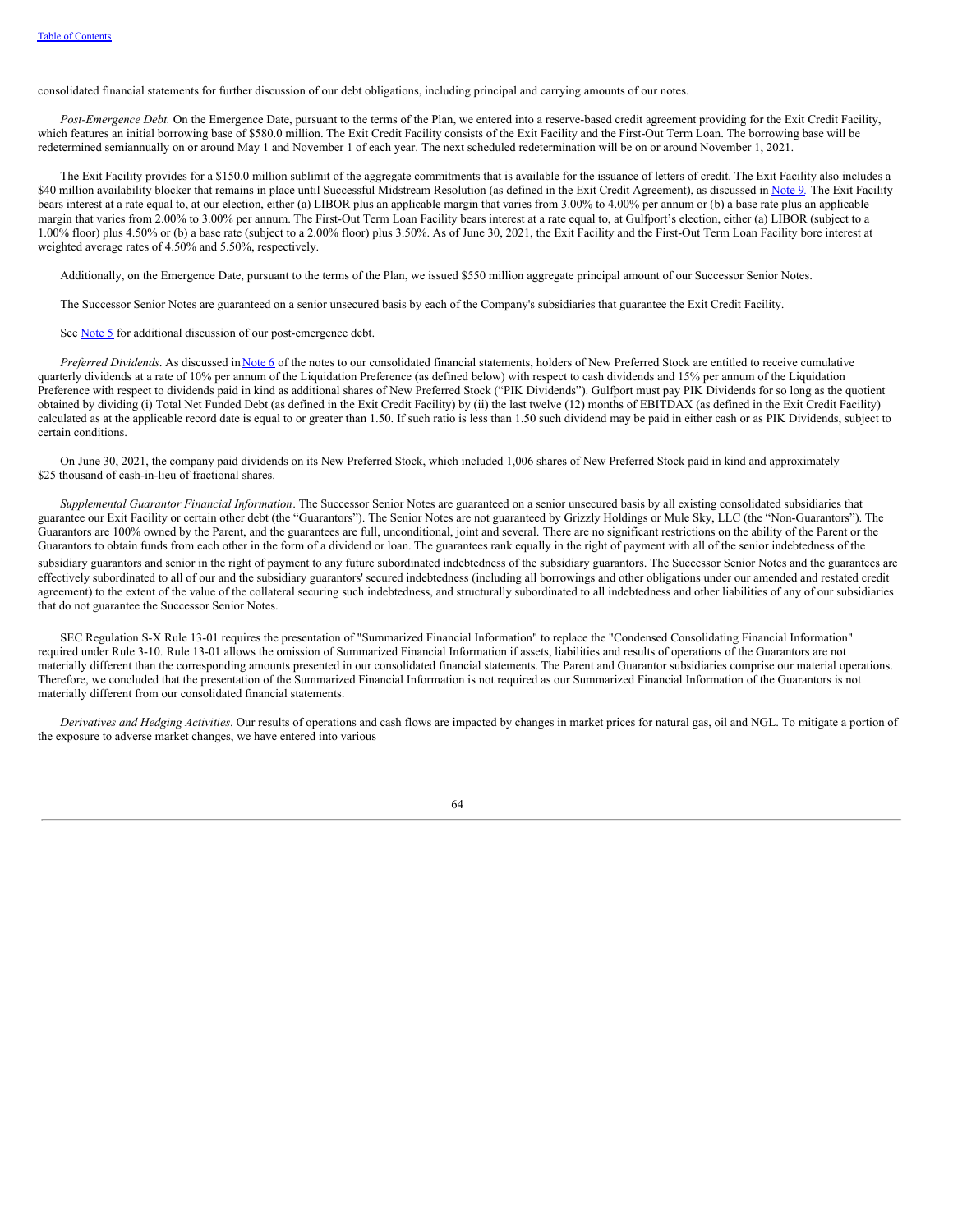consolidated financial statements for further discussion of our debt obligations, including principal and carrying amounts of our notes.

*Post-Emergence Debt.* On the Emergence Date, pursuant to the terms of the Plan, we entered into a reserve-based credit agreement providing for the Exit Credit Facility, which features an initial borrowing base of \$580.0 million. The Exit Credit Facility consists of the Exit Facility and the First-Out Term Loan. The borrowing base will be redetermined semiannually on or around May 1 and November 1 of each year. The next scheduled redetermination will be on or around November 1, 2021.

The Exit Facility provides for a \$150.0 million sublimit of the aggregate commitments that is available for the issuance of letters of credit. The Exit Facility also includes a \$40 million availability blocker that remains in place until Successful Midstream Resolution (as defined in the Exit Credit Agreement), as discussed in [Note](#page-33-0) 9. The Exit Facility bears interest at a rate equal to, at our election, either (a) LIBOR plus an applicable margin that varies from 3.00% to 4.00% per annum or (b) a base rate plus an applicable margin that varies from 2.00% to 3.00% per annum. The First-Out Term Loan Facility bears interest at a rate equal to, at Gulfport's election, either (a) LIBOR (subject to a 1.00% floor) plus 4.50% or (b) a base rate (subject to a 2.00% floor) plus 3.50%. As of June 30, 2021, the Exit Facility and the First-Out Term Loan Facility bore interest at weighted average rates of 4.50% and 5.50%, respectively.

Additionally, on the Emergence Date, pursuant to the terms of the Plan, we issued \$550 million aggregate principal amount of our Successor Senior Notes.

The Successor Senior Notes are guaranteed on a senior unsecured basis by each of the Company's subsidiaries that guarantee the Exit Credit Facility.

See [Note](#page-27-0) 5 for additional discussion of our post-emergence debt.

*Preferred Dividends*. As discussed in [Note](#page-30-0) [6](#page-30-0) of the notes to our consolidated financial statements, holders of New Preferred Stock are entitled to receive cumulative quarterly dividends at a rate of 10% per annum of the Liquidation Preference (as defined below) with respect to cash dividends and 15% per annum of the Liquidation Preference with respect to dividends paid in kind as additional shares of New Preferred Stock ("PIK Dividends"). Gulfport must pay PIK Dividends for so long as the quotient obtained by dividing (i) Total Net Funded Debt (as defined in the Exit Credit Facility) by (ii) the last twelve (12) months of EBITDAX (as defined in the Exit Credit Facility) calculated as at the applicable record date is equal to or greater than 1.50. If such ratio is less than 1.50 such dividend may be paid in either cash or as PIK Dividends, subject to certain conditions.

On June 30, 2021, the company paid dividends on its New Preferred Stock, which included 1,006 shares of New Preferred Stock paid in kind and approximately \$25 thousand of cash-in-lieu of fractional shares.

*Supplemental Guarantor Financial Information*. The Successor Senior Notes are guaranteed on a senior unsecured basis by all existing consolidated subsidiaries that guarantee our Exit Facility or certain other debt (the "Guarantors"). The Senior Notes are not guaranteed by Grizzly Holdings or Mule Sky, LLC (the "Non-Guarantors"). The Guarantors are 100% owned by the Parent, and the guarantees are full, unconditional, joint and several. There are no significant restrictions on the ability of the Parent or the Guarantors to obtain funds from each other in the form of a dividend or loan. The guarantees rank equally in the right of payment with all of the senior indebtedness of the subsidiary guarantors and senior in the right of payment to any future subordinated indebtedness of the subsidiary guarantors. The Successor Senior Notes and the guarantees are effectively subordinated to all of our and the subsidiary guarantors' secured indebtedness (including all borrowings and other obligations under our amended and restated credit agreement) to the extent of the value of the collateral securing such indebtedness, and structurally subordinated to all indebtedness and other liabilities of any of our subsidiaries that do not guarantee the Successor Senior Notes.

SEC Regulation S-X Rule 13-01 requires the presentation of "Summarized Financial Information" to replace the "Condensed Consolidating Financial Information" required under Rule 3-10. Rule 13-01 allows the omission of Summarized Financial Information if assets, liabilities and results of operations of the Guarantors are not materially different than the corresponding amounts presented in our consolidated financial statements. The Parent and Guarantor subsidiaries comprise our material operations. Therefore, we concluded that the presentation of the Summarized Financial Information is not required as our Summarized Financial Information of the Guarantors is not materially different from our consolidated financial statements.

*Derivatives and Hedging Activities*. Our results of operations and cash flows are impacted by changes in market prices for natural gas, oil and NGL. To mitigate a portion of the exposure to adverse market changes, we have entered into various

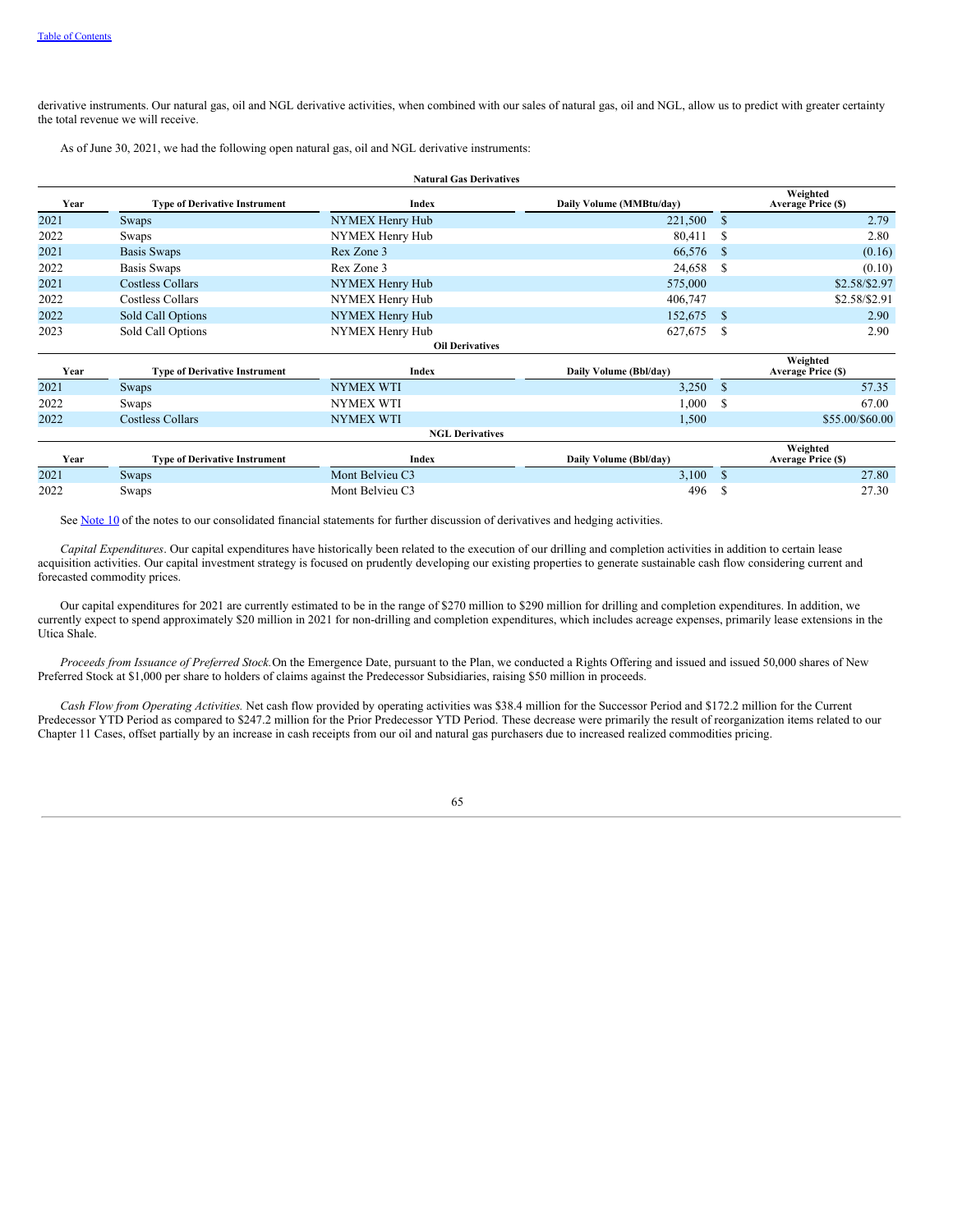derivative instruments. Our natural gas, oil and NGL derivative activities, when combined with our sales of natural gas, oil and NGL, allow us to predict with greater certainty the total revenue we will receive.

As of June 30, 2021, we had the following open natural gas, oil and NGL derivative instruments:

|      |                                      | <b>Natural Gas Derivatives</b> |                          |    |                                       |
|------|--------------------------------------|--------------------------------|--------------------------|----|---------------------------------------|
| Year | <b>Type of Derivative Instrument</b> | Index                          | Daily Volume (MMBtu/day) |    | Weighted<br><b>Average Price (\$)</b> |
| 2021 | Swaps                                | NYMEX Henry Hub                | 221,500                  | -S | 2.79                                  |
| 2022 | Swaps                                | NYMEX Henry Hub                | 80,411                   | S  | 2.80                                  |
| 2021 | Basis Swaps                          | Rex Zone 3                     | 66,576                   | -8 | (0.16)                                |
| 2022 | Basis Swaps                          | Rex Zone 3                     | 24,658                   | -S | (0.10)                                |
| 2021 | <b>Costless Collars</b>              | NYMEX Henry Hub                | 575,000                  |    | \$2.58/\$2.97                         |
| 2022 | Costless Collars                     | NYMEX Henry Hub                | 406,747                  |    | \$2.58/\$2.91                         |
| 2022 | Sold Call Options                    | NYMEX Henry Hub                | 152,675                  | -S | 2.90                                  |
| 2023 | Sold Call Options                    | NYMEX Henry Hub                | 627,675                  | -S | 2.90                                  |
|      |                                      | <b>Oil Derivatives</b>         |                          |    |                                       |
| Year | <b>Type of Derivative Instrument</b> | Index                          | Daily Volume (Bbl/day)   |    | Weighted<br><b>Average Price (\$)</b> |
| 2021 | Swaps                                | <b>NYMEX WTI</b>               | 3,250                    | -S | 57.35                                 |
| 2022 | Swaps                                | <b>NYMEX WTI</b>               | 1,000                    | -S | 67.00                                 |
| 2022 | <b>Costless Collars</b>              | <b>NYMEX WTI</b>               | 1,500                    |    | \$55.00/\$60.00                       |
|      |                                      | <b>NGL Derivatives</b>         |                          |    |                                       |
| Year | <b>Type of Derivative Instrument</b> | Index                          | Daily Volume (Bbl/day)   |    | Weighted<br><b>Average Price (\$)</b> |
| 2021 | Swaps                                | Mont Belvieu C3                | 3,100                    | -S | 27.80                                 |
| 2022 | Swaps                                | Mont Belvieu C3                | 496                      | S  | 27.30                                 |

See [Note](#page-36-0) 10 of the notes to our consolidated financial statements for further discussion of derivatives and hedging activities.

*Capital Expenditures*. Our capital expenditures have historically been related to the execution of our drilling and completion activities in addition to certain lease acquisition activities. Our capital investment strategy is focused on prudently developing our existing properties to generate sustainable cash flow considering current and forecasted commodity prices.

Our capital expenditures for 2021 are currently estimated to be in the range of \$270 million to \$290 million for drilling and completion expenditures. In addition, we currently expect to spend approximately \$20 million in 2021 for non-drilling and completion expenditures, which includes acreage expenses, primarily lease extensions in the Utica Shale.

*Proceeds from Issuance of Preferred Stock.*On the Emergence Date, pursuant to the Plan, we conducted a Rights Offering and issued and issued 50,000 shares of New Preferred Stock at \$1,000 per share to holders of claims against the Predecessor Subsidiaries, raising \$50 million in proceeds.

*Cash Flow from Operating Activities.* Net cash flow provided by operating activities was \$38.4 million for the Successor Period and \$172.2 million for the Current Predecessor YTD Period as compared to \$247.2 million for the Prior Predecessor YTD Period. These decrease were primarily the result of reorganization items related to our Chapter 11 Cases, offset partially by an increase in cash receipts from our oil and natural gas purchasers due to increased realized commodities pricing.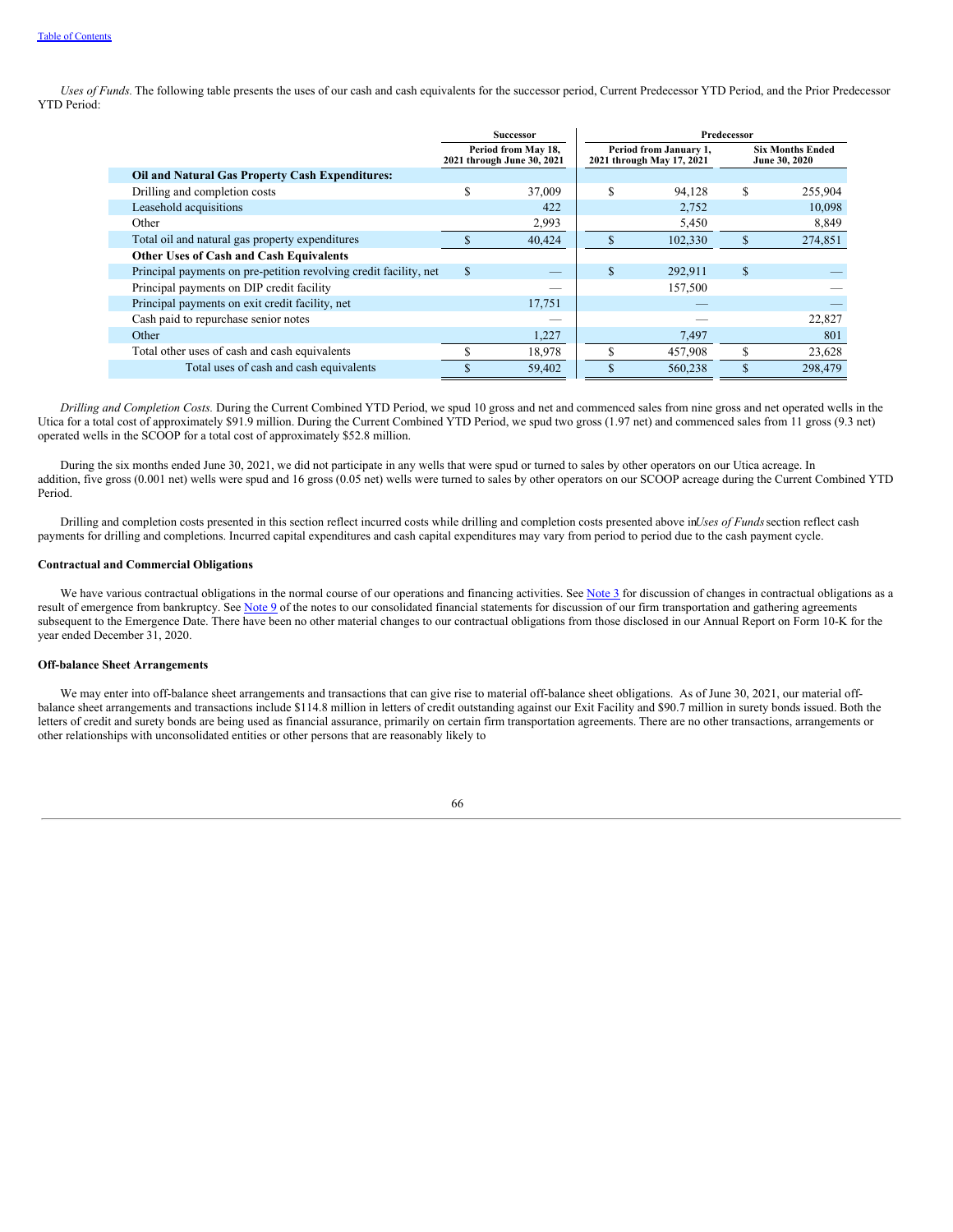*Uses of Funds.* The following table presents the uses of our cash and cash equivalents for the successor period, Current Predecessor YTD Period, and the Prior Predecessor YTD Period:

|                                                                   |                                                   | <b>Successor</b> |    |                                                     | Predecessor |                                          |  |
|-------------------------------------------------------------------|---------------------------------------------------|------------------|----|-----------------------------------------------------|-------------|------------------------------------------|--|
|                                                                   | Period from May 18,<br>2021 through June 30, 2021 |                  |    | Period from January 1,<br>2021 through May 17, 2021 |             | <b>Six Months Ended</b><br>June 30, 2020 |  |
| <b>Oil and Natural Gas Property Cash Expenditures:</b>            |                                                   |                  |    |                                                     |             |                                          |  |
| Drilling and completion costs                                     | S                                                 | 37,009           | S  | 94,128                                              | \$          | 255,904                                  |  |
| Leasehold acquisitions                                            |                                                   | 422              |    | 2,752                                               |             | 10,098                                   |  |
| Other                                                             |                                                   | 2,993            |    | 5,450                                               |             | 8,849                                    |  |
| Total oil and natural gas property expenditures                   |                                                   | 40,424           | \$ | 102,330                                             | S           | 274,851                                  |  |
| <b>Other Uses of Cash and Cash Equivalents</b>                    |                                                   |                  |    |                                                     |             |                                          |  |
| Principal payments on pre-petition revolving credit facility, net | <sup>\$</sup>                                     |                  | \$ | 292,911                                             | \$          |                                          |  |
| Principal payments on DIP credit facility                         |                                                   |                  |    | 157,500                                             |             |                                          |  |
| Principal payments on exit credit facility, net                   |                                                   | 17,751           |    |                                                     |             |                                          |  |
| Cash paid to repurchase senior notes                              |                                                   |                  |    |                                                     |             | 22,827                                   |  |
| Other                                                             |                                                   | 1,227            |    | 7,497                                               |             | 801                                      |  |
| Total other uses of cash and cash equivalents                     |                                                   | 18,978           | ς  | 457,908                                             |             | 23,628                                   |  |
| Total uses of cash and cash equivalents                           |                                                   | 59,402           |    | 560,238                                             |             | 298,479                                  |  |

*Drilling and Completion Costs.* During the Current Combined YTD Period, we spud 10 gross and net and commenced sales from nine gross and net operated wells in the Utica for a total cost of approximately \$91.9 million. During the Current Combined YTD Period, we spud two gross (1.97 net) and commenced sales from 11 gross (9.3 net) operated wells in the SCOOP for a total cost of approximately \$52.8 million.

During the six months ended June 30, 2021, we did not participate in any wells that were spud or turned to sales by other operators on our Utica acreage. In addition, five gross (0.001 net) wells were spud and 16 gross (0.05 net) wells were turned to sales by other operators on our SCOOP acreage during the Current Combined YTD Period.

Drilling and completion costs presented in this section reflect incurred costs while drilling and completion costs presented above in*Uses of Funds*section reflect cash payments for drilling and completions. Incurred capital expenditures and cash capital expenditures may vary from period to period due to the cash payment cycle.

## **Contractual and Commercial Obligations**

We have various contractual obligations in the normal course of our operations and financing activities. See [Note](#page-17-0) 3 for discussion of changes in contractual obligations as a result of emergence from bankruptcy. See [Note](#page-33-0) 9 of the notes to our consolidated financial statements for discussion of our firm transportation and gathering agreements subsequent to the Emergence Date. There have been no other material changes to our contractual obligations from those disclosed in our Annual Report on Form 10-K for the year ended December 31, 2020.

## **Off-balance Sheet Arrangements**

We may enter into off-balance sheet arrangements and transactions that can give rise to material off-balance sheet obligations. As of June 30, 2021, our material offbalance sheet arrangements and transactions include \$114.8 million in letters of credit outstanding against our Exit Facility and \$90.7 million in surety bonds issued. Both the letters of credit and surety bonds are being used as financial assurance, primarily on certain firm transportation agreements. There are no other transactions, arrangements or other relationships with unconsolidated entities or other persons that are reasonably likely to

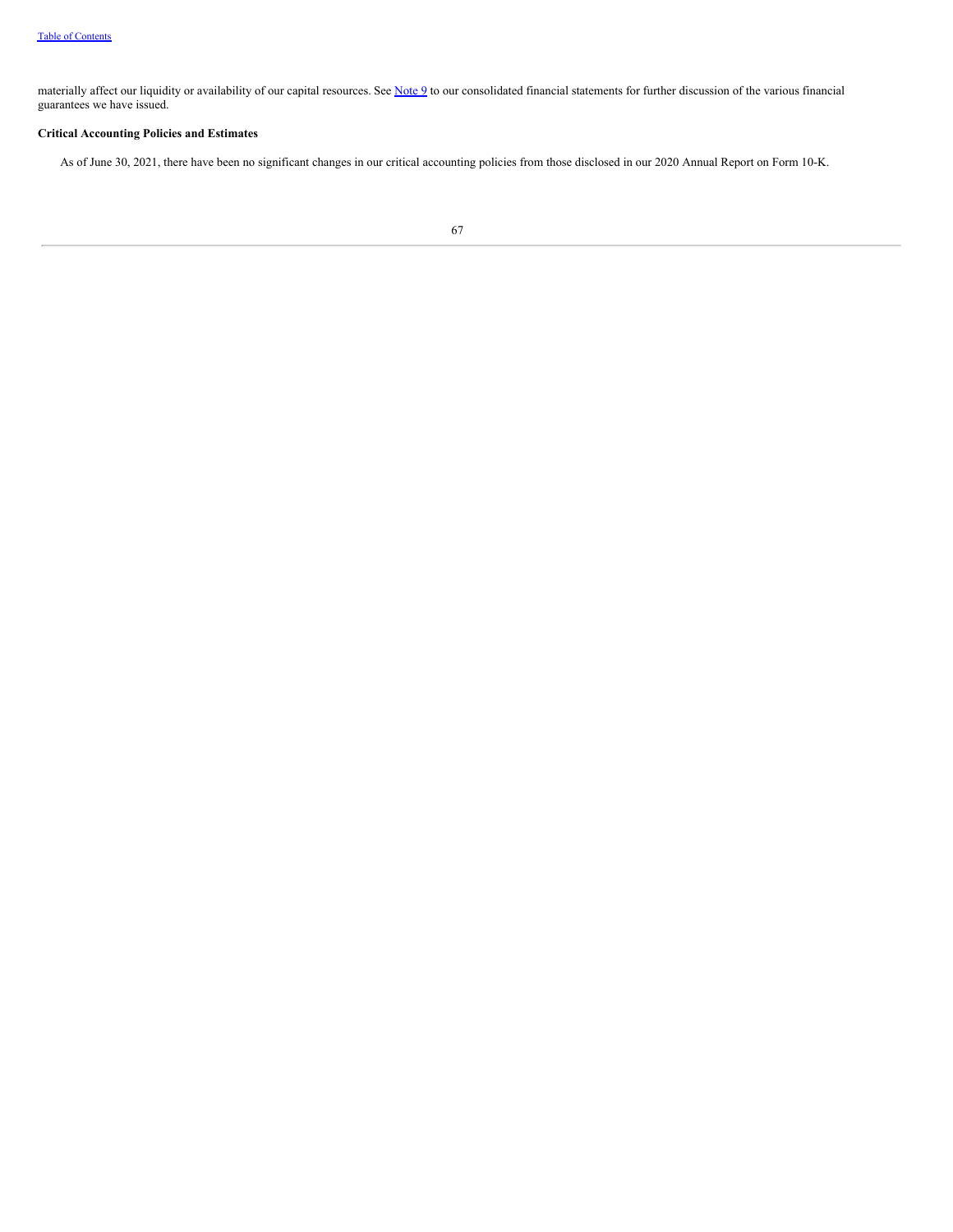materially affect our liquidity or availability of our capital resources. See [Note](#page-33-0) 9 to our consolidated financial statements for further discussion of the various financial guarantees we have issued.

# **Critical Accounting Policies and Estimates**

As of June 30, 2021, there have been no significant changes in our critical accounting policies from those disclosed in our 2020 Annual Report on Form 10-K.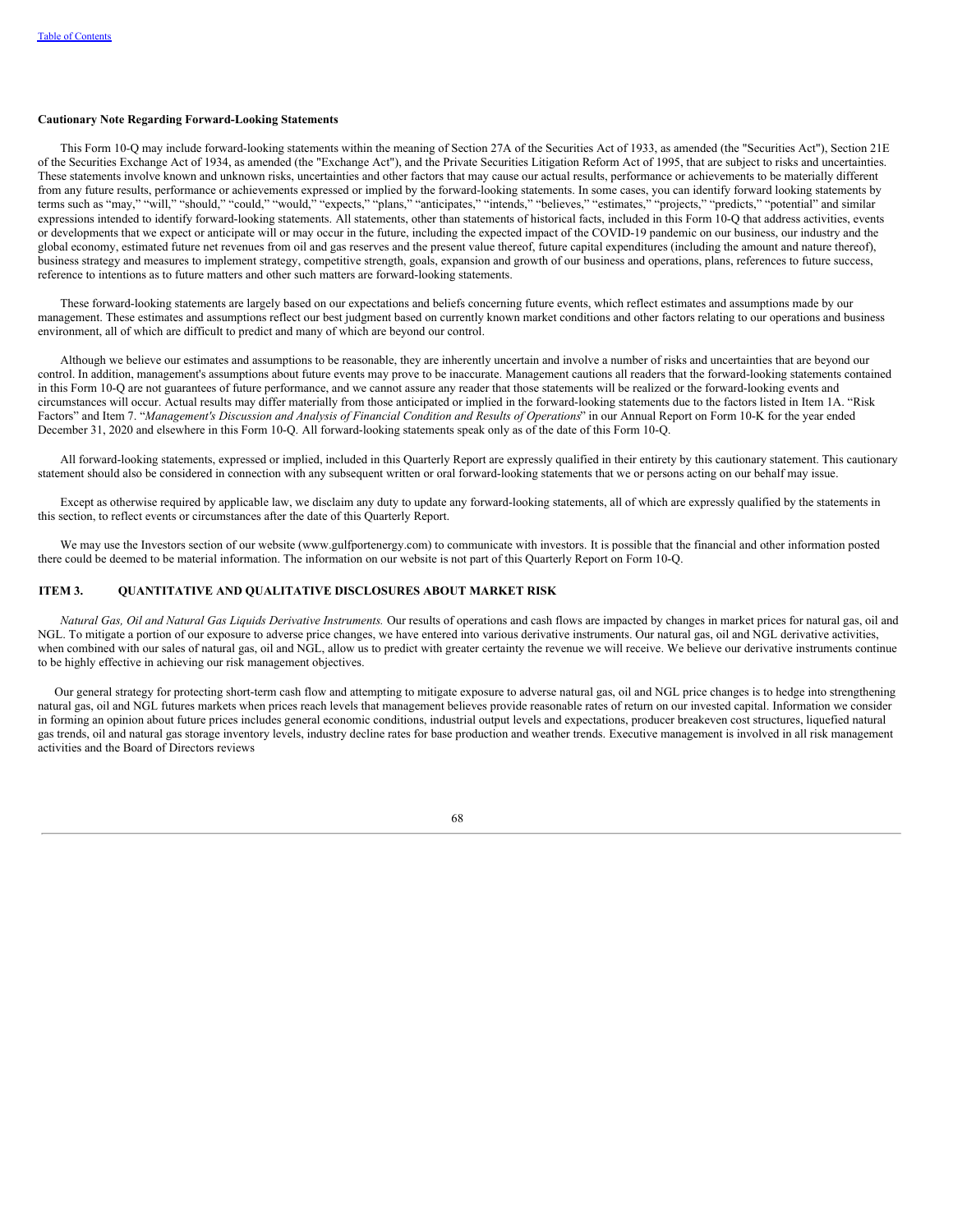### **Cautionary Note Regarding Forward-Looking Statements**

This Form 10-Q may include forward-looking statements within the meaning of Section 27A of the Securities Act of 1933, as amended (the "Securities Act"), Section 21E of the Securities Exchange Act of 1934, as amended (the "Exchange Act"), and the Private Securities Litigation Reform Act of 1995, that are subject to risks and uncertainties. These statements involve known and unknown risks, uncertainties and other factors that may cause our actual results, performance or achievements to be materially different from any future results, performance or achievements expressed or implied by the forward-looking statements. In some cases, you can identify forward looking statements by terms such as "may," "will," "should," "could," "would," "expects," "plans," "anticipates," "intends," "believes," "estimates," "projects," "predicts," "potential" and similar expressions intended to identify forward-looking statements. All statements, other than statements of historical facts, included in this Form 10-Q that address activities, events or developments that we expect or anticipate will or may occur in the future, including the expected impact of the COVID-19 pandemic on our business, our industry and the global economy, estimated future net revenues from oil and gas reserves and the present value thereof, future capital expenditures (including the amount and nature thereof), business strategy and measures to implement strategy, competitive strength, goals, expansion and growth of our business and operations, plans, references to future success, reference to intentions as to future matters and other such matters are forward-looking statements.

These forward-looking statements are largely based on our expectations and beliefs concerning future events, which reflect estimates and assumptions made by our management. These estimates and assumptions reflect our best judgment based on currently known market conditions and other factors relating to our operations and business environment, all of which are difficult to predict and many of which are beyond our control.

Although we believe our estimates and assumptions to be reasonable, they are inherently uncertain and involve a number of risks and uncertainties that are beyond our control. In addition, management's assumptions about future events may prove to be inaccurate. Management cautions all readers that the forward-looking statements contained in this Form 10-Q are not guarantees of future performance, and we cannot assure any reader that those statements will be realized or the forward-looking events and circumstances will occur. Actual results may differ materially from those anticipated or implied in the forward-looking statements due to the factors listed in Item 1A. "Risk Factors" and Item 7. "Management's Discussion and Analysis of Financial Condition and Results of Operations" in our Annual Report on Form 10-K for the year ended December 31, 2020 and elsewhere in this Form 10-Q. All forward-looking statements speak only as of the date of this Form 10-Q.

All forward-looking statements, expressed or implied, included in this Quarterly Report are expressly qualified in their entirety by this cautionary statement. This cautionary statement should also be considered in connection with any subsequent written or oral forward-looking statements that we or persons acting on our behalf may issue.

Except as otherwise required by applicable law, we disclaim any duty to update any forward-looking statements, all of which are expressly qualified by the statements in this section, to reflect events or circumstances after the date of this Quarterly Report.

We may use the Investors section of our website (www.gulfportenergy.com) to communicate with investors. It is possible that the financial and other information posted there could be deemed to be material information. The information on our website is not part of this Quarterly Report on Form 10-Q.

## **ITEM 3. QUANTITATIVE AND QUALITATIVE DISCLOSURES ABOUT MARKET RISK**

Natural Gas, Oil and Natural Gas Liquids Derivative Instruments. Our results of operations and cash flows are impacted by changes in market prices for natural gas, oil and NGL. To mitigate a portion of our exposure to adverse price changes, we have entered into various derivative instruments. Our natural gas, oil and NGL derivative activities, when combined with our sales of natural gas, oil and NGL, allow us to predict with greater certainty the revenue we will receive. We believe our derivative instruments continue to be highly effective in achieving our risk management objectives.

Our general strategy for protecting short-term cash flow and attempting to mitigate exposure to adverse natural gas, oil and NGL price changes is to hedge into strengthening natural gas, oil and NGL futures markets when prices reach levels that management believes provide reasonable rates of return on our invested capital. Information we consider in forming an opinion about future prices includes general economic conditions, industrial output levels and expectations, producer breakeven cost structures, liquefied natural gas trends, oil and natural gas storage inventory levels, industry decline rates for base production and weather trends. Executive management is involved in all risk management activities and the Board of Directors reviews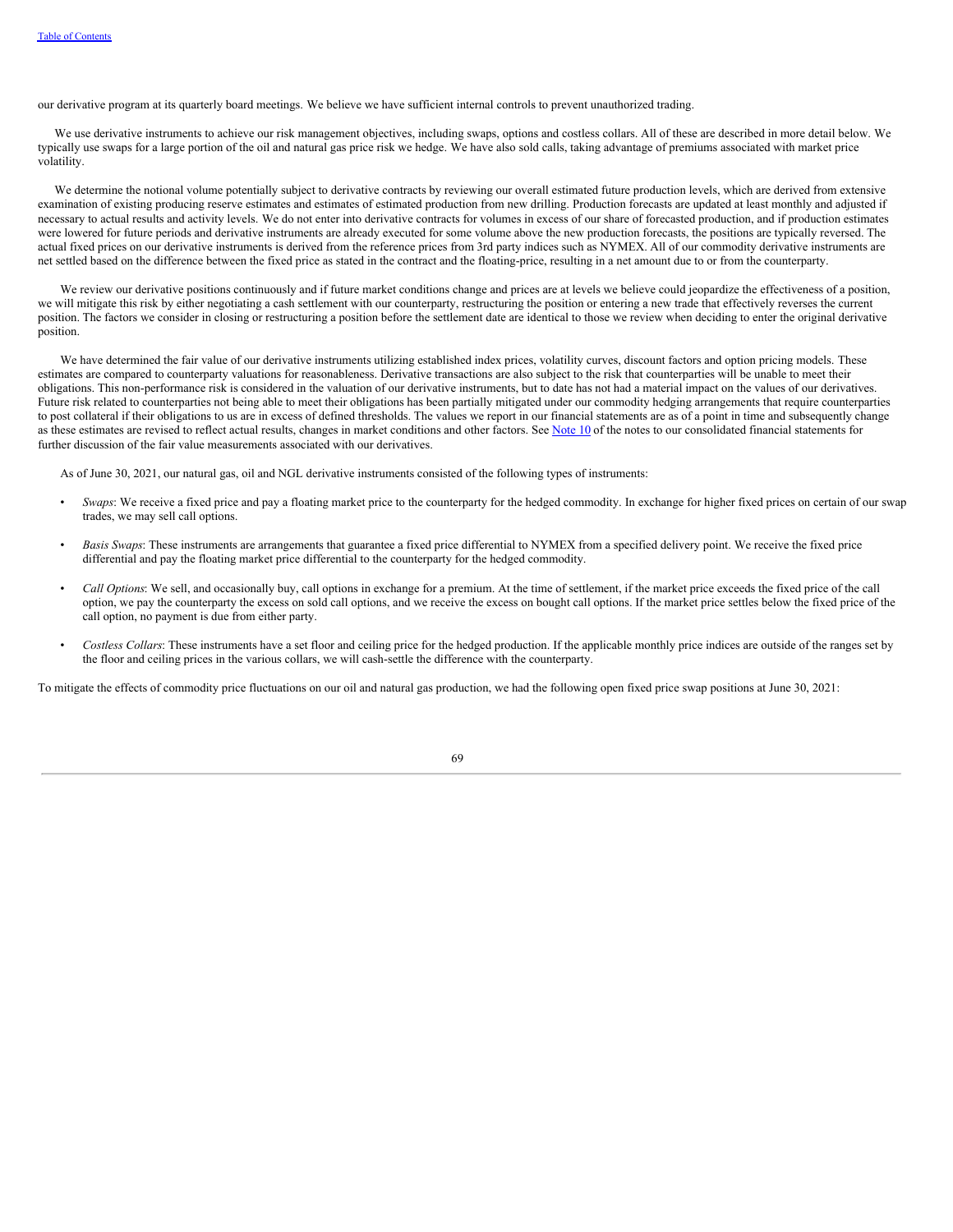our derivative program at its quarterly board meetings. We believe we have sufficient internal controls to prevent unauthorized trading.

We use derivative instruments to achieve our risk management objectives, including swaps, options and costless collars. All of these are described in more detail below. We typically use swaps for a large portion of the oil and natural gas price risk we hedge. We have also sold calls, taking advantage of premiums associated with market price volatility.

We determine the notional volume potentially subject to derivative contracts by reviewing our overall estimated future production levels, which are derived from extensive examination of existing producing reserve estimates and estimates of estimated production from new drilling. Production forecasts are updated at least monthly and adjusted if necessary to actual results and activity levels. We do not enter into derivative contracts for volumes in excess of our share of forecasted production, and if production estimates were lowered for future periods and derivative instruments are already executed for some volume above the new production forecasts, the positions are typically reversed. The actual fixed prices on our derivative instruments is derived from the reference prices from 3rd party indices such as NYMEX. All of our commodity derivative instruments are net settled based on the difference between the fixed price as stated in the contract and the floating-price, resulting in a net amount due to or from the counterparty.

We review our derivative positions continuously and if future market conditions change and prices are at levels we believe could jeopardize the effectiveness of a position, we will mitigate this risk by either negotiating a cash settlement with our counterparty, restructuring the position or entering a new trade that effectively reverses the current position. The factors we consider in closing or restructuring a position before the settlement date are identical to those we review when deciding to enter the original derivative position.

We have determined the fair value of our derivative instruments utilizing established index prices, volatility curves, discount factors and option pricing models. These estimates are compared to counterparty valuations for reasonableness. Derivative transactions are also subject to the risk that counterparties will be unable to meet their obligations. This non-performance risk is considered in the valuation of our derivative instruments, but to date has not had a material impact on the values of our derivatives. Future risk related to counterparties not being able to meet their obligations has been partially mitigated under our commodity hedging arrangements that require counterparties to post collateral if their obligations to us are in excess of defined thresholds. The values we report in our financial statements are as of a point in time and subsequently change as these estimates are revised to reflect actual results, changes in market conditions and other factors. See [Note](#page-36-0) 10 of the notes to our consolidated financial statements for further discussion of the fair value measurements associated with our derivatives.

As of June 30, 2021, our natural gas, oil and NGL derivative instruments consisted of the following types of instruments:

- *Swaps*: We receive a fixed price and pay a floating market price to the counterparty for the hedged commodity. In exchange for higher fixed prices on certain of our swap trades, we may sell call options.
- *Basis Swaps*: These instruments are arrangements that guarantee a fixed price differential to NYMEX from a specified delivery point. We receive the fixed price differential and pay the floating market price differential to the counterparty for the hedged commodity.
- *Call Options*: We sell, and occasionally buy, call options in exchange for a premium. At the time of settlement, if the market price exceeds the fixed price of the call option, we pay the counterparty the excess on sold call options, and we receive the excess on bought call options. If the market price settles below the fixed price of the call option, no payment is due from either party.
- *Costless Collars*: These instruments have a set floor and ceiling price for the hedged production. If the applicable monthly price indices are outside of the ranges set by the floor and ceiling prices in the various collars, we will cash-settle the difference with the counterparty.

To mitigate the effects of commodity price fluctuations on our oil and natural gas production, we had the following open fixed price swap positions at June 30, 2021: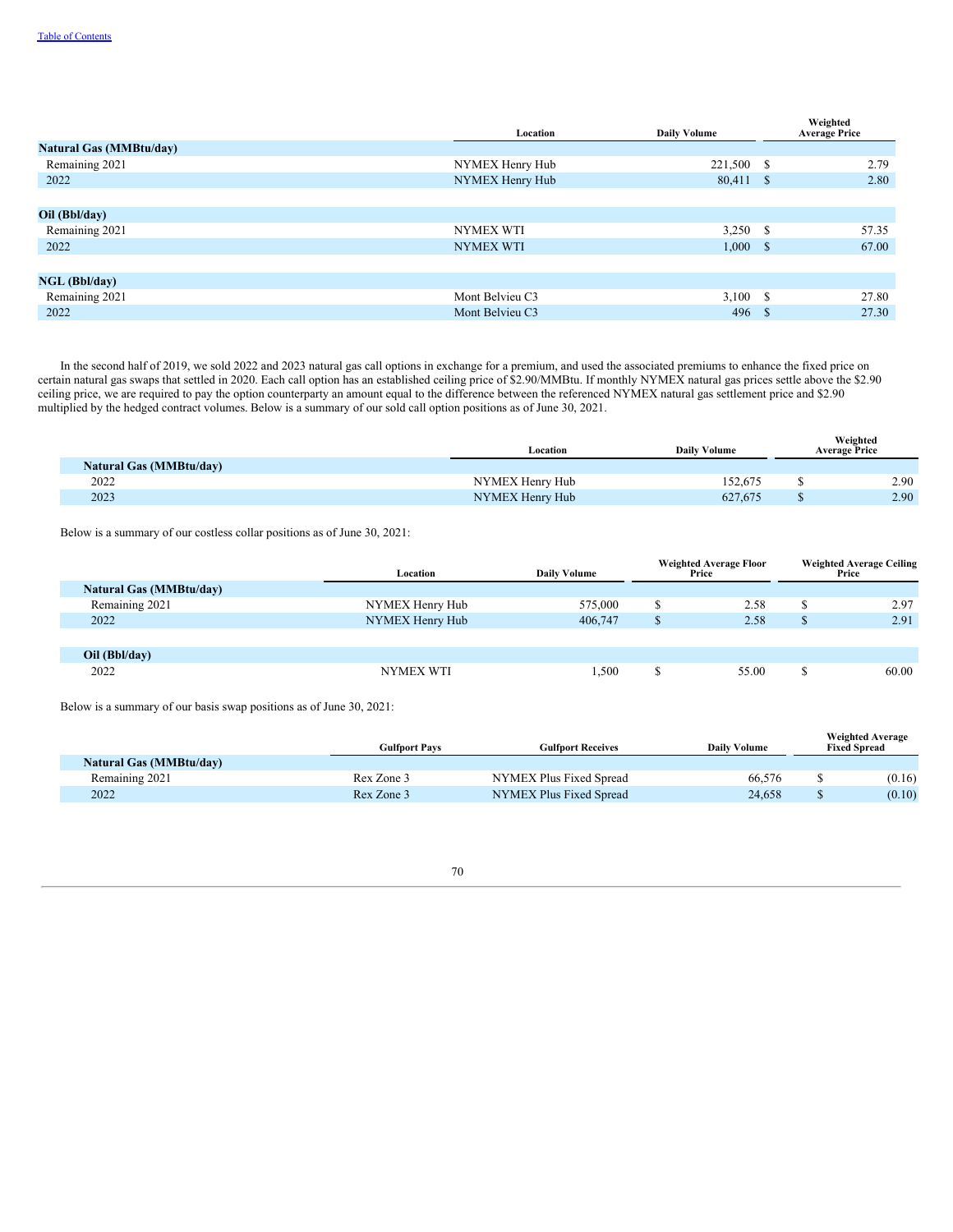I

|                                | Location         | <b>Daily Volume</b> | Weighted<br>Average Price |
|--------------------------------|------------------|---------------------|---------------------------|
| <b>Natural Gas (MMBtu/day)</b> |                  |                     |                           |
| Remaining 2021                 | NYMEX Henry Hub  | 221,500 \$          | 2.79                      |
| 2022                           | NYMEX Henry Hub  | 80,411 \$           | 2.80                      |
|                                |                  |                     |                           |
| Oil (Bbl/day)                  |                  |                     |                           |
| Remaining 2021                 | <b>NYMEX WTI</b> | $3,250$ \$          | 57.35                     |
| 2022                           | <b>NYMEX WTI</b> | $1,000 \quad$ \$    | 67.00                     |
|                                |                  |                     |                           |
| <b>NGL</b> (Bbl/day)           |                  |                     |                           |
| Remaining 2021                 | Mont Belvieu C3  | 3,100S              | 27.80                     |
| 2022                           | Mont Belvieu C3  | 496                 | 27.30<br>-S               |

In the second half of 2019, we sold 2022 and 2023 natural gas call options in exchange for a premium, and used the associated premiums to enhance the fixed price on certain natural gas swaps that settled in 2020. Each call option has an established ceiling price of \$2.90/MMBtu. If monthly NYMEX natural gas prices settle above the \$2.90 ceiling price, we are required to pay the option counterparty an amount equal to the difference between the referenced NYMEX natural gas settlement price and \$2.90 multiplied by the hedged contract volumes. Below is a summary of our sold call option positions as of June 30, 2021.

|                                | Location        | <b>Daily Volume</b> | Weighted<br><b>Average Price</b> |
|--------------------------------|-----------------|---------------------|----------------------------------|
| <b>Natural Gas (MMBtu/day)</b> |                 |                     |                                  |
| 2022                           | NYMEX Henry Hub | 152,675             | 2.90                             |
| 2023                           | NYMEX Henry Hub | 627.675             | 2.90                             |

Below is a summary of our costless collar positions as of June 30, 2021:

|                                | Location        | <b>Daily Volume</b> | <b>Weighted Average Floor</b><br>Price |       |               | <b>Weighted Average Ceiling</b><br>Price |
|--------------------------------|-----------------|---------------------|----------------------------------------|-------|---------------|------------------------------------------|
| <b>Natural Gas (MMBtu/day)</b> |                 |                     |                                        |       |               |                                          |
| Remaining 2021                 | NYMEX Henry Hub | 575,000             | \$                                     | 2.58  | D             | 2.97                                     |
| 2022                           | NYMEX Henry Hub | 406,747             | ጦ<br>D                                 | 2.58  | <sup>\$</sup> | 2.91                                     |
|                                |                 |                     |                                        |       |               |                                          |
| Oil (Bbl/day)                  |                 |                     |                                        |       |               |                                          |
| 2022                           | NYMEX WTI       | .500                | ¢<br>D                                 | 55.00 |               | 60.00                                    |
|                                |                 |                     |                                        |       |               |                                          |

Below is a summary of our basis swap positions as of June 30, 2021:

|                                | <b>Gulfport Pays</b> | <b>Gulfport Receives</b> | <b>Daily Volume</b> | <b>Weighted Average</b><br><b>Fixed Spread</b> |
|--------------------------------|----------------------|--------------------------|---------------------|------------------------------------------------|
| <b>Natural Gas (MMBtu/day)</b> |                      |                          |                     |                                                |
| Remaining 2021                 | Rex Zone 3           | NYMEX Plus Fixed Spread  | 66.576              | (0.16)                                         |
| 2022                           | Rex Zone 3           | NYMEX Plus Fixed Spread  | 24,658              | (0.10)                                         |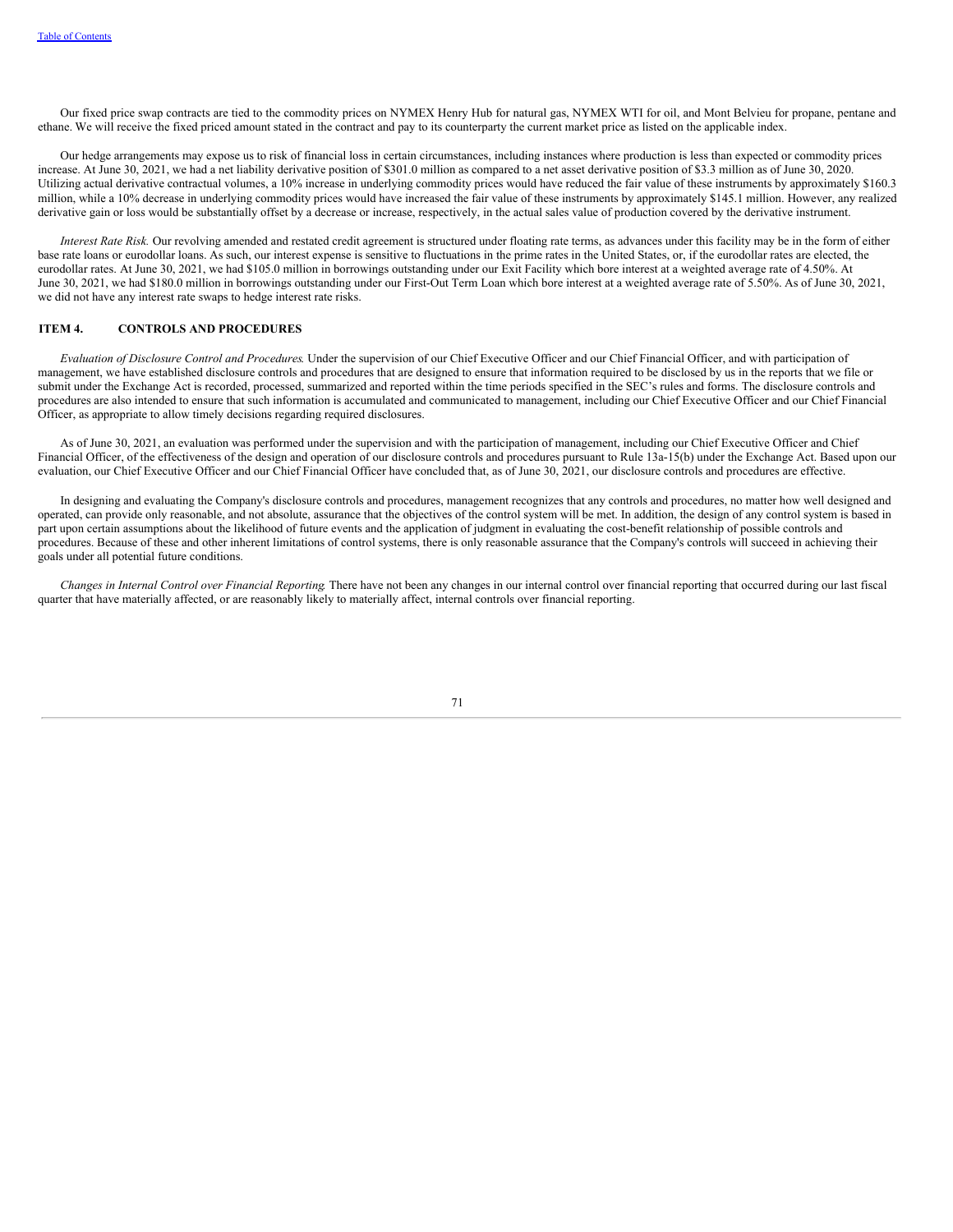Our fixed price swap contracts are tied to the commodity prices on NYMEX Henry Hub for natural gas, NYMEX WTI for oil, and Mont Belvieu for propane, pentane and ethane. We will receive the fixed priced amount stated in the contract and pay to its counterparty the current market price as listed on the applicable index.

Our hedge arrangements may expose us to risk of financial loss in certain circumstances, including instances where production is less than expected or commodity prices increase. At June 30, 2021, we had a net liability derivative position of \$301.0 million as compared to a net asset derivative position of \$3.3 million as of June 30, 2020. Utilizing actual derivative contractual volumes, a 10% increase in underlying commodity prices would have reduced the fair value of these instruments by approximately \$160.3 million, while a 10% decrease in underlying commodity prices would have increased the fair value of these instruments by approximately \$145.1 million. However, any realized derivative gain or loss would be substantially offset by a decrease or increase, respectively, in the actual sales value of production covered by the derivative instrument.

*Interest Rate Risk.* Our revolving amended and restated credit agreement is structured under floating rate terms, as advances under this facility may be in the form of either base rate loans or eurodollar loans. As such, our interest expense is sensitive to fluctuations in the prime rates in the United States, or, if the eurodollar rates are elected, the eurodollar rates. At June 30, 2021, we had \$105.0 million in borrowings outstanding under our Exit Facility which bore interest at a weighted average rate of 4.50%. At June 30, 2021, we had \$180.0 million in borrowings outstanding under our First-Out Term Loan which bore interest at a weighted average rate of 5.50%. As of June 30, 2021, we did not have any interest rate swaps to hedge interest rate risks.

#### **ITEM 4. CONTROLS AND PROCEDURES**

*Evaluation of Disclosure Control and Procedures*. Under the supervision of our Chief Executive Officer and our Chief Financial Officer, and with participation of management, we have established disclosure controls and procedures that are designed to ensure that information required to be disclosed by us in the reports that we file or submit under the Exchange Act is recorded, processed, summarized and reported within the time periods specified in the SEC's rules and forms. The disclosure controls and procedures are also intended to ensure that such information is accumulated and communicated to management, including our Chief Executive Officer and our Chief Financial Officer, as appropriate to allow timely decisions regarding required disclosures.

As of June 30, 2021, an evaluation was performed under the supervision and with the participation of management, including our Chief Executive Officer and Chief Financial Officer, of the effectiveness of the design and operation of our disclosure controls and procedures pursuant to Rule 13a-15(b) under the Exchange Act. Based upon our evaluation, our Chief Executive Officer and our Chief Financial Officer have concluded that, as of June 30, 2021, our disclosure controls and procedures are effective.

In designing and evaluating the Company's disclosure controls and procedures, management recognizes that any controls and procedures, no matter how well designed and operated, can provide only reasonable, and not absolute, assurance that the objectives of the control system will be met. In addition, the design of any control system is based in part upon certain assumptions about the likelihood of future events and the application of judgment in evaluating the cost-benefit relationship of possible controls and procedures. Because of these and other inherent limitations of control systems, there is only reasonable assurance that the Company's controls will succeed in achieving their goals under all potential future conditions.

*Changes in Internal Control over Financial Reporting*. There have not been any changes in our internal control over financial reporting that occurred during our last fiscal quarter that have materially affected, or are reasonably likely to materially affect, internal controls over financial reporting.

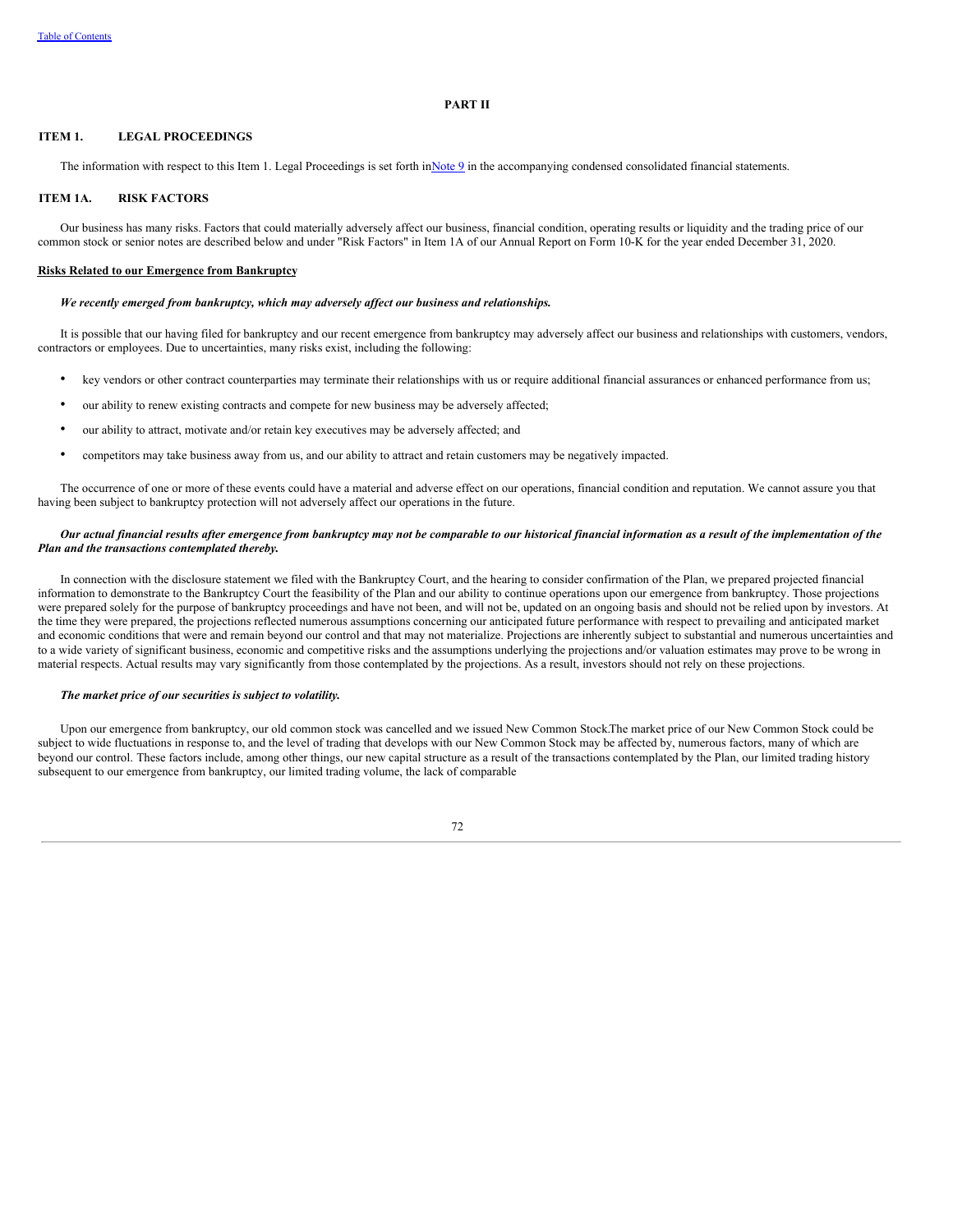#### **PART II**

#### **ITEM 1. LEGAL PROCEEDINGS**

The information with respect to this Item 1. Legal Proceedings is set forth in[Note](#page-33-0) 9 in the accompanying condensed consolidated financial statements.

#### **ITEM 1A. RISK FACTORS**

Our business has many risks. Factors that could materially adversely affect our business, financial condition, operating results or liquidity and the trading price of our common stock or senior notes are described below and under "Risk Factors" in Item 1A of our Annual Report on Form 10-K for the year ended December 31, 2020.

#### **Risks Related to our Emergence from Bankruptcy**

#### *We recently emerged from bankruptcy, which may adversely af ect our business and relationships.*

It is possible that our having filed for bankruptcy and our recent emergence from bankruptcy may adversely affect our business and relationships with customers, vendors, contractors or employees. Due to uncertainties, many risks exist, including the following:

- key vendors or other contract counterparties may terminate their relationships with us or require additional financial assurances or enhanced performance from us;
- our ability to renew existing contracts and compete for new business may be adversely affected;
- our ability to attract, motivate and/or retain key executives may be adversely affected; and
- competitors may take business away from us, and our ability to attract and retain customers may be negatively impacted.

The occurrence of one or more of these events could have a material and adverse effect on our operations, financial condition and reputation. We cannot assure you that having been subject to bankruptcy protection will not adversely affect our operations in the future.

#### Our actual financial results after emergence from bankruptcy may not be comparable to our historical financial information as a result of the implementation of the *Plan and the transactions contemplated thereby.*

In connection with the disclosure statement we filed with the Bankruptcy Court, and the hearing to consider confirmation of the Plan, we prepared projected financial information to demonstrate to the Bankruptcy Court the feasibility of the Plan and our ability to continue operations upon our emergence from bankruptcy. Those projections were prepared solely for the purpose of bankruptcy proceedings and have not been, and will not be, updated on an ongoing basis and should not be relied upon by investors. At the time they were prepared, the projections reflected numerous assumptions concerning our anticipated future performance with respect to prevailing and anticipated market and economic conditions that were and remain beyond our control and that may not materialize. Projections are inherently subject to substantial and numerous uncertainties and to a wide variety of significant business, economic and competitive risks and the assumptions underlying the projections and/or valuation estimates may prove to be wrong in material respects. Actual results may vary significantly from those contemplated by the projections. As a result, investors should not rely on these projections.

#### *The market price of our securities is subject to volatility.*

Upon our emergence from bankruptcy, our old common stock was cancelled and we issued New Common Stock.The market price of our New Common Stock could be subject to wide fluctuations in response to, and the level of trading that develops with our New Common Stock may be affected by, numerous factors, many of which are beyond our control. These factors include, among other things, our new capital structure as a result of the transactions contemplated by the Plan, our limited trading history subsequent to our emergence from bankruptcy, our limited trading volume, the lack of comparable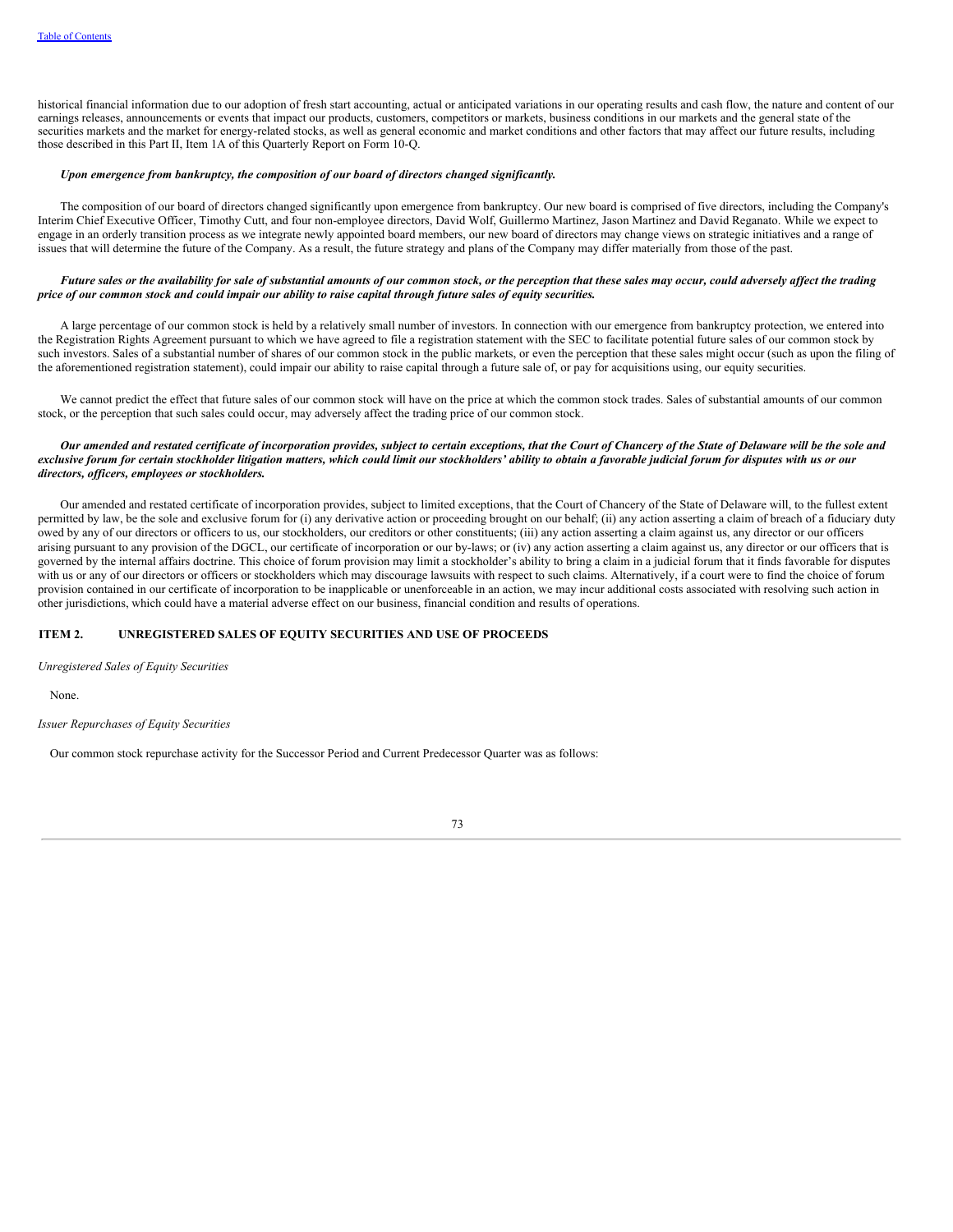historical financial information due to our adoption of fresh start accounting, actual or anticipated variations in our operating results and cash flow, the nature and content of our earnings releases, announcements or events that impact our products, customers, competitors or markets, business conditions in our markets and the general state of the securities markets and the market for energy-related stocks, as well as general economic and market conditions and other factors that may affect our future results, including those described in this Part II, Item 1A of this Quarterly Report on Form 10-Q.

#### *Upon emergence from bankruptcy, the composition of our board of directors changed significantly.*

The composition of our board of directors changed significantly upon emergence from bankruptcy. Our new board is comprised of five directors, including the Company's Interim Chief Executive Officer, Timothy Cutt, and four non-employee directors, David Wolf, Guillermo Martinez, Jason Martinez and David Reganato. While we expect to engage in an orderly transition process as we integrate newly appointed board members, our new board of directors may change views on strategic initiatives and a range of issues that will determine the future of the Company. As a result, the future strategy and plans of the Company may differ materially from those of the past.

#### Future sales or the availability for sale of substantial amounts of our common stock, or the perception that these sales may occur, could adversely affect the trading price of our common stock and could impair our ability to raise capital through future sales of equity securities.

A large percentage of our common stock is held by a relatively small number of investors. In connection with our emergence from bankruptcy protection, we entered into the Registration Rights Agreement pursuant to which we have agreed to file a registration statement with the SEC to facilitate potential future sales of our common stock by such investors. Sales of a substantial number of shares of our common stock in the public markets, or even the perception that these sales might occur (such as upon the filing of the aforementioned registration statement), could impair our ability to raise capital through a future sale of, or pay for acquisitions using, our equity securities.

We cannot predict the effect that future sales of our common stock will have on the price at which the common stock trades. Sales of substantial amounts of our common stock, or the perception that such sales could occur, may adversely affect the trading price of our common stock.

#### Our amended and restated certificate of incorporation provides, subject to certain exceptions, that the Court of Chancery of the State of Delaware will be the sole and exclusive forum for certain stockholder litigation matters, which could limit our stockholders' ability to obtain a favorable judicial forum for disputes with us or our *directors, of icers, employees or stockholders.*

Our amended and restated certificate of incorporation provides, subject to limited exceptions, that the Court of Chancery of the State of Delaware will, to the fullest extent permitted by law, be the sole and exclusive forum for (i) any derivative action or proceeding brought on our behalf; (ii) any action asserting a claim of breach of a fiduciary duty owed by any of our directors or officers to us, our stockholders, our creditors or other constituents; (iii) any action asserting a claim against us, any director or our officers arising pursuant to any provision of the DGCL, our certificate of incorporation or our by-laws; or (iv) any action asserting a claim against us, any director or our officers that is governed by the internal affairs doctrine. This choice of forum provision may limit a stockholder's ability to bring a claim in a judicial forum that it finds favorable for disputes with us or any of our directors or officers or stockholders which may discourage lawsuits with respect to such claims. Alternatively, if a court were to find the choice of forum provision contained in our certificate of incorporation to be inapplicable or unenforceable in an action, we may incur additional costs associated with resolving such action in other jurisdictions, which could have a material adverse effect on our business, financial condition and results of operations.

#### **ITEM 2. UNREGISTERED SALES OF EQUITY SECURITIES AND USE OF PROCEEDS**

*Unregistered Sales of Equity Securities*

None.

*Issuer Repurchases of Equity Securities*

Our common stock repurchase activity for the Successor Period and Current Predecessor Quarter was as follows:

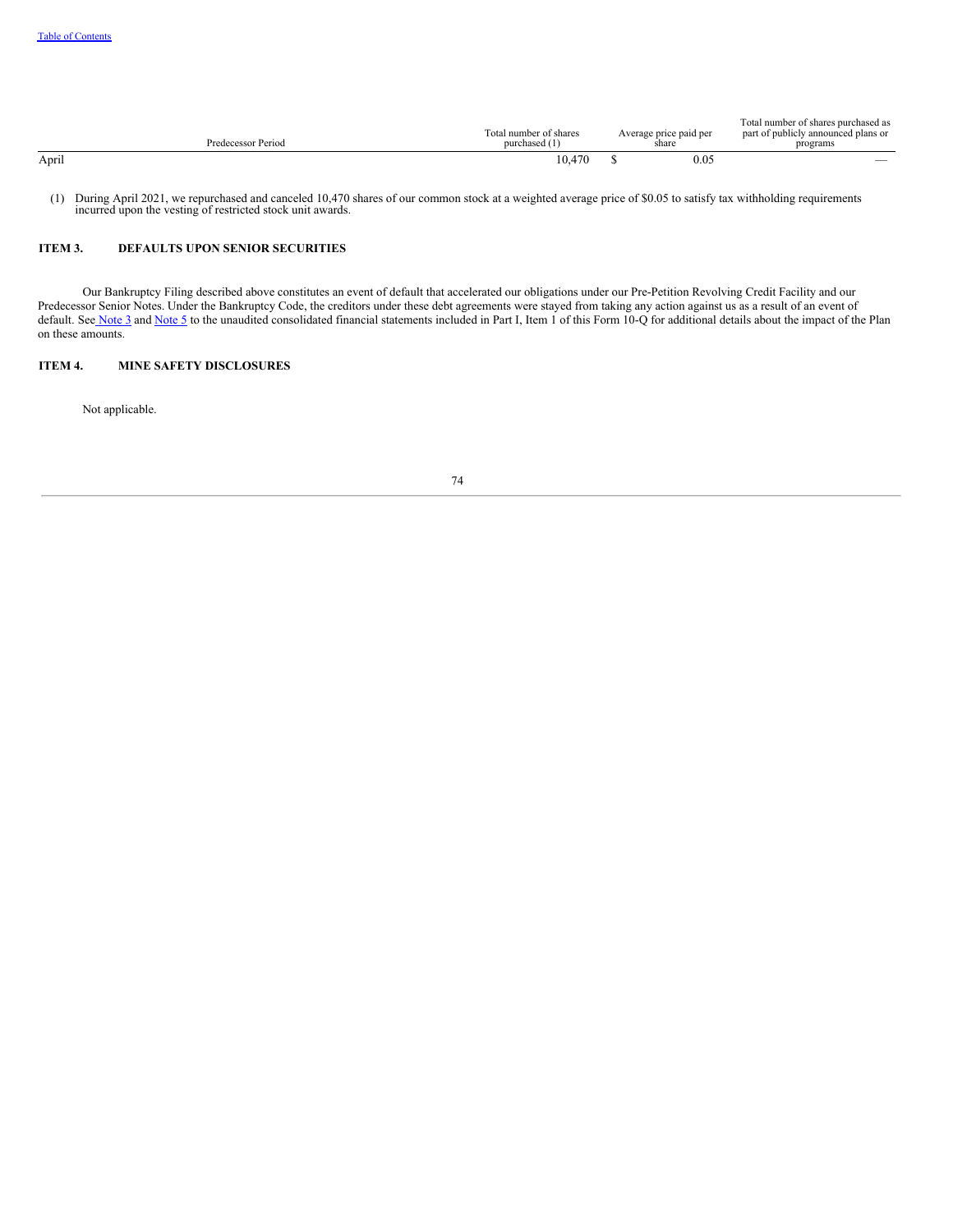| Predecessor Period | Total number of shares<br>purchased (1) | Average price paid per<br>share | Total number of shares purchased as<br>part of publicly announced plans or<br>programs |
|--------------------|-----------------------------------------|---------------------------------|----------------------------------------------------------------------------------------|
| April              | 10.470                                  | 0.05                            | -                                                                                      |

(1) During April 2021, we repurchased and canceled 10,470 shares of our common stock at a weighted average price of \$0.05 to satisfy tax withholding requirements incurred upon the vesting of restricted stock unit awards.

# **ITEM 3. DEFAULTS UPON SENIOR SECURITIES**

Our Bankruptcy Filing described above constitutes an event of default that accelerated our obligations under our Pre-Petition Revolving Credit Facility and our Predecessor Senior Notes. Under the Bankruptcy Code, the creditors under these debt agreements were stayed from taking any action against us as a result of an event of default. See [Note](#page-27-0) 3 and Note 5 to the unaudited consolidated financial statements included in Part I, Item 1 of this Form 10-Q for additional details about the impact of the Plan on these amounts.

#### **ITEM 4. MINE SAFETY DISCLOSURES**

Not applicable.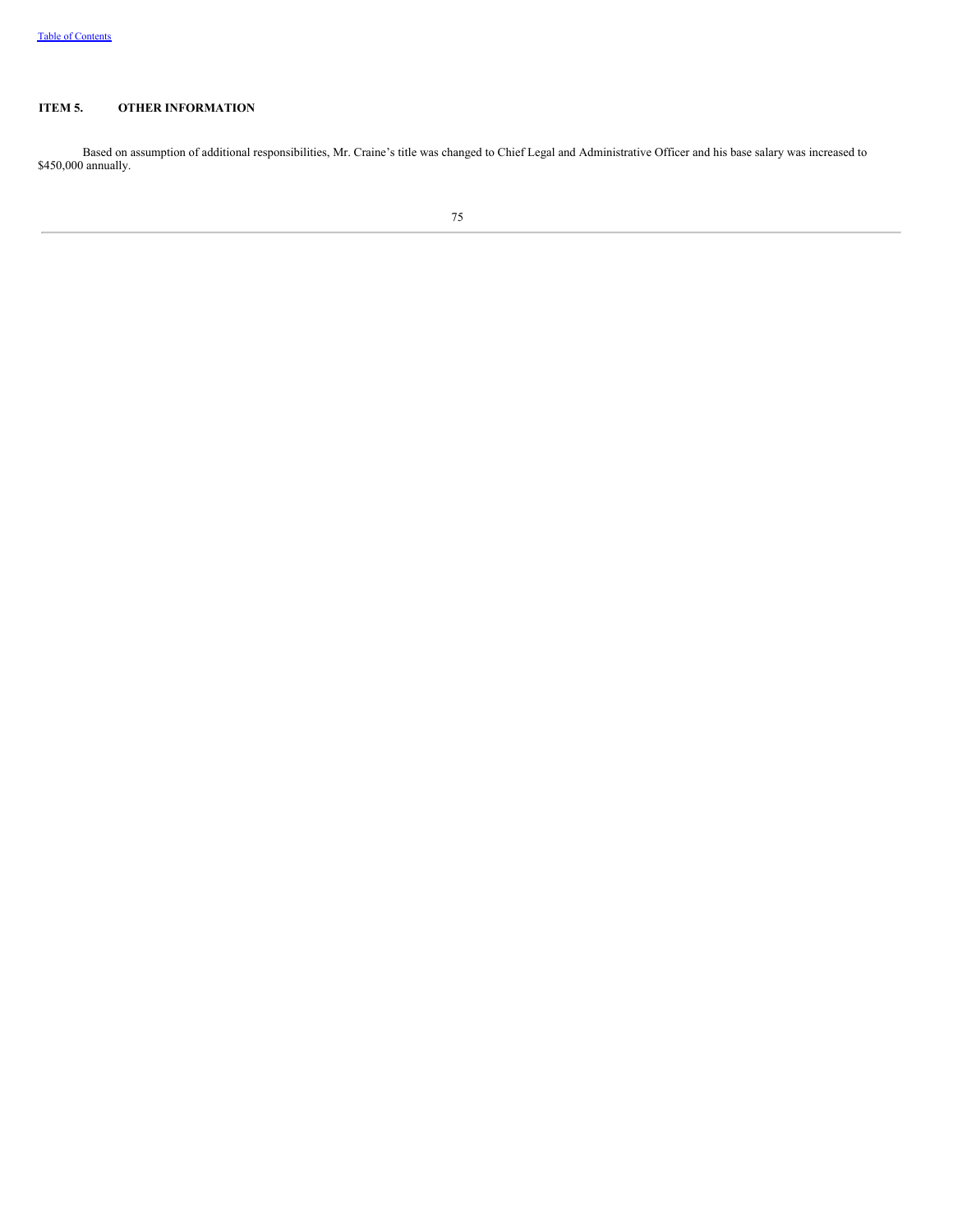# **ITEM 5. OTHER INFORMATION**

Based on assumption of additional responsibilities, Mr. Craine's title was changed to Chief Legal and Administrative Officer and his base salary was increased to \$450,000 annually.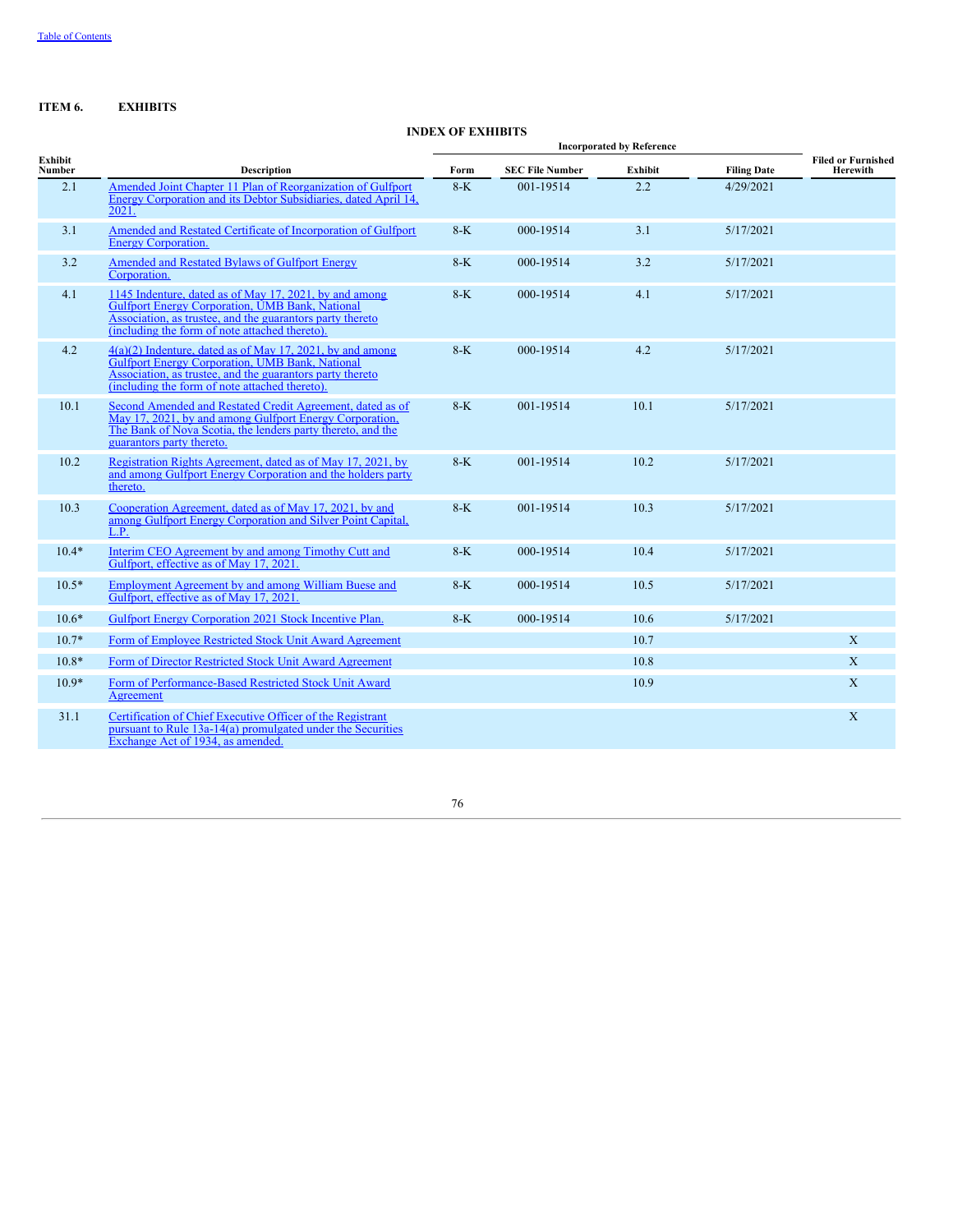# **ITEM 6. EXHIBITS**

### **INDEX OF EXHIBITS**

|                   |                                                                                                                                                                                                                                 | пурел от елиците<br><b>Incorporated by Reference</b> |                        |         |                    |                                       |
|-------------------|---------------------------------------------------------------------------------------------------------------------------------------------------------------------------------------------------------------------------------|------------------------------------------------------|------------------------|---------|--------------------|---------------------------------------|
| Exhibit<br>Number | Description                                                                                                                                                                                                                     | Form                                                 | <b>SEC File Number</b> | Exhibit | <b>Filing Date</b> | <b>Filed or Furnished</b><br>Herewith |
| 2.1               | Amended Joint Chapter 11 Plan of Reorganization of Gulfport<br>Energy Corporation and its Debtor Subsidiaries, dated April 14,<br>2021.                                                                                         | $8-K$                                                | 001-19514              | 2.2     | 4/29/2021          |                                       |
| 3.1               | Amended and Restated Certificate of Incorporation of Gulfport<br><b>Energy Corporation.</b>                                                                                                                                     | $8-K$                                                | 000-19514              | 3.1     | 5/17/2021          |                                       |
| 3.2               | Amended and Restated Bylaws of Gulfport Energy<br>Corporation.                                                                                                                                                                  | $8-K$                                                | 000-19514              | 3.2     | 5/17/2021          |                                       |
| 4.1               | 1145 Indenture, dated as of May 17, 2021, by and among<br><b>Gulfport Energy Corporation, UMB Bank, National</b><br>Association, as trustee, and the guarantors party thereto<br>(including the form of note attached thereto). | $8-K$                                                | 000-19514              | 4.1     | 5/17/2021          |                                       |
| 4.2               | 4(a)(2) Indenture, dated as of May 17, 2021, by and among<br>Gulfport Energy Corporation, UMB Bank, National<br>Association, as trustee, and the guarantors party thereto<br>(including the form of note attached thereto).     | $8-K$                                                | 000-19514              | 4.2     | 5/17/2021          |                                       |
| 10.1              | Second Amended and Restated Credit Agreement, dated as of<br>May 17, 2021, by and among Gulfport Energy Corporation.<br>The Bank of Nova Scotia, the lenders party thereto, and the<br>guarantors party thereto.                | $8-K$                                                | 001-19514              | 10.1    | 5/17/2021          |                                       |
| 10.2              | Registration Rights Agreement, dated as of May 17, 2021, by<br>and among Gulfport Energy Corporation and the holders party<br>thereto.                                                                                          | $8-K$                                                | 001-19514              | 10.2    | 5/17/2021          |                                       |
| 10.3              | Cooperation Agreement, dated as of May 17, 2021, by and<br>among Gulfport Energy Corporation and Silver Point Capital,<br>$\overline{L.P.}$                                                                                     | $8-K$                                                | 001-19514              | 10.3    | 5/17/2021          |                                       |
| $10.4*$           | Interim CEO Agreement by and among Timothy Cutt and<br>Gulfport, effective as of May 17, 2021.                                                                                                                                  | $8-K$                                                | 000-19514              | 10.4    | 5/17/2021          |                                       |
| $10.5*$           | Employment Agreement by and among William Buese and<br>Gulfport, effective as of May 17, 2021.                                                                                                                                  | $8-K$                                                | 000-19514              | 10.5    | 5/17/2021          |                                       |
| $10.6*$           | Gulfport Energy Corporation 2021 Stock Incentive Plan.                                                                                                                                                                          | $8-K$                                                | 000-19514              | 10.6    | 5/17/2021          |                                       |
| $10.7*$           | Form of Employee Restricted Stock Unit Award Agreement                                                                                                                                                                          |                                                      |                        | 10.7    |                    | X                                     |
| $10.8*$           | Form of Director Restricted Stock Unit Award Agreement                                                                                                                                                                          |                                                      |                        | 10.8    |                    | X                                     |
| $10.9*$           | Form of Performance-Based Restricted Stock Unit Award<br>Agreement                                                                                                                                                              |                                                      |                        | 10.9    |                    | X                                     |
| 31.1              | Certification of Chief Executive Officer of the Registrant<br>pursuant to Rule 13a-14(a) promulgated under the Securities<br>Exchange Act of 1934, as amended.                                                                  |                                                      |                        |         |                    | X                                     |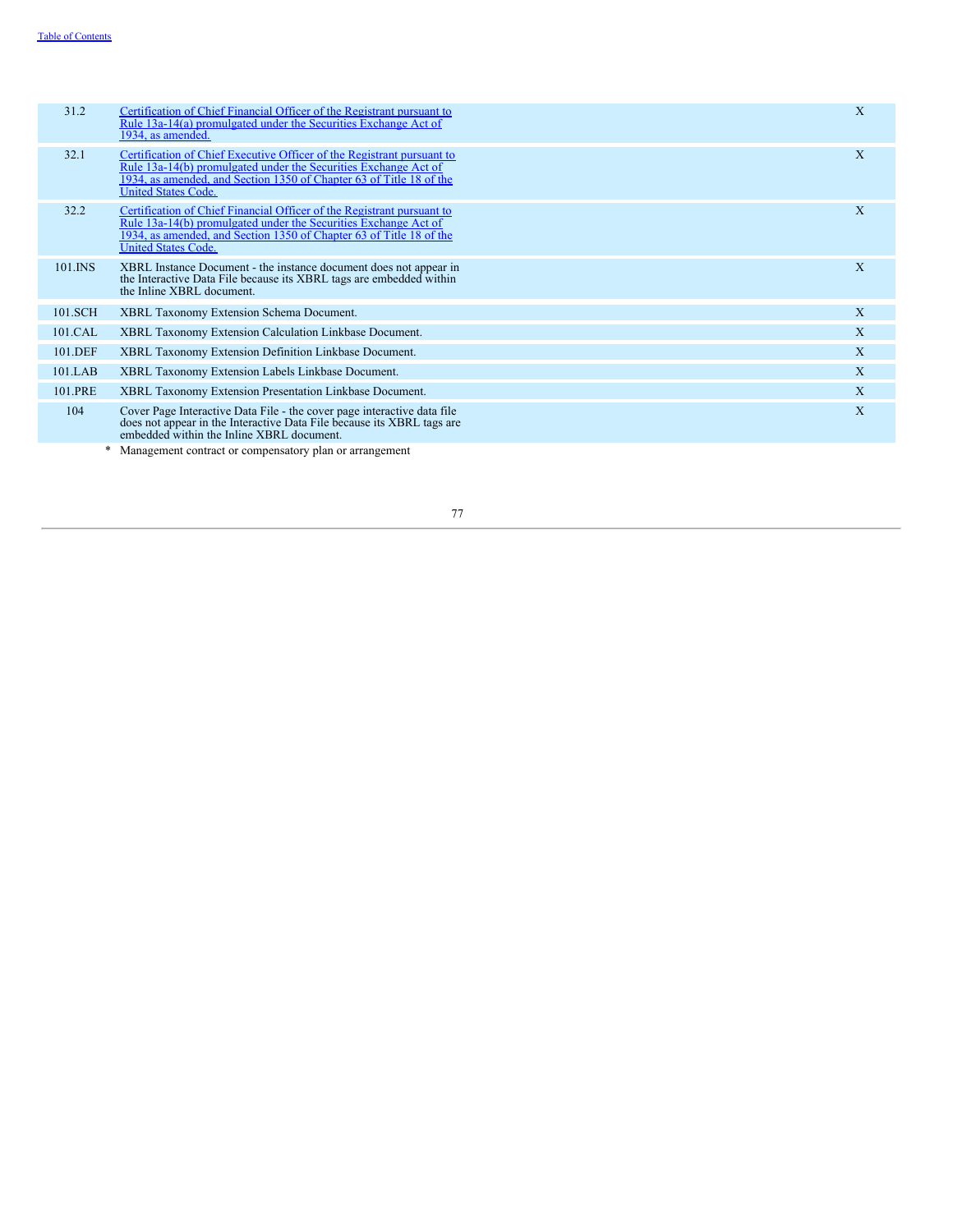| 31.2    | Certification of Chief Financial Officer of the Registrant pursuant to<br>Rule 13a-14(a) promulgated under the Securities Exchange Act of<br>1934, as amended.                                                                                 | X              |
|---------|------------------------------------------------------------------------------------------------------------------------------------------------------------------------------------------------------------------------------------------------|----------------|
| 32.1    | Certification of Chief Executive Officer of the Registrant pursuant to<br>Rule 13a-14(b) promulgated under the Securities Exchange Act of<br>1934, as amended, and Section 1350 of Chapter 63 of Title 18 of the<br><b>United States Code.</b> | X              |
| 32.2    | Certification of Chief Financial Officer of the Registrant pursuant to<br>Rule 13a-14(b) promulgated under the Securities Exchange Act of<br>1934, as amended, and Section 1350 of Chapter 63 of Title 18 of the<br><b>United States Code.</b> | $\overline{X}$ |
| 101.INS | XBRL Instance Document - the instance document does not appear in<br>the Interactive Data File because its XBRL tags are embedded within<br>the Inline XBRL document.                                                                          | X              |
| 101.SCH | XBRL Taxonomy Extension Schema Document.                                                                                                                                                                                                       | X              |
| 101.CAL | XBRL Taxonomy Extension Calculation Linkbase Document.                                                                                                                                                                                         | $\mathbf{X}$   |
| 101.DEF | XBRL Taxonomy Extension Definition Linkbase Document.                                                                                                                                                                                          | X              |
| 101.LAB | XBRL Taxonomy Extension Labels Linkbase Document.                                                                                                                                                                                              | X              |
| 101.PRE | XBRL Taxonomy Extension Presentation Linkbase Document.                                                                                                                                                                                        | X              |
| 104     | Cover Page Interactive Data File - the cover page interactive data file<br>does not appear in the Interactive Data File because its XBRL tags are<br>embedded within the Inline XBRL document.                                                 | X              |

\* Management contract or compensatory plan or arrangement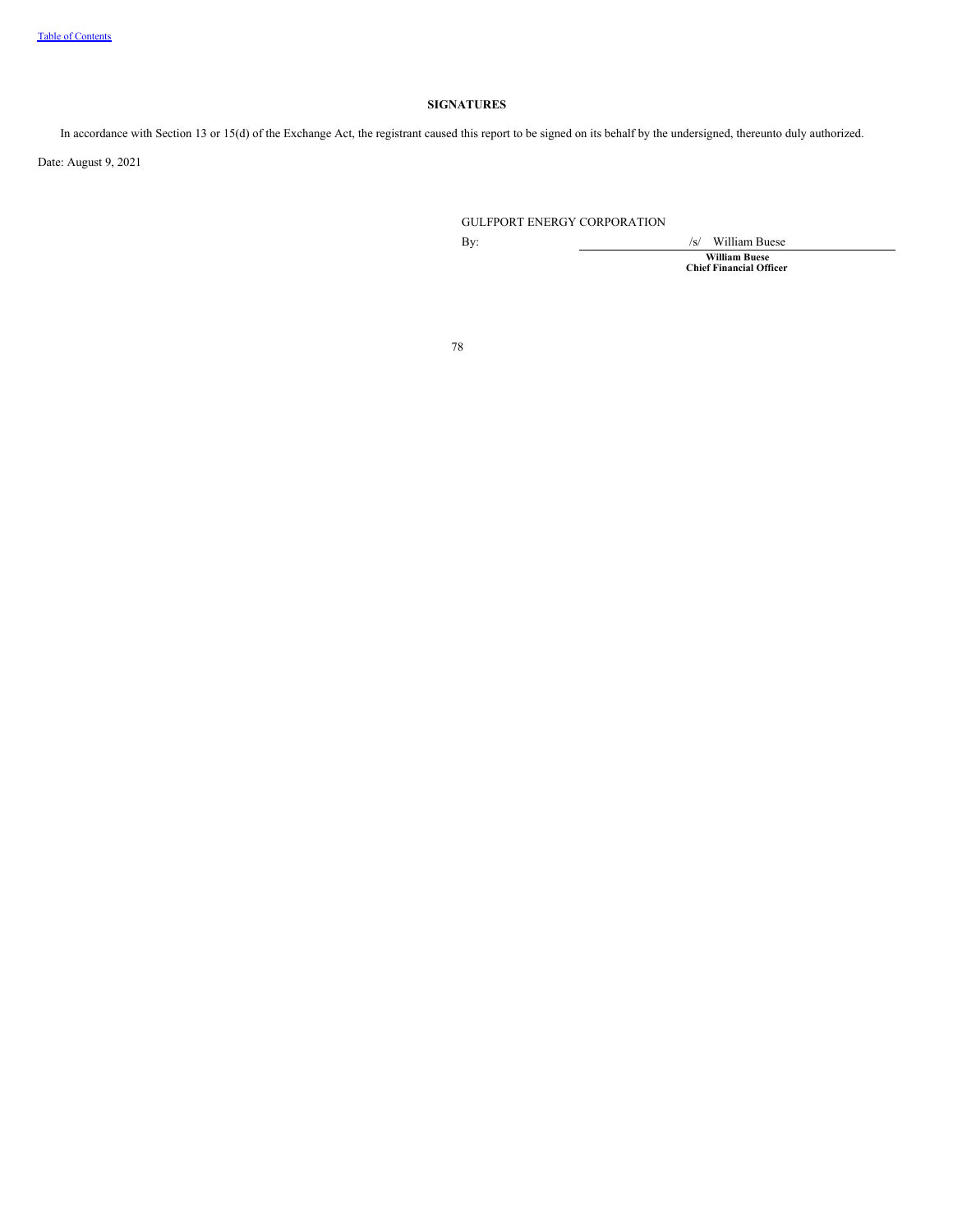### **SIGNATURES**

In accordance with Section 13 or 15(d) of the Exchange Act, the registrant caused this report to be signed on its behalf by the undersigned, thereunto duly authorized.

Date: August 9, 2021

GULFPORT ENERGY CORPORATION

By:  $\frac{1}{s}$  William Buese

**William Buese Chief Financial Officer**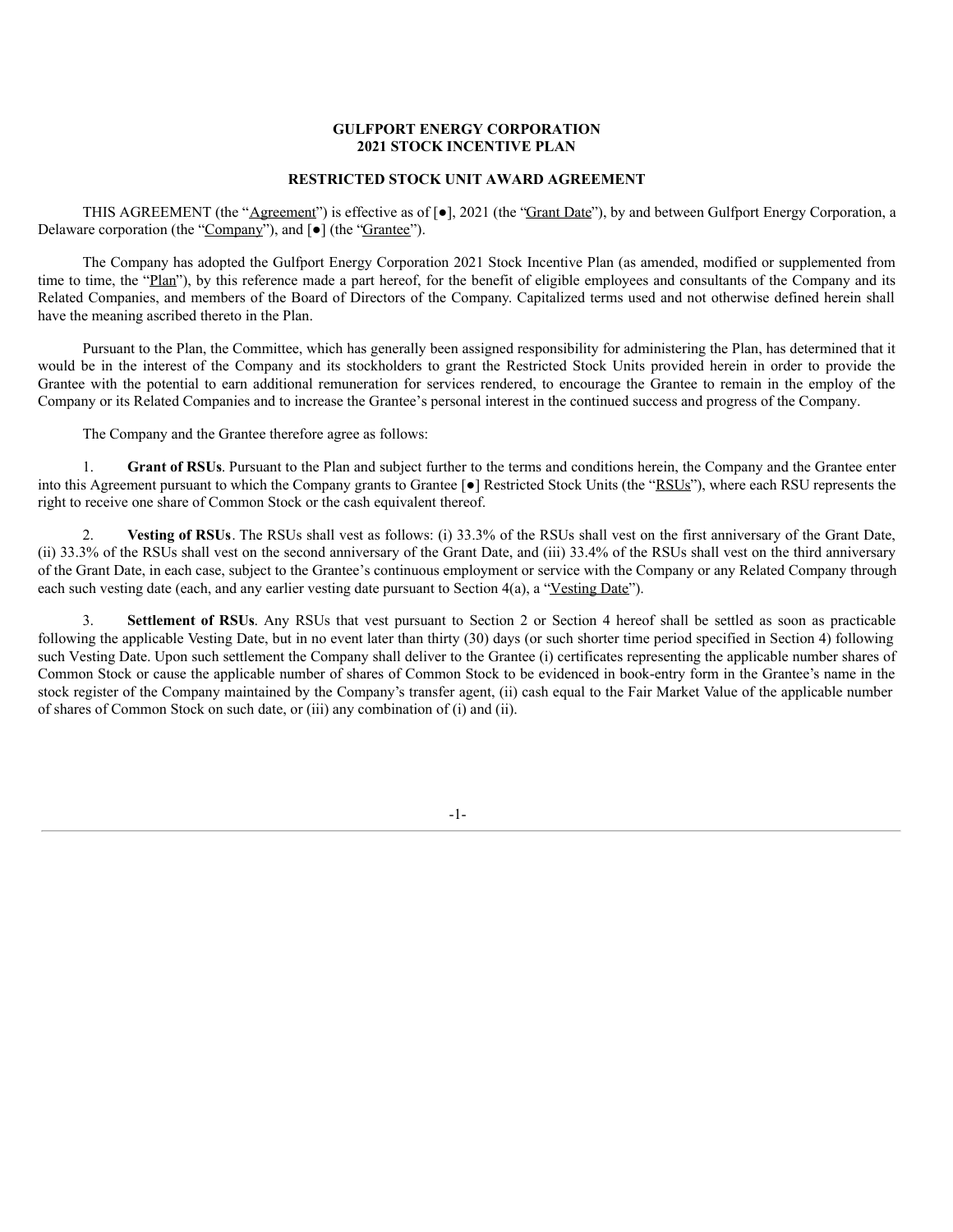# **GULFPORT ENERGY CORPORATION 2021 STOCK INCENTIVE PLAN**

## **RESTRICTED STOCK UNIT AWARD AGREEMENT**

THIS AGREEMENT (the "Agreement") is effective as of [●], 2021 (the "Grant Date"), by and between Gulfport Energy Corporation, a Delaware corporation (the "Company"), and [●] (the "Grantee").

The Company has adopted the Gulfport Energy Corporation 2021 Stock Incentive Plan (as amended, modified or supplemented from time to time, the "Plan"), by this reference made a part hereof, for the benefit of eligible employees and consultants of the Company and its Related Companies, and members of the Board of Directors of the Company. Capitalized terms used and not otherwise defined herein shall have the meaning ascribed thereto in the Plan.

Pursuant to the Plan, the Committee, which has generally been assigned responsibility for administering the Plan, has determined that it would be in the interest of the Company and its stockholders to grant the Restricted Stock Units provided herein in order to provide the Grantee with the potential to earn additional remuneration for services rendered, to encourage the Grantee to remain in the employ of the Company or its Related Companies and to increase the Grantee's personal interest in the continued success and progress of the Company.

The Company and the Grantee therefore agree as follows:

1. **Grant of RSUs**. Pursuant to the Plan and subject further to the terms and conditions herein, the Company and the Grantee enter into this Agreement pursuant to which the Company grants to Grantee [●] Restricted Stock Units (the "RSUs"), where each RSU represents the right to receive one share of Common Stock or the cash equivalent thereof.

2. **Vesting of RSUs**. The RSUs shall vest as follows: (i) 33.3% of the RSUs shall vest on the first anniversary of the Grant Date, (ii) 33.3% of the RSUs shall vest on the second anniversary of the Grant Date, and (iii) 33.4% of the RSUs shall vest on the third anniversary of the Grant Date, in each case, subject to the Grantee's continuous employment or service with the Company or any Related Company through each such vesting date (each, and any earlier vesting date pursuant to Section 4(a), a "Vesting Date").

3. **Settlement of RSUs**. Any RSUs that vest pursuant to Section 2 or Section 4 hereof shall be settled as soon as practicable following the applicable Vesting Date, but in no event later than thirty (30) days (or such shorter time period specified in Section 4) following such Vesting Date. Upon such settlement the Company shall deliver to the Grantee (i) certificates representing the applicable number shares of Common Stock or cause the applicable number of shares of Common Stock to be evidenced in book-entry form in the Grantee's name in the stock register of the Company maintained by the Company's transfer agent, (ii) cash equal to the Fair Market Value of the applicable number of shares of Common Stock on such date, or (iii) any combination of (i) and (ii).

-1-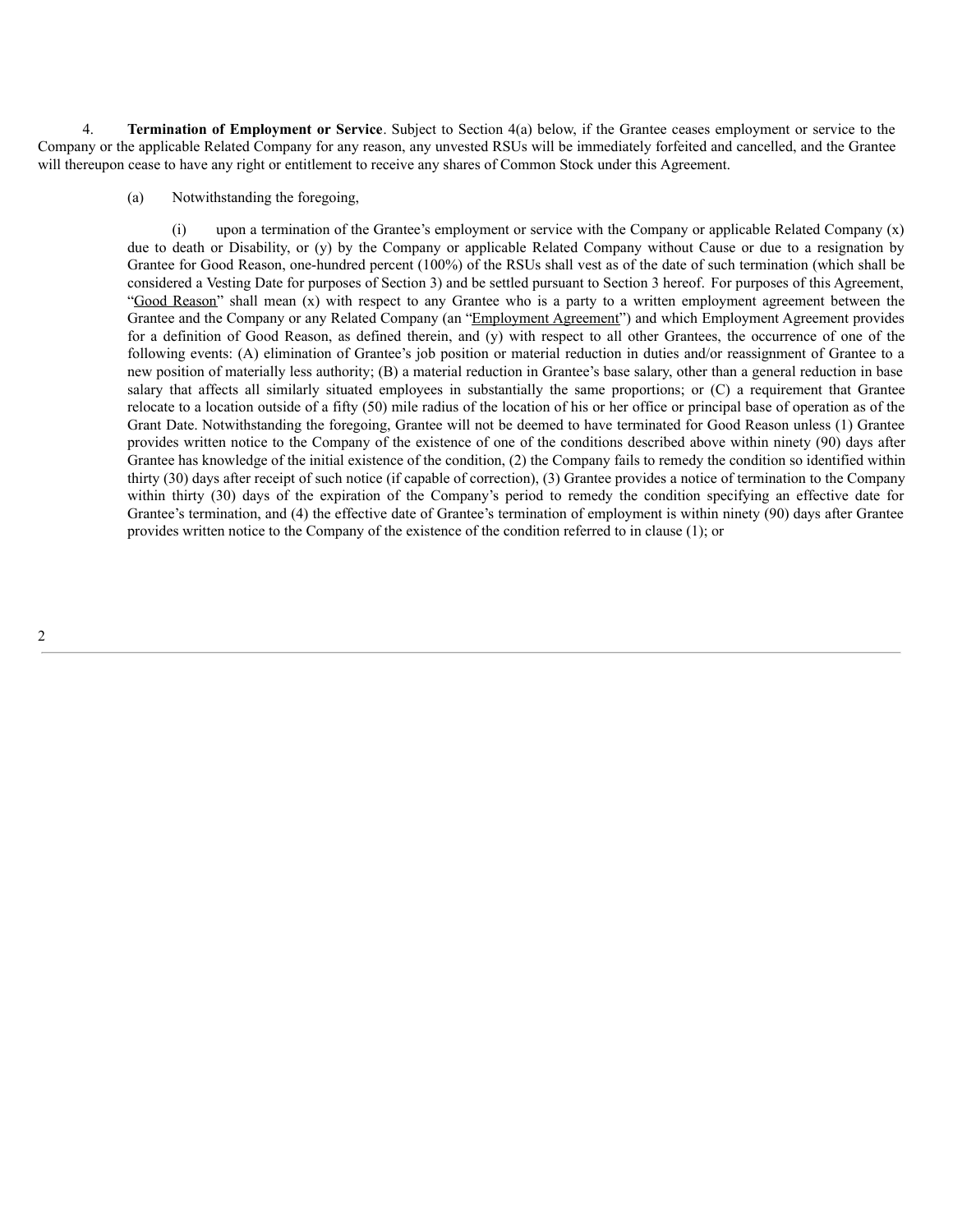4. **Termination of Employment or Service**. Subject to Section 4(a) below, if the Grantee ceases employment or service to the Company or the applicable Related Company for any reason, any unvested RSUs will be immediately forfeited and cancelled, and the Grantee will thereupon cease to have any right or entitlement to receive any shares of Common Stock under this Agreement.

(a) Notwithstanding the foregoing,

(i) upon a termination of the Grantee's employment or service with the Company or applicable Related Company (x) due to death or Disability, or (y) by the Company or applicable Related Company without Cause or due to a resignation by Grantee for Good Reason, one-hundred percent (100%) of the RSUs shall vest as of the date of such termination (which shall be considered a Vesting Date for purposes of Section 3) and be settled pursuant to Section 3 hereof. For purposes of this Agreement, "Good Reason" shall mean (x) with respect to any Grantee who is a party to a written employment agreement between the Grantee and the Company or any Related Company (an "Employment Agreement") and which Employment Agreement provides for a definition of Good Reason, as defined therein, and (y) with respect to all other Grantees, the occurrence of one of the following events: (A) elimination of Grantee's job position or material reduction in duties and/or reassignment of Grantee to a new position of materially less authority; (B) a material reduction in Grantee's base salary, other than a general reduction in base salary that affects all similarly situated employees in substantially the same proportions; or (C) a requirement that Grantee relocate to a location outside of a fifty (50) mile radius of the location of his or her office or principal base of operation as of the Grant Date. Notwithstanding the foregoing, Grantee will not be deemed to have terminated for Good Reason unless (1) Grantee provides written notice to the Company of the existence of one of the conditions described above within ninety (90) days after Grantee has knowledge of the initial existence of the condition, (2) the Company fails to remedy the condition so identified within thirty (30) days after receipt of such notice (if capable of correction), (3) Grantee provides a notice of termination to the Company within thirty (30) days of the expiration of the Company's period to remedy the condition specifying an effective date for Grantee's termination, and (4) the effective date of Grantee's termination of employment is within ninety (90) days after Grantee provides written notice to the Company of the existence of the condition referred to in clause (1); or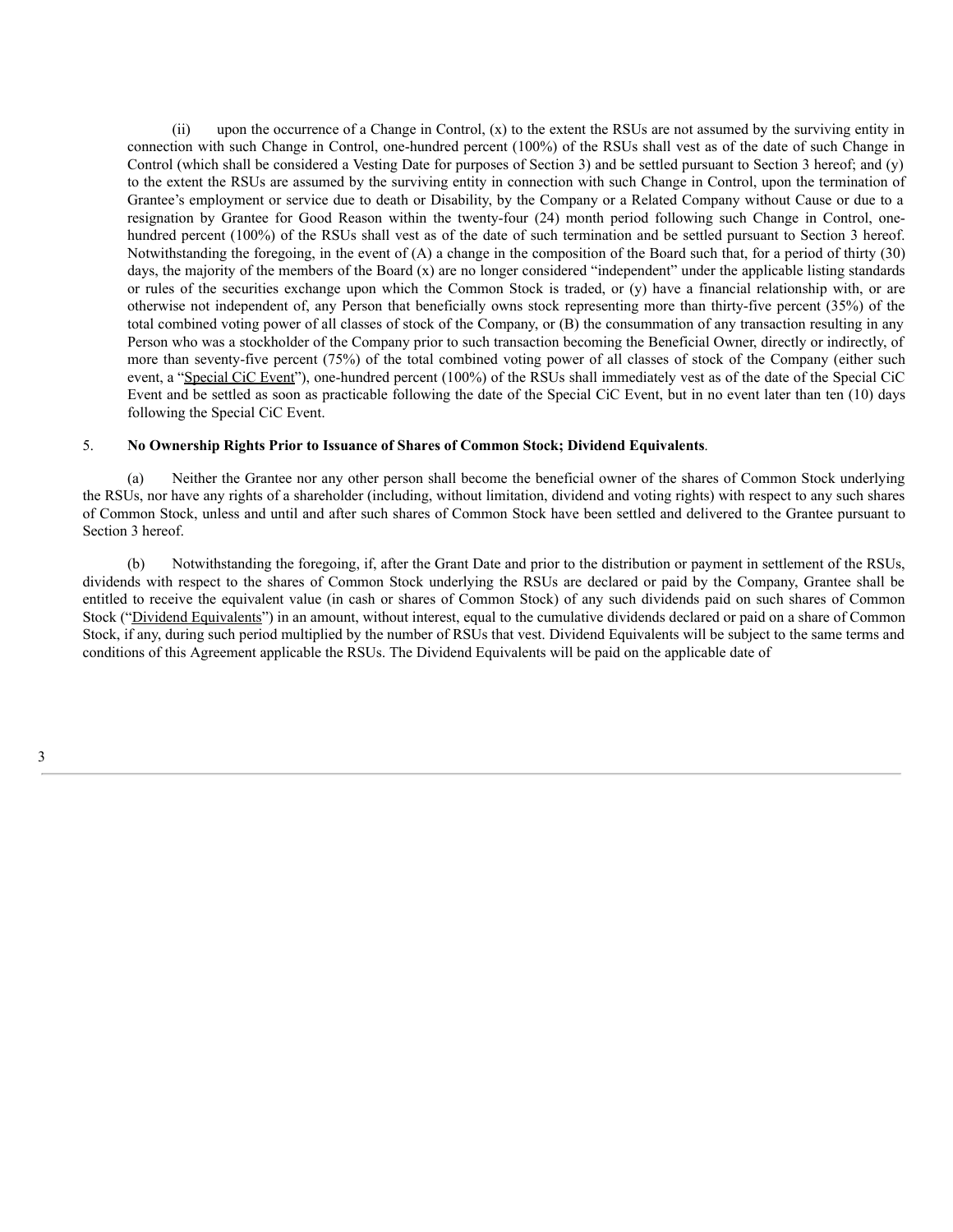<span id="page-82-0"></span>(ii) upon the occurrence of a Change in Control, (x) to the extent the RSUs are not assumed by the surviving entity in connection with such Change in Control, one-hundred percent (100%) of the RSUs shall vest as of the date of such Change in Control (which shall be considered a Vesting Date for purposes of Section 3) and be settled pursuant to Section 3 hereof; and (y) to the extent the RSUs are assumed by the surviving entity in connection with such Change in Control, upon the termination of Grantee's employment or service due to death or Disability, by the Company or a Related Company without Cause or due to a resignation by Grantee for Good Reason within the twenty-four (24) month period following such Change in Control, onehundred percent (100%) of the RSUs shall vest as of the date of such termination and be settled pursuant to Section 3 hereof. Notwithstanding the foregoing, in the event of (A) a change in the composition of the Board such that, for a period of thirty (30) days, the majority of the members of the Board (x) are no longer considered "independent" under the applicable listing standards or rules of the securities exchange upon which the Common Stock is traded, or (y) have a financial relationship with, or are otherwise not independent of, any Person that beneficially owns stock representing more than thirty-five percent (35%) of the total combined voting power of all classes of stock of the Company, or (B) the consummation of any transaction resulting in any Person who was a stockholder of the Company prior to such transaction becoming the Beneficial Owner, directly or indirectly, of more than seventy-five percent (75%) of the total combined voting power of all classes of stock of the Company (either such event, a "Special CiC Event"), one-hundred percent (100%) of the RSUs shall immediately vest as of the date of the Special CiC Event and be settled as soon as practicable following the date of the Special CiC Event, but in no event later than ten (10) days following the Special CiC Event.

# 5. **No Ownership Rights Prior to Issuance of Shares of Common Stock; Dividend Equivalents**.

(a) Neither the Grantee nor any other person shall become the beneficial owner of the shares of Common Stock underlying the RSUs, nor have any rights of a shareholder (including, without limitation, dividend and voting rights) with respect to any such shares of Common Stock, unless and until and after such shares of Common Stock have been settled and delivered to the Grantee pursuant to Section 3 hereof.

(b) Notwithstanding the foregoing, if, after the Grant Date and prior to the distribution or payment in settlement of the RSUs, dividends with respect to the shares of Common Stock underlying the RSUs are declared or paid by the Company, Grantee shall be entitled to receive the equivalent value (in cash or shares of Common Stock) of any such dividends paid on such shares of Common Stock ("Dividend Equivalents") in an amount, without interest, equal to the cumulative dividends declared or paid on a share of Common Stock, if any, during such period multiplied by the number of RSUs that vest. Dividend Equivalents will be subject to the same terms and conditions of this Agreement applicable the RSUs. The Dividend Equivalents will be paid on the applicable date of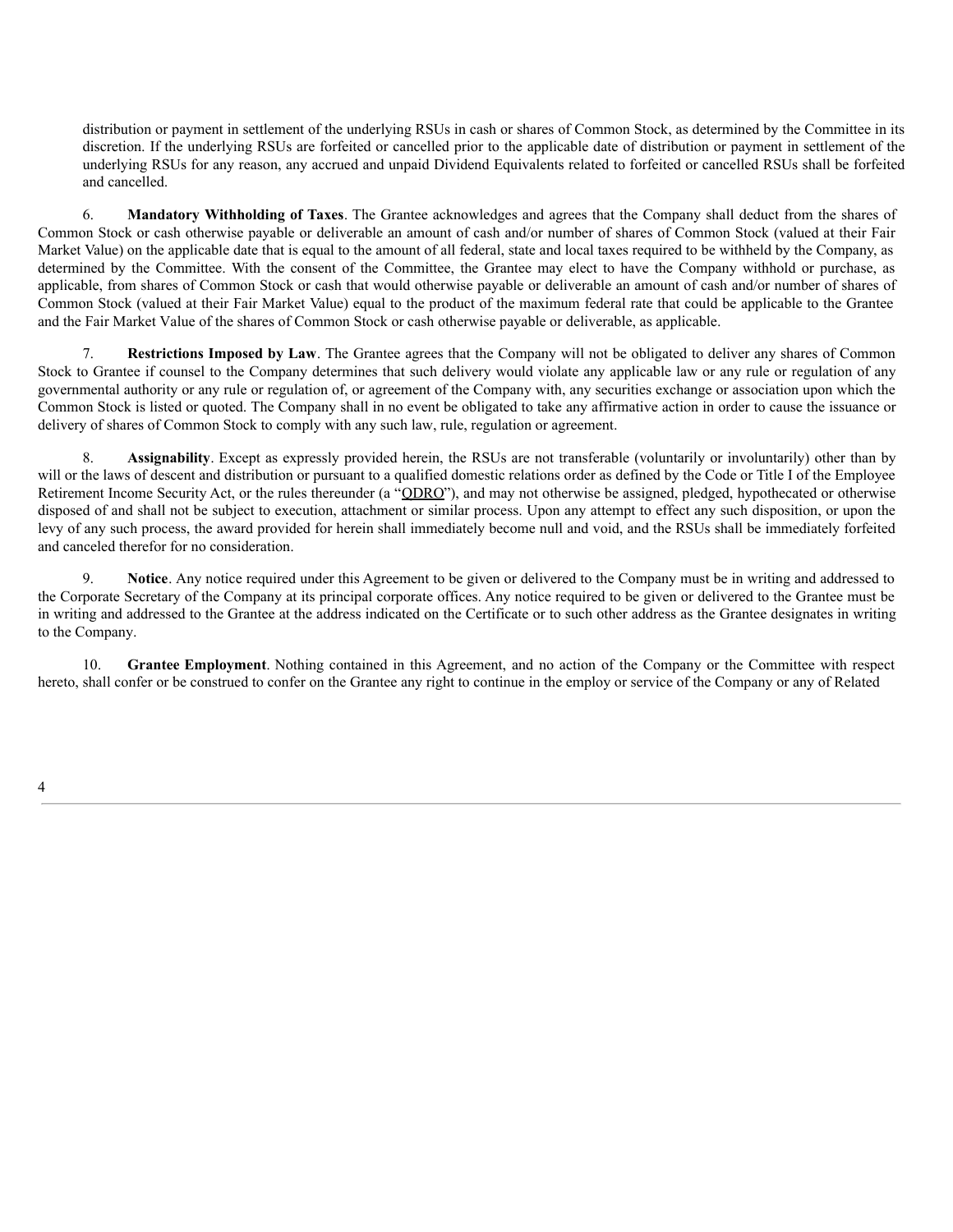distribution or payment in settlement of the underlying RSUs in cash or shares of Common Stock, as determined by the Committee in its discretion. If the underlying RSUs are forfeited or cancelled prior to the applicable date of distribution or payment in settlement of the underlying RSUs for any reason, any accrued and unpaid Dividend Equivalents related to forfeited or cancelled RSUs shall be forfeited and cancelled.

6. **Mandatory Withholding of Taxes**. The Grantee acknowledges and agrees that the Company shall deduct from the shares of Common Stock or cash otherwise payable or deliverable an amount of cash and/or number of shares of Common Stock (valued at their Fair Market Value) on the applicable date that is equal to the amount of all federal, state and local taxes required to be withheld by the Company, as determined by the Committee. With the consent of the Committee, the Grantee may elect to have the Company withhold or purchase, as applicable, from shares of Common Stock or cash that would otherwise payable or deliverable an amount of cash and/or number of shares of Common Stock (valued at their Fair Market Value) equal to the product of the maximum federal rate that could be applicable to the Grantee and the Fair Market Value of the shares of Common Stock or cash otherwise payable or deliverable, as applicable.

7. **Restrictions Imposed by Law**. The Grantee agrees that the Company will not be obligated to deliver any shares of Common Stock to Grantee if counsel to the Company determines that such delivery would violate any applicable law or any rule or regulation of any governmental authority or any rule or regulation of, or agreement of the Company with, any securities exchange or association upon which the Common Stock is listed or quoted. The Company shall in no event be obligated to take any affirmative action in order to cause the issuance or delivery of shares of Common Stock to comply with any such law, rule, regulation or agreement.

8. **Assignability**. Except as expressly provided herein, the RSUs are not transferable (voluntarily or involuntarily) other than by will or the laws of descent and distribution or pursuant to a qualified domestic relations order as defined by the Code or Title I of the Employee Retirement Income Security Act, or the rules thereunder (a "QDRO"), and may not otherwise be assigned, pledged, hypothecated or otherwise disposed of and shall not be subject to execution, attachment or similar process. Upon any attempt to effect any such disposition, or upon the levy of any such process, the award provided for herein shall immediately become null and void, and the RSUs shall be immediately forfeited and canceled therefor for no consideration.

9. **Notice**. Any notice required under this Agreement to be given or delivered to the Company must be in writing and addressed to the Corporate Secretary of the Company at its principal corporate offices. Any notice required to be given or delivered to the Grantee must be in writing and addressed to the Grantee at the address indicated on the Certificate or to such other address as the Grantee designates in writing to the Company.

10. **Grantee Employment**. Nothing contained in this Agreement, and no action of the Company or the Committee with respect hereto, shall confer or be construed to confer on the Grantee any right to continue in the employ or service of the Company or any of Related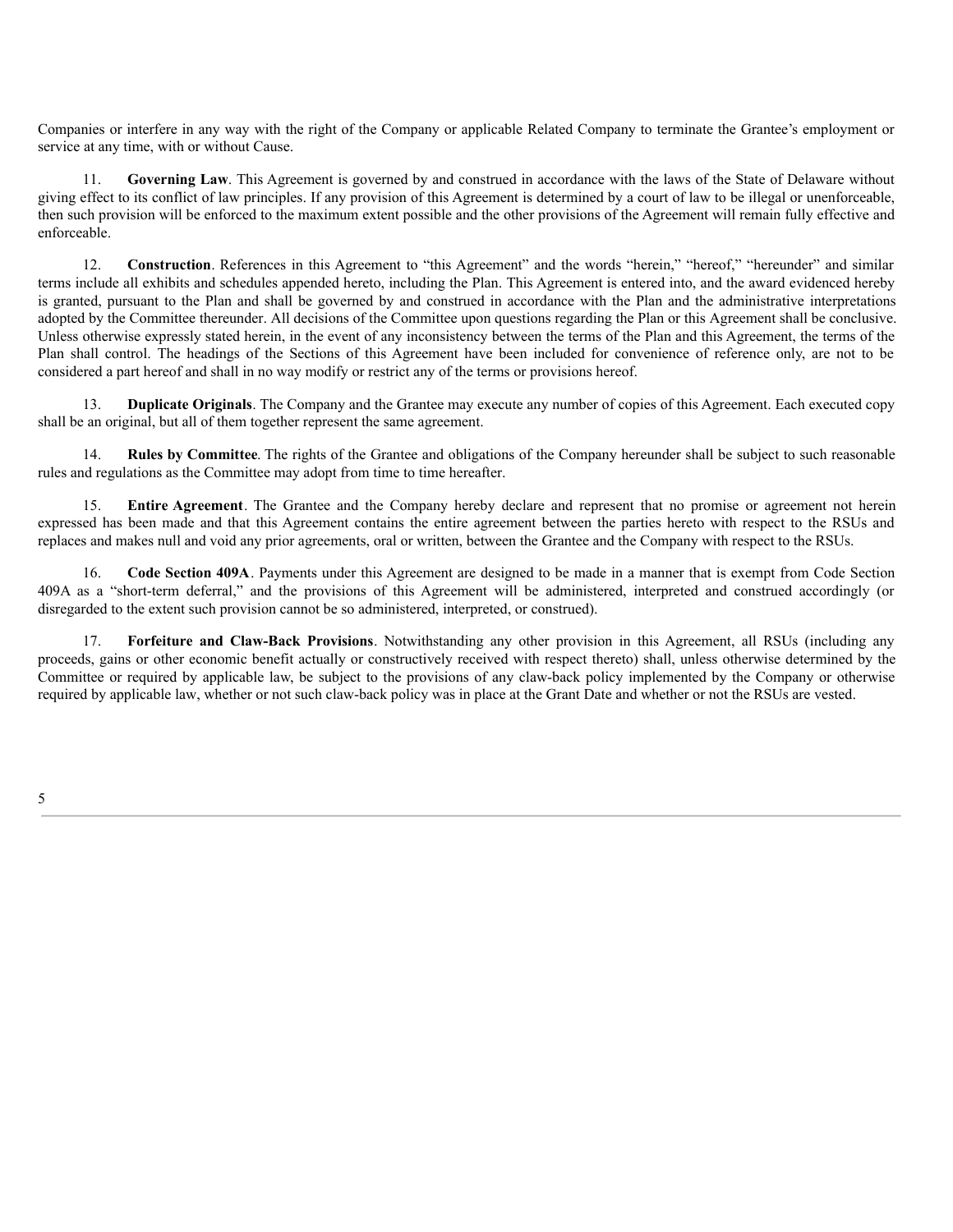Companies or interfere in any way with the right of the Company or applicable Related Company to terminate the Grantee's employment or service at any time, with or without Cause.

11. **Governing Law**. This Agreement is governed by and construed in accordance with the laws of the State of Delaware without giving effect to its conflict of law principles. If any provision of this Agreement is determined by a court of law to be illegal or unenforceable, then such provision will be enforced to the maximum extent possible and the other provisions of the Agreement will remain fully effective and enforceable.

12. **Construction**. References in this Agreement to "this Agreement" and the words "herein," "hereof," "hereunder" and similar terms include all exhibits and schedules appended hereto, including the Plan. This Agreement is entered into, and the award evidenced hereby is granted, pursuant to the Plan and shall be governed by and construed in accordance with the Plan and the administrative interpretations adopted by the Committee thereunder. All decisions of the Committee upon questions regarding the Plan or this Agreement shall be conclusive. Unless otherwise expressly stated herein, in the event of any inconsistency between the terms of the Plan and this Agreement, the terms of the Plan shall control. The headings of the Sections of this Agreement have been included for convenience of reference only, are not to be considered a part hereof and shall in no way modify or restrict any of the terms or provisions hereof.

13. **Duplicate Originals**. The Company and the Grantee may execute any number of copies of this Agreement. Each executed copy shall be an original, but all of them together represent the same agreement.

14. **Rules by Committee**. The rights of the Grantee and obligations of the Company hereunder shall be subject to such reasonable rules and regulations as the Committee may adopt from time to time hereafter.

15. **Entire Agreement**. The Grantee and the Company hereby declare and represent that no promise or agreement not herein expressed has been made and that this Agreement contains the entire agreement between the parties hereto with respect to the RSUs and replaces and makes null and void any prior agreements, oral or written, between the Grantee and the Company with respect to the RSUs.

16. **Code Section 409A**. Payments under this Agreement are designed to be made in a manner that is exempt from Code Section 409A as a "short-term deferral," and the provisions of this Agreement will be administered, interpreted and construed accordingly (or disregarded to the extent such provision cannot be so administered, interpreted, or construed).

17. **Forfeiture and Claw-Back Provisions**. Notwithstanding any other provision in this Agreement, all RSUs (including any proceeds, gains or other economic benefit actually or constructively received with respect thereto) shall, unless otherwise determined by the Committee or required by applicable law, be subject to the provisions of any claw-back policy implemented by the Company or otherwise required by applicable law, whether or not such claw-back policy was in place at the Grant Date and whether or not the RSUs are vested.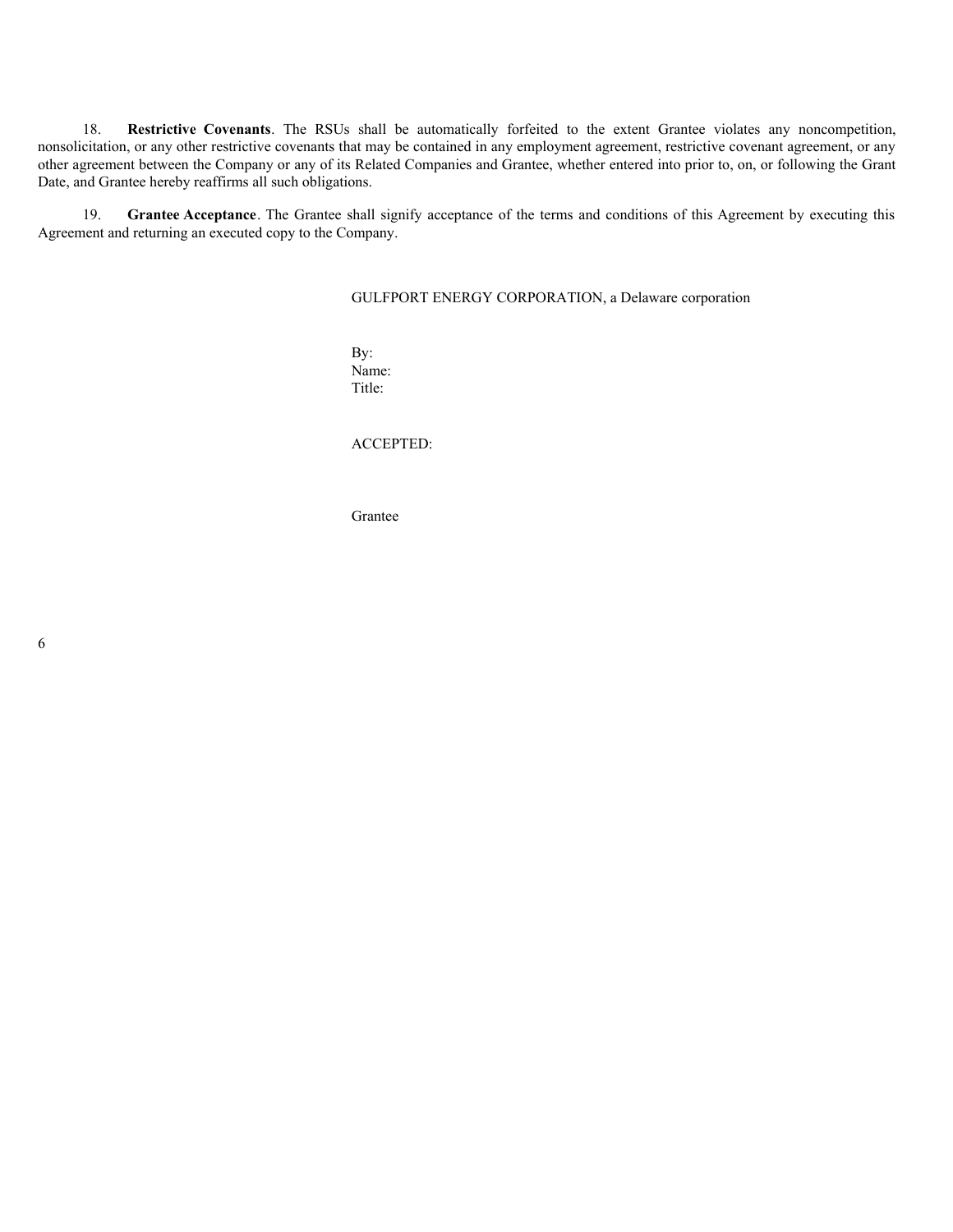18. **Restrictive Covenants**. The RSUs shall be automatically forfeited to the extent Grantee violates any noncompetition, nonsolicitation, or any other restrictive covenants that may be contained in any employment agreement, restrictive covenant agreement, or any other agreement between the Company or any of its Related Companies and Grantee, whether entered into prior to, on, or following the Grant Date, and Grantee hereby reaffirms all such obligations.

19. **Grantee Acceptance**. The Grantee shall signify acceptance of the terms and conditions of this Agreement by executing this Agreement and returning an executed copy to the Company.

GULFPORT ENERGY CORPORATION, a Delaware corporation

By: Name: Title:

ACCEPTED:

Grantee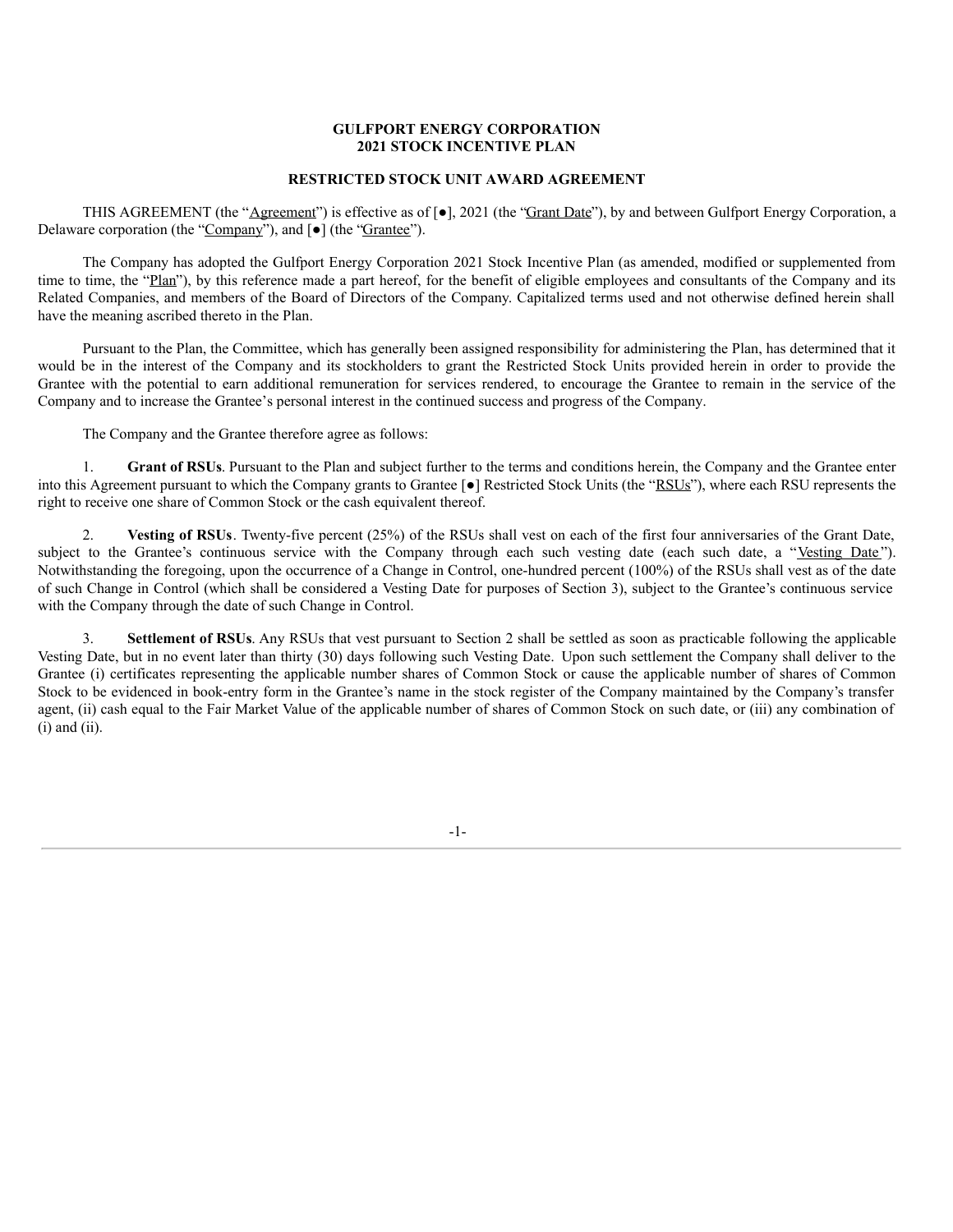# **GULFPORT ENERGY CORPORATION 2021 STOCK INCENTIVE PLAN**

## **RESTRICTED STOCK UNIT AWARD AGREEMENT**

THIS AGREEMENT (the "Agreement") is effective as of [●], 2021 (the "Grant Date"), by and between Gulfport Energy Corporation, a Delaware corporation (the "Company"), and [●] (the "Grantee").

The Company has adopted the Gulfport Energy Corporation 2021 Stock Incentive Plan (as amended, modified or supplemented from time to time, the "Plan"), by this reference made a part hereof, for the benefit of eligible employees and consultants of the Company and its Related Companies, and members of the Board of Directors of the Company. Capitalized terms used and not otherwise defined herein shall have the meaning ascribed thereto in the Plan.

Pursuant to the Plan, the Committee, which has generally been assigned responsibility for administering the Plan, has determined that it would be in the interest of the Company and its stockholders to grant the Restricted Stock Units provided herein in order to provide the Grantee with the potential to earn additional remuneration for services rendered, to encourage the Grantee to remain in the service of the Company and to increase the Grantee's personal interest in the continued success and progress of the Company.

The Company and the Grantee therefore agree as follows:

1. **Grant of RSUs**. Pursuant to the Plan and subject further to the terms and conditions herein, the Company and the Grantee enter into this Agreement pursuant to which the Company grants to Grantee [●] Restricted Stock Units (the "RSUs"), where each RSU represents the right to receive one share of Common Stock or the cash equivalent thereof.

2. **Vesting of RSUs**. Twenty-five percent (25%) of the RSUs shall vest on each of the first four anniversaries of the Grant Date, subject to the Grantee's continuous service with the Company through each such vesting date (each such date, a "Vesting Date"). Notwithstanding the foregoing, upon the occurrence of a Change in Control, one-hundred percent (100%) of the RSUs shall vest as of the date of such Change in Control (which shall be considered a Vesting Date for purposes of Section 3), subject to the Grantee's continuous service with the Company through the date of such Change in Control.

3. **Settlement of RSUs**. Any RSUs that vest pursuant to Section 2 shall be settled as soon as practicable following the applicable Vesting Date, but in no event later than thirty (30) days following such Vesting Date. Upon such settlement the Company shall deliver to the Grantee (i) certificates representing the applicable number shares of Common Stock or cause the applicable number of shares of Common Stock to be evidenced in book-entry form in the Grantee's name in the stock register of the Company maintained by the Company's transfer agent, (ii) cash equal to the Fair Market Value of the applicable number of shares of Common Stock on such date, or (iii) any combination of (i) and (ii).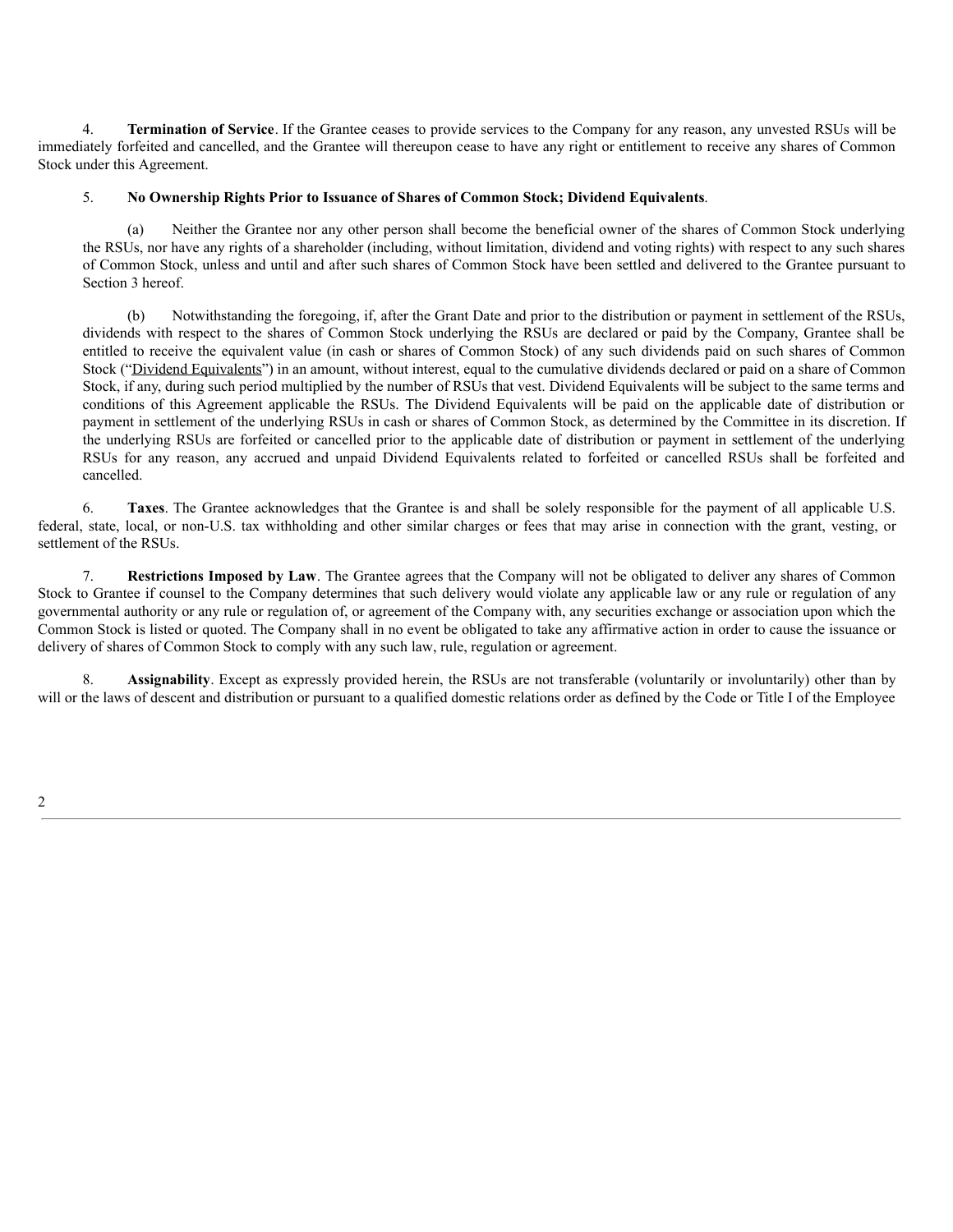<span id="page-87-0"></span>4. **Termination of Service**. If the Grantee ceases to provide services to the Company for any reason, any unvested RSUs will be immediately forfeited and cancelled, and the Grantee will thereupon cease to have any right or entitlement to receive any shares of Common Stock under this Agreement.

# 5. **No Ownership Rights Prior to Issuance of Shares of Common Stock; Dividend Equivalents**.

Neither the Grantee nor any other person shall become the beneficial owner of the shares of Common Stock underlying the RSUs, nor have any rights of a shareholder (including, without limitation, dividend and voting rights) with respect to any such shares of Common Stock, unless and until and after such shares of Common Stock have been settled and delivered to the Grantee pursuant to Section 3 hereof.

(b) Notwithstanding the foregoing, if, after the Grant Date and prior to the distribution or payment in settlement of the RSUs, dividends with respect to the shares of Common Stock underlying the RSUs are declared or paid by the Company, Grantee shall be entitled to receive the equivalent value (in cash or shares of Common Stock) of any such dividends paid on such shares of Common Stock ("Dividend Equivalents") in an amount, without interest, equal to the cumulative dividends declared or paid on a share of Common Stock, if any, during such period multiplied by the number of RSUs that vest. Dividend Equivalents will be subject to the same terms and conditions of this Agreement applicable the RSUs. The Dividend Equivalents will be paid on the applicable date of distribution or payment in settlement of the underlying RSUs in cash or shares of Common Stock, as determined by the Committee in its discretion. If the underlying RSUs are forfeited or cancelled prior to the applicable date of distribution or payment in settlement of the underlying RSUs for any reason, any accrued and unpaid Dividend Equivalents related to forfeited or cancelled RSUs shall be forfeited and cancelled.

6. **Taxes**. The Grantee acknowledges that the Grantee is and shall be solely responsible for the payment of all applicable U.S. federal, state, local, or non-U.S. tax withholding and other similar charges or fees that may arise in connection with the grant, vesting, or settlement of the RSUs.

7. **Restrictions Imposed by Law**. The Grantee agrees that the Company will not be obligated to deliver any shares of Common Stock to Grantee if counsel to the Company determines that such delivery would violate any applicable law or any rule or regulation of any governmental authority or any rule or regulation of, or agreement of the Company with, any securities exchange or association upon which the Common Stock is listed or quoted. The Company shall in no event be obligated to take any affirmative action in order to cause the issuance or delivery of shares of Common Stock to comply with any such law, rule, regulation or agreement.

8. **Assignability**. Except as expressly provided herein, the RSUs are not transferable (voluntarily or involuntarily) other than by will or the laws of descent and distribution or pursuant to a qualified domestic relations order as defined by the Code or Title I of the Employee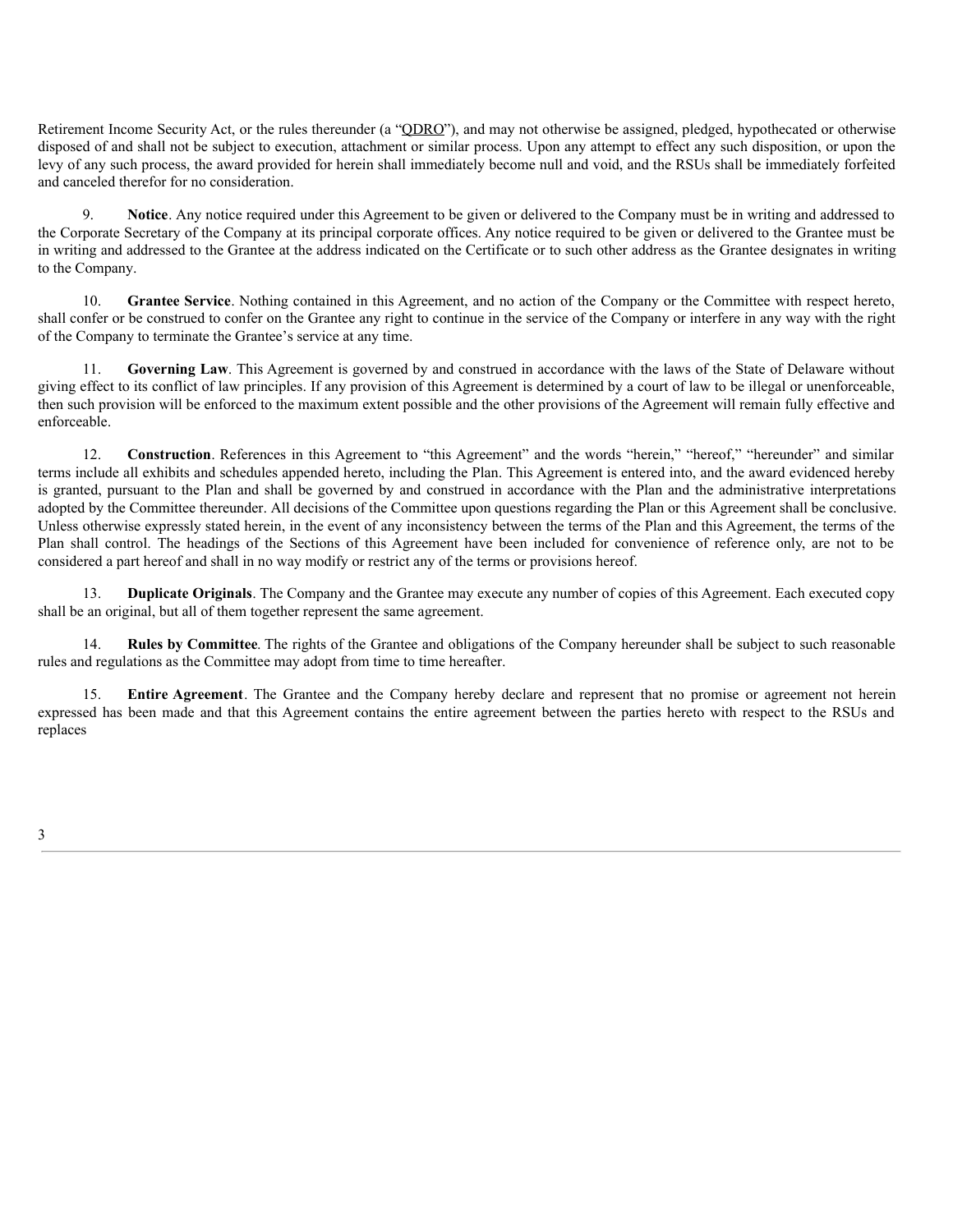Retirement Income Security Act, or the rules thereunder (a "QDRO"), and may not otherwise be assigned, pledged, hypothecated or otherwise disposed of and shall not be subject to execution, attachment or similar process. Upon any attempt to effect any such disposition, or upon the levy of any such process, the award provided for herein shall immediately become null and void, and the RSUs shall be immediately forfeited and canceled therefor for no consideration.

9. **Notice**. Any notice required under this Agreement to be given or delivered to the Company must be in writing and addressed to the Corporate Secretary of the Company at its principal corporate offices. Any notice required to be given or delivered to the Grantee must be in writing and addressed to the Grantee at the address indicated on the Certificate or to such other address as the Grantee designates in writing to the Company.

10. **Grantee Service**. Nothing contained in this Agreement, and no action of the Company or the Committee with respect hereto, shall confer or be construed to confer on the Grantee any right to continue in the service of the Company or interfere in any way with the right of the Company to terminate the Grantee's service at any time.

11. **Governing Law**. This Agreement is governed by and construed in accordance with the laws of the State of Delaware without giving effect to its conflict of law principles. If any provision of this Agreement is determined by a court of law to be illegal or unenforceable, then such provision will be enforced to the maximum extent possible and the other provisions of the Agreement will remain fully effective and enforceable.

12. **Construction**. References in this Agreement to "this Agreement" and the words "herein," "hereof," "hereunder" and similar terms include all exhibits and schedules appended hereto, including the Plan. This Agreement is entered into, and the award evidenced hereby is granted, pursuant to the Plan and shall be governed by and construed in accordance with the Plan and the administrative interpretations adopted by the Committee thereunder. All decisions of the Committee upon questions regarding the Plan or this Agreement shall be conclusive. Unless otherwise expressly stated herein, in the event of any inconsistency between the terms of the Plan and this Agreement, the terms of the Plan shall control. The headings of the Sections of this Agreement have been included for convenience of reference only, are not to be considered a part hereof and shall in no way modify or restrict any of the terms or provisions hereof.

13. **Duplicate Originals**. The Company and the Grantee may execute any number of copies of this Agreement. Each executed copy shall be an original, but all of them together represent the same agreement.

14. **Rules by Committee**. The rights of the Grantee and obligations of the Company hereunder shall be subject to such reasonable rules and regulations as the Committee may adopt from time to time hereafter.

15. **Entire Agreement**. The Grantee and the Company hereby declare and represent that no promise or agreement not herein expressed has been made and that this Agreement contains the entire agreement between the parties hereto with respect to the RSUs and replaces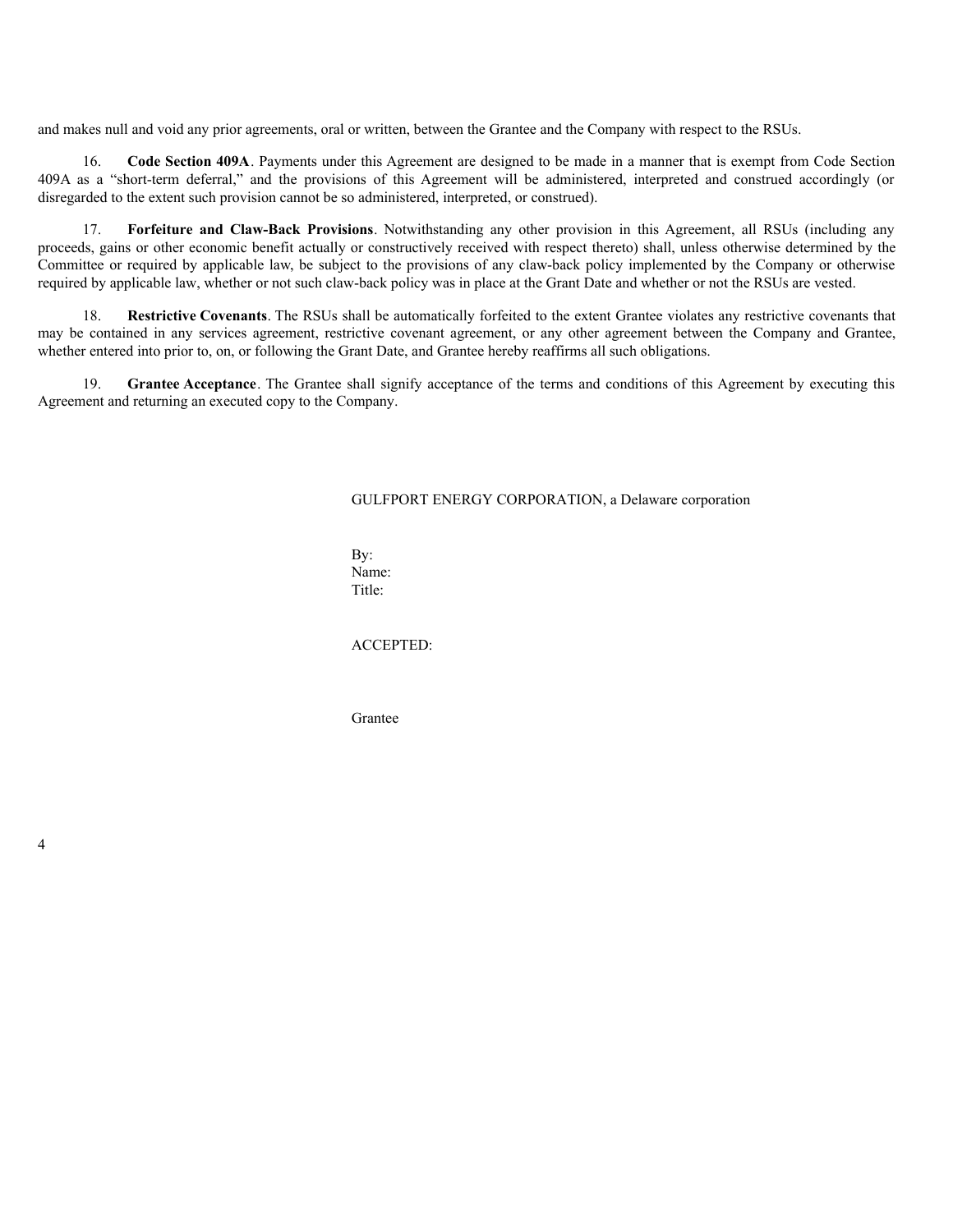and makes null and void any prior agreements, oral or written, between the Grantee and the Company with respect to the RSUs.

16. **Code Section 409A**. Payments under this Agreement are designed to be made in a manner that is exempt from Code Section 409A as a "short-term deferral," and the provisions of this Agreement will be administered, interpreted and construed accordingly (or disregarded to the extent such provision cannot be so administered, interpreted, or construed).

17. **Forfeiture and Claw-Back Provisions**. Notwithstanding any other provision in this Agreement, all RSUs (including any proceeds, gains or other economic benefit actually or constructively received with respect thereto) shall, unless otherwise determined by the Committee or required by applicable law, be subject to the provisions of any claw-back policy implemented by the Company or otherwise required by applicable law, whether or not such claw-back policy was in place at the Grant Date and whether or not the RSUs are vested.

18. **Restrictive Covenants**. The RSUs shall be automatically forfeited to the extent Grantee violates any restrictive covenants that may be contained in any services agreement, restrictive covenant agreement, or any other agreement between the Company and Grantee, whether entered into prior to, on, or following the Grant Date, and Grantee hereby reaffirms all such obligations.

19. **Grantee Acceptance**. The Grantee shall signify acceptance of the terms and conditions of this Agreement by executing this Agreement and returning an executed copy to the Company.

GULFPORT ENERGY CORPORATION, a Delaware corporation

By: Name: Title:

ACCEPTED:

Grantee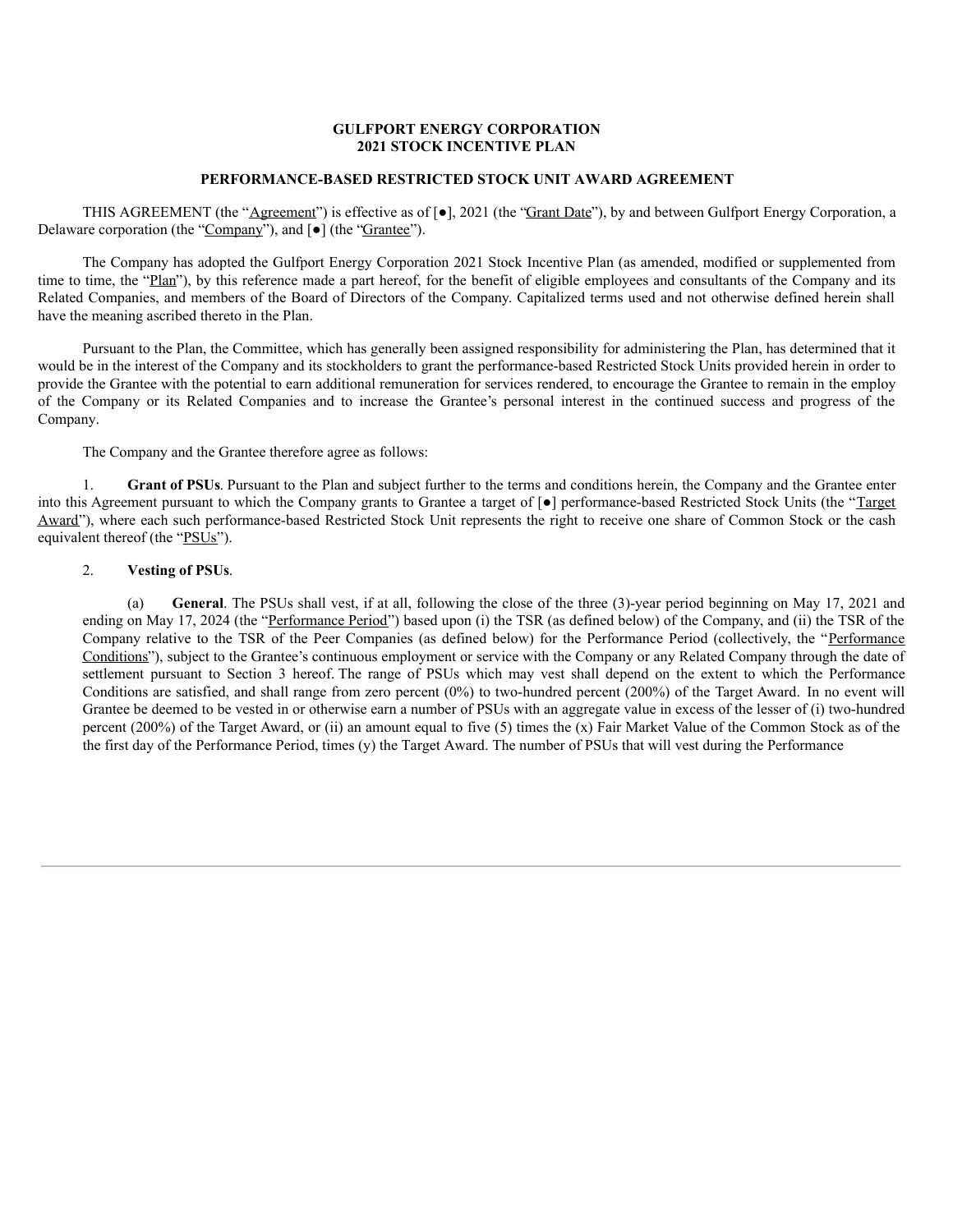# **GULFPORT ENERGY CORPORATION 2021 STOCK INCENTIVE PLAN**

## **PERFORMANCE-BASED RESTRICTED STOCK UNIT AWARD AGREEMENT**

THIS AGREEMENT (the "Agreement") is effective as of  $\lceil \bullet \rceil$ , 2021 (the "Grant Date"), by and between Gulfport Energy Corporation, a Delaware corporation (the "Company"), and [●] (the "Grantee").

The Company has adopted the Gulfport Energy Corporation 2021 Stock Incentive Plan (as amended, modified or supplemented from time to time, the "Plan"), by this reference made a part hereof, for the benefit of eligible employees and consultants of the Company and its Related Companies, and members of the Board of Directors of the Company. Capitalized terms used and not otherwise defined herein shall have the meaning ascribed thereto in the Plan.

Pursuant to the Plan, the Committee, which has generally been assigned responsibility for administering the Plan, has determined that it would be in the interest of the Company and its stockholders to grant the performance-based Restricted Stock Units provided herein in order to provide the Grantee with the potential to earn additional remuneration for services rendered, to encourage the Grantee to remain in the employ of the Company or its Related Companies and to increase the Grantee's personal interest in the continued success and progress of the Company.

The Company and the Grantee therefore agree as follows:

1. **Grant of PSUs**. Pursuant to the Plan and subject further to the terms and conditions herein, the Company and the Grantee enter into this Agreement pursuant to which the Company grants to Grantee a target of [ $\bullet$ ] performance-based Restricted Stock Units (the "Target Award"), where each such performance-based Restricted Stock Unit represents the right to receive one share of Common Stock or the cash equivalent thereof (the "PSUs").

### 2. **Vesting of PSUs**.

(a) **General**. The PSUs shall vest, if at all, following the close of the three (3)-year period beginning on May 17, 2021 and ending on May 17, 2024 (the "Performance Period") based upon (i) the TSR (as defined below) of the Company, and (ii) the TSR of the Company relative to the TSR of the Peer Companies (as defined below) for the Performance Period (collectively, the "Performance" Conditions"), subject to the Grantee's continuous employment or service with the Company or any Related Company through the date of settlement pursuant to Section 3 hereof. The range of PSUs which may vest shall depend on the extent to which the Performance Conditions are satisfied, and shall range from zero percent (0%) to two-hundred percent (200%) of the Target Award. In no event will Grantee be deemed to be vested in or otherwise earn a number of PSUs with an aggregate value in excess of the lesser of (i) two-hundred percent (200%) of the Target Award, or (ii) an amount equal to five (5) times the (x) Fair Market Value of the Common Stock as of the the first day of the Performance Period, times (y) the Target Award. The number of PSUs that will vest during the Performance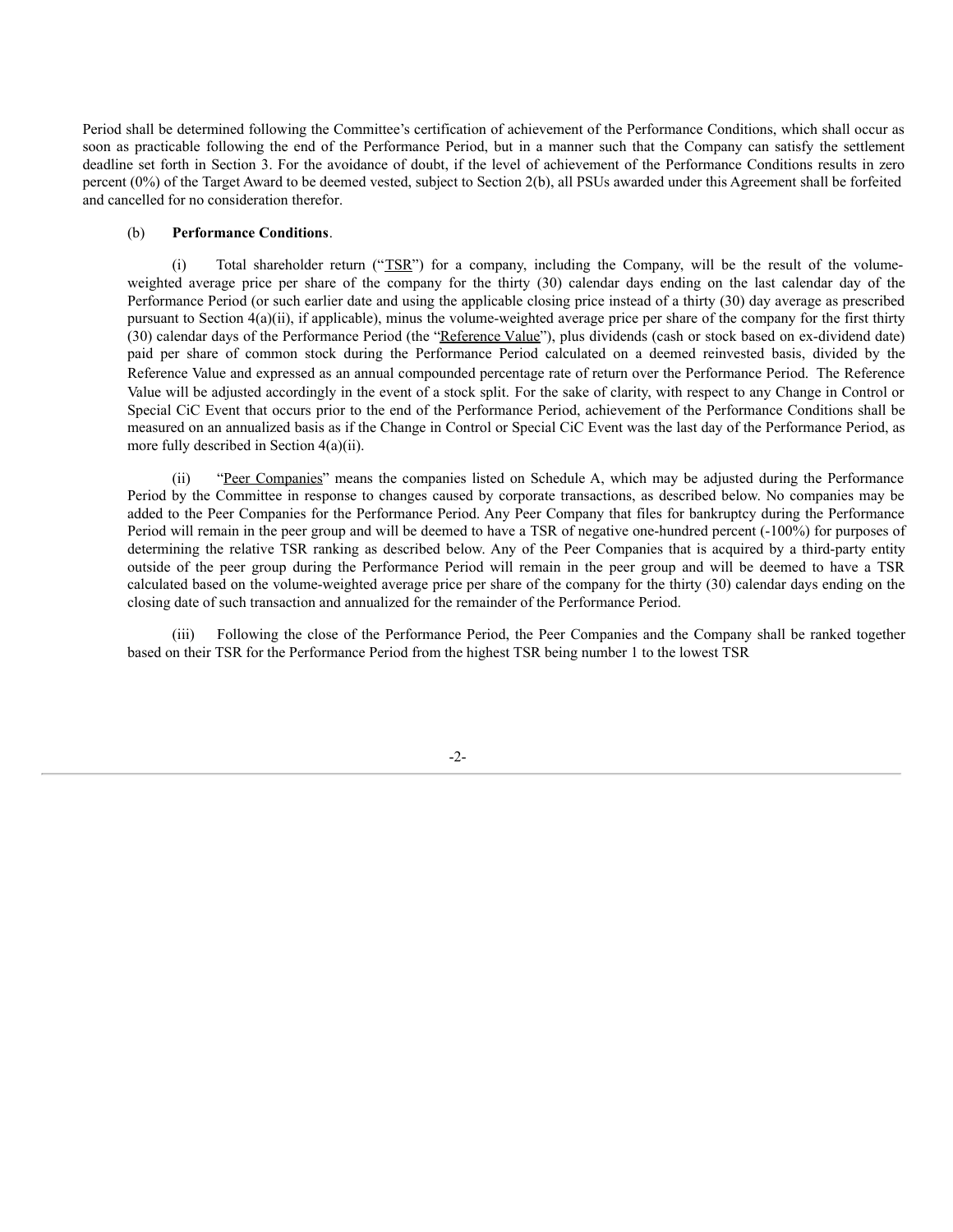Period shall be determined following the Committee's certification of achievement of the Performance Conditions, which shall occur as soon as practicable following the end of the Performance Period, but in a manner such that the Company can satisfy the settlement deadline set forth in Section 3. For the avoidance of doubt, if the level of achievement of the Performance Conditions results in zero percent (0%) of the Target Award to be deemed vested, subject to Section 2(b), all PSUs awarded under this Agreement shall be forfeited and cancelled for no consideration therefor.

### (b) **Performance Conditions**.

(i) Total shareholder return ("TSR") for a company, including the Company, will be the result of the volumeweighted average price per share of the company for the thirty (30) calendar days ending on the last calendar day of the Performance Period (or such earlier date and using the applicable closing price instead of a thirty (30) day average as prescribed pursuant to Section 4(a)(ii), if applicable), minus the volume-weighted average price per share of the company for the first thirty (30) calendar days of the Performance Period (the "Reference Value"), plus dividends (cash or stock based on ex-dividend date) paid per share of common stock during the Performance Period calculated on a deemed reinvested basis, divided by the Reference Value and expressed as an annual compounded percentage rate of return over the Performance Period. The Reference Value will be adjusted accordingly in the event of a stock split. For the sake of clarity, with respect to any Change in Control or Special CiC Event that occurs prior to the end of the Performance Period, achievement of the Performance Conditions shall be measured on an annualized basis as if the Change in Control or Special CiC Event was the last day of the Performance Period, as more fully described in Section 4(a)(ii).

(ii) "Peer Companies" means the companies listed on Schedule A, which may be adjusted during the Performance Period by the Committee in response to changes caused by corporate transactions, as described below. No companies may be added to the Peer Companies for the Performance Period. Any Peer Company that files for bankruptcy during the Performance Period will remain in the peer group and will be deemed to have a TSR of negative one-hundred percent (-100%) for purposes of determining the relative TSR ranking as described below. Any of the Peer Companies that is acquired by a third-party entity outside of the peer group during the Performance Period will remain in the peer group and will be deemed to have a TSR calculated based on the volume-weighted average price per share of the company for the thirty (30) calendar days ending on the closing date of such transaction and annualized for the remainder of the Performance Period.

(iii) Following the close of the Performance Period, the Peer Companies and the Company shall be ranked together based on their TSR for the Performance Period from the highest TSR being number 1 to the lowest TSR

### -2-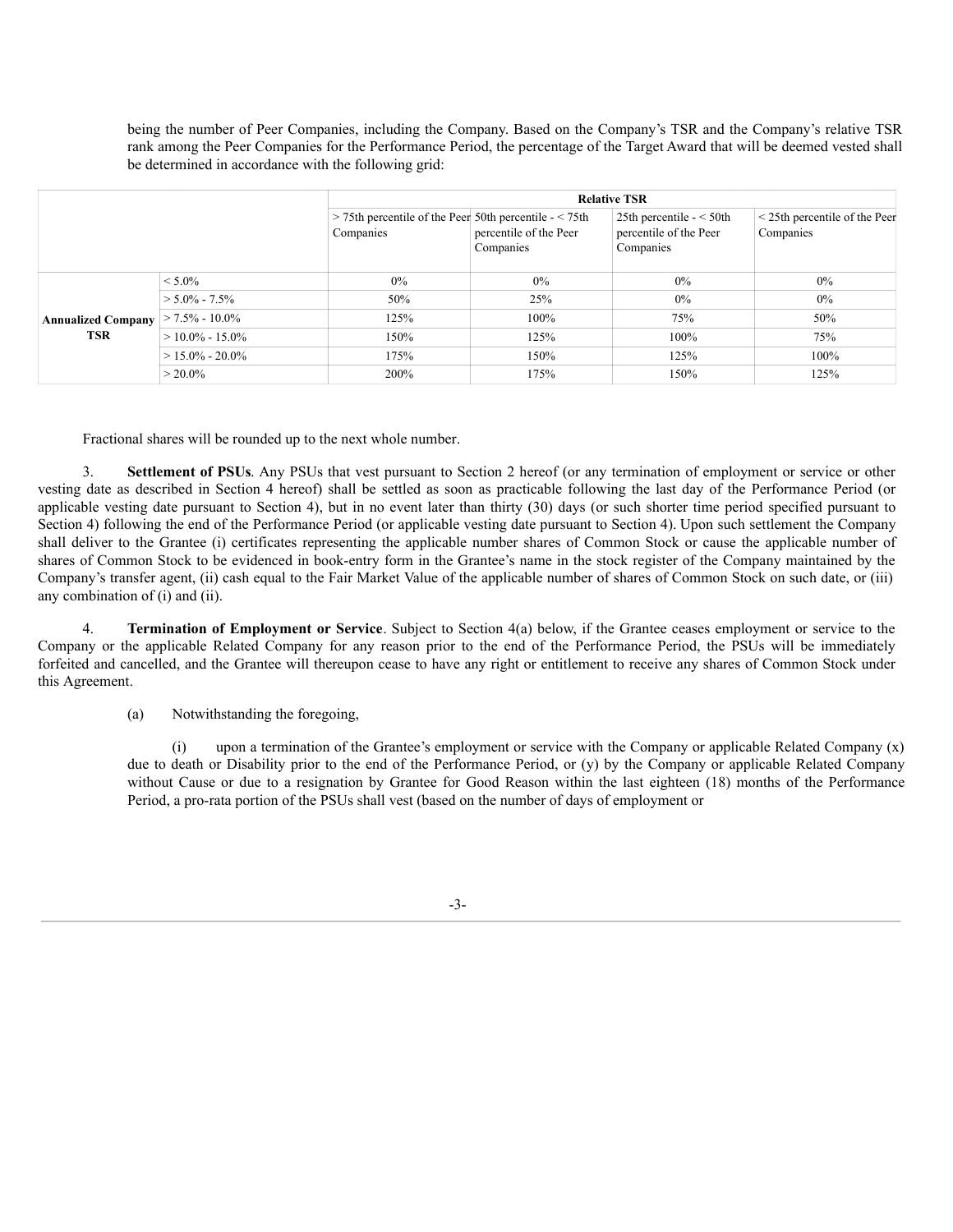being the number of Peer Companies, including the Company. Based on the Company's TSR and the Company's relative TSR rank among the Peer Companies for the Performance Period, the percentage of the Target Award that will be deemed vested shall be determined in accordance with the following grid:

|                           |                     | <b>Relative TSR</b>                                                     |                                     |                                                                   |                                                 |
|---------------------------|---------------------|-------------------------------------------------------------------------|-------------------------------------|-------------------------------------------------------------------|-------------------------------------------------|
|                           |                     | $>$ 75th percentile of the Peer 50th percentile - $<$ 75th<br>Companies | percentile of the Peer<br>Companies | 25th percentile $-$ < 50th<br>percentile of the Peer<br>Companies | $\leq$ 25th percentile of the Peer<br>Companies |
|                           | $< 5.0\%$           | $0\%$                                                                   | $0\%$                               | $0\%$                                                             | $0\%$                                           |
|                           | $> 5.0\% - 7.5\%$   | 50%                                                                     | 25%                                 | $0\%$                                                             | $0\%$                                           |
| <b>Annualized Company</b> | $> 7.5\% - 10.0\%$  | 125%                                                                    | 100%                                | 75%                                                               | 50%                                             |
| <b>TSR</b>                | $> 10.0\% - 15.0\%$ | 150%                                                                    | 125%                                | 100%                                                              | 75%                                             |
|                           | $> 15.0\% - 20.0\%$ | 175%                                                                    | 150%                                | 125%                                                              | 100%                                            |
|                           | $> 20.0\%$          | 200%                                                                    | 175%                                | 150%                                                              | 125%                                            |

Fractional shares will be rounded up to the next whole number.

3. **Settlement of PSUs**. Any PSUs that vest pursuant to Section 2 hereof (or any termination of employment or service or other vesting date as described in Section 4 hereof) shall be settled as soon as practicable following the last day of the Performance Period (or applicable vesting date pursuant to Section 4), but in no event later than thirty (30) days (or such shorter time period specified pursuant to Section 4) following the end of the Performance Period (or applicable vesting date pursuant to Section 4). Upon such settlement the Company shall deliver to the Grantee (i) certificates representing the applicable number shares of Common Stock or cause the applicable number of shares of Common Stock to be evidenced in book-entry form in the Grantee's name in the stock register of the Company maintained by the Company's transfer agent, (ii) cash equal to the Fair Market Value of the applicable number of shares of Common Stock on such date, or (iii) any combination of (i) and (ii).

4. **Termination of Employment or Service**. Subject to Section 4(a) below, if the Grantee ceases employment or service to the Company or the applicable Related Company for any reason prior to the end of the Performance Period, the PSUs will be immediately forfeited and cancelled, and the Grantee will thereupon cease to have any right or entitlement to receive any shares of Common Stock under this Agreement.

### (a) Notwithstanding the foregoing,

upon a termination of the Grantee's employment or service with the Company or applicable Related Company  $(x)$ due to death or Disability prior to the end of the Performance Period, or (y) by the Company or applicable Related Company without Cause or due to a resignation by Grantee for Good Reason within the last eighteen (18) months of the Performance Period, a pro-rata portion of the PSUs shall vest (based on the number of days of employment or

-3-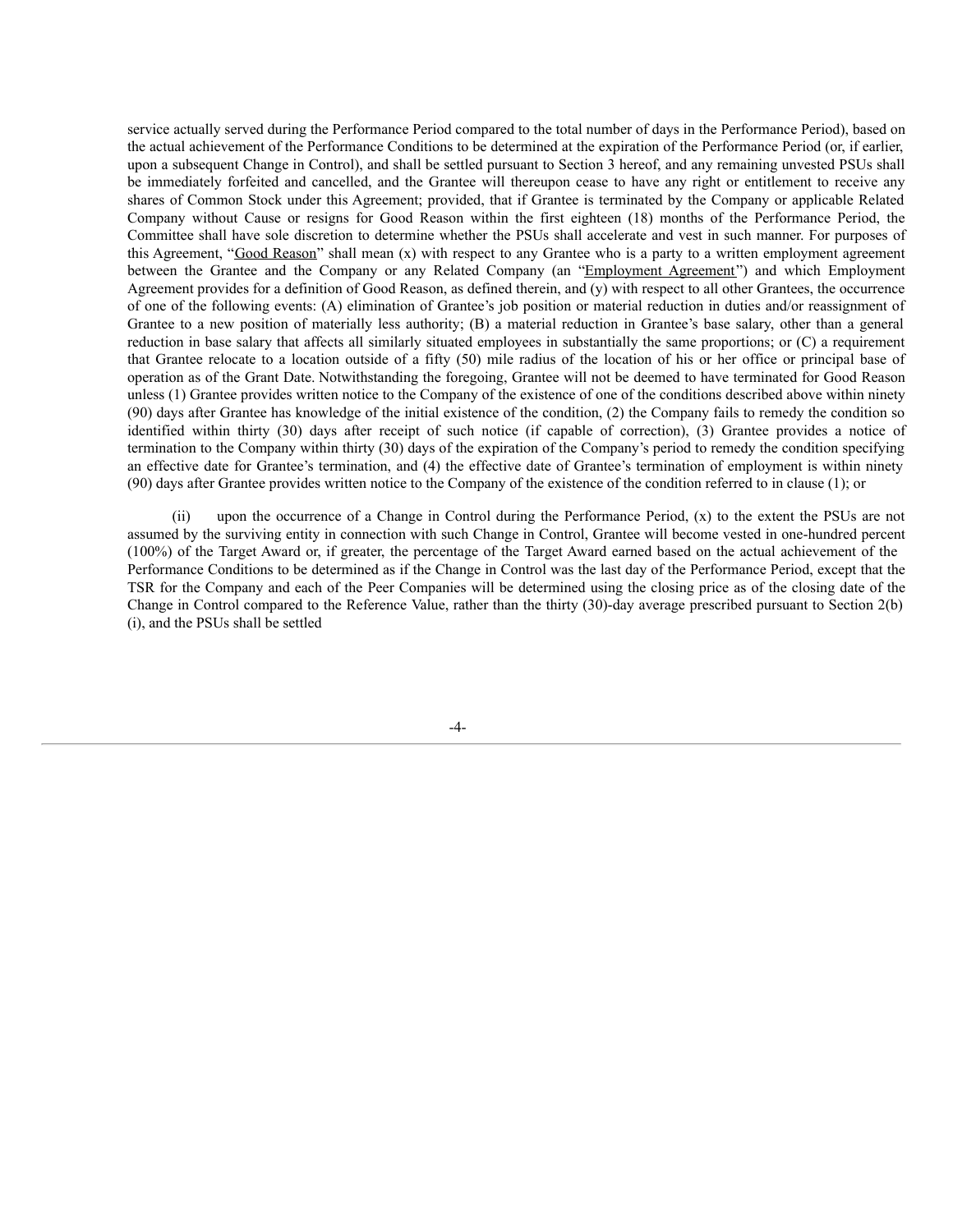service actually served during the Performance Period compared to the total number of days in the Performance Period), based on the actual achievement of the Performance Conditions to be determined at the expiration of the Performance Period (or, if earlier, upon a subsequent Change in Control), and shall be settled pursuant to Section 3 hereof, and any remaining unvested PSUs shall be immediately forfeited and cancelled, and the Grantee will thereupon cease to have any right or entitlement to receive any shares of Common Stock under this Agreement; provided, that if Grantee is terminated by the Company or applicable Related Company without Cause or resigns for Good Reason within the first eighteen (18) months of the Performance Period, the Committee shall have sole discretion to determine whether the PSUs shall accelerate and vest in such manner. For purposes of this Agreement, "Good Reason" shall mean (x) with respect to any Grantee who is a party to a written employment agreement between the Grantee and the Company or any Related Company (an "Employment Agreement") and which Employment Agreement provides for a definition of Good Reason, as defined therein, and (y) with respect to all other Grantees, the occurrence of one of the following events: (A) elimination of Grantee's job position or material reduction in duties and/or reassignment of Grantee to a new position of materially less authority; (B) a material reduction in Grantee's base salary, other than a general reduction in base salary that affects all similarly situated employees in substantially the same proportions; or (C) a requirement that Grantee relocate to a location outside of a fifty (50) mile radius of the location of his or her office or principal base of operation as of the Grant Date. Notwithstanding the foregoing, Grantee will not be deemed to have terminated for Good Reason unless (1) Grantee provides written notice to the Company of the existence of one of the conditions described above within ninety (90) days after Grantee has knowledge of the initial existence of the condition, (2) the Company fails to remedy the condition so identified within thirty (30) days after receipt of such notice (if capable of correction), (3) Grantee provides a notice of termination to the Company within thirty (30) days of the expiration of the Company's period to remedy the condition specifying an effective date for Grantee's termination, and (4) the effective date of Grantee's termination of employment is within ninety (90) days after Grantee provides written notice to the Company of the existence of the condition referred to in clause (1); or

upon the occurrence of a Change in Control during the Performance Period,  $(x)$  to the extent the PSUs are not assumed by the surviving entity in connection with such Change in Control, Grantee will become vested in one-hundred percent (100%) of the Target Award or, if greater, the percentage of the Target Award earned based on the actual achievement of the Performance Conditions to be determined as if the Change in Control was the last day of the Performance Period, except that the TSR for the Company and each of the Peer Companies will be determined using the closing price as of the closing date of the Change in Control compared to the Reference Value, rather than the thirty (30)-day average prescribed pursuant to Section 2(b) (i), and the PSUs shall be settled

-4-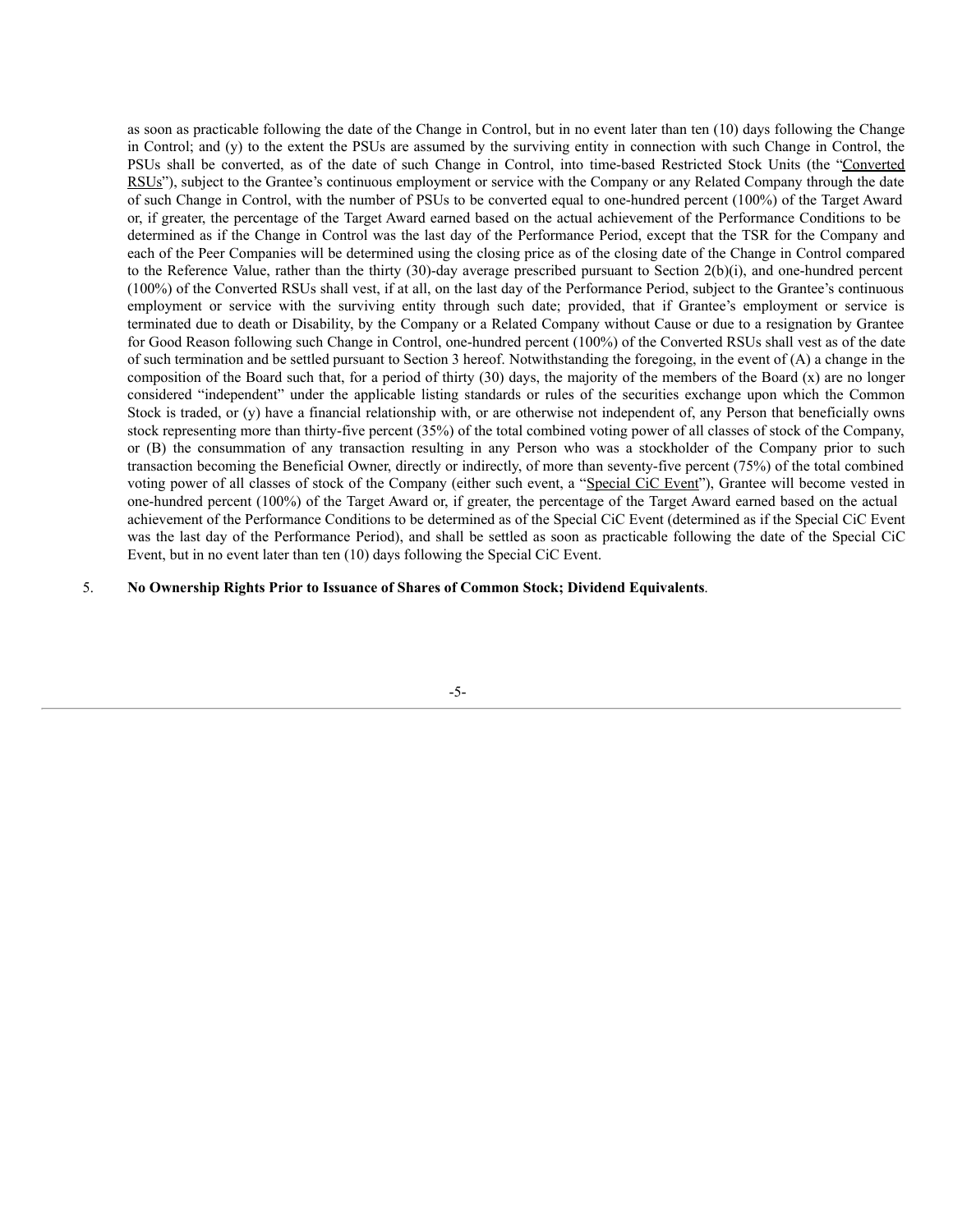<span id="page-94-0"></span>as soon as practicable following the date of the Change in Control, but in no event later than ten (10) days following the Change in Control; and (y) to the extent the PSUs are assumed by the surviving entity in connection with such Change in Control, the PSUs shall be converted, as of the date of such Change in Control, into time-based Restricted Stock Units (the "Converted RSUs"), subject to the Grantee's continuous employment or service with the Company or any Related Company through the date of such Change in Control, with the number of PSUs to be converted equal to one-hundred percent (100%) of the Target Award or, if greater, the percentage of the Target Award earned based on the actual achievement of the Performance Conditions to be determined as if the Change in Control was the last day of the Performance Period, except that the TSR for the Company and each of the Peer Companies will be determined using the closing price as of the closing date of the Change in Control compared to the Reference Value, rather than the thirty (30)-day average prescribed pursuant to Section 2(b)(i), and one-hundred percent (100%) of the Converted RSUs shall vest, if at all, on the last day of the Performance Period, subject to the Grantee's continuous employment or service with the surviving entity through such date; provided, that if Grantee's employment or service is terminated due to death or Disability, by the Company or a Related Company without Cause or due to a resignation by Grantee for Good Reason following such Change in Control, one-hundred percent (100%) of the Converted RSUs shall vest as of the date of such termination and be settled pursuant to Section 3 hereof. Notwithstanding the foregoing, in the event of (A) a change in the composition of the Board such that, for a period of thirty (30) days, the majority of the members of the Board (x) are no longer considered "independent" under the applicable listing standards or rules of the securities exchange upon which the Common Stock is traded, or (y) have a financial relationship with, or are otherwise not independent of, any Person that beneficially owns stock representing more than thirty-five percent (35%) of the total combined voting power of all classes of stock of the Company, or (B) the consummation of any transaction resulting in any Person who was a stockholder of the Company prior to such transaction becoming the Beneficial Owner, directly or indirectly, of more than seventy-five percent (75%) of the total combined voting power of all classes of stock of the Company (either such event, a "Special CiC Event"), Grantee will become vested in one-hundred percent (100%) of the Target Award or, if greater, the percentage of the Target Award earned based on the actual achievement of the Performance Conditions to be determined as of the Special CiC Event (determined as if the Special CiC Event was the last day of the Performance Period), and shall be settled as soon as practicable following the date of the Special CiC Event, but in no event later than ten (10) days following the Special CiC Event.

### 5. **No Ownership Rights Prior to Issuance of Shares of Common Stock; Dividend Equivalents**.

# -5-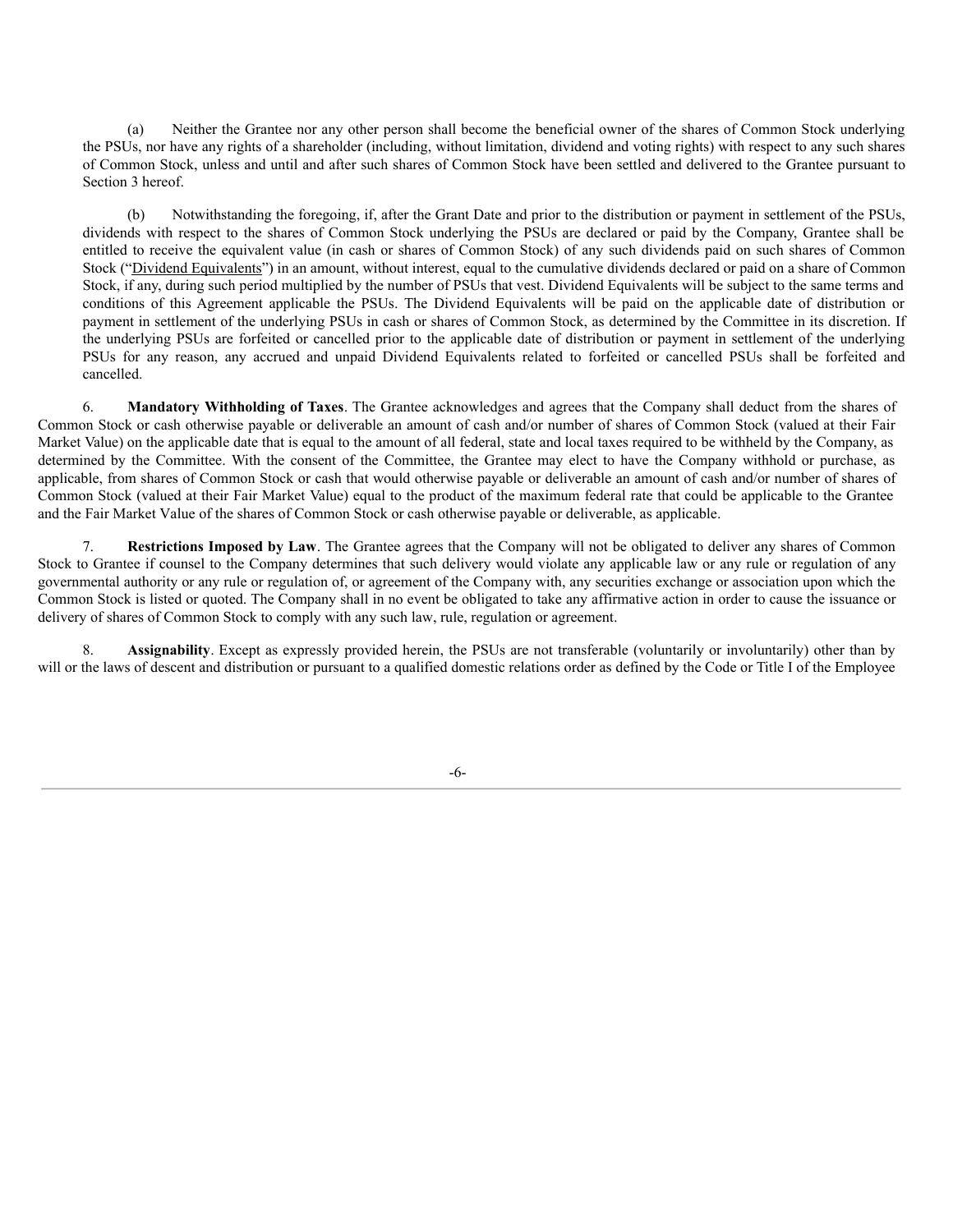(a) Neither the Grantee nor any other person shall become the beneficial owner of the shares of Common Stock underlying the PSUs, nor have any rights of a shareholder (including, without limitation, dividend and voting rights) with respect to any such shares of Common Stock, unless and until and after such shares of Common Stock have been settled and delivered to the Grantee pursuant to Section 3 hereof.

(b) Notwithstanding the foregoing, if, after the Grant Date and prior to the distribution or payment in settlement of the PSUs, dividends with respect to the shares of Common Stock underlying the PSUs are declared or paid by the Company, Grantee shall be entitled to receive the equivalent value (in cash or shares of Common Stock) of any such dividends paid on such shares of Common Stock ("Dividend Equivalents") in an amount, without interest, equal to the cumulative dividends declared or paid on a share of Common Stock, if any, during such period multiplied by the number of PSUs that vest. Dividend Equivalents will be subject to the same terms and conditions of this Agreement applicable the PSUs. The Dividend Equivalents will be paid on the applicable date of distribution or payment in settlement of the underlying PSUs in cash or shares of Common Stock, as determined by the Committee in its discretion. If the underlying PSUs are forfeited or cancelled prior to the applicable date of distribution or payment in settlement of the underlying PSUs for any reason, any accrued and unpaid Dividend Equivalents related to forfeited or cancelled PSUs shall be forfeited and cancelled.

6. **Mandatory Withholding of Taxes**. The Grantee acknowledges and agrees that the Company shall deduct from the shares of Common Stock or cash otherwise payable or deliverable an amount of cash and/or number of shares of Common Stock (valued at their Fair Market Value) on the applicable date that is equal to the amount of all federal, state and local taxes required to be withheld by the Company, as determined by the Committee. With the consent of the Committee, the Grantee may elect to have the Company withhold or purchase, as applicable, from shares of Common Stock or cash that would otherwise payable or deliverable an amount of cash and/or number of shares of Common Stock (valued at their Fair Market Value) equal to the product of the maximum federal rate that could be applicable to the Grantee and the Fair Market Value of the shares of Common Stock or cash otherwise payable or deliverable, as applicable.

7. **Restrictions Imposed by Law**. The Grantee agrees that the Company will not be obligated to deliver any shares of Common Stock to Grantee if counsel to the Company determines that such delivery would violate any applicable law or any rule or regulation of any governmental authority or any rule or regulation of, or agreement of the Company with, any securities exchange or association upon which the Common Stock is listed or quoted. The Company shall in no event be obligated to take any affirmative action in order to cause the issuance or delivery of shares of Common Stock to comply with any such law, rule, regulation or agreement.

8. **Assignability**. Except as expressly provided herein, the PSUs are not transferable (voluntarily or involuntarily) other than by will or the laws of descent and distribution or pursuant to a qualified domestic relations order as defined by the Code or Title I of the Employee

-6-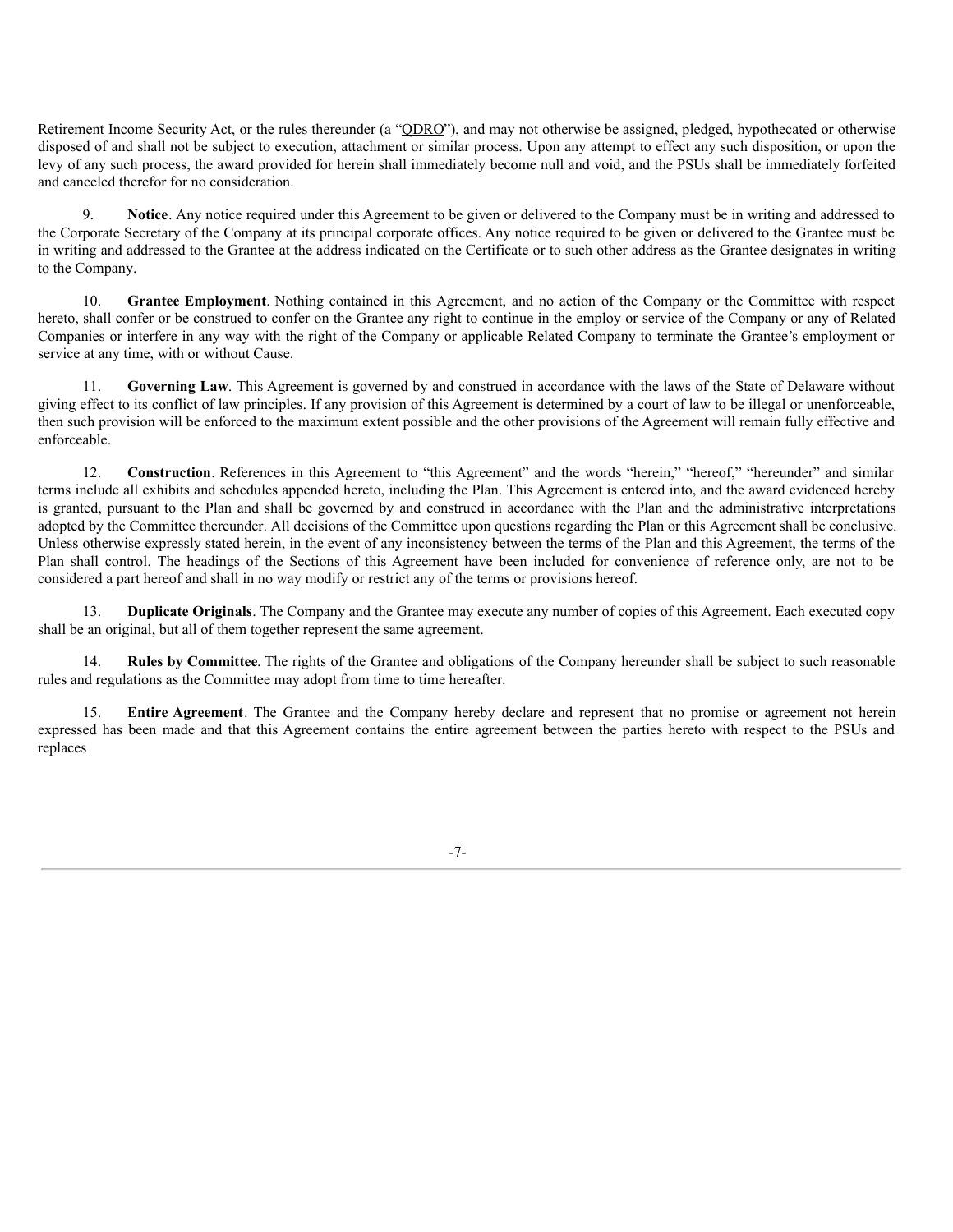Retirement Income Security Act, or the rules thereunder (a "QDRO"), and may not otherwise be assigned, pledged, hypothecated or otherwise disposed of and shall not be subject to execution, attachment or similar process. Upon any attempt to effect any such disposition, or upon the levy of any such process, the award provided for herein shall immediately become null and void, and the PSUs shall be immediately forfeited and canceled therefor for no consideration.

9. **Notice**. Any notice required under this Agreement to be given or delivered to the Company must be in writing and addressed to the Corporate Secretary of the Company at its principal corporate offices. Any notice required to be given or delivered to the Grantee must be in writing and addressed to the Grantee at the address indicated on the Certificate or to such other address as the Grantee designates in writing to the Company.

10. **Grantee Employment**. Nothing contained in this Agreement, and no action of the Company or the Committee with respect hereto, shall confer or be construed to confer on the Grantee any right to continue in the employ or service of the Company or any of Related Companies or interfere in any way with the right of the Company or applicable Related Company to terminate the Grantee's employment or service at any time, with or without Cause.

11. **Governing Law**. This Agreement is governed by and construed in accordance with the laws of the State of Delaware without giving effect to its conflict of law principles. If any provision of this Agreement is determined by a court of law to be illegal or unenforceable, then such provision will be enforced to the maximum extent possible and the other provisions of the Agreement will remain fully effective and enforceable.

12. **Construction**. References in this Agreement to "this Agreement" and the words "herein," "hereof," "hereunder" and similar terms include all exhibits and schedules appended hereto, including the Plan. This Agreement is entered into, and the award evidenced hereby is granted, pursuant to the Plan and shall be governed by and construed in accordance with the Plan and the administrative interpretations adopted by the Committee thereunder. All decisions of the Committee upon questions regarding the Plan or this Agreement shall be conclusive. Unless otherwise expressly stated herein, in the event of any inconsistency between the terms of the Plan and this Agreement, the terms of the Plan shall control. The headings of the Sections of this Agreement have been included for convenience of reference only, are not to be considered a part hereof and shall in no way modify or restrict any of the terms or provisions hereof.

13. **Duplicate Originals**. The Company and the Grantee may execute any number of copies of this Agreement. Each executed copy shall be an original, but all of them together represent the same agreement.

14. **Rules by Committee**. The rights of the Grantee and obligations of the Company hereunder shall be subject to such reasonable rules and regulations as the Committee may adopt from time to time hereafter.

15. **Entire Agreement**. The Grantee and the Company hereby declare and represent that no promise or agreement not herein expressed has been made and that this Agreement contains the entire agreement between the parties hereto with respect to the PSUs and replaces

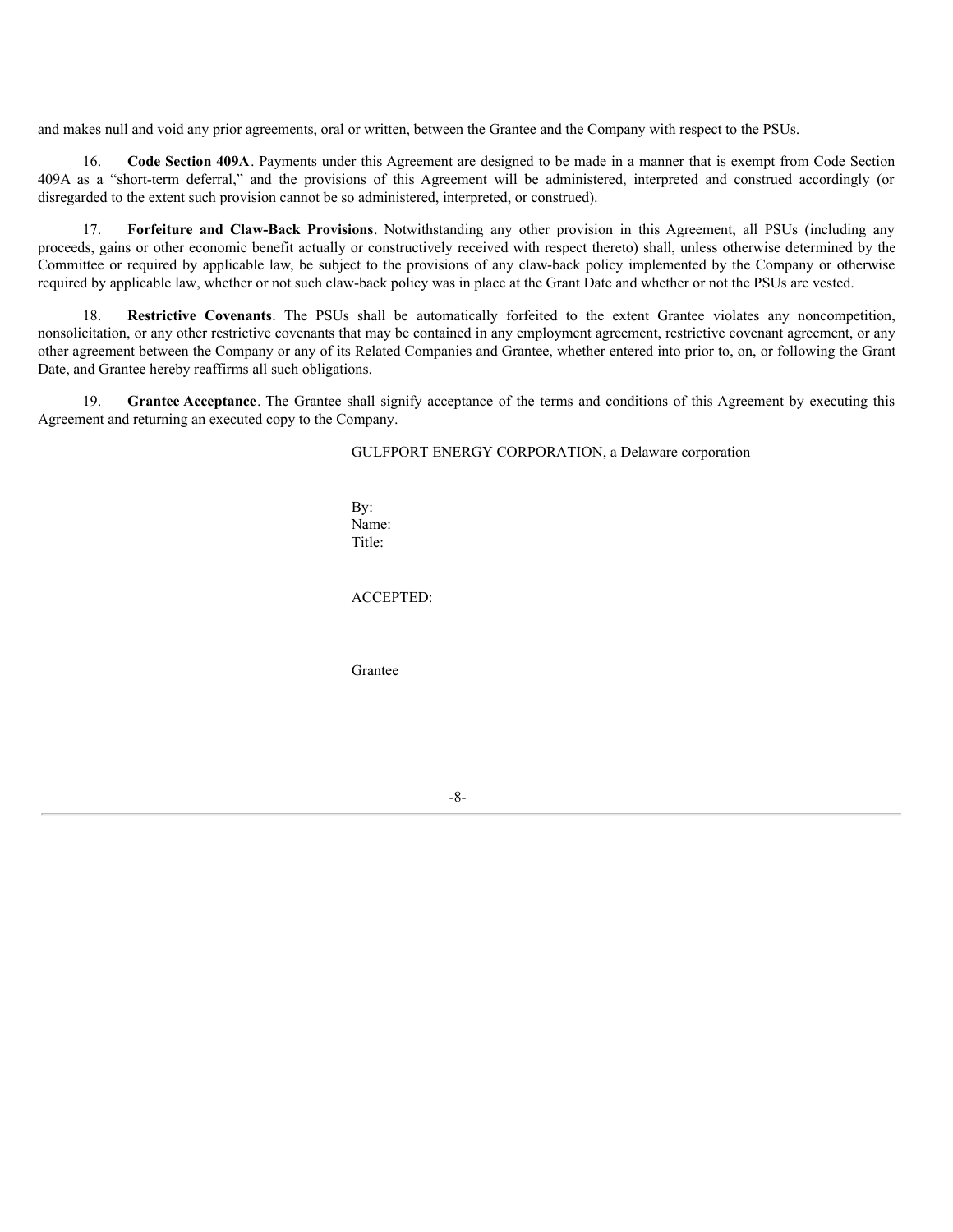and makes null and void any prior agreements, oral or written, between the Grantee and the Company with respect to the PSUs.

16. **Code Section 409A**. Payments under this Agreement are designed to be made in a manner that is exempt from Code Section 409A as a "short-term deferral," and the provisions of this Agreement will be administered, interpreted and construed accordingly (or disregarded to the extent such provision cannot be so administered, interpreted, or construed).

17. **Forfeiture and Claw-Back Provisions**. Notwithstanding any other provision in this Agreement, all PSUs (including any proceeds, gains or other economic benefit actually or constructively received with respect thereto) shall, unless otherwise determined by the Committee or required by applicable law, be subject to the provisions of any claw-back policy implemented by the Company or otherwise required by applicable law, whether or not such claw-back policy was in place at the Grant Date and whether or not the PSUs are vested.

18. **Restrictive Covenants**. The PSUs shall be automatically forfeited to the extent Grantee violates any noncompetition, nonsolicitation, or any other restrictive covenants that may be contained in any employment agreement, restrictive covenant agreement, or any other agreement between the Company or any of its Related Companies and Grantee, whether entered into prior to, on, or following the Grant Date, and Grantee hereby reaffirms all such obligations.

19. **Grantee Acceptance**. The Grantee shall signify acceptance of the terms and conditions of this Agreement by executing this Agreement and returning an executed copy to the Company.

GULFPORT ENERGY CORPORATION, a Delaware corporation

By: Name: Title:

ACCEPTED:

Grantee

-8-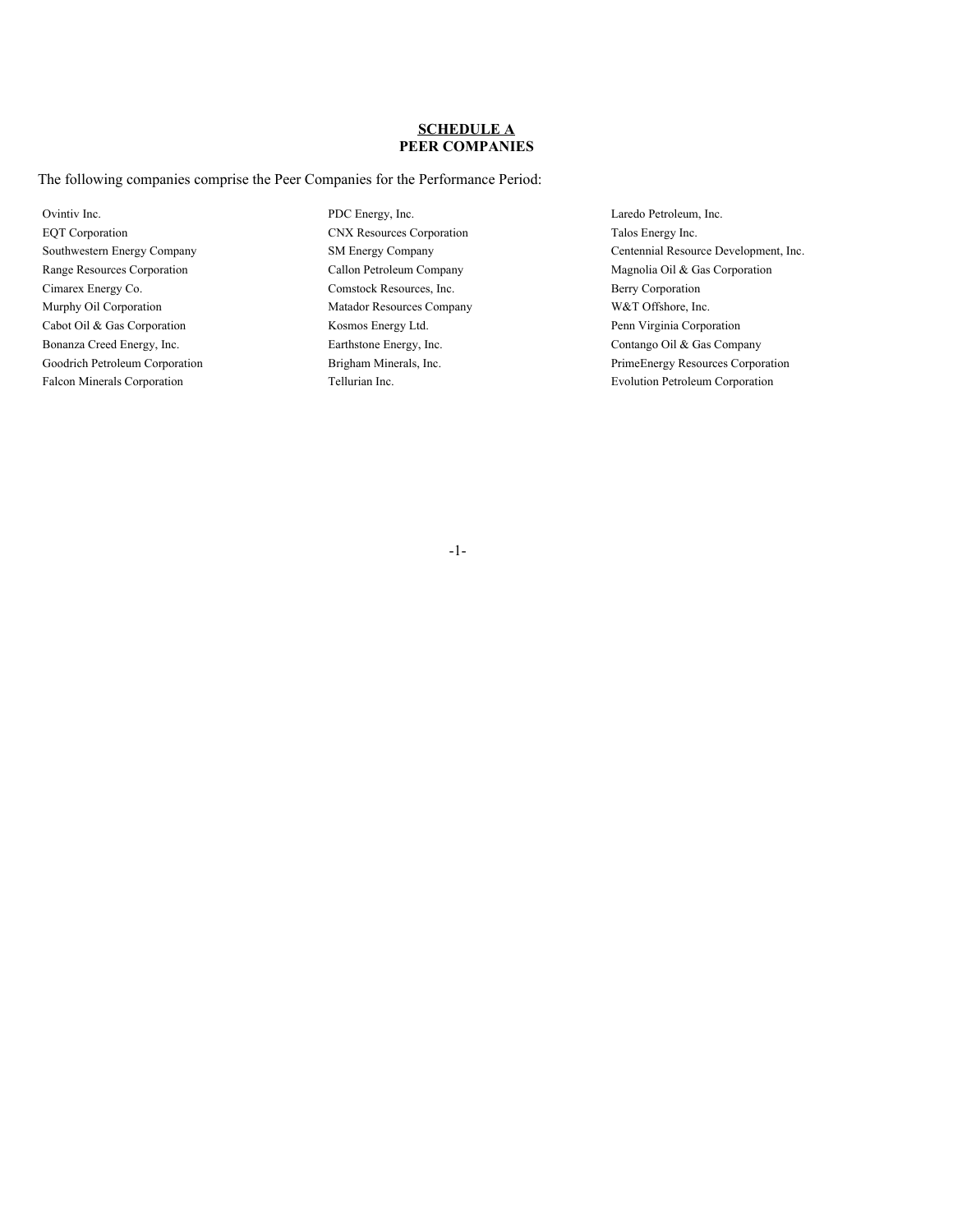## **SCHEDULE A PEER COMPANIES**

The following companies comprise the Peer Companies for the Performance Period:

- Ovintiv Inc. PDC Energy, Inc. Laredo Petroleum, Inc. EQT Corporation CNX Resources Corporation Talos Energy Inc. Range Resources Corporation Callon Petroleum Company Magnolia Oil & Gas Corporation Cimarex Energy Co. Comstock Resources, Inc. Berry Corporation Murphy Oil Corporation and Matador Resources Company Matador New York T Offshore, Inc. Cabot Oil & Gas Corporation Kosmos Energy Ltd. Penn Virginia Corporation Bonanza Creed Energy, Inc. Earthstone Energy, Inc. Contango Oil & Gas Company
	-

Southwestern Energy Company SM Energy Company SM Energy Company Centennial Resource Development, Inc. Goodrich Petroleum Corporation **Brigham Minerals, Inc.** PrimeEnergy Resources Corporation **Brigham Minerals**, Inc. Falcon Minerals Corporation Tellurian Inc. Evolution Petroleum Corporation

-1-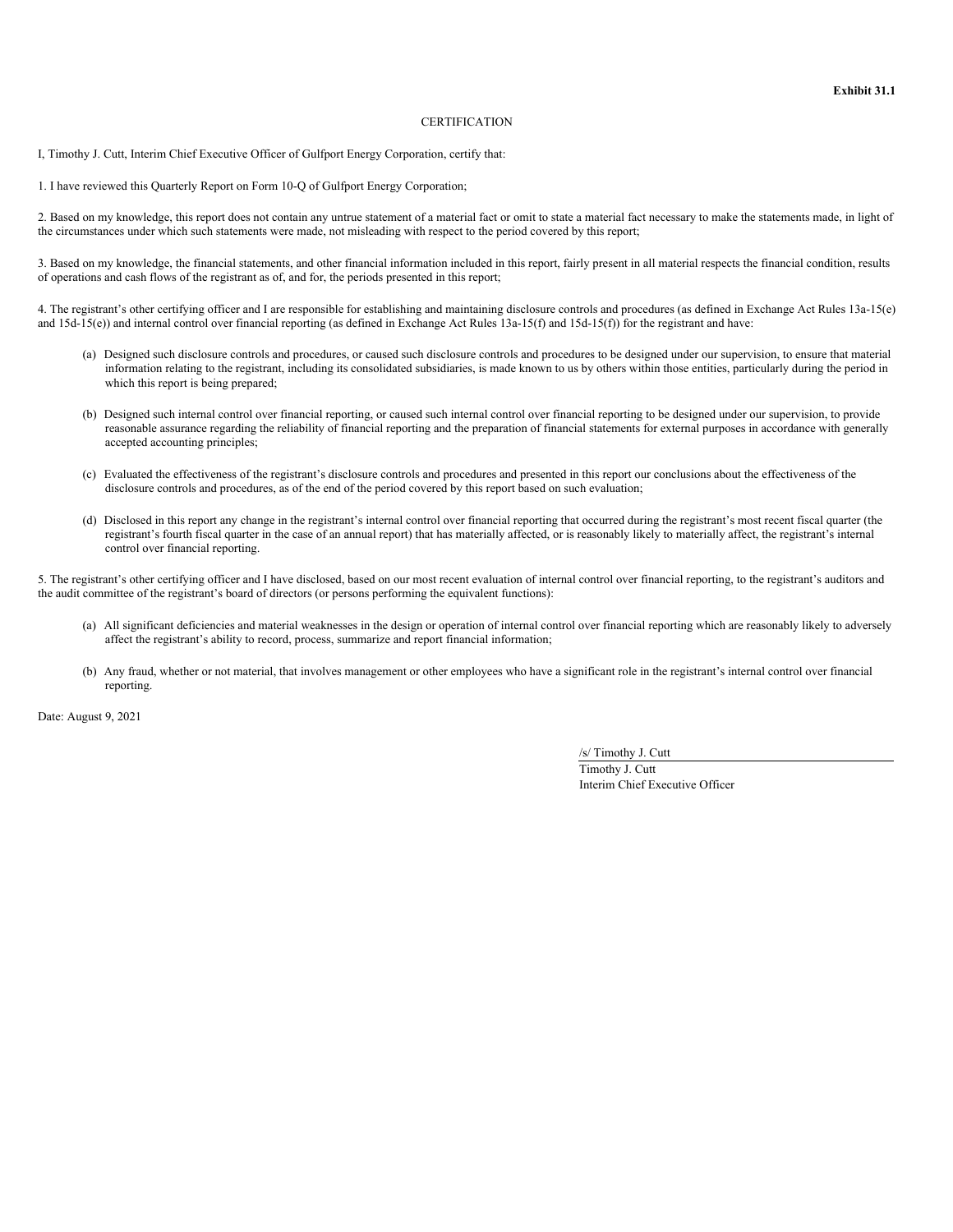#### **CERTIFICATION**

<span id="page-99-0"></span>I, Timothy J. Cutt, Interim Chief Executive Officer of Gulfport Energy Corporation, certify that:

1. I have reviewed this Quarterly Report on Form 10-Q of Gulfport Energy Corporation;

2. Based on my knowledge, this report does not contain any untrue statement of a material fact or omit to state a material fact necessary to make the statements made, in light of the circumstances under which such statements were made, not misleading with respect to the period covered by this report;

3. Based on my knowledge, the financial statements, and other financial information included in this report, fairly present in all material respects the financial condition, results of operations and cash flows of the registrant as of, and for, the periods presented in this report;

4. The registrant's other certifying officer and I are responsible for establishing and maintaining disclosure controls and procedures (as defined in Exchange Act Rules 13a-15(e) and 15d-15(e)) and internal control over financial reporting (as defined in Exchange Act Rules 13a-15(f) and 15d-15(f)) for the registrant and have:

- (a) Designed such disclosure controls and procedures, or caused such disclosure controls and procedures to be designed under our supervision, to ensure that material information relating to the registrant, including its consolidated subsidiaries, is made known to us by others within those entities, particularly during the period in which this report is being prepared;
- (b) Designed such internal control over financial reporting, or caused such internal control over financial reporting to be designed under our supervision, to provide reasonable assurance regarding the reliability of financial reporting and the preparation of financial statements for external purposes in accordance with generally accepted accounting principles;
- (c) Evaluated the effectiveness of the registrant's disclosure controls and procedures and presented in this report our conclusions about the effectiveness of the disclosure controls and procedures, as of the end of the period covered by this report based on such evaluation;
- (d) Disclosed in this report any change in the registrant's internal control over financial reporting that occurred during the registrant's most recent fiscal quarter (the registrant's fourth fiscal quarter in the case of an annual report) that has materially affected, or is reasonably likely to materially affect, the registrant's internal control over financial reporting.

5. The registrant's other certifying officer and I have disclosed, based on our most recent evaluation of internal control over financial reporting, to the registrant's auditors and the audit committee of the registrant's board of directors (or persons performing the equivalent functions):

- (a) All significant deficiencies and material weaknesses in the design or operation of internal control over financial reporting which are reasonably likely to adversely affect the registrant's ability to record, process, summarize and report financial information;
- (b) Any fraud, whether or not material, that involves management or other employees who have a significant role in the registrant's internal control over financial reporting.

Date: August 9, 2021

/s/ Timothy J. Cutt

Timothy J. Cutt Interim Chief Executive Officer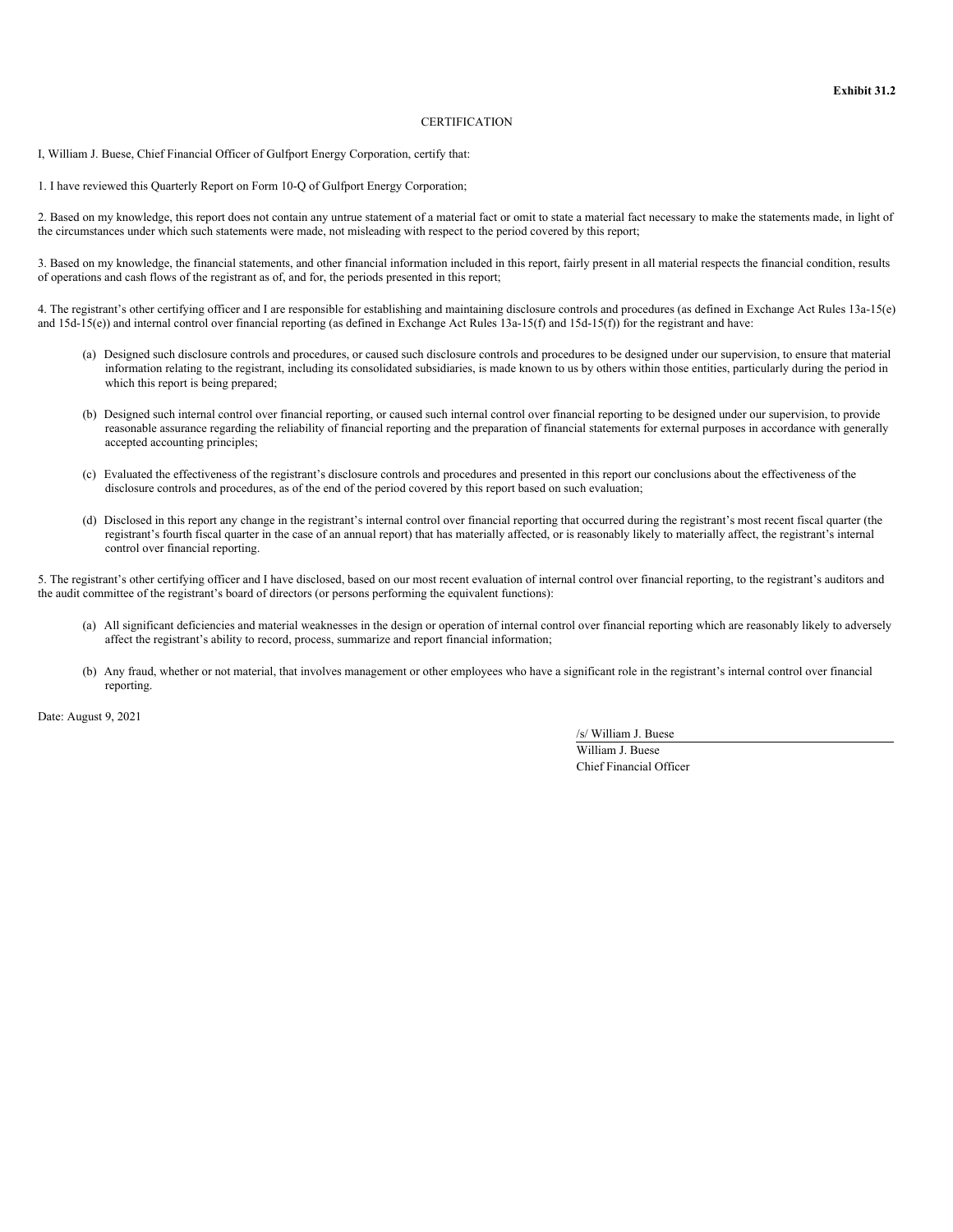#### **CERTIFICATION**

<span id="page-100-0"></span>I, William J. Buese, Chief Financial Officer of Gulfport Energy Corporation, certify that:

1. I have reviewed this Quarterly Report on Form 10-Q of Gulfport Energy Corporation;

2. Based on my knowledge, this report does not contain any untrue statement of a material fact or omit to state a material fact necessary to make the statements made, in light of the circumstances under which such statements were made, not misleading with respect to the period covered by this report;

3. Based on my knowledge, the financial statements, and other financial information included in this report, fairly present in all material respects the financial condition, results of operations and cash flows of the registrant as of, and for, the periods presented in this report;

4. The registrant's other certifying officer and I are responsible for establishing and maintaining disclosure controls and procedures (as defined in Exchange Act Rules 13a-15(e) and 15d-15(e)) and internal control over financial reporting (as defined in Exchange Act Rules 13a-15(f) and 15d-15(f)) for the registrant and have:

- (a) Designed such disclosure controls and procedures, or caused such disclosure controls and procedures to be designed under our supervision, to ensure that material information relating to the registrant, including its consolidated subsidiaries, is made known to us by others within those entities, particularly during the period in which this report is being prepared;
- (b) Designed such internal control over financial reporting, or caused such internal control over financial reporting to be designed under our supervision, to provide reasonable assurance regarding the reliability of financial reporting and the preparation of financial statements for external purposes in accordance with generally accepted accounting principles;
- (c) Evaluated the effectiveness of the registrant's disclosure controls and procedures and presented in this report our conclusions about the effectiveness of the disclosure controls and procedures, as of the end of the period covered by this report based on such evaluation;
- (d) Disclosed in this report any change in the registrant's internal control over financial reporting that occurred during the registrant's most recent fiscal quarter (the registrant's fourth fiscal quarter in the case of an annual report) that has materially affected, or is reasonably likely to materially affect, the registrant's internal control over financial reporting.

5. The registrant's other certifying officer and I have disclosed, based on our most recent evaluation of internal control over financial reporting, to the registrant's auditors and the audit committee of the registrant's board of directors (or persons performing the equivalent functions):

- (a) All significant deficiencies and material weaknesses in the design or operation of internal control over financial reporting which are reasonably likely to adversely affect the registrant's ability to record, process, summarize and report financial information;
- (b) Any fraud, whether or not material, that involves management or other employees who have a significant role in the registrant's internal control over financial reporting.

Date: August 9, 2021

/s/ William J. Buese

William J. Buese Chief Financial Officer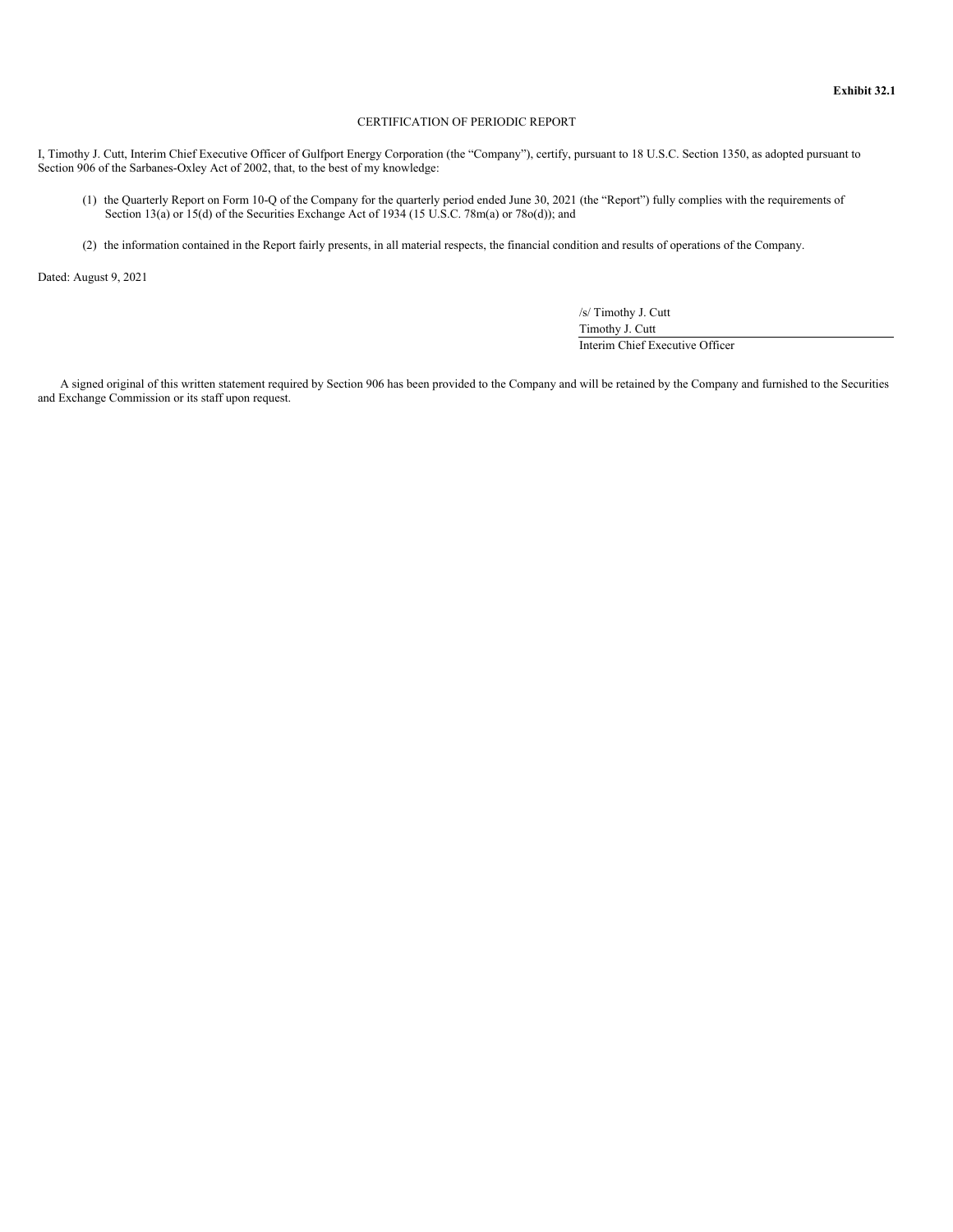### CERTIFICATION OF PERIODIC REPORT

<span id="page-101-0"></span>I, Timothy J. Cutt, Interim Chief Executive Officer of Gulfport Energy Corporation (the "Company"), certify, pursuant to 18 U.S.C. Section 1350, as adopted pursuant to Section 906 of the Sarbanes-Oxley Act of 2002, that, to the best of my knowledge:

- (1) the Quarterly Report on Form 10-Q of the Company for the quarterly period ended June 30, 2021 (the "Report") fully complies with the requirements of Section 13(a) or 15(d) of the Securities Exchange Act of 1934 (15 U.S.C. 78m(a) or 78o(d)); and
- (2) the information contained in the Report fairly presents, in all material respects, the financial condition and results of operations of the Company.

Dated: August 9, 2021

/s/ Timothy J. Cutt Timothy J. Cutt Interim Chief Executive Officer

A signed original of this written statement required by Section 906 has been provided to the Company and will be retained by the Company and furnished to the Securities and Exchange Commission or its staff upon request.